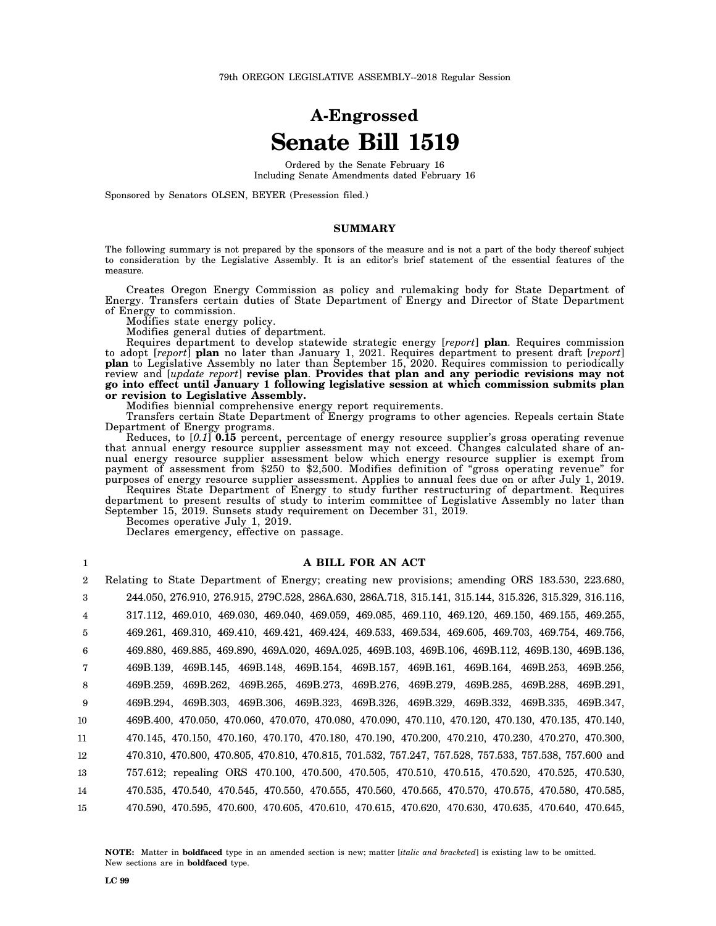# **A-Engrossed Senate Bill 1519**

Ordered by the Senate February 16 Including Senate Amendments dated February 16

Sponsored by Senators OLSEN, BEYER (Presession filed.)

### **SUMMARY**

The following summary is not prepared by the sponsors of the measure and is not a part of the body thereof subject to consideration by the Legislative Assembly. It is an editor's brief statement of the essential features of the measure.

Creates Oregon Energy Commission as policy and rulemaking body for State Department of Energy. Transfers certain duties of State Department of Energy and Director of State Department of Energy to commission.

Modifies state energy policy.

Modifies general duties of department.

Requires department to develop statewide strategic energy [*report*] **plan**. Requires commission to adopt [*report*] **plan** no later than January 1, 2021. Requires department to present draft [*report*] **plan** to Legislative Assembly no later than September 15, 2020. Requires commission to periodically review and [*update report*] **revise plan**. **Provides that plan and any periodic revisions may not go into effect until January 1 following legislative session at which commission submits plan or revision to Legislative Assembly.**

Modifies biennial comprehensive energy report requirements.

Transfers certain State Department of Energy programs to other agencies. Repeals certain State Department of Energy programs.

Reduces, to [*0.1*] **0.15** percent, percentage of energy resource supplier's gross operating revenue that annual energy resource supplier assessment may not exceed. Changes calculated share of annual energy resource supplier assessment below which energy resource supplier is exempt from payment of assessment from \$250 to \$2,500. Modifies definition of "gross operating revenue" for purposes of energy resource supplier assessment. Applies to annual fees due on or after July 1, 2019. Requires State Department of Energy to study further restructuring of department. Requires

department to present results of study to interim committee of Legislative Assembly no later than September 15, 2019. Sunsets study requirement on December 31, 2019.

Becomes operative July 1, 2019.

Declares emergency, effective on passage.

#### **A BILL FOR AN ACT**

2 3 4 5 6 7 8 9 10 11 12 13 14 15 Relating to State Department of Energy; creating new provisions; amending ORS 183.530, 223.680, 244.050, 276.910, 276.915, 279C.528, 286A.630, 286A.718, 315.141, 315.144, 315.326, 315.329, 316.116, 317.112, 469.010, 469.030, 469.040, 469.059, 469.085, 469.110, 469.120, 469.150, 469.155, 469.255, 469.261, 469.310, 469.410, 469.421, 469.424, 469.533, 469.534, 469.605, 469.703, 469.754, 469.756, 469.880, 469.885, 469.890, 469A.020, 469A.025, 469B.103, 469B.106, 469B.112, 469B.130, 469B.136, 469B.139, 469B.145, 469B.148, 469B.154, 469B.157, 469B.161, 469B.164, 469B.253, 469B.256, 469B.259, 469B.262, 469B.265, 469B.273, 469B.276, 469B.279, 469B.285, 469B.288, 469B.291, 469B.294, 469B.303, 469B.306, 469B.323, 469B.326, 469B.329, 469B.332, 469B.335, 469B.347, 469B.400, 470.050, 470.060, 470.070, 470.080, 470.090, 470.110, 470.120, 470.130, 470.135, 470.140, 470.145, 470.150, 470.160, 470.170, 470.180, 470.190, 470.200, 470.210, 470.230, 470.270, 470.300, 470.310, 470.800, 470.805, 470.810, 470.815, 701.532, 757.247, 757.528, 757.533, 757.538, 757.600 and 757.612; repealing ORS 470.100, 470.500, 470.505, 470.510, 470.515, 470.520, 470.525, 470.530, 470.535, 470.540, 470.545, 470.550, 470.555, 470.560, 470.565, 470.570, 470.575, 470.580, 470.585, 470.590, 470.595, 470.600, 470.605, 470.610, 470.615, 470.620, 470.630, 470.635, 470.640, 470.645,

**NOTE:** Matter in **boldfaced** type in an amended section is new; matter [*italic and bracketed*] is existing law to be omitted. New sections are in **boldfaced** type.

1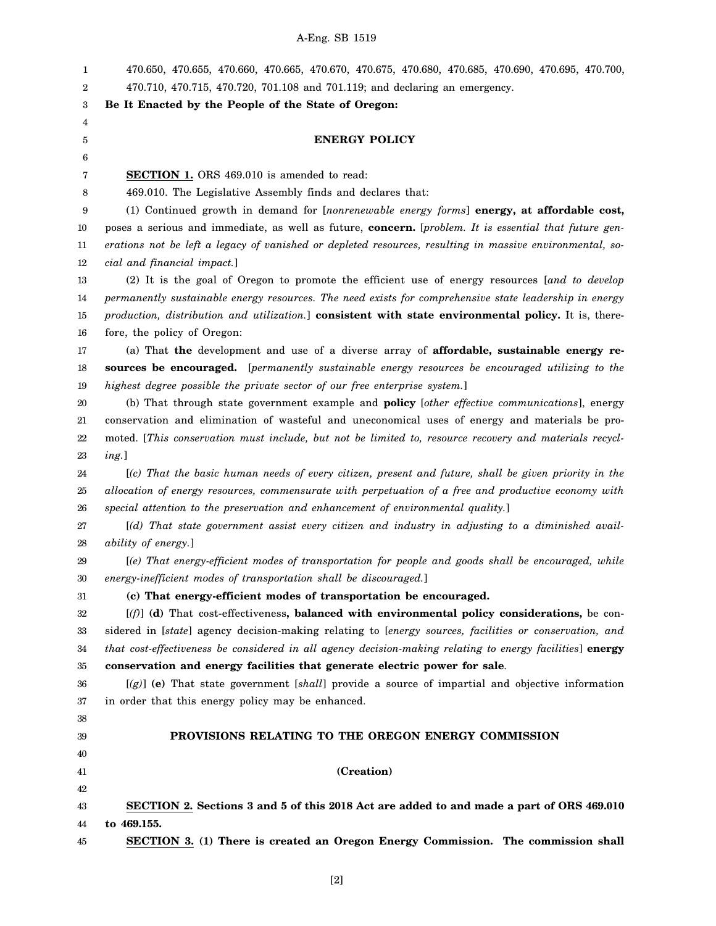1 2 3 4 5 6 7 8 9 10 11 12 13 14 15 16 17 18 19 20 21 22 23 24 25 26 27 28 29 30 31 32 33 34 35 36 37 38 39 40 41 42 43 44 45 470.650, 470.655, 470.660, 470.665, 470.670, 470.675, 470.680, 470.685, 470.690, 470.695, 470.700, 470.710, 470.715, 470.720, 701.108 and 701.119; and declaring an emergency. **Be It Enacted by the People of the State of Oregon: ENERGY POLICY SECTION 1.** ORS 469.010 is amended to read: 469.010. The Legislative Assembly finds and declares that: (1) Continued growth in demand for [*nonrenewable energy forms*] **energy, at affordable cost,** poses a serious and immediate, as well as future, **concern.** [*problem. It is essential that future generations not be left a legacy of vanished or depleted resources, resulting in massive environmental, social and financial impact.*] (2) It is the goal of Oregon to promote the efficient use of energy resources [*and to develop permanently sustainable energy resources. The need exists for comprehensive state leadership in energy production, distribution and utilization.*] **consistent with state environmental policy.** It is, therefore, the policy of Oregon: (a) That **the** development and use of a diverse array of **affordable, sustainable energy resources be encouraged.** [*permanently sustainable energy resources be encouraged utilizing to the highest degree possible the private sector of our free enterprise system.*] (b) That through state government example and **policy** [*other effective communications*], energy conservation and elimination of wasteful and uneconomical uses of energy and materials be promoted. [*This conservation must include, but not be limited to, resource recovery and materials recycling.*] [*(c) That the basic human needs of every citizen, present and future, shall be given priority in the allocation of energy resources, commensurate with perpetuation of a free and productive economy with special attention to the preservation and enhancement of environmental quality.*] [*(d) That state government assist every citizen and industry in adjusting to a diminished availability of energy.*] [*(e) That energy-efficient modes of transportation for people and goods shall be encouraged, while energy-inefficient modes of transportation shall be discouraged.*] **(c) That energy-efficient modes of transportation be encouraged.** [*(f)*] **(d)** That cost-effectiveness**, balanced with environmental policy considerations,** be considered in [*state*] agency decision-making relating to [*energy sources, facilities or conservation, and that cost-effectiveness be considered in all agency decision-making relating to energy facilities*] **energy conservation and energy facilities that generate electric power for sale**. [*(g)*] **(e)** That state government [*shall*] provide a source of impartial and objective information in order that this energy policy may be enhanced. **PROVISIONS RELATING TO THE OREGON ENERGY COMMISSION (Creation) SECTION 2. Sections 3 and 5 of this 2018 Act are added to and made a part of ORS 469.010 to 469.155. SECTION 3. (1) There is created an Oregon Energy Commission. The commission shall**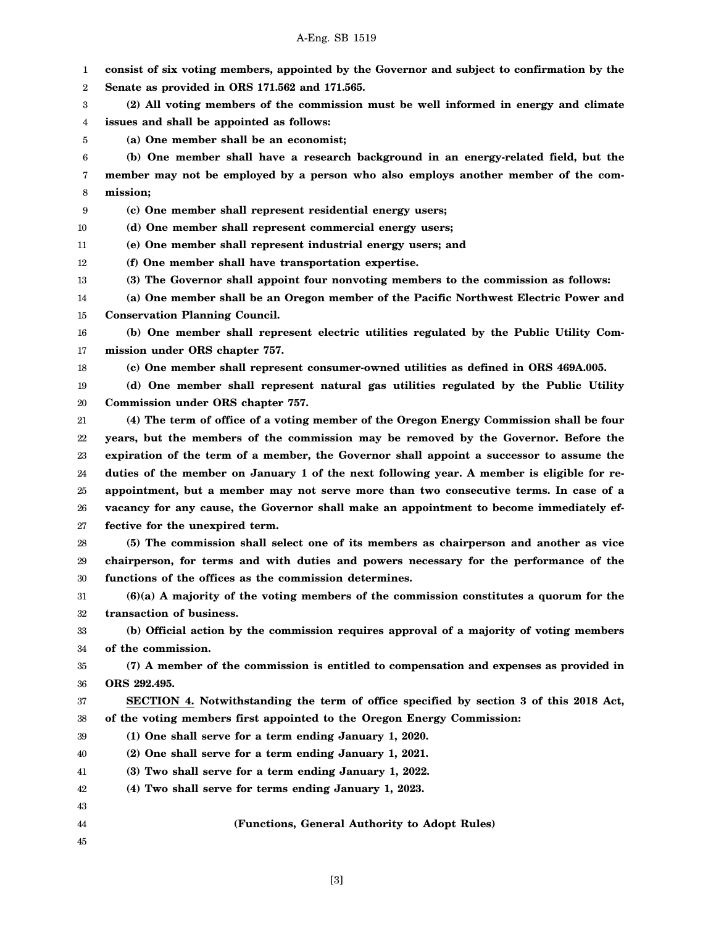1 2 3 4 **consist of six voting members, appointed by the Governor and subject to confirmation by the Senate as provided in ORS 171.562 and 171.565. (2) All voting members of the commission must be well informed in energy and climate issues and shall be appointed as follows:**

5 **(a) One member shall be an economist;**

6 7 8 **(b) One member shall have a research background in an energy-related field, but the member may not be employed by a person who also employs another member of the commission;**

9 **(c) One member shall represent residential energy users;**

10 **(d) One member shall represent commercial energy users;**

11 **(e) One member shall represent industrial energy users; and**

12 **(f) One member shall have transportation expertise.**

13 **(3) The Governor shall appoint four nonvoting members to the commission as follows:**

14 15 **(a) One member shall be an Oregon member of the Pacific Northwest Electric Power and Conservation Planning Council.**

16 17 **(b) One member shall represent electric utilities regulated by the Public Utility Commission under ORS chapter 757.**

18

**(c) One member shall represent consumer-owned utilities as defined in ORS 469A.005.**

19 20 **(d) One member shall represent natural gas utilities regulated by the Public Utility Commission under ORS chapter 757.**

21 22 23 24 25 26 27 **(4) The term of office of a voting member of the Oregon Energy Commission shall be four years, but the members of the commission may be removed by the Governor. Before the expiration of the term of a member, the Governor shall appoint a successor to assume the duties of the member on January 1 of the next following year. A member is eligible for reappointment, but a member may not serve more than two consecutive terms. In case of a vacancy for any cause, the Governor shall make an appointment to become immediately effective for the unexpired term.**

28 29 30 **(5) The commission shall select one of its members as chairperson and another as vice chairperson, for terms and with duties and powers necessary for the performance of the functions of the offices as the commission determines.**

31 32 **(6)(a) A majority of the voting members of the commission constitutes a quorum for the transaction of business.**

33 34 **(b) Official action by the commission requires approval of a majority of voting members of the commission.**

35 36 **(7) A member of the commission is entitled to compensation and expenses as provided in ORS 292.495.**

37 38 **SECTION 4. Notwithstanding the term of office specified by section 3 of this 2018 Act, of the voting members first appointed to the Oregon Energy Commission:**

- 39 **(1) One shall serve for a term ending January 1, 2020.**
- 40 **(2) One shall serve for a term ending January 1, 2021.**
- 41 **(3) Two shall serve for a term ending January 1, 2022.**
- 42 **(4) Two shall serve for terms ending January 1, 2023.**
- 43 44

**(Functions, General Authority to Adopt Rules)**

45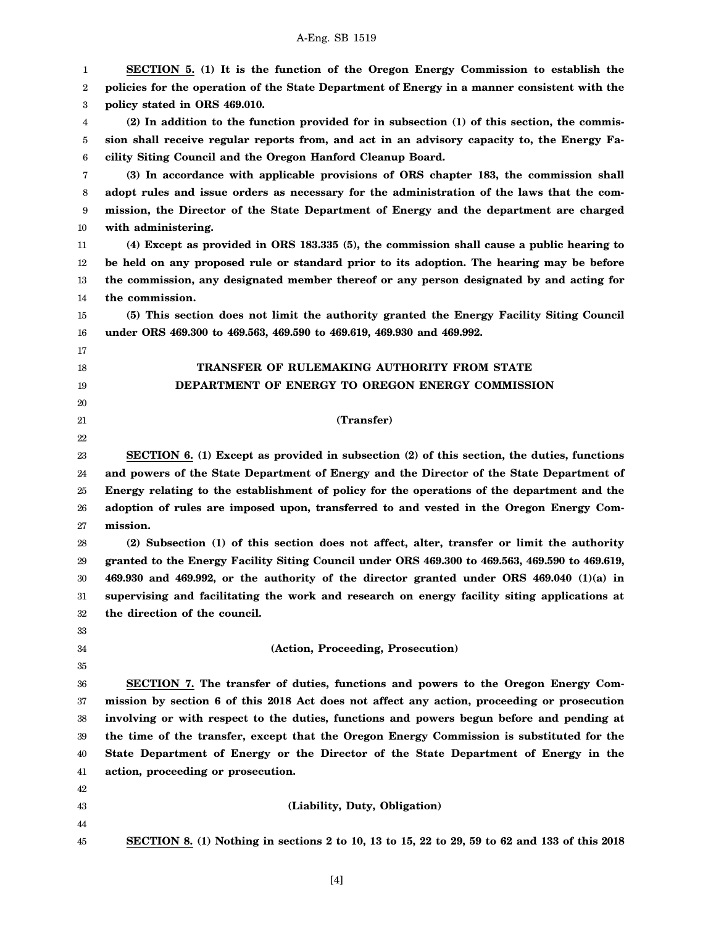| 1        | SECTION 5. (1) It is the function of the Oregon Energy Commission to establish the              |
|----------|-------------------------------------------------------------------------------------------------|
| 2        | policies for the operation of the State Department of Energy in a manner consistent with the    |
| 3        | policy stated in ORS 469.010.                                                                   |
| 4        | (2) In addition to the function provided for in subsection (1) of this section, the commis-     |
| 5        | sion shall receive regular reports from, and act in an advisory capacity to, the Energy Fa-     |
| 6        | cility Siting Council and the Oregon Hanford Cleanup Board.                                     |
| 7        | (3) In accordance with applicable provisions of ORS chapter 183, the commission shall           |
| 8        | adopt rules and issue orders as necessary for the administration of the laws that the com-      |
| 9        | mission, the Director of the State Department of Energy and the department are charged          |
| 10       | with administering.                                                                             |
| 11       | (4) Except as provided in ORS 183.335 (5), the commission shall cause a public hearing to       |
| 12       | be held on any proposed rule or standard prior to its adoption. The hearing may be before       |
| 13       | the commission, any designated member thereof or any person designated by and acting for        |
| 14       | the commission.                                                                                 |
| 15       | (5) This section does not limit the authority granted the Energy Facility Siting Council        |
| 16       | under ORS 469.300 to 469.563, 469.590 to 469.619, 469.930 and 469.992.                          |
| 17       |                                                                                                 |
| 18       | TRANSFER OF RULEMAKING AUTHORITY FROM STATE                                                     |
| 19       | DEPARTMENT OF ENERGY TO OREGON ENERGY COMMISSION                                                |
| 20       |                                                                                                 |
| 21       | (Transfer)                                                                                      |
| 22       |                                                                                                 |
| 23       | SECTION 6. (1) Except as provided in subsection (2) of this section, the duties, functions      |
| 24       | and powers of the State Department of Energy and the Director of the State Department of        |
| 25       | Energy relating to the establishment of policy for the operations of the department and the     |
| 26       | adoption of rules are imposed upon, transferred to and vested in the Oregon Energy Com-         |
| 27       | mission.                                                                                        |
| 28       | (2) Subsection (1) of this section does not affect, alter, transfer or limit the authority      |
| 29       | granted to the Energy Facility Siting Council under ORS 469.300 to 469.563, 469.590 to 469.619, |
| 30       | 469.930 and 469.992, or the authority of the director granted under ORS 469.040 (1)(a) in       |
| 31       | supervising and facilitating the work and research on energy facility siting applications at    |
| 32       | the direction of the council.                                                                   |
| 33       | (Action, Proceeding, Prosecution)                                                               |
| 34<br>35 |                                                                                                 |
| 36       | SECTION 7. The transfer of duties, functions and powers to the Oregon Energy Com-               |
| 37       | mission by section 6 of this 2018 Act does not affect any action, proceeding or prosecution     |
| 38       | involving or with respect to the duties, functions and powers begun before and pending at       |
| 39       | the time of the transfer, except that the Oregon Energy Commission is substituted for the       |
| 40       | State Department of Energy or the Director of the State Department of Energy in the             |
| 41       | action, proceeding or prosecution.                                                              |
| 42       |                                                                                                 |
| 43       | (Liability, Duty, Obligation)                                                                   |
| 44       |                                                                                                 |
| 45       | SECTION 8. (1) Nothing in sections 2 to 10, 13 to 15, 22 to 29, 59 to 62 and 133 of this 2018   |
|          |                                                                                                 |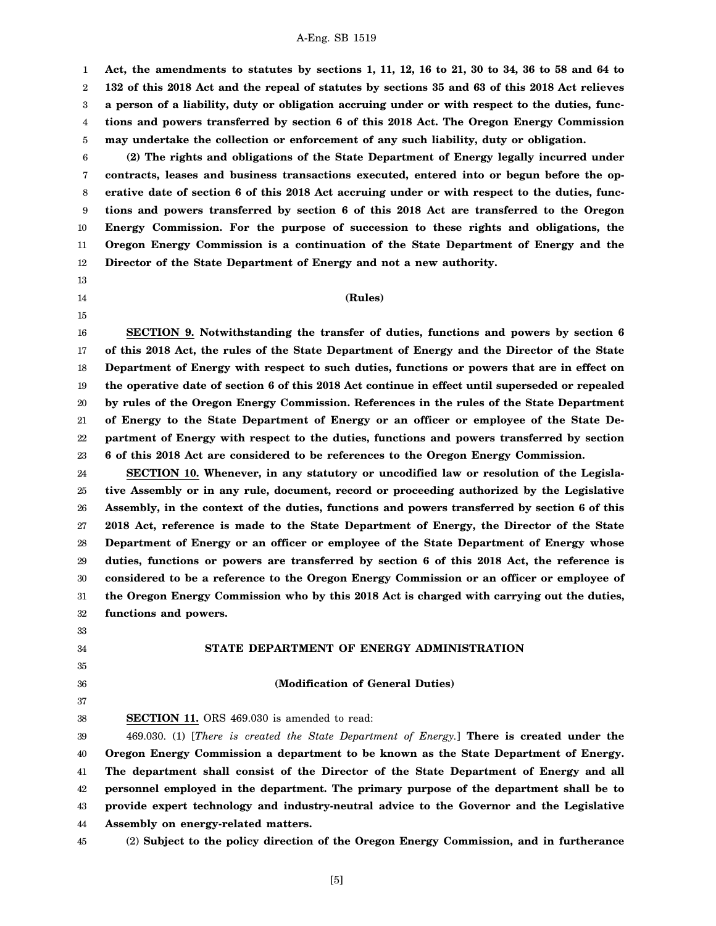1 2 3 4 5 **Act, the amendments to statutes by sections 1, 11, 12, 16 to 21, 30 to 34, 36 to 58 and 64 to 132 of this 2018 Act and the repeal of statutes by sections 35 and 63 of this 2018 Act relieves a person of a liability, duty or obligation accruing under or with respect to the duties, functions and powers transferred by section 6 of this 2018 Act. The Oregon Energy Commission may undertake the collection or enforcement of any such liability, duty or obligation.**

6 7 8 9 10 11 12 **(2) The rights and obligations of the State Department of Energy legally incurred under contracts, leases and business transactions executed, entered into or begun before the operative date of section 6 of this 2018 Act accruing under or with respect to the duties, functions and powers transferred by section 6 of this 2018 Act are transferred to the Oregon Energy Commission. For the purpose of succession to these rights and obligations, the Oregon Energy Commission is a continuation of the State Department of Energy and the Director of the State Department of Energy and not a new authority.**

- 13
- 14
- 15

#### **(Rules)**

16 17 18 19 20 21 22 23 **SECTION 9. Notwithstanding the transfer of duties, functions and powers by section 6 of this 2018 Act, the rules of the State Department of Energy and the Director of the State Department of Energy with respect to such duties, functions or powers that are in effect on the operative date of section 6 of this 2018 Act continue in effect until superseded or repealed by rules of the Oregon Energy Commission. References in the rules of the State Department of Energy to the State Department of Energy or an officer or employee of the State Department of Energy with respect to the duties, functions and powers transferred by section 6 of this 2018 Act are considered to be references to the Oregon Energy Commission.**

24 25 26 27 28 29 30 31 32 **SECTION 10. Whenever, in any statutory or uncodified law or resolution of the Legislative Assembly or in any rule, document, record or proceeding authorized by the Legislative Assembly, in the context of the duties, functions and powers transferred by section 6 of this 2018 Act, reference is made to the State Department of Energy, the Director of the State Department of Energy or an officer or employee of the State Department of Energy whose duties, functions or powers are transferred by section 6 of this 2018 Act, the reference is considered to be a reference to the Oregon Energy Commission or an officer or employee of the Oregon Energy Commission who by this 2018 Act is charged with carrying out the duties, functions and powers.**

### **STATE DEPARTMENT OF ENERGY ADMINISTRATION**

**(Modification of General Duties)**

35

33 34

36

37 38

**SECTION 11.** ORS 469.030 is amended to read:

39 40 41 42 43 44 469.030. (1) [*There is created the State Department of Energy.*] **There is created under the Oregon Energy Commission a department to be known as the State Department of Energy. The department shall consist of the Director of the State Department of Energy and all personnel employed in the department. The primary purpose of the department shall be to provide expert technology and industry-neutral advice to the Governor and the Legislative Assembly on energy-related matters.**

45

(2) **Subject to the policy direction of the Oregon Energy Commission, and in furtherance**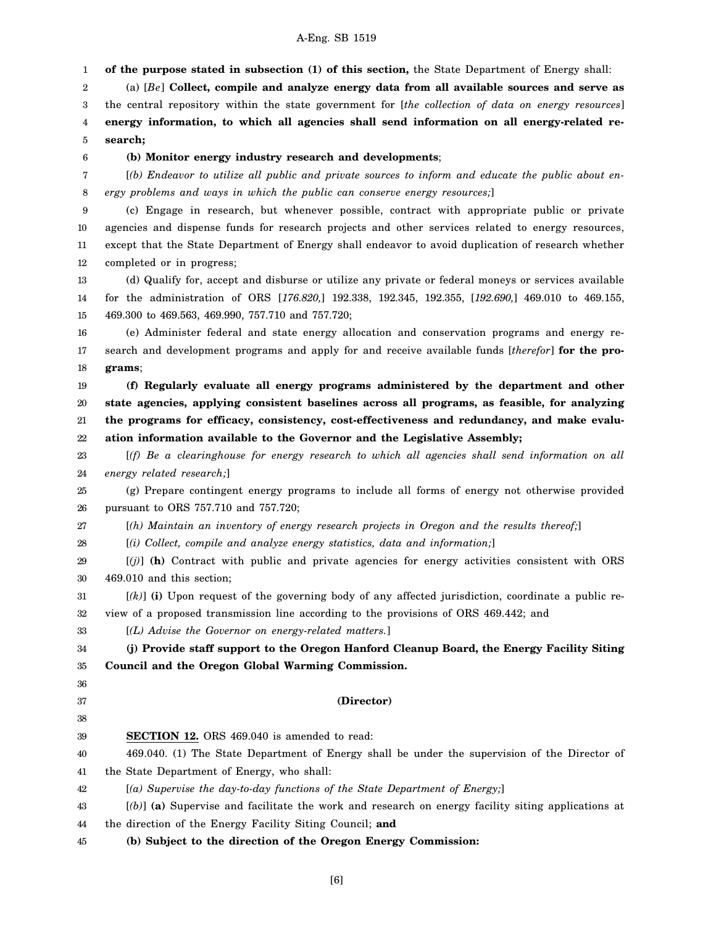1 **of the purpose stated in subsection (1) of this section,** the State Department of Energy shall:

2 3 4 5 (a) [*Be*] **Collect, compile and analyze energy data from all available sources and serve as** the central repository within the state government for [*the collection of data on energy resources*] **energy information, to which all agencies shall send information on all energy-related research;**

6

#### **(b) Monitor energy industry research and developments**;

7 8 [*(b) Endeavor to utilize all public and private sources to inform and educate the public about energy problems and ways in which the public can conserve energy resources;*]

9 10 11 12 (c) Engage in research, but whenever possible, contract with appropriate public or private agencies and dispense funds for research projects and other services related to energy resources, except that the State Department of Energy shall endeavor to avoid duplication of research whether completed or in progress;

13 14 15 (d) Qualify for, accept and disburse or utilize any private or federal moneys or services available for the administration of ORS [*176.820,*] 192.338, 192.345, 192.355, [*192.690,*] 469.010 to 469.155, 469.300 to 469.563, 469.990, 757.710 and 757.720;

16 17 18 (e) Administer federal and state energy allocation and conservation programs and energy research and development programs and apply for and receive available funds [*therefor*] **for the programs**;

19 20 21 22 **(f) Regularly evaluate all energy programs administered by the department and other state agencies, applying consistent baselines across all programs, as feasible, for analyzing the programs for efficacy, consistency, cost-effectiveness and redundancy, and make evaluation information available to the Governor and the Legislative Assembly;**

23 24 [*(f) Be a clearinghouse for energy research to which all agencies shall send information on all energy related research;*]

25 26 (g) Prepare contingent energy programs to include all forms of energy not otherwise provided pursuant to ORS 757.710 and 757.720;

27 [*(h) Maintain an inventory of energy research projects in Oregon and the results thereof;*]

28 [*(i) Collect, compile and analyze energy statistics, data and information;*]

29 30 [*(j)*] **(h)** Contract with public and private agencies for energy activities consistent with ORS 469.010 and this section;

31 32 [*(k)*] **(i)** Upon request of the governing body of any affected jurisdiction, coordinate a public review of a proposed transmission line according to the provisions of ORS 469.442; and

33 [*(L) Advise the Governor on energy-related matters.*]

34 35 **(j) Provide staff support to the Oregon Hanford Cleanup Board, the Energy Facility Siting Council and the Oregon Global Warming Commission.**

36 37

38

### **(Director)**

39 **SECTION 12.** ORS 469.040 is amended to read:

40 41 469.040. (1) The State Department of Energy shall be under the supervision of the Director of the State Department of Energy, who shall:

42 [*(a) Supervise the day-to-day functions of the State Department of Energy;*]

43 44 [*(b)*] **(a)** Supervise and facilitate the work and research on energy facility siting applications at the direction of the Energy Facility Siting Council; **and**

45 **(b) Subject to the direction of the Oregon Energy Commission:**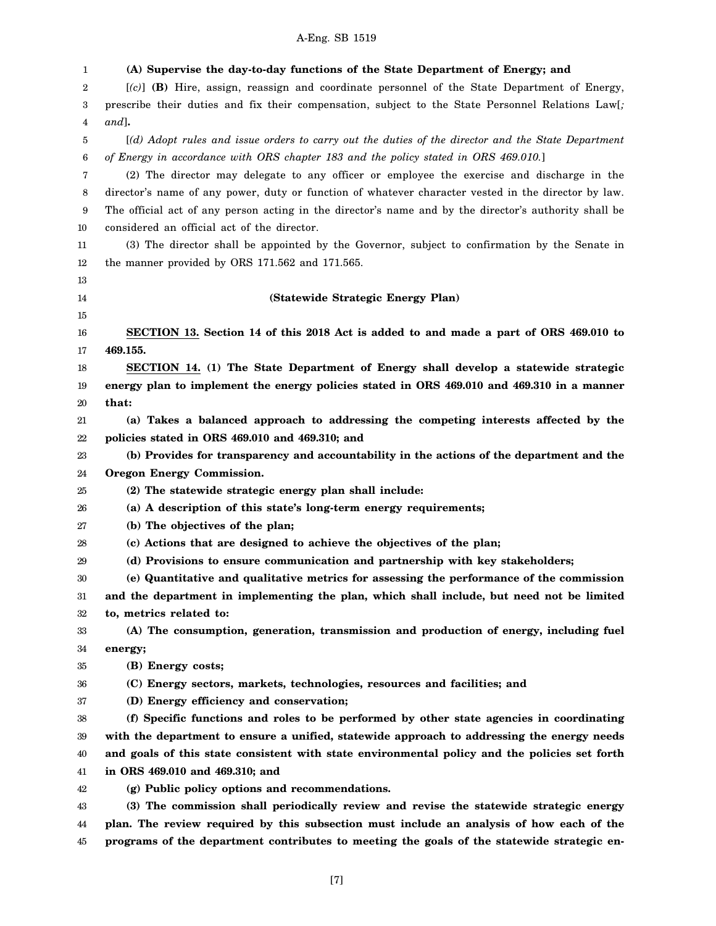| 1      | (A) Supervise the day-to-day functions of the State Department of Energy; and                         |
|--------|-------------------------------------------------------------------------------------------------------|
| 2      | $[(c)]$ (B) Hire, assign, reassign and coordinate personnel of the State Department of Energy,        |
| 3      | prescribe their duties and fix their compensation, subject to the State Personnel Relations Law[;     |
| 4      | $and$ ].                                                                                              |
| 5      | [(d) Adopt rules and issue orders to carry out the duties of the director and the State Department    |
| 6      | of Energy in accordance with ORS chapter 183 and the policy stated in ORS 469.010.]                   |
| 7      | (2) The director may delegate to any officer or employee the exercise and discharge in the            |
| 8      | director's name of any power, duty or function of whatever character vested in the director by law.   |
| 9      | The official act of any person acting in the director's name and by the director's authority shall be |
| 10     | considered an official act of the director.                                                           |
| 11     | (3) The director shall be appointed by the Governor, subject to confirmation by the Senate in         |
| 12     | the manner provided by ORS 171.562 and 171.565.                                                       |
| 13     |                                                                                                       |
| 14     | (Statewide Strategic Energy Plan)                                                                     |
| 15     |                                                                                                       |
| 16     | SECTION 13. Section 14 of this 2018 Act is added to and made a part of ORS 469.010 to                 |
| 17     | 469.155.                                                                                              |
| 18     | SECTION 14. (1) The State Department of Energy shall develop a statewide strategic                    |
| 19     | energy plan to implement the energy policies stated in ORS 469.010 and 469.310 in a manner            |
| 20     | that:                                                                                                 |
| 21     | (a) Takes a balanced approach to addressing the competing interests affected by the                   |
| 22     | policies stated in ORS 469.010 and 469.310; and                                                       |
| 23     | (b) Provides for transparency and accountability in the actions of the department and the             |
| 24     | Oregon Energy Commission.                                                                             |
| 25     | (2) The statewide strategic energy plan shall include:                                                |
| 26     | (a) A description of this state's long-term energy requirements;                                      |
| 27     | (b) The objectives of the plan;                                                                       |
| 28     | (c) Actions that are designed to achieve the objectives of the plan;                                  |
| 29     | (d) Provisions to ensure communication and partnership with key stakeholders;                         |
| 30     | (e) Quantitative and qualitative metrics for assessing the performance of the commission              |
| 31     | and the department in implementing the plan, which shall include, but need not be limited             |
| $32\,$ | to, metrics related to:                                                                               |
| 33     | (A) The consumption, generation, transmission and production of energy, including fuel                |
| 34     | energy;                                                                                               |
| 35     | (B) Energy costs;                                                                                     |
| 36     | (C) Energy sectors, markets, technologies, resources and facilities; and                              |
| 37     | (D) Energy efficiency and conservation;                                                               |
| 38     | (f) Specific functions and roles to be performed by other state agencies in coordinating              |
| 39     | with the department to ensure a unified, statewide approach to addressing the energy needs            |
| 40     | and goals of this state consistent with state environmental policy and the policies set forth         |
| 41     | in ORS 469.010 and 469.310; and                                                                       |
| 42     | (g) Public policy options and recommendations.                                                        |
| 43     | (3) The commission shall periodically review and revise the statewide strategic energy                |
| 44     | plan. The review required by this subsection must include an analysis of how each of the              |
| 45     | programs of the department contributes to meeting the goals of the statewide strategic en-            |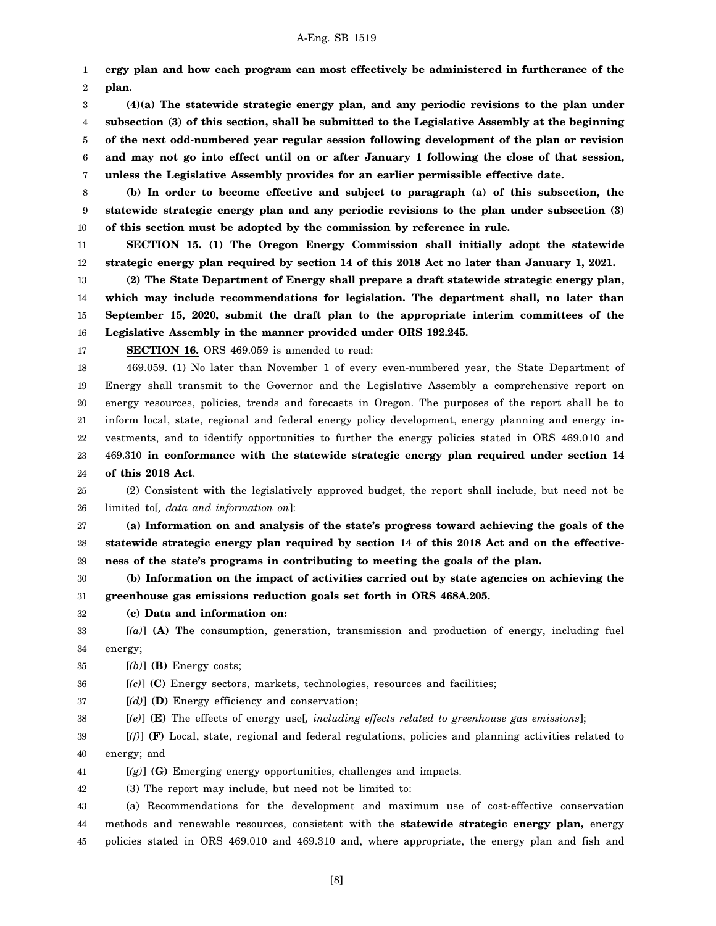1 2 **ergy plan and how each program can most effectively be administered in furtherance of the plan.**

3 4 5 6 7 **(4)(a) The statewide strategic energy plan, and any periodic revisions to the plan under subsection (3) of this section, shall be submitted to the Legislative Assembly at the beginning of the next odd-numbered year regular session following development of the plan or revision and may not go into effect until on or after January 1 following the close of that session, unless the Legislative Assembly provides for an earlier permissible effective date.**

8 9 10 **(b) In order to become effective and subject to paragraph (a) of this subsection, the statewide strategic energy plan and any periodic revisions to the plan under subsection (3) of this section must be adopted by the commission by reference in rule.**

11 12 **SECTION 15. (1) The Oregon Energy Commission shall initially adopt the statewide strategic energy plan required by section 14 of this 2018 Act no later than January 1, 2021.**

13 14 15 16 **(2) The State Department of Energy shall prepare a draft statewide strategic energy plan, which may include recommendations for legislation. The department shall, no later than September 15, 2020, submit the draft plan to the appropriate interim committees of the Legislative Assembly in the manner provided under ORS 192.245.**

17

**SECTION 16.** ORS 469.059 is amended to read:

18 19 20 21 22 23 24 469.059. (1) No later than November 1 of every even-numbered year, the State Department of Energy shall transmit to the Governor and the Legislative Assembly a comprehensive report on energy resources, policies, trends and forecasts in Oregon. The purposes of the report shall be to inform local, state, regional and federal energy policy development, energy planning and energy investments, and to identify opportunities to further the energy policies stated in ORS 469.010 and 469.310 **in conformance with the statewide strategic energy plan required under section 14 of this 2018 Act**.

25 26 (2) Consistent with the legislatively approved budget, the report shall include, but need not be limited to[*, data and information on*]:

27 28 29 **(a) Information on and analysis of the state's progress toward achieving the goals of the statewide strategic energy plan required by section 14 of this 2018 Act and on the effectiveness of the state's programs in contributing to meeting the goals of the plan.**

30 31 **(b) Information on the impact of activities carried out by state agencies on achieving the greenhouse gas emissions reduction goals set forth in ORS 468A.205.**

32 **(c) Data and information on:**

33 34 [*(a)*] **(A)** The consumption, generation, transmission and production of energy, including fuel energy;

35 [*(b)*] **(B)** Energy costs;

36 [*(c)*] **(C)** Energy sectors, markets, technologies, resources and facilities;

37 [*(d)*] **(D)** Energy efficiency and conservation;

38 [*(e)*] **(E)** The effects of energy use[*, including effects related to greenhouse gas emissions*];

39 40 [*(f)*] **(F)** Local, state, regional and federal regulations, policies and planning activities related to energy; and

41 [*(g)*] **(G)** Emerging energy opportunities, challenges and impacts.

42 (3) The report may include, but need not be limited to:

43 44 45 (a) Recommendations for the development and maximum use of cost-effective conservation methods and renewable resources, consistent with the **statewide strategic energy plan,** energy policies stated in ORS 469.010 and 469.310 and, where appropriate, the energy plan and fish and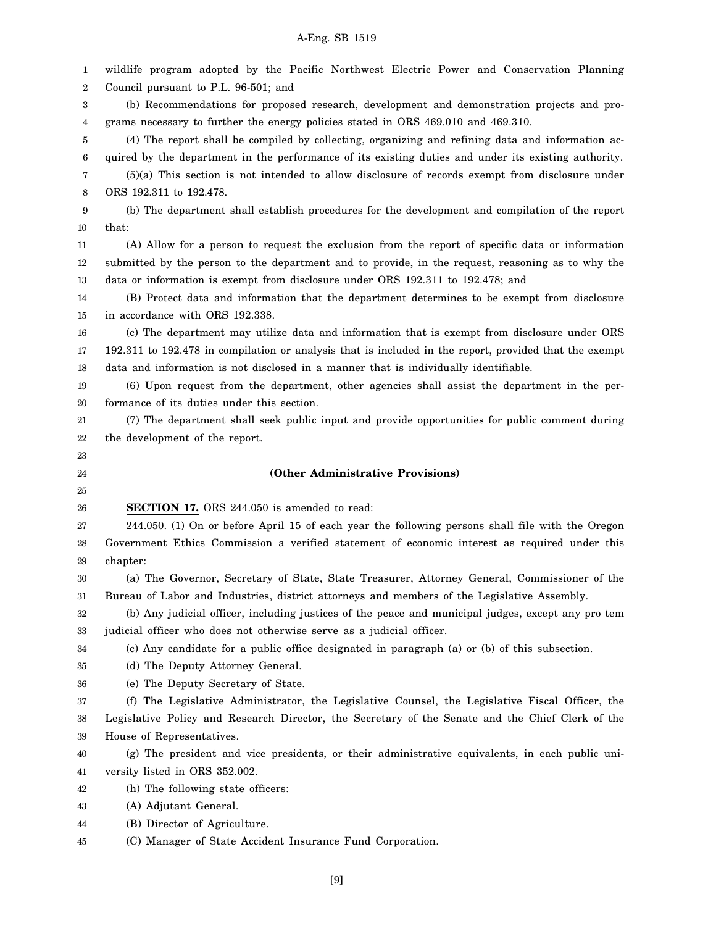1 2 3 4 5 6 7 8 9 10 11 12 13 14 15 16 17 18 19 20 21 22 23 24 25 26 27 28 29 30 31 32 33 34 35 36 37 38 39 40 41 42 43 44 45 wildlife program adopted by the Pacific Northwest Electric Power and Conservation Planning Council pursuant to P.L. 96-501; and (b) Recommendations for proposed research, development and demonstration projects and programs necessary to further the energy policies stated in ORS 469.010 and 469.310. (4) The report shall be compiled by collecting, organizing and refining data and information acquired by the department in the performance of its existing duties and under its existing authority. (5)(a) This section is not intended to allow disclosure of records exempt from disclosure under ORS 192.311 to 192.478. (b) The department shall establish procedures for the development and compilation of the report that: (A) Allow for a person to request the exclusion from the report of specific data or information submitted by the person to the department and to provide, in the request, reasoning as to why the data or information is exempt from disclosure under ORS 192.311 to 192.478; and (B) Protect data and information that the department determines to be exempt from disclosure in accordance with ORS 192.338. (c) The department may utilize data and information that is exempt from disclosure under ORS 192.311 to 192.478 in compilation or analysis that is included in the report, provided that the exempt data and information is not disclosed in a manner that is individually identifiable. (6) Upon request from the department, other agencies shall assist the department in the performance of its duties under this section. (7) The department shall seek public input and provide opportunities for public comment during the development of the report. **(Other Administrative Provisions) SECTION 17.** ORS 244.050 is amended to read: 244.050. (1) On or before April 15 of each year the following persons shall file with the Oregon Government Ethics Commission a verified statement of economic interest as required under this chapter: (a) The Governor, Secretary of State, State Treasurer, Attorney General, Commissioner of the Bureau of Labor and Industries, district attorneys and members of the Legislative Assembly. (b) Any judicial officer, including justices of the peace and municipal judges, except any pro tem judicial officer who does not otherwise serve as a judicial officer. (c) Any candidate for a public office designated in paragraph (a) or (b) of this subsection. (d) The Deputy Attorney General. (e) The Deputy Secretary of State. (f) The Legislative Administrator, the Legislative Counsel, the Legislative Fiscal Officer, the Legislative Policy and Research Director, the Secretary of the Senate and the Chief Clerk of the House of Representatives. (g) The president and vice presidents, or their administrative equivalents, in each public university listed in ORS 352.002. (h) The following state officers: (A) Adjutant General. (B) Director of Agriculture. (C) Manager of State Accident Insurance Fund Corporation.

A-Eng. SB 1519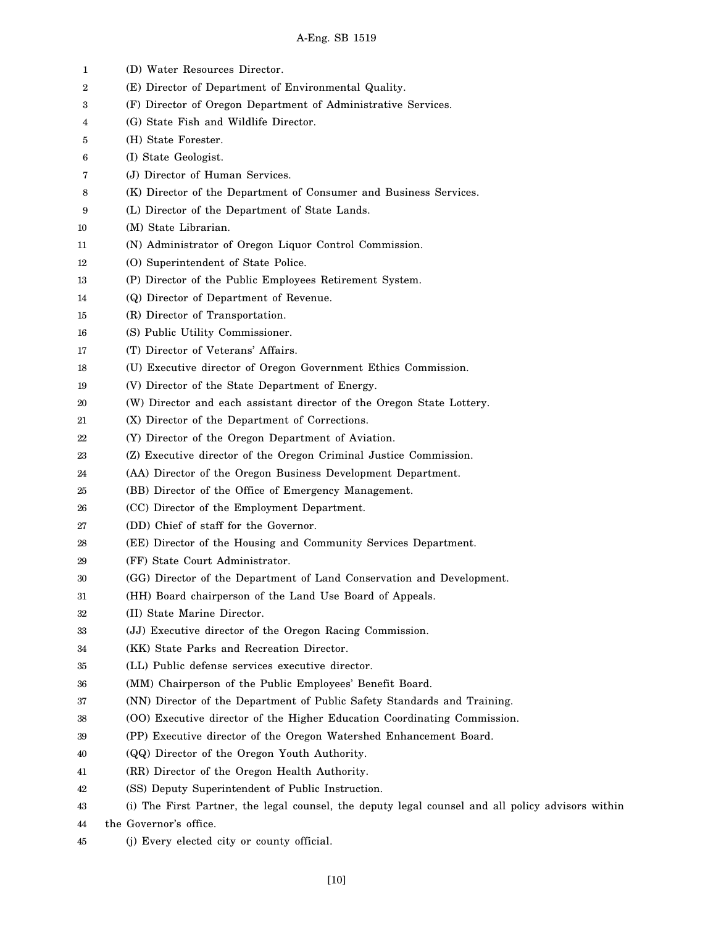| 1  | (D) Water Resources Director.                                                                     |
|----|---------------------------------------------------------------------------------------------------|
| 2  | (E) Director of Department of Environmental Quality.                                              |
| 3  | (F) Director of Oregon Department of Administrative Services.                                     |
| 4  | (G) State Fish and Wildlife Director.                                                             |
| 5  | (H) State Forester.                                                                               |
| 6  | (I) State Geologist.                                                                              |
| 7  | (J) Director of Human Services.                                                                   |
| 8  | (K) Director of the Department of Consumer and Business Services.                                 |
| 9  | (L) Director of the Department of State Lands.                                                    |
| 10 | (M) State Librarian.                                                                              |
| 11 | (N) Administrator of Oregon Liquor Control Commission.                                            |
| 12 | (O) Superintendent of State Police.                                                               |
| 13 | (P) Director of the Public Employees Retirement System.                                           |
| 14 | (Q) Director of Department of Revenue.                                                            |
| 15 | (R) Director of Transportation.                                                                   |
| 16 | (S) Public Utility Commissioner.                                                                  |
| 17 | (T) Director of Veterans' Affairs.                                                                |
| 18 | (U) Executive director of Oregon Government Ethics Commission.                                    |
| 19 | (V) Director of the State Department of Energy.                                                   |
| 20 | (W) Director and each assistant director of the Oregon State Lottery.                             |
| 21 | (X) Director of the Department of Corrections.                                                    |
| 22 | (Y) Director of the Oregon Department of Aviation.                                                |
| 23 | (Z) Executive director of the Oregon Criminal Justice Commission.                                 |
| 24 | (AA) Director of the Oregon Business Development Department.                                      |
| 25 | (BB) Director of the Office of Emergency Management.                                              |
| 26 | (CC) Director of the Employment Department.                                                       |
| 27 | (DD) Chief of staff for the Governor.                                                             |
| 28 | (EE) Director of the Housing and Community Services Department.                                   |
| 29 | (FF) State Court Administrator.                                                                   |
| 30 | (GG) Director of the Department of Land Conservation and Development.                             |
| 31 | (HH) Board chairperson of the Land Use Board of Appeals.                                          |
| 32 | (II) State Marine Director.                                                                       |
| 33 | (JJ) Executive director of the Oregon Racing Commission.                                          |
| 34 | (KK) State Parks and Recreation Director.                                                         |
| 35 | (LL) Public defense services executive director.                                                  |
| 36 | (MM) Chairperson of the Public Employees' Benefit Board.                                          |
| 37 | (NN) Director of the Department of Public Safety Standards and Training.                          |
| 38 | (OO) Executive director of the Higher Education Coordinating Commission.                          |
| 39 | (PP) Executive director of the Oregon Watershed Enhancement Board.                                |
| 40 | (QQ) Director of the Oregon Youth Authority.                                                      |
| 41 | (RR) Director of the Oregon Health Authority.                                                     |
| 42 | (SS) Deputy Superintendent of Public Instruction.                                                 |
| 43 | (i) The First Partner, the legal counsel, the deputy legal counsel and all policy advisors within |
| 44 | the Governor's office.                                                                            |
|    |                                                                                                   |

45 (j) Every elected city or county official.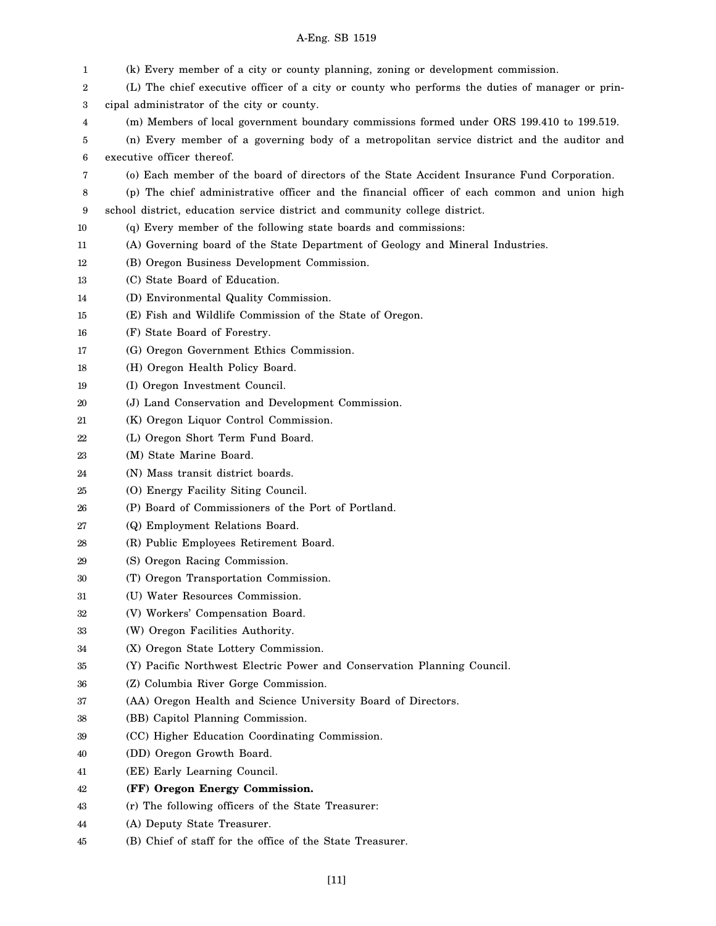| 1  | (k) Every member of a city or county planning, zoning or development commission.                |
|----|-------------------------------------------------------------------------------------------------|
| 2  | (L) The chief executive officer of a city or county who performs the duties of manager or prin- |
| 3  | cipal administrator of the city or county.                                                      |
| 4  | (m) Members of local government boundary commissions formed under ORS 199.410 to 199.519.       |
| 5  | (n) Every member of a governing body of a metropolitan service district and the auditor and     |
| 6  | executive officer thereof.                                                                      |
| 7  | (o) Each member of the board of directors of the State Accident Insurance Fund Corporation.     |
| 8  | (p) The chief administrative officer and the financial officer of each common and union high    |
| 9  | school district, education service district and community college district.                     |
| 10 | (q) Every member of the following state boards and commissions:                                 |
| 11 | (A) Governing board of the State Department of Geology and Mineral Industries.                  |
| 12 | (B) Oregon Business Development Commission.                                                     |
| 13 | (C) State Board of Education.                                                                   |
| 14 | (D) Environmental Quality Commission.                                                           |
| 15 | (E) Fish and Wildlife Commission of the State of Oregon.                                        |
| 16 | (F) State Board of Forestry.                                                                    |
| 17 | (G) Oregon Government Ethics Commission.                                                        |
| 18 | (H) Oregon Health Policy Board.                                                                 |
| 19 | (I) Oregon Investment Council.                                                                  |
| 20 | (J) Land Conservation and Development Commission.                                               |
| 21 | (K) Oregon Liquor Control Commission.                                                           |
| 22 | (L) Oregon Short Term Fund Board.                                                               |
| 23 | (M) State Marine Board.                                                                         |
| 24 | (N) Mass transit district boards.                                                               |
| 25 | (O) Energy Facility Siting Council.                                                             |
| 26 | (P) Board of Commissioners of the Port of Portland.                                             |
| 27 | (Q) Employment Relations Board.                                                                 |
| 28 | (R) Public Employees Retirement Board.                                                          |
| 29 | (S) Oregon Racing Commission.                                                                   |
| 30 | (T) Oregon Transportation Commission.                                                           |
| 31 | (U) Water Resources Commission.                                                                 |
| 32 | (V) Workers' Compensation Board.                                                                |
| 33 | (W) Oregon Facilities Authority.                                                                |
| 34 | (X) Oregon State Lottery Commission.                                                            |
| 35 | (Y) Pacific Northwest Electric Power and Conservation Planning Council.                         |
| 36 | (Z) Columbia River Gorge Commission.                                                            |
| 37 | (AA) Oregon Health and Science University Board of Directors.                                   |
| 38 | (BB) Capitol Planning Commission.                                                               |
| 39 | (CC) Higher Education Coordinating Commission.                                                  |
| 40 | (DD) Oregon Growth Board.                                                                       |
| 41 | (EE) Early Learning Council.                                                                    |
| 42 | (FF) Oregon Energy Commission.                                                                  |
| 43 | (r) The following officers of the State Treasurer:                                              |
| 44 | (A) Deputy State Treasurer.                                                                     |
| 45 | (B) Chief of staff for the office of the State Treasurer.                                       |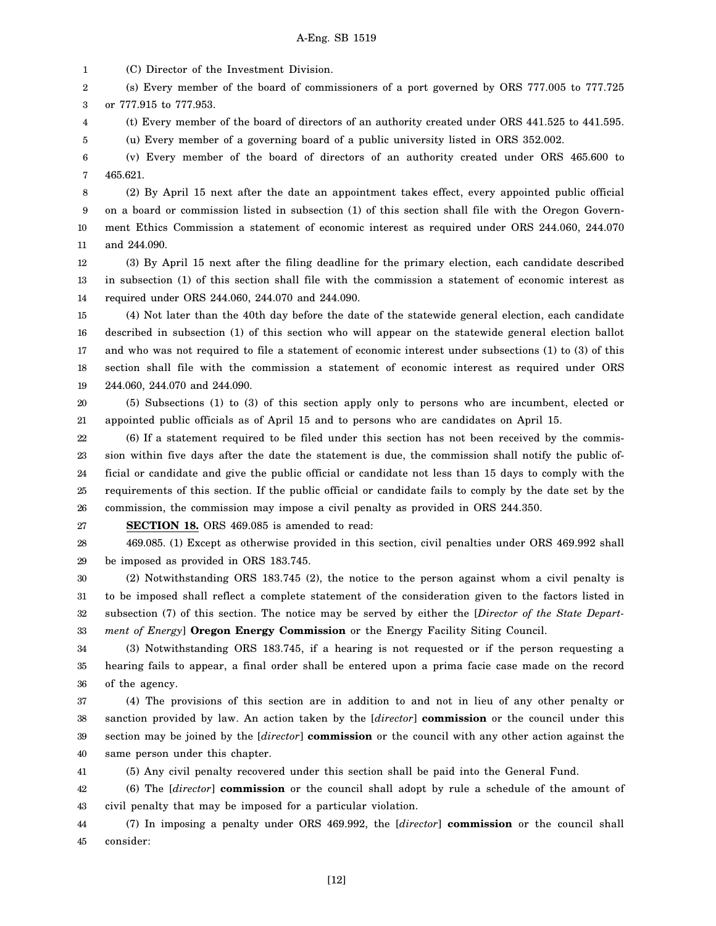1 (C) Director of the Investment Division.

2 3 (s) Every member of the board of commissioners of a port governed by ORS 777.005 to 777.725 or 777.915 to 777.953.

4 (t) Every member of the board of directors of an authority created under ORS 441.525 to 441.595.

5 (u) Every member of a governing board of a public university listed in ORS 352.002.

6 7 (v) Every member of the board of directors of an authority created under ORS 465.600 to 465.621.

8 9 10 11 (2) By April 15 next after the date an appointment takes effect, every appointed public official on a board or commission listed in subsection (1) of this section shall file with the Oregon Government Ethics Commission a statement of economic interest as required under ORS 244.060, 244.070 and 244.090.

12 13 14 (3) By April 15 next after the filing deadline for the primary election, each candidate described in subsection (1) of this section shall file with the commission a statement of economic interest as required under ORS 244.060, 244.070 and 244.090.

15 16 17 18 19 (4) Not later than the 40th day before the date of the statewide general election, each candidate described in subsection (1) of this section who will appear on the statewide general election ballot and who was not required to file a statement of economic interest under subsections (1) to (3) of this section shall file with the commission a statement of economic interest as required under ORS 244.060, 244.070 and 244.090.

20 21 (5) Subsections (1) to (3) of this section apply only to persons who are incumbent, elected or appointed public officials as of April 15 and to persons who are candidates on April 15.

22 23 24 25 26 (6) If a statement required to be filed under this section has not been received by the commission within five days after the date the statement is due, the commission shall notify the public official or candidate and give the public official or candidate not less than 15 days to comply with the requirements of this section. If the public official or candidate fails to comply by the date set by the commission, the commission may impose a civil penalty as provided in ORS 244.350.

27

**SECTION 18.** ORS 469.085 is amended to read:

28 29 469.085. (1) Except as otherwise provided in this section, civil penalties under ORS 469.992 shall be imposed as provided in ORS 183.745.

30 31 32 33 (2) Notwithstanding ORS 183.745 (2), the notice to the person against whom a civil penalty is to be imposed shall reflect a complete statement of the consideration given to the factors listed in subsection (7) of this section. The notice may be served by either the [*Director of the State Department of Energy*] **Oregon Energy Commission** or the Energy Facility Siting Council.

34 35 36 (3) Notwithstanding ORS 183.745, if a hearing is not requested or if the person requesting a hearing fails to appear, a final order shall be entered upon a prima facie case made on the record of the agency.

37 38 39 40 (4) The provisions of this section are in addition to and not in lieu of any other penalty or sanction provided by law. An action taken by the [*director*] **commission** or the council under this section may be joined by the [*director*] **commission** or the council with any other action against the same person under this chapter.

41 (5) Any civil penalty recovered under this section shall be paid into the General Fund.

42 43 (6) The [*director*] **commission** or the council shall adopt by rule a schedule of the amount of civil penalty that may be imposed for a particular violation.

44 45 (7) In imposing a penalty under ORS 469.992, the [*director*] **commission** or the council shall consider: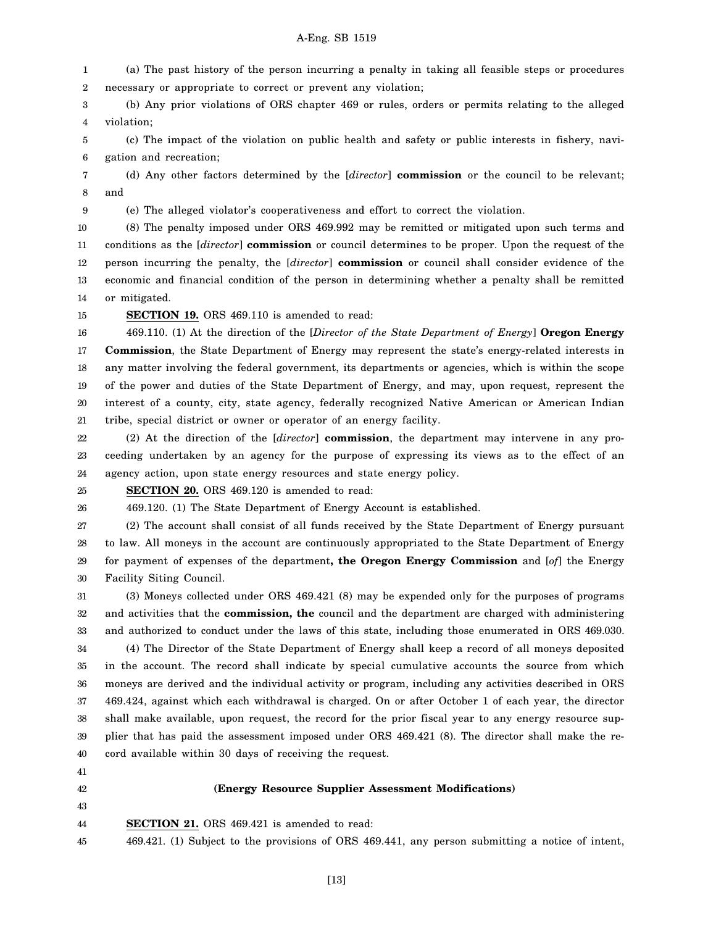1 2 (a) The past history of the person incurring a penalty in taking all feasible steps or procedures necessary or appropriate to correct or prevent any violation;

3 4 (b) Any prior violations of ORS chapter 469 or rules, orders or permits relating to the alleged violation;

5 6 (c) The impact of the violation on public health and safety or public interests in fishery, navigation and recreation;

7 8 (d) Any other factors determined by the [*director*] **commission** or the council to be relevant; and

9 (e) The alleged violator's cooperativeness and effort to correct the violation.

10 11 12 13 14 (8) The penalty imposed under ORS 469.992 may be remitted or mitigated upon such terms and conditions as the [*director*] **commission** or council determines to be proper. Upon the request of the person incurring the penalty, the [*director*] **commission** or council shall consider evidence of the economic and financial condition of the person in determining whether a penalty shall be remitted or mitigated.

15

**SECTION 19.** ORS 469.110 is amended to read:

16 17 18 19 20 21 469.110. (1) At the direction of the [*Director of the State Department of Energy*] **Oregon Energy Commission**, the State Department of Energy may represent the state's energy-related interests in any matter involving the federal government, its departments or agencies, which is within the scope of the power and duties of the State Department of Energy, and may, upon request, represent the interest of a county, city, state agency, federally recognized Native American or American Indian tribe, special district or owner or operator of an energy facility.

22 23 24 (2) At the direction of the [*director*] **commission**, the department may intervene in any proceeding undertaken by an agency for the purpose of expressing its views as to the effect of an agency action, upon state energy resources and state energy policy.

25 **SECTION 20.** ORS 469.120 is amended to read:

26 469.120. (1) The State Department of Energy Account is established.

27 28 29 30 (2) The account shall consist of all funds received by the State Department of Energy pursuant to law. All moneys in the account are continuously appropriated to the State Department of Energy for payment of expenses of the department**, the Oregon Energy Commission** and [*of*] the Energy Facility Siting Council.

31 32 33 34 35 36 37 38 39 40 (3) Moneys collected under ORS 469.421 (8) may be expended only for the purposes of programs and activities that the **commission, the** council and the department are charged with administering and authorized to conduct under the laws of this state, including those enumerated in ORS 469.030. (4) The Director of the State Department of Energy shall keep a record of all moneys deposited in the account. The record shall indicate by special cumulative accounts the source from which moneys are derived and the individual activity or program, including any activities described in ORS 469.424, against which each withdrawal is charged. On or after October 1 of each year, the director shall make available, upon request, the record for the prior fiscal year to any energy resource supplier that has paid the assessment imposed under ORS 469.421 (8). The director shall make the record available within 30 days of receiving the request.

- 41
- 42 43

### **(Energy Resource Supplier Assessment Modifications)**

- 44 **SECTION 21.** ORS 469.421 is amended to read:
- 45 469.421. (1) Subject to the provisions of ORS 469.441, any person submitting a notice of intent,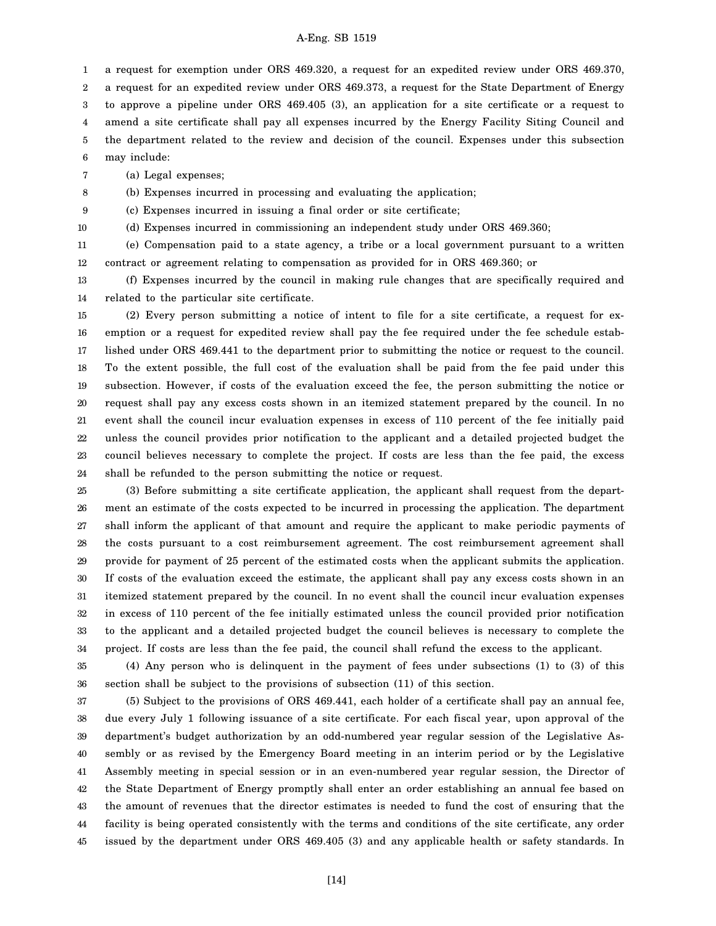1 a request for exemption under ORS 469.320, a request for an expedited review under ORS 469.370,

2 a request for an expedited review under ORS 469.373, a request for the State Department of Energy

3 4 5 to approve a pipeline under ORS 469.405 (3), an application for a site certificate or a request to amend a site certificate shall pay all expenses incurred by the Energy Facility Siting Council and the department related to the review and decision of the council. Expenses under this subsection

6 may include:

7 (a) Legal expenses;

8 (b) Expenses incurred in processing and evaluating the application;

9 (c) Expenses incurred in issuing a final order or site certificate;

10

(d) Expenses incurred in commissioning an independent study under ORS 469.360;

11 12 (e) Compensation paid to a state agency, a tribe or a local government pursuant to a written contract or agreement relating to compensation as provided for in ORS 469.360; or

13 14 (f) Expenses incurred by the council in making rule changes that are specifically required and related to the particular site certificate.

15 16 17 18 19 20 21 22 23 24 (2) Every person submitting a notice of intent to file for a site certificate, a request for exemption or a request for expedited review shall pay the fee required under the fee schedule established under ORS 469.441 to the department prior to submitting the notice or request to the council. To the extent possible, the full cost of the evaluation shall be paid from the fee paid under this subsection. However, if costs of the evaluation exceed the fee, the person submitting the notice or request shall pay any excess costs shown in an itemized statement prepared by the council. In no event shall the council incur evaluation expenses in excess of 110 percent of the fee initially paid unless the council provides prior notification to the applicant and a detailed projected budget the council believes necessary to complete the project. If costs are less than the fee paid, the excess shall be refunded to the person submitting the notice or request.

25 26 27 28 29 30 31 32 33 34 (3) Before submitting a site certificate application, the applicant shall request from the department an estimate of the costs expected to be incurred in processing the application. The department shall inform the applicant of that amount and require the applicant to make periodic payments of the costs pursuant to a cost reimbursement agreement. The cost reimbursement agreement shall provide for payment of 25 percent of the estimated costs when the applicant submits the application. If costs of the evaluation exceed the estimate, the applicant shall pay any excess costs shown in an itemized statement prepared by the council. In no event shall the council incur evaluation expenses in excess of 110 percent of the fee initially estimated unless the council provided prior notification to the applicant and a detailed projected budget the council believes is necessary to complete the project. If costs are less than the fee paid, the council shall refund the excess to the applicant.

35 36 (4) Any person who is delinquent in the payment of fees under subsections (1) to (3) of this section shall be subject to the provisions of subsection (11) of this section.

37 38 39 40 41 42 43 44 45 (5) Subject to the provisions of ORS 469.441, each holder of a certificate shall pay an annual fee, due every July 1 following issuance of a site certificate. For each fiscal year, upon approval of the department's budget authorization by an odd-numbered year regular session of the Legislative Assembly or as revised by the Emergency Board meeting in an interim period or by the Legislative Assembly meeting in special session or in an even-numbered year regular session, the Director of the State Department of Energy promptly shall enter an order establishing an annual fee based on the amount of revenues that the director estimates is needed to fund the cost of ensuring that the facility is being operated consistently with the terms and conditions of the site certificate, any order issued by the department under ORS 469.405 (3) and any applicable health or safety standards. In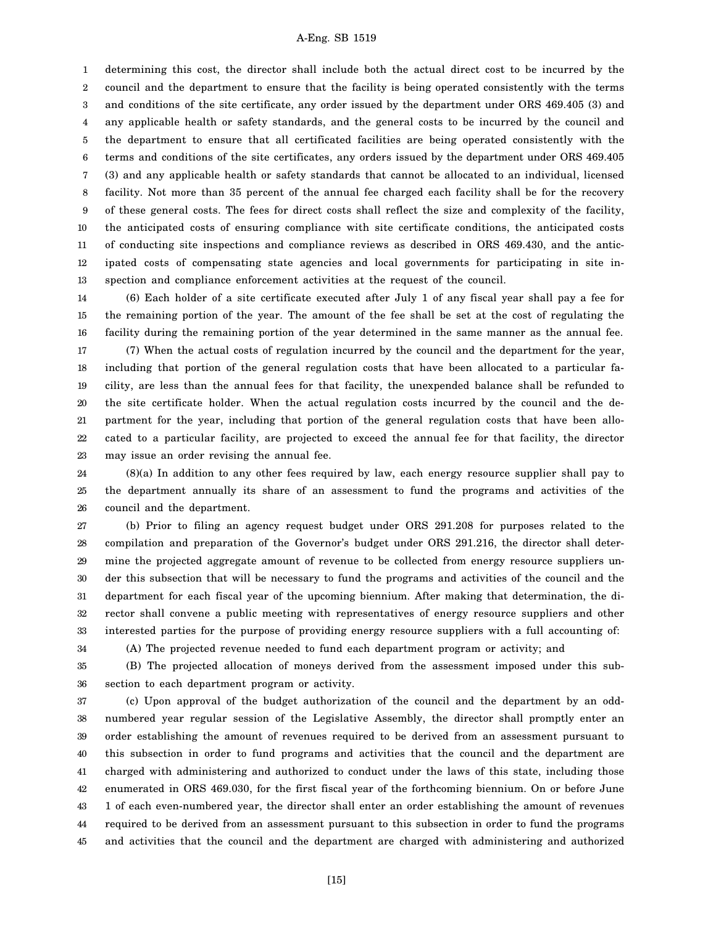1 2 3 4 5 6 7 8 9 10 11 12 13 determining this cost, the director shall include both the actual direct cost to be incurred by the council and the department to ensure that the facility is being operated consistently with the terms and conditions of the site certificate, any order issued by the department under ORS 469.405 (3) and any applicable health or safety standards, and the general costs to be incurred by the council and the department to ensure that all certificated facilities are being operated consistently with the terms and conditions of the site certificates, any orders issued by the department under ORS 469.405 (3) and any applicable health or safety standards that cannot be allocated to an individual, licensed facility. Not more than 35 percent of the annual fee charged each facility shall be for the recovery of these general costs. The fees for direct costs shall reflect the size and complexity of the facility, the anticipated costs of ensuring compliance with site certificate conditions, the anticipated costs of conducting site inspections and compliance reviews as described in ORS 469.430, and the anticipated costs of compensating state agencies and local governments for participating in site inspection and compliance enforcement activities at the request of the council.

14 15 16 17 18 19 20 21 22 23 (6) Each holder of a site certificate executed after July 1 of any fiscal year shall pay a fee for the remaining portion of the year. The amount of the fee shall be set at the cost of regulating the facility during the remaining portion of the year determined in the same manner as the annual fee. (7) When the actual costs of regulation incurred by the council and the department for the year, including that portion of the general regulation costs that have been allocated to a particular facility, are less than the annual fees for that facility, the unexpended balance shall be refunded to the site certificate holder. When the actual regulation costs incurred by the council and the department for the year, including that portion of the general regulation costs that have been allocated to a particular facility, are projected to exceed the annual fee for that facility, the director may issue an order revising the annual fee.

24 25 26 (8)(a) In addition to any other fees required by law, each energy resource supplier shall pay to the department annually its share of an assessment to fund the programs and activities of the council and the department.

27 28 29 30 31 32 33 34 (b) Prior to filing an agency request budget under ORS 291.208 for purposes related to the compilation and preparation of the Governor's budget under ORS 291.216, the director shall determine the projected aggregate amount of revenue to be collected from energy resource suppliers under this subsection that will be necessary to fund the programs and activities of the council and the department for each fiscal year of the upcoming biennium. After making that determination, the director shall convene a public meeting with representatives of energy resource suppliers and other interested parties for the purpose of providing energy resource suppliers with a full accounting of: (A) The projected revenue needed to fund each department program or activity; and

35 36 (B) The projected allocation of moneys derived from the assessment imposed under this subsection to each department program or activity.

37 38 39 40 41 42 43 44 45 (c) Upon approval of the budget authorization of the council and the department by an oddnumbered year regular session of the Legislative Assembly, the director shall promptly enter an order establishing the amount of revenues required to be derived from an assessment pursuant to this subsection in order to fund programs and activities that the council and the department are charged with administering and authorized to conduct under the laws of this state, including those enumerated in ORS 469.030, for the first fiscal year of the forthcoming biennium. On or before June 1 of each even-numbered year, the director shall enter an order establishing the amount of revenues required to be derived from an assessment pursuant to this subsection in order to fund the programs and activities that the council and the department are charged with administering and authorized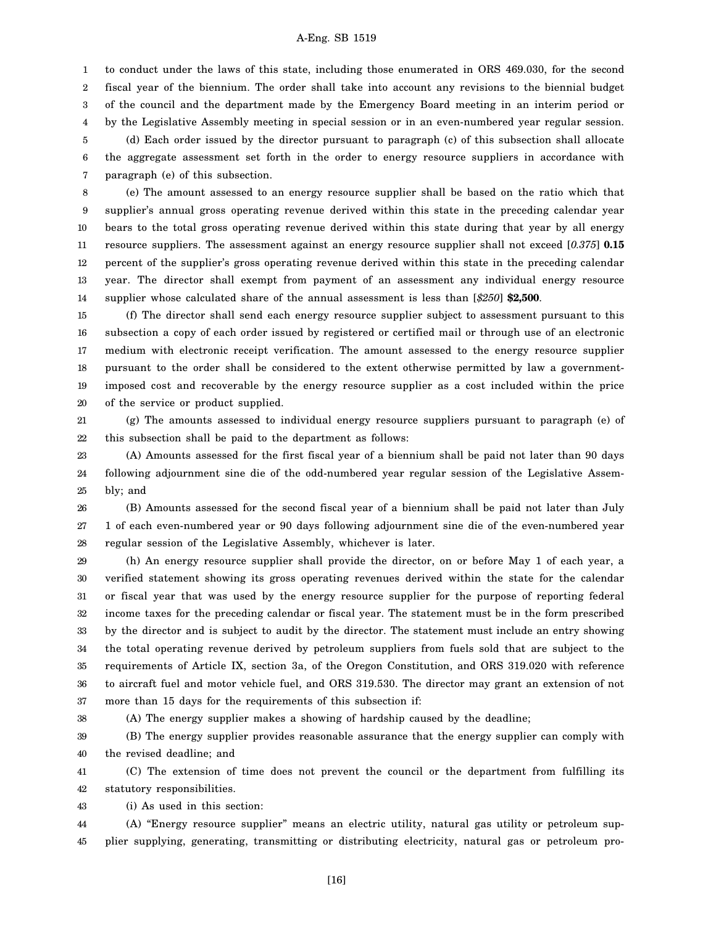1 2 3 4 5 6 7 to conduct under the laws of this state, including those enumerated in ORS 469.030, for the second fiscal year of the biennium. The order shall take into account any revisions to the biennial budget of the council and the department made by the Emergency Board meeting in an interim period or by the Legislative Assembly meeting in special session or in an even-numbered year regular session. (d) Each order issued by the director pursuant to paragraph (c) of this subsection shall allocate the aggregate assessment set forth in the order to energy resource suppliers in accordance with paragraph (e) of this subsection.

8 9 10 11 12 13 14 (e) The amount assessed to an energy resource supplier shall be based on the ratio which that supplier's annual gross operating revenue derived within this state in the preceding calendar year bears to the total gross operating revenue derived within this state during that year by all energy resource suppliers. The assessment against an energy resource supplier shall not exceed [*0.375*] **0.15** percent of the supplier's gross operating revenue derived within this state in the preceding calendar year. The director shall exempt from payment of an assessment any individual energy resource supplier whose calculated share of the annual assessment is less than [*\$250*] **\$2,500**.

15 16 17 18 19 20 (f) The director shall send each energy resource supplier subject to assessment pursuant to this subsection a copy of each order issued by registered or certified mail or through use of an electronic medium with electronic receipt verification. The amount assessed to the energy resource supplier pursuant to the order shall be considered to the extent otherwise permitted by law a governmentimposed cost and recoverable by the energy resource supplier as a cost included within the price of the service or product supplied.

21 22 (g) The amounts assessed to individual energy resource suppliers pursuant to paragraph (e) of this subsection shall be paid to the department as follows:

23 24 25 (A) Amounts assessed for the first fiscal year of a biennium shall be paid not later than 90 days following adjournment sine die of the odd-numbered year regular session of the Legislative Assembly; and

26 27 28 (B) Amounts assessed for the second fiscal year of a biennium shall be paid not later than July 1 of each even-numbered year or 90 days following adjournment sine die of the even-numbered year regular session of the Legislative Assembly, whichever is later.

29 30 31 32 33 34 35 36 37 (h) An energy resource supplier shall provide the director, on or before May 1 of each year, a verified statement showing its gross operating revenues derived within the state for the calendar or fiscal year that was used by the energy resource supplier for the purpose of reporting federal income taxes for the preceding calendar or fiscal year. The statement must be in the form prescribed by the director and is subject to audit by the director. The statement must include an entry showing the total operating revenue derived by petroleum suppliers from fuels sold that are subject to the requirements of Article IX, section 3a, of the Oregon Constitution, and ORS 319.020 with reference to aircraft fuel and motor vehicle fuel, and ORS 319.530. The director may grant an extension of not more than 15 days for the requirements of this subsection if:

38

(A) The energy supplier makes a showing of hardship caused by the deadline;

39 40 (B) The energy supplier provides reasonable assurance that the energy supplier can comply with the revised deadline; and

41 42 (C) The extension of time does not prevent the council or the department from fulfilling its statutory responsibilities.

43 (i) As used in this section:

44 45 (A) "Energy resource supplier" means an electric utility, natural gas utility or petroleum supplier supplying, generating, transmitting or distributing electricity, natural gas or petroleum pro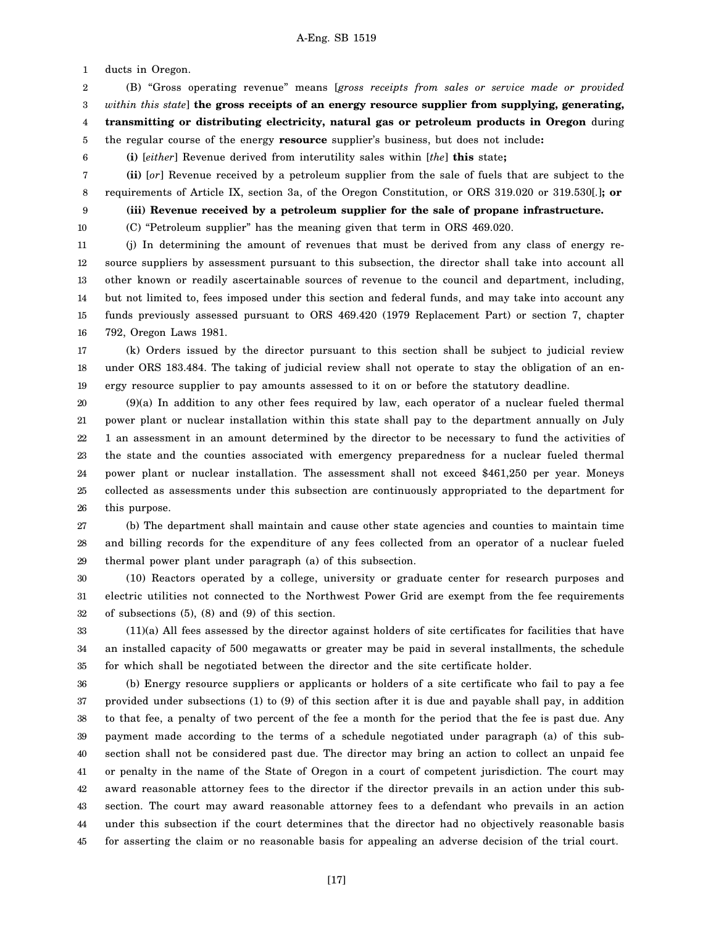1 ducts in Oregon.

9

2 3 4 5 (B) "Gross operating revenue" means [*gross receipts from sales or service made or provided within this state*] **the gross receipts of an energy resource supplier from supplying, generating, transmitting or distributing electricity, natural gas or petroleum products in Oregon** during

6 the regular course of the energy **resource** supplier's business, but does not include**:**

**(i)** [*either*] Revenue derived from interutility sales within [*the*] **this** state**;**

7 8 **(ii)** [*or*] Revenue received by a petroleum supplier from the sale of fuels that are subject to the requirements of Article IX, section 3a, of the Oregon Constitution, or ORS 319.020 or 319.530[*.*]**; or**

**(iii) Revenue received by a petroleum supplier for the sale of propane infrastructure.**

10 (C) "Petroleum supplier" has the meaning given that term in ORS 469.020.

11 12 13 14 15 16 (j) In determining the amount of revenues that must be derived from any class of energy resource suppliers by assessment pursuant to this subsection, the director shall take into account all other known or readily ascertainable sources of revenue to the council and department, including, but not limited to, fees imposed under this section and federal funds, and may take into account any funds previously assessed pursuant to ORS 469.420 (1979 Replacement Part) or section 7, chapter 792, Oregon Laws 1981.

17 18 19 (k) Orders issued by the director pursuant to this section shall be subject to judicial review under ORS 183.484. The taking of judicial review shall not operate to stay the obligation of an energy resource supplier to pay amounts assessed to it on or before the statutory deadline.

20 21 22 23 24 25 26 (9)(a) In addition to any other fees required by law, each operator of a nuclear fueled thermal power plant or nuclear installation within this state shall pay to the department annually on July 1 an assessment in an amount determined by the director to be necessary to fund the activities of the state and the counties associated with emergency preparedness for a nuclear fueled thermal power plant or nuclear installation. The assessment shall not exceed \$461,250 per year. Moneys collected as assessments under this subsection are continuously appropriated to the department for this purpose.

27 28 29 (b) The department shall maintain and cause other state agencies and counties to maintain time and billing records for the expenditure of any fees collected from an operator of a nuclear fueled thermal power plant under paragraph (a) of this subsection.

30 31 32 (10) Reactors operated by a college, university or graduate center for research purposes and electric utilities not connected to the Northwest Power Grid are exempt from the fee requirements of subsections (5), (8) and (9) of this section.

33 34 35 (11)(a) All fees assessed by the director against holders of site certificates for facilities that have an installed capacity of 500 megawatts or greater may be paid in several installments, the schedule for which shall be negotiated between the director and the site certificate holder.

36 37 38 39 40 41 42 43 44 45 (b) Energy resource suppliers or applicants or holders of a site certificate who fail to pay a fee provided under subsections (1) to (9) of this section after it is due and payable shall pay, in addition to that fee, a penalty of two percent of the fee a month for the period that the fee is past due. Any payment made according to the terms of a schedule negotiated under paragraph (a) of this subsection shall not be considered past due. The director may bring an action to collect an unpaid fee or penalty in the name of the State of Oregon in a court of competent jurisdiction. The court may award reasonable attorney fees to the director if the director prevails in an action under this subsection. The court may award reasonable attorney fees to a defendant who prevails in an action under this subsection if the court determines that the director had no objectively reasonable basis for asserting the claim or no reasonable basis for appealing an adverse decision of the trial court.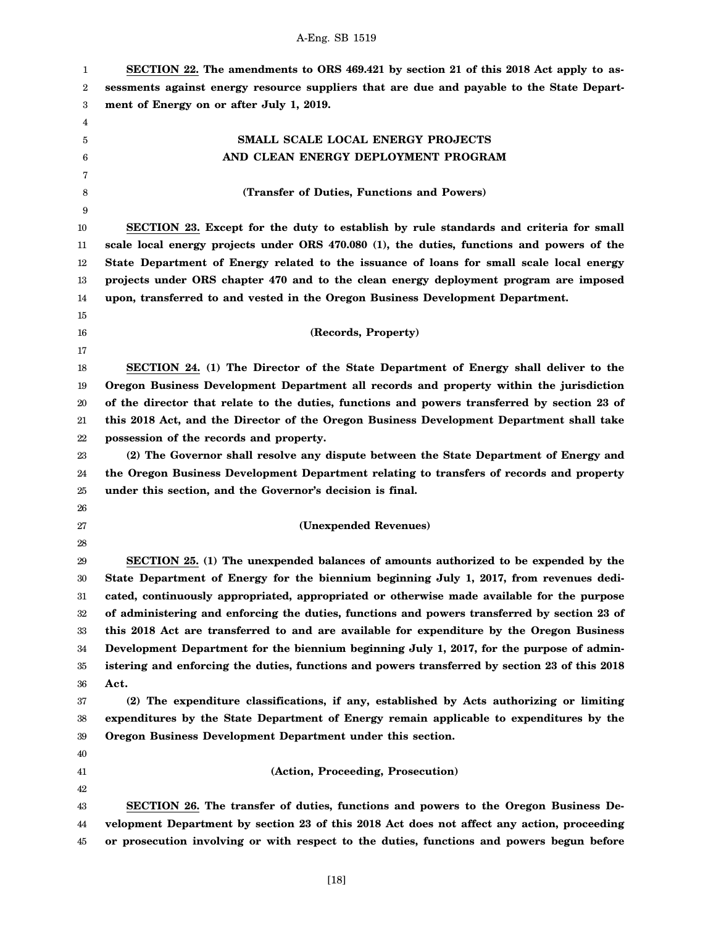| 1      | SECTION 22. The amendments to ORS 469.421 by section 21 of this 2018 Act apply to as-          |
|--------|------------------------------------------------------------------------------------------------|
| 2      | sessments against energy resource suppliers that are due and payable to the State Depart-      |
| 3      | ment of Energy on or after July 1, 2019.                                                       |
| 4      |                                                                                                |
| 5      | SMALL SCALE LOCAL ENERGY PROJECTS                                                              |
| 6      | AND CLEAN ENERGY DEPLOYMENT PROGRAM                                                            |
| 7      |                                                                                                |
| 8      | (Transfer of Duties, Functions and Powers)                                                     |
| 9      |                                                                                                |
| 10     | SECTION 23. Except for the duty to establish by rule standards and criteria for small          |
| 11     | scale local energy projects under ORS 470.080 (1), the duties, functions and powers of the     |
| 12     | State Department of Energy related to the issuance of loans for small scale local energy       |
| 13     | projects under ORS chapter 470 and to the clean energy deployment program are imposed          |
| 14     | upon, transferred to and vested in the Oregon Business Development Department.                 |
| 15     |                                                                                                |
| 16     | (Records, Property)                                                                            |
| 17     |                                                                                                |
| 18     | SECTION 24. (1) The Director of the State Department of Energy shall deliver to the            |
| 19     | Oregon Business Development Department all records and property within the jurisdiction        |
| 20     | of the director that relate to the duties, functions and powers transferred by section 23 of   |
| $21\,$ | this 2018 Act, and the Director of the Oregon Business Development Department shall take       |
| 22     | possession of the records and property.                                                        |
| 23     | (2) The Governor shall resolve any dispute between the State Department of Energy and          |
| 24     | the Oregon Business Development Department relating to transfers of records and property       |
| 25     | under this section, and the Governor's decision is final.                                      |
| 26     |                                                                                                |
| 27     | (Unexpended Revenues)                                                                          |
| 28     |                                                                                                |
| 29     | SECTION 25. (1) The unexpended balances of amounts authorized to be expended by the            |
| 30     | State Department of Energy for the biennium beginning July 1, 2017, from revenues dedi-        |
| 31     | cated, continuously appropriated, appropriated or otherwise made available for the purpose     |
| 32     | of administering and enforcing the duties, functions and powers transferred by section 23 of   |
| 33     | this 2018 Act are transferred to and are available for expenditure by the Oregon Business      |
| 34     | Development Department for the biennium beginning July 1, 2017, for the purpose of admin-      |
| 35     | istering and enforcing the duties, functions and powers transferred by section 23 of this 2018 |
| 36     | Act.                                                                                           |
| 37     | (2) The expenditure classifications, if any, established by Acts authorizing or limiting       |
| 38     | expenditures by the State Department of Energy remain applicable to expenditures by the        |
| 39     | Oregon Business Development Department under this section.                                     |
| 40     |                                                                                                |
| 41     | (Action, Proceeding, Prosecution)                                                              |
| 42     |                                                                                                |
| 43     | SECTION 26. The transfer of duties, functions and powers to the Oregon Business De-            |
| 44     | velopment Department by section 23 of this 2018 Act does not affect any action, proceeding     |
| 45     | or prosecution involving or with respect to the duties, functions and powers begun before      |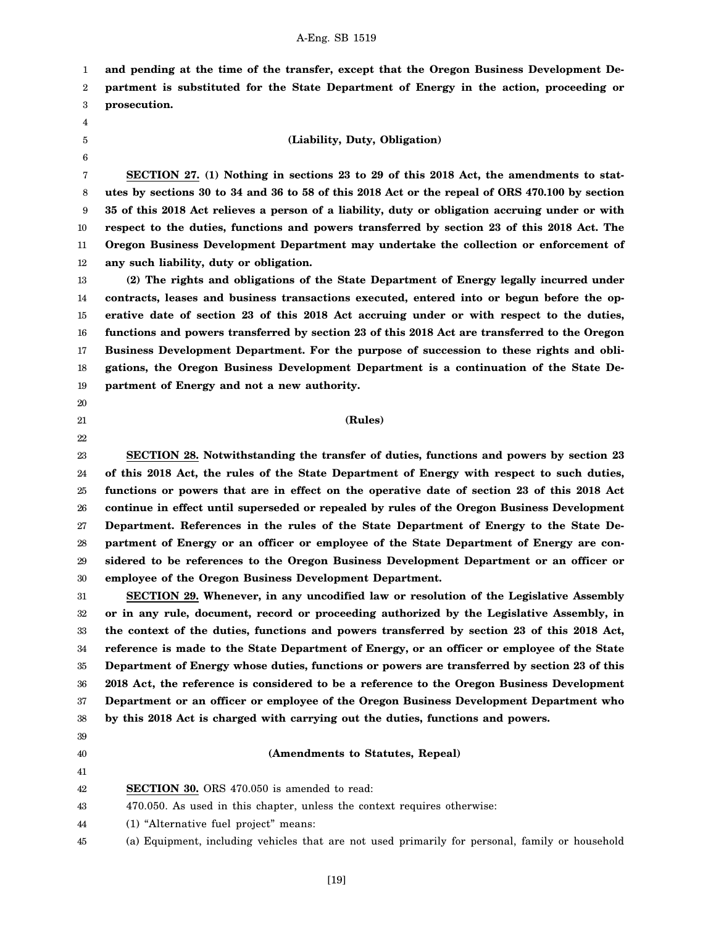1 2 **and pending at the time of the transfer, except that the Oregon Business Development Department is substituted for the State Department of Energy in the action, proceeding or**

3 **prosecution.**

- 4 5
- 6

### **(Liability, Duty, Obligation)**

7 8 9 10 11 12 **SECTION 27. (1) Nothing in sections 23 to 29 of this 2018 Act, the amendments to statutes by sections 30 to 34 and 36 to 58 of this 2018 Act or the repeal of ORS 470.100 by section 35 of this 2018 Act relieves a person of a liability, duty or obligation accruing under or with respect to the duties, functions and powers transferred by section 23 of this 2018 Act. The Oregon Business Development Department may undertake the collection or enforcement of any such liability, duty or obligation.**

13 14 15 16 17 18 19 **(2) The rights and obligations of the State Department of Energy legally incurred under contracts, leases and business transactions executed, entered into or begun before the operative date of section 23 of this 2018 Act accruing under or with respect to the duties, functions and powers transferred by section 23 of this 2018 Act are transferred to the Oregon Business Development Department. For the purpose of succession to these rights and obligations, the Oregon Business Development Department is a continuation of the State Department of Energy and not a new authority.**

- 20 21
- 22

## **(Rules)**

23 24 25 26 27 28 29 30 **SECTION 28. Notwithstanding the transfer of duties, functions and powers by section 23 of this 2018 Act, the rules of the State Department of Energy with respect to such duties, functions or powers that are in effect on the operative date of section 23 of this 2018 Act continue in effect until superseded or repealed by rules of the Oregon Business Development Department. References in the rules of the State Department of Energy to the State Department of Energy or an officer or employee of the State Department of Energy are considered to be references to the Oregon Business Development Department or an officer or employee of the Oregon Business Development Department.**

31 32 33 34 35 36 37 38 **SECTION 29. Whenever, in any uncodified law or resolution of the Legislative Assembly or in any rule, document, record or proceeding authorized by the Legislative Assembly, in the context of the duties, functions and powers transferred by section 23 of this 2018 Act, reference is made to the State Department of Energy, or an officer or employee of the State Department of Energy whose duties, functions or powers are transferred by section 23 of this 2018 Act, the reference is considered to be a reference to the Oregon Business Development Department or an officer or employee of the Oregon Business Development Department who by this 2018 Act is charged with carrying out the duties, functions and powers.**

- 39
- 40 41

### **(Amendments to Statutes, Repeal)**

- 42 **SECTION 30.** ORS 470.050 is amended to read:
- 43 470.050. As used in this chapter, unless the context requires otherwise:
- 44 (1) "Alternative fuel project" means:
- 45 (a) Equipment, including vehicles that are not used primarily for personal, family or household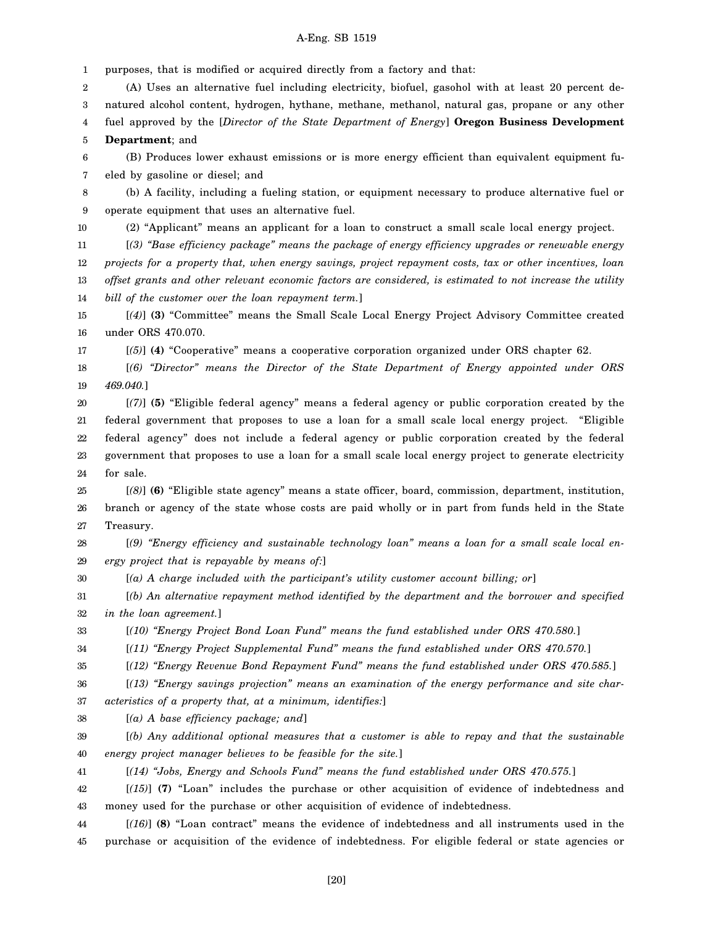1 purposes, that is modified or acquired directly from a factory and that:

2 3 4 (A) Uses an alternative fuel including electricity, biofuel, gasohol with at least 20 percent denatured alcohol content, hydrogen, hythane, methane, methanol, natural gas, propane or any other fuel approved by the [*Director of the State Department of Energy*] **Oregon Business Development**

5 **Department**; and

6 7 (B) Produces lower exhaust emissions or is more energy efficient than equivalent equipment fueled by gasoline or diesel; and

8 9 (b) A facility, including a fueling station, or equipment necessary to produce alternative fuel or operate equipment that uses an alternative fuel.

10 (2) "Applicant" means an applicant for a loan to construct a small scale local energy project.

11 12 13 14 [*(3) "Base efficiency package" means the package of energy efficiency upgrades or renewable energy projects for a property that, when energy savings, project repayment costs, tax or other incentives, loan offset grants and other relevant economic factors are considered, is estimated to not increase the utility bill of the customer over the loan repayment term.*]

15 16 [*(4)*] **(3)** "Committee" means the Small Scale Local Energy Project Advisory Committee created under ORS 470.070.

17 [*(5)*] **(4)** "Cooperative" means a cooperative corporation organized under ORS chapter 62.

18 19 [*(6) "Director" means the Director of the State Department of Energy appointed under ORS 469.040.*]

20 21 22 23 24 [*(7)*] **(5)** "Eligible federal agency" means a federal agency or public corporation created by the federal government that proposes to use a loan for a small scale local energy project. "Eligible federal agency" does not include a federal agency or public corporation created by the federal government that proposes to use a loan for a small scale local energy project to generate electricity for sale.

25 26 27 [*(8)*] **(6)** "Eligible state agency" means a state officer, board, commission, department, institution, branch or agency of the state whose costs are paid wholly or in part from funds held in the State Treasury.

28 29 [*(9) "Energy efficiency and sustainable technology loan" means a loan for a small scale local energy project that is repayable by means of:*]

30 [*(a) A charge included with the participant's utility customer account billing; or*]

31 32 [*(b) An alternative repayment method identified by the department and the borrower and specified in the loan agreement.*]

33 [*(10) "Energy Project Bond Loan Fund" means the fund established under ORS 470.580.*]

34 [*(11) "Energy Project Supplemental Fund" means the fund established under ORS 470.570.*]

35 [*(12) "Energy Revenue Bond Repayment Fund" means the fund established under ORS 470.585.*]

36 [*(13) "Energy savings projection" means an examination of the energy performance and site char-*

37 *acteristics of a property that, at a minimum, identifies:*]

38 [*(a) A base efficiency package; and*]

39 40 [*(b) Any additional optional measures that a customer is able to repay and that the sustainable energy project manager believes to be feasible for the site.*]

41 [*(14) "Jobs, Energy and Schools Fund" means the fund established under ORS 470.575.*]

42 43 [*(15)*] **(7)** "Loan" includes the purchase or other acquisition of evidence of indebtedness and money used for the purchase or other acquisition of evidence of indebtedness.

44 45 [*(16)*] **(8)** "Loan contract" means the evidence of indebtedness and all instruments used in the purchase or acquisition of the evidence of indebtedness. For eligible federal or state agencies or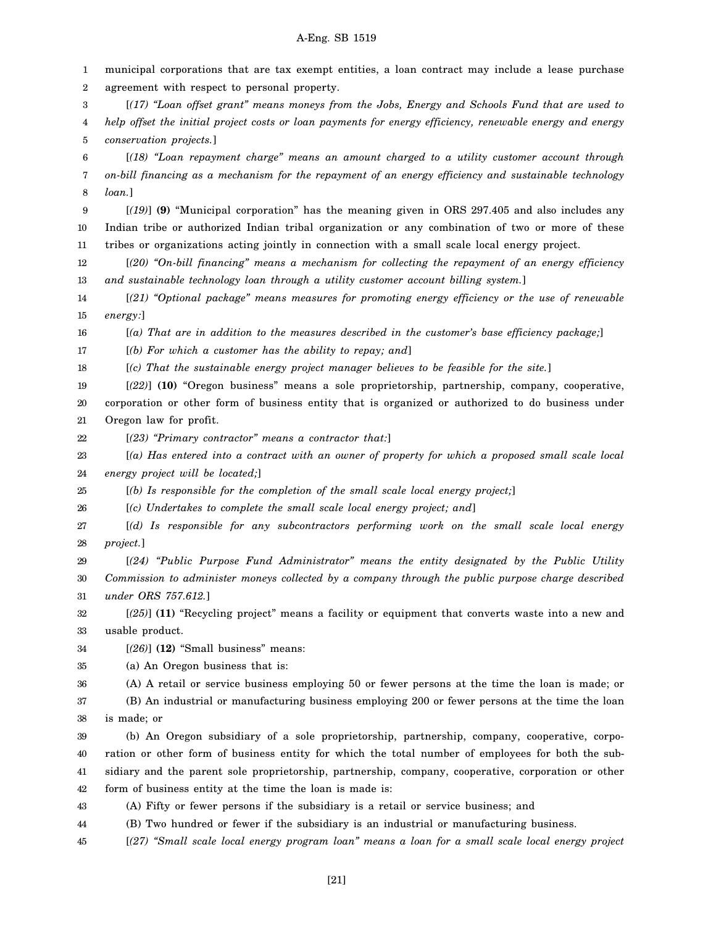1 2 3 4 5 6 7 8 9 10 11 12 13 14 15 16 17 18 19 20 21 22 23 24 25 26 27 28 29 30 31 32 33 34 35 36 37 municipal corporations that are tax exempt entities, a loan contract may include a lease purchase agreement with respect to personal property. [*(17) "Loan offset grant" means moneys from the Jobs, Energy and Schools Fund that are used to help offset the initial project costs or loan payments for energy efficiency, renewable energy and energy conservation projects.*] [*(18) "Loan repayment charge" means an amount charged to a utility customer account through on-bill financing as a mechanism for the repayment of an energy efficiency and sustainable technology loan.*] [*(19)*] **(9)** "Municipal corporation" has the meaning given in ORS 297.405 and also includes any Indian tribe or authorized Indian tribal organization or any combination of two or more of these tribes or organizations acting jointly in connection with a small scale local energy project. [*(20) "On-bill financing" means a mechanism for collecting the repayment of an energy efficiency and sustainable technology loan through a utility customer account billing system.*] [*(21) "Optional package" means measures for promoting energy efficiency or the use of renewable energy:*] [*(a) That are in addition to the measures described in the customer's base efficiency package;*] [*(b) For which a customer has the ability to repay; and*] [*(c) That the sustainable energy project manager believes to be feasible for the site.*] [*(22)*] **(10)** "Oregon business" means a sole proprietorship, partnership, company, cooperative, corporation or other form of business entity that is organized or authorized to do business under Oregon law for profit. [*(23) "Primary contractor" means a contractor that:*] [*(a) Has entered into a contract with an owner of property for which a proposed small scale local energy project will be located;*] [*(b) Is responsible for the completion of the small scale local energy project;*] [*(c) Undertakes to complete the small scale local energy project; and*] [*(d) Is responsible for any subcontractors performing work on the small scale local energy project.*] [*(24) "Public Purpose Fund Administrator" means the entity designated by the Public Utility Commission to administer moneys collected by a company through the public purpose charge described under ORS 757.612.*] [*(25)*] **(11)** "Recycling project" means a facility or equipment that converts waste into a new and usable product. [*(26)*] **(12)** "Small business" means: (a) An Oregon business that is: (A) A retail or service business employing 50 or fewer persons at the time the loan is made; or (B) An industrial or manufacturing business employing 200 or fewer persons at the time the loan

38 is made; or

39 40 41 42 (b) An Oregon subsidiary of a sole proprietorship, partnership, company, cooperative, corporation or other form of business entity for which the total number of employees for both the subsidiary and the parent sole proprietorship, partnership, company, cooperative, corporation or other form of business entity at the time the loan is made is:

43 (A) Fifty or fewer persons if the subsidiary is a retail or service business; and

44 (B) Two hundred or fewer if the subsidiary is an industrial or manufacturing business.

45 [*(27) "Small scale local energy program loan" means a loan for a small scale local energy project*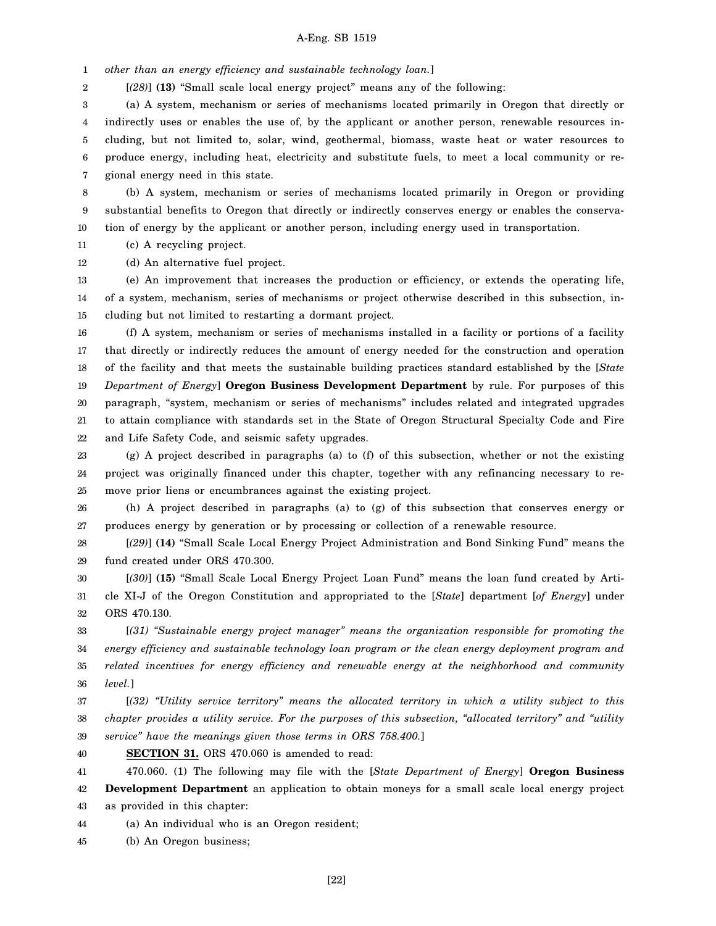1 *other than an energy efficiency and sustainable technology loan.*]

2 [*(28)*] **(13)** "Small scale local energy project" means any of the following:

3 4 5 6 7 (a) A system, mechanism or series of mechanisms located primarily in Oregon that directly or indirectly uses or enables the use of, by the applicant or another person, renewable resources including, but not limited to, solar, wind, geothermal, biomass, waste heat or water resources to produce energy, including heat, electricity and substitute fuels, to meet a local community or regional energy need in this state.

8 9 10 (b) A system, mechanism or series of mechanisms located primarily in Oregon or providing substantial benefits to Oregon that directly or indirectly conserves energy or enables the conservation of energy by the applicant or another person, including energy used in transportation.

11 (c) A recycling project.

12 (d) An alternative fuel project.

13 14 15 (e) An improvement that increases the production or efficiency, or extends the operating life, of a system, mechanism, series of mechanisms or project otherwise described in this subsection, including but not limited to restarting a dormant project.

16 17 18 19 20 21 22 (f) A system, mechanism or series of mechanisms installed in a facility or portions of a facility that directly or indirectly reduces the amount of energy needed for the construction and operation of the facility and that meets the sustainable building practices standard established by the [*State Department of Energy*] **Oregon Business Development Department** by rule. For purposes of this paragraph, "system, mechanism or series of mechanisms" includes related and integrated upgrades to attain compliance with standards set in the State of Oregon Structural Specialty Code and Fire and Life Safety Code, and seismic safety upgrades.

23 24 25 (g) A project described in paragraphs (a) to (f) of this subsection, whether or not the existing project was originally financed under this chapter, together with any refinancing necessary to remove prior liens or encumbrances against the existing project.

26 27 (h) A project described in paragraphs (a) to (g) of this subsection that conserves energy or produces energy by generation or by processing or collection of a renewable resource.

28 29 [*(29)*] **(14)** "Small Scale Local Energy Project Administration and Bond Sinking Fund" means the fund created under ORS 470.300.

30 31 32 [*(30)*] **(15)** "Small Scale Local Energy Project Loan Fund" means the loan fund created by Article XI-J of the Oregon Constitution and appropriated to the [*State*] department [*of Energy*] under ORS 470.130.

33 34 35 36 [*(31) "Sustainable energy project manager" means the organization responsible for promoting the energy efficiency and sustainable technology loan program or the clean energy deployment program and related incentives for energy efficiency and renewable energy at the neighborhood and community level.*]

37 38 39 [*(32) "Utility service territory" means the allocated territory in which a utility subject to this chapter provides a utility service. For the purposes of this subsection, "allocated territory" and "utility service" have the meanings given those terms in ORS 758.400.*]

40 **SECTION 31.** ORS 470.060 is amended to read:

41 42 43 470.060. (1) The following may file with the [*State Department of Energy*] **Oregon Business Development Department** an application to obtain moneys for a small scale local energy project as provided in this chapter:

44 (a) An individual who is an Oregon resident;

45 (b) An Oregon business;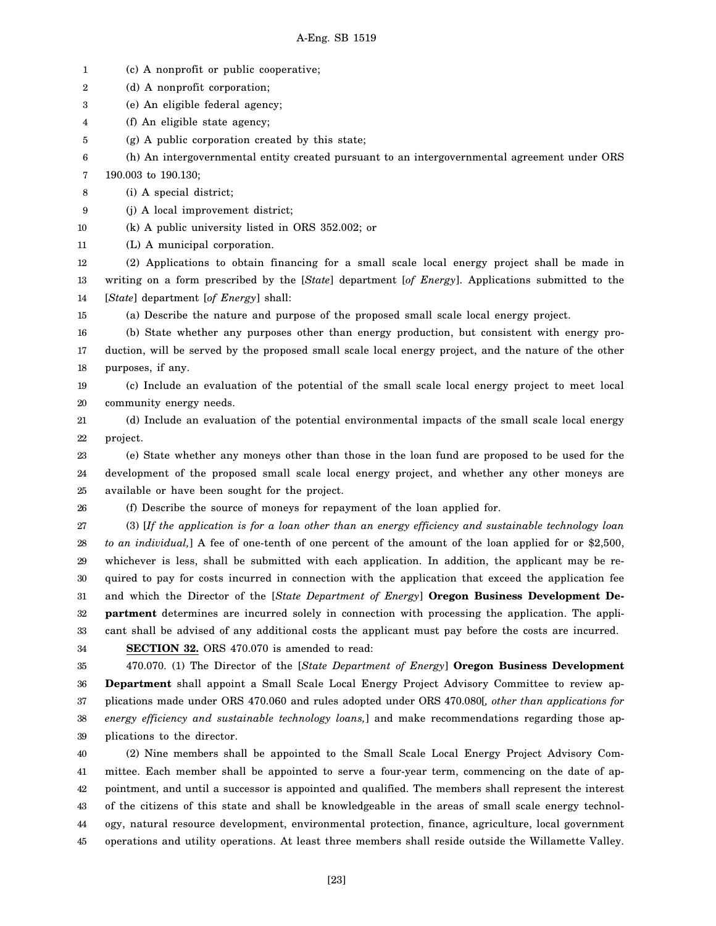- 1 (c) A nonprofit or public cooperative;
- 2 (d) A nonprofit corporation;
- 3 (e) An eligible federal agency;
- 4 (f) An eligible state agency;
- 5 (g) A public corporation created by this state;

6 7 (h) An intergovernmental entity created pursuant to an intergovernmental agreement under ORS 190.003 to 190.130;

8 (i) A special district;

- 9 (j) A local improvement district;
- 10 (k) A public university listed in ORS 352.002; or
- 11 (L) A municipal corporation.

12 13 14 (2) Applications to obtain financing for a small scale local energy project shall be made in writing on a form prescribed by the [*State*] department [*of Energy*]. Applications submitted to the [*State*] department [*of Energy*] shall:

15 (a) Describe the nature and purpose of the proposed small scale local energy project.

16 17 18 (b) State whether any purposes other than energy production, but consistent with energy production, will be served by the proposed small scale local energy project, and the nature of the other purposes, if any.

19 20 (c) Include an evaluation of the potential of the small scale local energy project to meet local community energy needs.

21 22 (d) Include an evaluation of the potential environmental impacts of the small scale local energy project.

23 24 25 (e) State whether any moneys other than those in the loan fund are proposed to be used for the development of the proposed small scale local energy project, and whether any other moneys are available or have been sought for the project.

26

(f) Describe the source of moneys for repayment of the loan applied for.

27 28 29 30 31 32 33 (3) [*If the application is for a loan other than an energy efficiency and sustainable technology loan to an individual,*] A fee of one-tenth of one percent of the amount of the loan applied for or \$2,500, whichever is less, shall be submitted with each application. In addition, the applicant may be required to pay for costs incurred in connection with the application that exceed the application fee and which the Director of the [*State Department of Energy*] **Oregon Business Development Department** determines are incurred solely in connection with processing the application. The applicant shall be advised of any additional costs the applicant must pay before the costs are incurred.

34

**SECTION 32.** ORS 470.070 is amended to read:

35 36 37 38 39 470.070. (1) The Director of the [*State Department of Energy*] **Oregon Business Development Department** shall appoint a Small Scale Local Energy Project Advisory Committee to review applications made under ORS 470.060 and rules adopted under ORS 470.080[*, other than applications for energy efficiency and sustainable technology loans,*] and make recommendations regarding those applications to the director.

40 41 42 43 44 45 (2) Nine members shall be appointed to the Small Scale Local Energy Project Advisory Committee. Each member shall be appointed to serve a four-year term, commencing on the date of appointment, and until a successor is appointed and qualified. The members shall represent the interest of the citizens of this state and shall be knowledgeable in the areas of small scale energy technology, natural resource development, environmental protection, finance, agriculture, local government operations and utility operations. At least three members shall reside outside the Willamette Valley.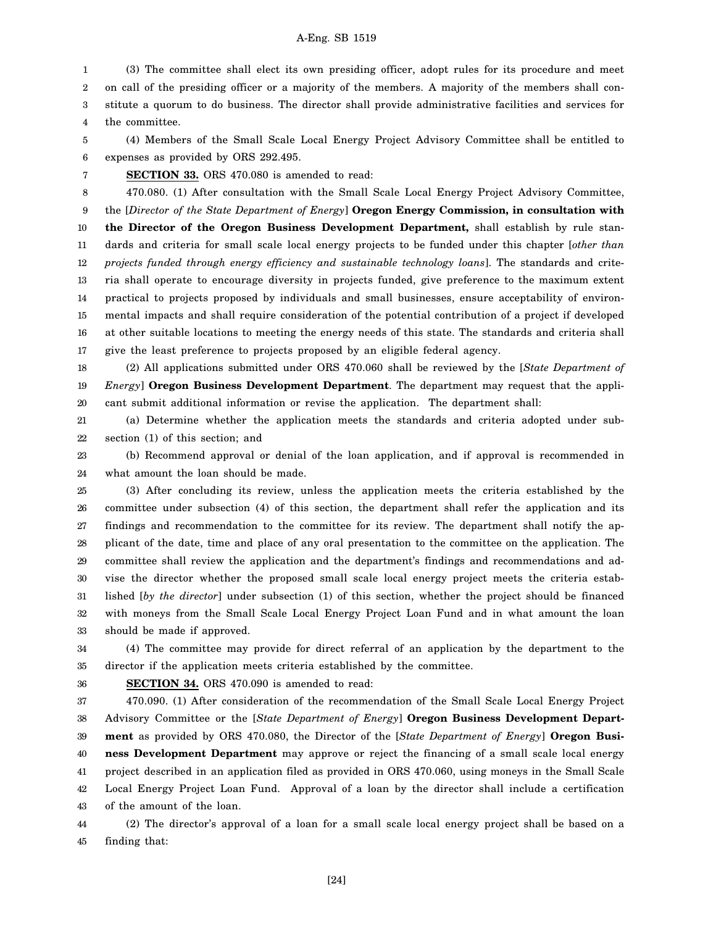1 2 3 4 (3) The committee shall elect its own presiding officer, adopt rules for its procedure and meet on call of the presiding officer or a majority of the members. A majority of the members shall constitute a quorum to do business. The director shall provide administrative facilities and services for the committee.

5 6 (4) Members of the Small Scale Local Energy Project Advisory Committee shall be entitled to expenses as provided by ORS 292.495.

7 **SECTION 33.** ORS 470.080 is amended to read:

8 9 10 11 12 13 14 15 16 17 470.080. (1) After consultation with the Small Scale Local Energy Project Advisory Committee, the [*Director of the State Department of Energy*] **Oregon Energy Commission, in consultation with the Director of the Oregon Business Development Department,** shall establish by rule standards and criteria for small scale local energy projects to be funded under this chapter [*other than projects funded through energy efficiency and sustainable technology loans*]. The standards and criteria shall operate to encourage diversity in projects funded, give preference to the maximum extent practical to projects proposed by individuals and small businesses, ensure acceptability of environmental impacts and shall require consideration of the potential contribution of a project if developed at other suitable locations to meeting the energy needs of this state. The standards and criteria shall give the least preference to projects proposed by an eligible federal agency.

18 19 20 (2) All applications submitted under ORS 470.060 shall be reviewed by the [*State Department of Energy*] **Oregon Business Development Department**. The department may request that the applicant submit additional information or revise the application. The department shall:

21 22 (a) Determine whether the application meets the standards and criteria adopted under subsection (1) of this section; and

23 24 (b) Recommend approval or denial of the loan application, and if approval is recommended in what amount the loan should be made.

25 26 27 28 29 30 31 32 33 (3) After concluding its review, unless the application meets the criteria established by the committee under subsection (4) of this section, the department shall refer the application and its findings and recommendation to the committee for its review. The department shall notify the applicant of the date, time and place of any oral presentation to the committee on the application. The committee shall review the application and the department's findings and recommendations and advise the director whether the proposed small scale local energy project meets the criteria established [*by the director*] under subsection (1) of this section, whether the project should be financed with moneys from the Small Scale Local Energy Project Loan Fund and in what amount the loan should be made if approved.

34 35 (4) The committee may provide for direct referral of an application by the department to the director if the application meets criteria established by the committee.

36

**SECTION 34.** ORS 470.090 is amended to read:

37 38 39 40 41 42 43 470.090. (1) After consideration of the recommendation of the Small Scale Local Energy Project Advisory Committee or the [*State Department of Energy*] **Oregon Business Development Department** as provided by ORS 470.080, the Director of the [*State Department of Energy*] **Oregon Business Development Department** may approve or reject the financing of a small scale local energy project described in an application filed as provided in ORS 470.060, using moneys in the Small Scale Local Energy Project Loan Fund. Approval of a loan by the director shall include a certification of the amount of the loan.

44 45 (2) The director's approval of a loan for a small scale local energy project shall be based on a finding that:

[24]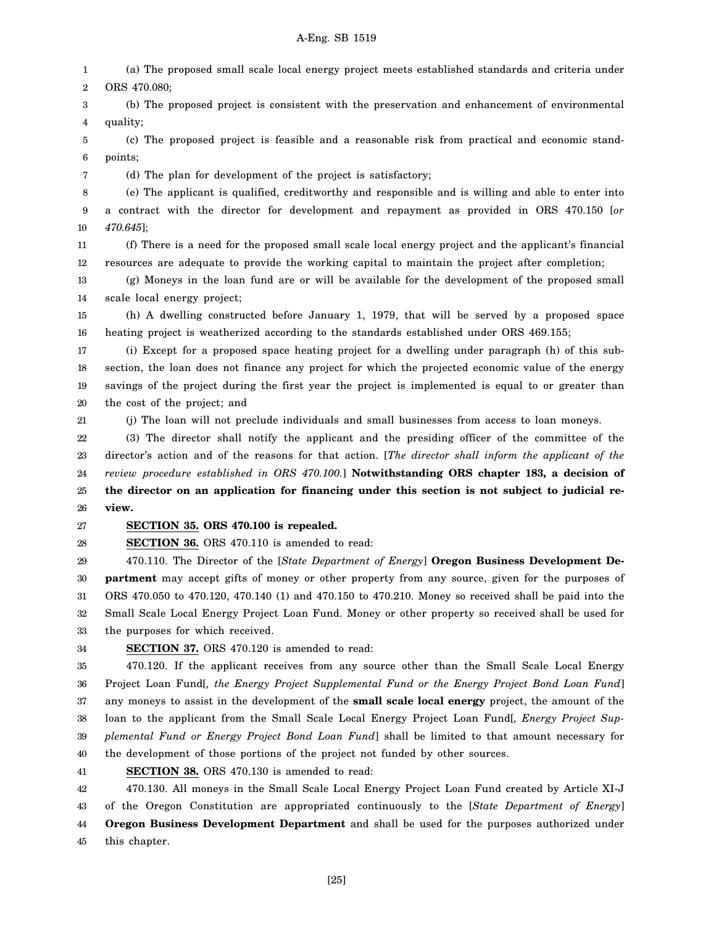1 2 (a) The proposed small scale local energy project meets established standards and criteria under ORS 470.080;

3 4 (b) The proposed project is consistent with the preservation and enhancement of environmental quality;

5 6 (c) The proposed project is feasible and a reasonable risk from practical and economic standpoints;

(d) The plan for development of the project is satisfactory;

8 9 10 (e) The applicant is qualified, creditworthy and responsible and is willing and able to enter into a contract with the director for development and repayment as provided in ORS 470.150 [*or 470.645*];

11 12 (f) There is a need for the proposed small scale local energy project and the applicant's financial resources are adequate to provide the working capital to maintain the project after completion;

13 14 (g) Moneys in the loan fund are or will be available for the development of the proposed small scale local energy project;

15 16 (h) A dwelling constructed before January 1, 1979, that will be served by a proposed space heating project is weatherized according to the standards established under ORS 469.155;

17 18 19 20 (i) Except for a proposed space heating project for a dwelling under paragraph (h) of this subsection, the loan does not finance any project for which the projected economic value of the energy savings of the project during the first year the project is implemented is equal to or greater than the cost of the project; and

(j) The loan will not preclude individuals and small businesses from access to loan moneys.

22 23 24 25 26 (3) The director shall notify the applicant and the presiding officer of the committee of the director's action and of the reasons for that action. [*The director shall inform the applicant of the review procedure established in ORS 470.100.*] **Notwithstanding ORS chapter 183, a decision of the director on an application for financing under this section is not subject to judicial review.**

#### 27 **SECTION 35. ORS 470.100 is repealed.**

28 **SECTION 36.** ORS 470.110 is amended to read:

29 30 31 32 33 470.110. The Director of the [*State Department of Energy*] **Oregon Business Development Department** may accept gifts of money or other property from any source, given for the purposes of ORS 470.050 to 470.120, 470.140 (1) and 470.150 to 470.210. Money so received shall be paid into the Small Scale Local Energy Project Loan Fund. Money or other property so received shall be used for the purposes for which received.

34

7

21

**SECTION 37.** ORS 470.120 is amended to read:

35 36 37 38 39 40 470.120. If the applicant receives from any source other than the Small Scale Local Energy Project Loan Fund[*, the Energy Project Supplemental Fund or the Energy Project Bond Loan Fund*] any moneys to assist in the development of the **small scale local energy** project, the amount of the loan to the applicant from the Small Scale Local Energy Project Loan Fund[*, Energy Project Supplemental Fund or Energy Project Bond Loan Fund*] shall be limited to that amount necessary for the development of those portions of the project not funded by other sources.

41 **SECTION 38.** ORS 470.130 is amended to read:

42 43 44 45 470.130. All moneys in the Small Scale Local Energy Project Loan Fund created by Article XI-J of the Oregon Constitution are appropriated continuously to the [*State Department of Energy*] **Oregon Business Development Department** and shall be used for the purposes authorized under this chapter.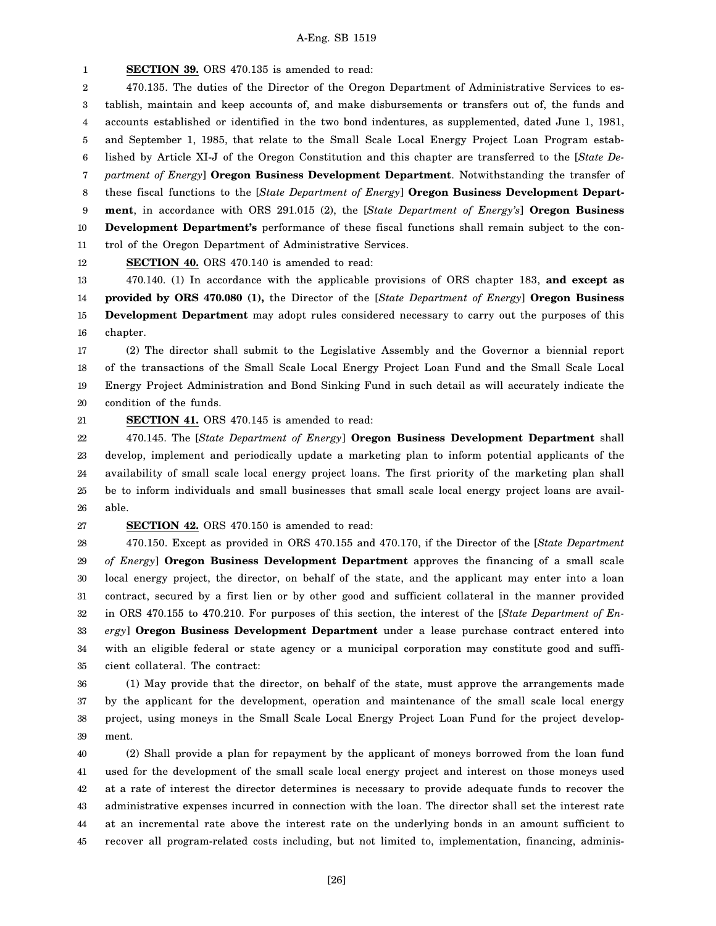1 **SECTION 39.** ORS 470.135 is amended to read:

2 3 4 5 6 7 8 9 10 11 12 470.135. The duties of the Director of the Oregon Department of Administrative Services to establish, maintain and keep accounts of, and make disbursements or transfers out of, the funds and accounts established or identified in the two bond indentures, as supplemented, dated June 1, 1981, and September 1, 1985, that relate to the Small Scale Local Energy Project Loan Program established by Article XI-J of the Oregon Constitution and this chapter are transferred to the [*State Department of Energy*] **Oregon Business Development Department**. Notwithstanding the transfer of these fiscal functions to the [*State Department of Energy*] **Oregon Business Development Department**, in accordance with ORS 291.015 (2), the [*State Department of Energy's*] **Oregon Business Development Department's** performance of these fiscal functions shall remain subject to the control of the Oregon Department of Administrative Services. **SECTION 40.** ORS 470.140 is amended to read:

13 14 470.140. (1) In accordance with the applicable provisions of ORS chapter 183, **and except as provided by ORS 470.080 (1),** the Director of the [*State Department of Energy*] **Oregon Business**

15 16 **Development Department** may adopt rules considered necessary to carry out the purposes of this chapter.

17 18 19 20 (2) The director shall submit to the Legislative Assembly and the Governor a biennial report of the transactions of the Small Scale Local Energy Project Loan Fund and the Small Scale Local Energy Project Administration and Bond Sinking Fund in such detail as will accurately indicate the condition of the funds.

21

**SECTION 41.** ORS 470.145 is amended to read:

22 23 24 25 26 470.145. The [*State Department of Energy*] **Oregon Business Development Department** shall develop, implement and periodically update a marketing plan to inform potential applicants of the availability of small scale local energy project loans. The first priority of the marketing plan shall be to inform individuals and small businesses that small scale local energy project loans are available.

27 **SECTION 42.** ORS 470.150 is amended to read:

28 29 30 31 32 33 34 35 470.150. Except as provided in ORS 470.155 and 470.170, if the Director of the [*State Department of Energy*] **Oregon Business Development Department** approves the financing of a small scale local energy project, the director, on behalf of the state, and the applicant may enter into a loan contract, secured by a first lien or by other good and sufficient collateral in the manner provided in ORS 470.155 to 470.210. For purposes of this section, the interest of the [*State Department of Energy*] **Oregon Business Development Department** under a lease purchase contract entered into with an eligible federal or state agency or a municipal corporation may constitute good and sufficient collateral. The contract:

36 37 38 39 (1) May provide that the director, on behalf of the state, must approve the arrangements made by the applicant for the development, operation and maintenance of the small scale local energy project, using moneys in the Small Scale Local Energy Project Loan Fund for the project development.

40 41 42 43 44 45 (2) Shall provide a plan for repayment by the applicant of moneys borrowed from the loan fund used for the development of the small scale local energy project and interest on those moneys used at a rate of interest the director determines is necessary to provide adequate funds to recover the administrative expenses incurred in connection with the loan. The director shall set the interest rate at an incremental rate above the interest rate on the underlying bonds in an amount sufficient to recover all program-related costs including, but not limited to, implementation, financing, adminis-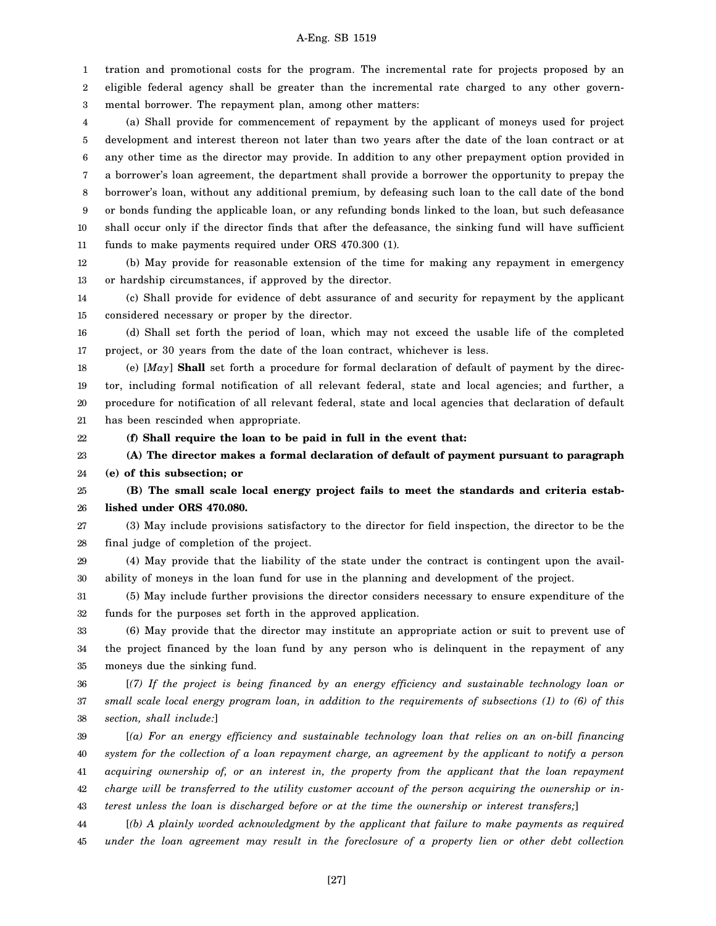1 2 3 tration and promotional costs for the program. The incremental rate for projects proposed by an eligible federal agency shall be greater than the incremental rate charged to any other governmental borrower. The repayment plan, among other matters:

4 5 6 7 8 9 10 11 (a) Shall provide for commencement of repayment by the applicant of moneys used for project development and interest thereon not later than two years after the date of the loan contract or at any other time as the director may provide. In addition to any other prepayment option provided in a borrower's loan agreement, the department shall provide a borrower the opportunity to prepay the borrower's loan, without any additional premium, by defeasing such loan to the call date of the bond or bonds funding the applicable loan, or any refunding bonds linked to the loan, but such defeasance shall occur only if the director finds that after the defeasance, the sinking fund will have sufficient funds to make payments required under ORS 470.300 (1).

12 13 (b) May provide for reasonable extension of the time for making any repayment in emergency or hardship circumstances, if approved by the director.

14 15 (c) Shall provide for evidence of debt assurance of and security for repayment by the applicant considered necessary or proper by the director.

16 17 (d) Shall set forth the period of loan, which may not exceed the usable life of the completed project, or 30 years from the date of the loan contract, whichever is less.

18 19 20 21 (e) [*May*] **Shall** set forth a procedure for formal declaration of default of payment by the director, including formal notification of all relevant federal, state and local agencies; and further, a procedure for notification of all relevant federal, state and local agencies that declaration of default has been rescinded when appropriate.

**(f) Shall require the loan to be paid in full in the event that:**

22

23 24 **(A) The director makes a formal declaration of default of payment pursuant to paragraph (e) of this subsection; or**

25 26 **(B) The small scale local energy project fails to meet the standards and criteria established under ORS 470.080.**

27 28 (3) May include provisions satisfactory to the director for field inspection, the director to be the final judge of completion of the project.

29 30 (4) May provide that the liability of the state under the contract is contingent upon the availability of moneys in the loan fund for use in the planning and development of the project.

31 32 (5) May include further provisions the director considers necessary to ensure expenditure of the funds for the purposes set forth in the approved application.

33 34 35 (6) May provide that the director may institute an appropriate action or suit to prevent use of the project financed by the loan fund by any person who is delinquent in the repayment of any moneys due the sinking fund.

36 37 38 [*(7) If the project is being financed by an energy efficiency and sustainable technology loan or small scale local energy program loan, in addition to the requirements of subsections (1) to (6) of this section, shall include:*]

39 40 41 42 43 [*(a) For an energy efficiency and sustainable technology loan that relies on an on-bill financing system for the collection of a loan repayment charge, an agreement by the applicant to notify a person acquiring ownership of, or an interest in, the property from the applicant that the loan repayment charge will be transferred to the utility customer account of the person acquiring the ownership or interest unless the loan is discharged before or at the time the ownership or interest transfers;*]

44 45 [*(b) A plainly worded acknowledgment by the applicant that failure to make payments as required under the loan agreement may result in the foreclosure of a property lien or other debt collection*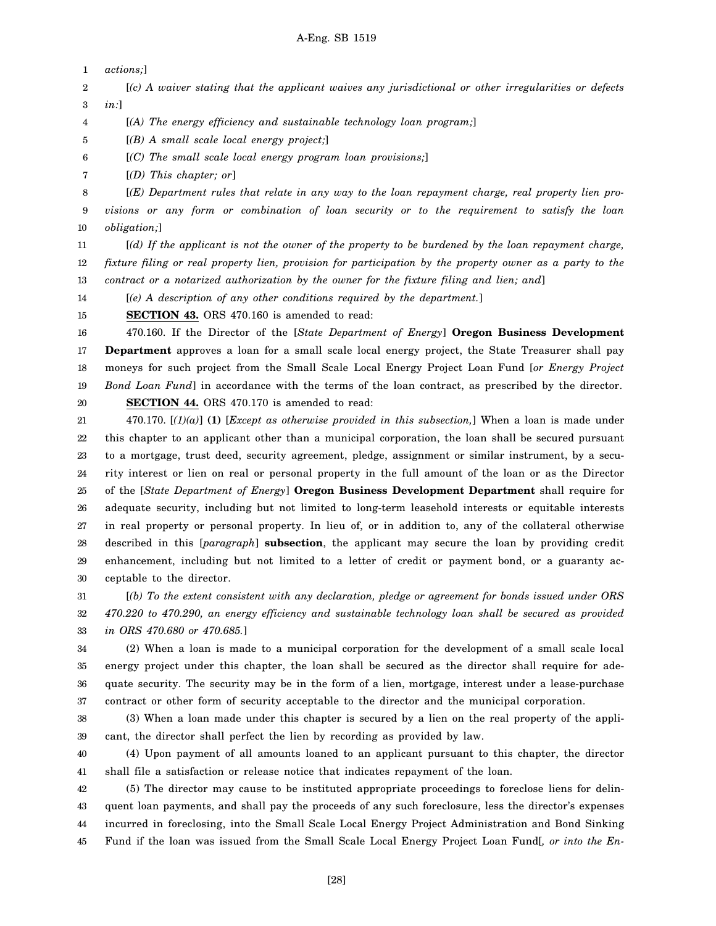1 *actions;*]

2 3 [*(c) A waiver stating that the applicant waives any jurisdictional or other irregularities or defects in:*]

4 [*(A) The energy efficiency and sustainable technology loan program;*]

5 [*(B) A small scale local energy project;*]

6 [*(C) The small scale local energy program loan provisions;*]

7 [*(D) This chapter; or*]

8 9 10 [*(E) Department rules that relate in any way to the loan repayment charge, real property lien provisions or any form or combination of loan security or to the requirement to satisfy the loan obligation;*]

11 12 13 [*(d) If the applicant is not the owner of the property to be burdened by the loan repayment charge, fixture filing or real property lien, provision for participation by the property owner as a party to the contract or a notarized authorization by the owner for the fixture filing and lien; and*]

14 [*(e) A description of any other conditions required by the department.*]

15 **SECTION 43.** ORS 470.160 is amended to read:

16 17 18 19 20 470.160. If the Director of the [*State Department of Energy*] **Oregon Business Development Department** approves a loan for a small scale local energy project, the State Treasurer shall pay moneys for such project from the Small Scale Local Energy Project Loan Fund [*or Energy Project Bond Loan Fund*] in accordance with the terms of the loan contract, as prescribed by the director.

**SECTION 44.** ORS 470.170 is amended to read:

21 22 23 24 25 26 27 28 29 30 470.170. [*(1)(a)*] **(1)** [*Except as otherwise provided in this subsection,*] When a loan is made under this chapter to an applicant other than a municipal corporation, the loan shall be secured pursuant to a mortgage, trust deed, security agreement, pledge, assignment or similar instrument, by a security interest or lien on real or personal property in the full amount of the loan or as the Director of the [*State Department of Energy*] **Oregon Business Development Department** shall require for adequate security, including but not limited to long-term leasehold interests or equitable interests in real property or personal property. In lieu of, or in addition to, any of the collateral otherwise described in this [*paragraph*] **subsection**, the applicant may secure the loan by providing credit enhancement, including but not limited to a letter of credit or payment bond, or a guaranty acceptable to the director.

31 32 33 [*(b) To the extent consistent with any declaration, pledge or agreement for bonds issued under ORS 470.220 to 470.290, an energy efficiency and sustainable technology loan shall be secured as provided in ORS 470.680 or 470.685.*]

34 35 36 37 (2) When a loan is made to a municipal corporation for the development of a small scale local energy project under this chapter, the loan shall be secured as the director shall require for adequate security. The security may be in the form of a lien, mortgage, interest under a lease-purchase contract or other form of security acceptable to the director and the municipal corporation.

38 39 (3) When a loan made under this chapter is secured by a lien on the real property of the applicant, the director shall perfect the lien by recording as provided by law.

40 41 (4) Upon payment of all amounts loaned to an applicant pursuant to this chapter, the director shall file a satisfaction or release notice that indicates repayment of the loan.

42 43 44 45 (5) The director may cause to be instituted appropriate proceedings to foreclose liens for delinquent loan payments, and shall pay the proceeds of any such foreclosure, less the director's expenses incurred in foreclosing, into the Small Scale Local Energy Project Administration and Bond Sinking Fund if the loan was issued from the Small Scale Local Energy Project Loan Fund[*, or into the En-*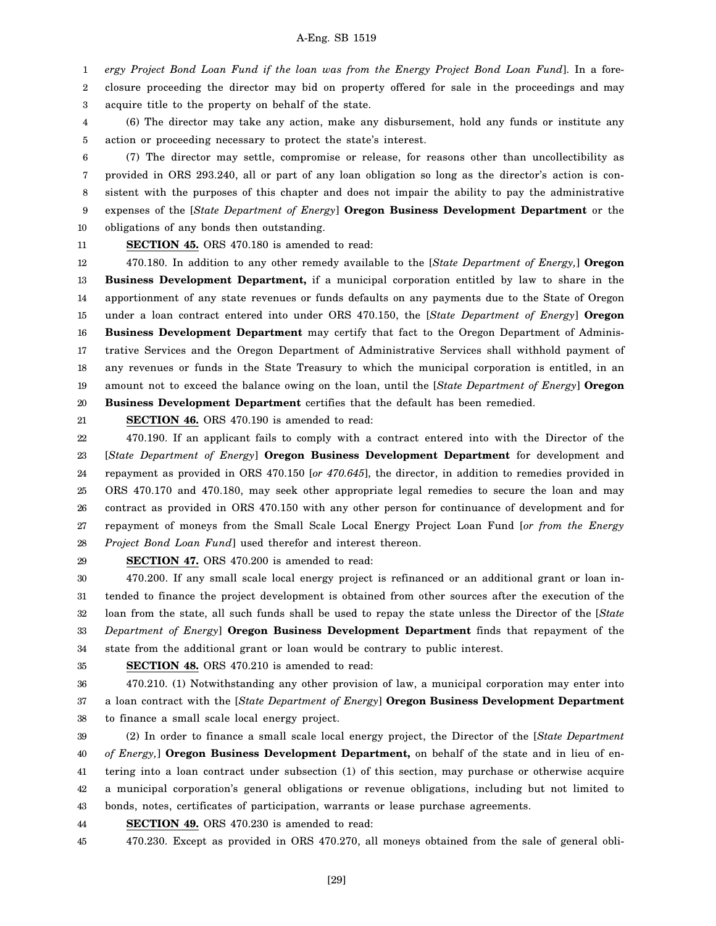1 2 3 *ergy Project Bond Loan Fund if the loan was from the Energy Project Bond Loan Fund*]. In a foreclosure proceeding the director may bid on property offered for sale in the proceedings and may acquire title to the property on behalf of the state.

4 5 (6) The director may take any action, make any disbursement, hold any funds or institute any action or proceeding necessary to protect the state's interest.

6 7 8 9 10 (7) The director may settle, compromise or release, for reasons other than uncollectibility as provided in ORS 293.240, all or part of any loan obligation so long as the director's action is consistent with the purposes of this chapter and does not impair the ability to pay the administrative expenses of the [*State Department of Energy*] **Oregon Business Development Department** or the obligations of any bonds then outstanding.

11

**SECTION 45.** ORS 470.180 is amended to read:

12 13 14 15 16 17 18 19 20 470.180. In addition to any other remedy available to the [*State Department of Energy,*] **Oregon Business Development Department,** if a municipal corporation entitled by law to share in the apportionment of any state revenues or funds defaults on any payments due to the State of Oregon under a loan contract entered into under ORS 470.150, the [*State Department of Energy*] **Oregon Business Development Department** may certify that fact to the Oregon Department of Administrative Services and the Oregon Department of Administrative Services shall withhold payment of any revenues or funds in the State Treasury to which the municipal corporation is entitled, in an amount not to exceed the balance owing on the loan, until the [*State Department of Energy*] **Oregon Business Development Department** certifies that the default has been remedied.

21

**SECTION 46.** ORS 470.190 is amended to read:

22 23 24 25 26 27 28 470.190. If an applicant fails to comply with a contract entered into with the Director of the [*State Department of Energy*] **Oregon Business Development Department** for development and repayment as provided in ORS 470.150 [*or 470.645*], the director, in addition to remedies provided in ORS 470.170 and 470.180, may seek other appropriate legal remedies to secure the loan and may contract as provided in ORS 470.150 with any other person for continuance of development and for repayment of moneys from the Small Scale Local Energy Project Loan Fund [*or from the Energy Project Bond Loan Fund*] used therefor and interest thereon.

29

**SECTION 47.** ORS 470.200 is amended to read:

30 31 32 33 34 470.200. If any small scale local energy project is refinanced or an additional grant or loan intended to finance the project development is obtained from other sources after the execution of the loan from the state, all such funds shall be used to repay the state unless the Director of the [*State Department of Energy*] **Oregon Business Development Department** finds that repayment of the state from the additional grant or loan would be contrary to public interest.

35

**SECTION 48.** ORS 470.210 is amended to read:

36 37 470.210. (1) Notwithstanding any other provision of law, a municipal corporation may enter into a loan contract with the [*State Department of Energy*] **Oregon Business Development Department**

38 to finance a small scale local energy project.

39 40 41 42 43 (2) In order to finance a small scale local energy project, the Director of the [*State Department of Energy,*] **Oregon Business Development Department,** on behalf of the state and in lieu of entering into a loan contract under subsection (1) of this section, may purchase or otherwise acquire a municipal corporation's general obligations or revenue obligations, including but not limited to bonds, notes, certificates of participation, warrants or lease purchase agreements.

44 **SECTION 49.** ORS 470.230 is amended to read:

45 470.230. Except as provided in ORS 470.270, all moneys obtained from the sale of general obli-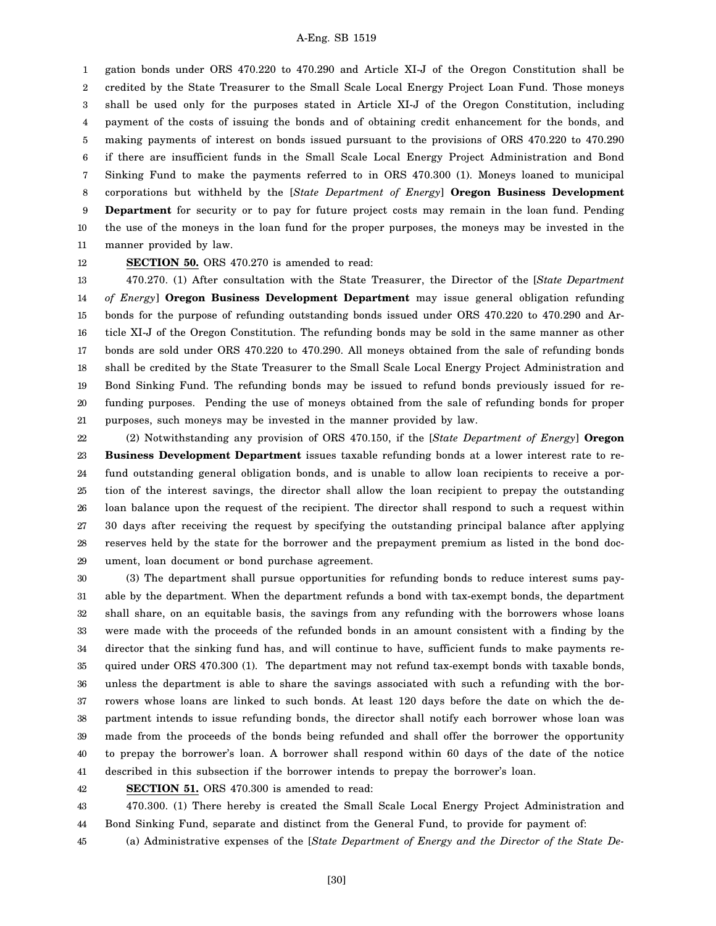1 2 3 4 5 6 7 8 9 10 11 gation bonds under ORS 470.220 to 470.290 and Article XI-J of the Oregon Constitution shall be credited by the State Treasurer to the Small Scale Local Energy Project Loan Fund. Those moneys shall be used only for the purposes stated in Article XI-J of the Oregon Constitution, including payment of the costs of issuing the bonds and of obtaining credit enhancement for the bonds, and making payments of interest on bonds issued pursuant to the provisions of ORS 470.220 to 470.290 if there are insufficient funds in the Small Scale Local Energy Project Administration and Bond Sinking Fund to make the payments referred to in ORS 470.300 (1). Moneys loaned to municipal corporations but withheld by the [*State Department of Energy*] **Oregon Business Development Department** for security or to pay for future project costs may remain in the loan fund. Pending the use of the moneys in the loan fund for the proper purposes, the moneys may be invested in the manner provided by law.

12

### **SECTION 50.** ORS 470.270 is amended to read:

13 14 15 16 17 18 19 20 21 470.270. (1) After consultation with the State Treasurer, the Director of the [*State Department of Energy*] **Oregon Business Development Department** may issue general obligation refunding bonds for the purpose of refunding outstanding bonds issued under ORS 470.220 to 470.290 and Article XI-J of the Oregon Constitution. The refunding bonds may be sold in the same manner as other bonds are sold under ORS 470.220 to 470.290. All moneys obtained from the sale of refunding bonds shall be credited by the State Treasurer to the Small Scale Local Energy Project Administration and Bond Sinking Fund. The refunding bonds may be issued to refund bonds previously issued for refunding purposes. Pending the use of moneys obtained from the sale of refunding bonds for proper purposes, such moneys may be invested in the manner provided by law.

22 23 24 25 26 27 28 29 (2) Notwithstanding any provision of ORS 470.150, if the [*State Department of Energy*] **Oregon Business Development Department** issues taxable refunding bonds at a lower interest rate to refund outstanding general obligation bonds, and is unable to allow loan recipients to receive a portion of the interest savings, the director shall allow the loan recipient to prepay the outstanding loan balance upon the request of the recipient. The director shall respond to such a request within 30 days after receiving the request by specifying the outstanding principal balance after applying reserves held by the state for the borrower and the prepayment premium as listed in the bond document, loan document or bond purchase agreement.

30 31 32 33 34 35 36 37 38 39 40 41 (3) The department shall pursue opportunities for refunding bonds to reduce interest sums payable by the department. When the department refunds a bond with tax-exempt bonds, the department shall share, on an equitable basis, the savings from any refunding with the borrowers whose loans were made with the proceeds of the refunded bonds in an amount consistent with a finding by the director that the sinking fund has, and will continue to have, sufficient funds to make payments required under ORS 470.300 (1). The department may not refund tax-exempt bonds with taxable bonds, unless the department is able to share the savings associated with such a refunding with the borrowers whose loans are linked to such bonds. At least 120 days before the date on which the department intends to issue refunding bonds, the director shall notify each borrower whose loan was made from the proceeds of the bonds being refunded and shall offer the borrower the opportunity to prepay the borrower's loan. A borrower shall respond within 60 days of the date of the notice described in this subsection if the borrower intends to prepay the borrower's loan.

42 **SECTION 51.** ORS 470.300 is amended to read:

43 44 470.300. (1) There hereby is created the Small Scale Local Energy Project Administration and Bond Sinking Fund, separate and distinct from the General Fund, to provide for payment of:

45 (a) Administrative expenses of the [*State Department of Energy and the Director of the State De-*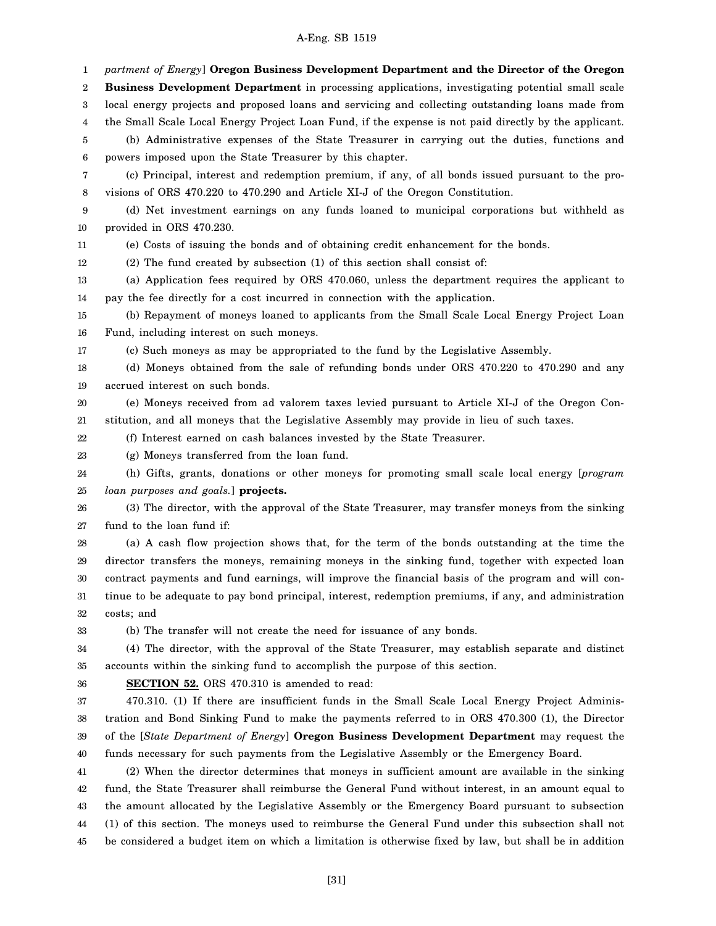1 2 3 4 5 6 7 8 9 10 11 12 13 14 15 16 17 18 19 20 21 22 23 24 25 26 27 28 29 30 31 32 33 34 35 36 37 38 39 40 41 42 43 44 45 *partment of Energy*] **Oregon Business Development Department and the Director of the Oregon Business Development Department** in processing applications, investigating potential small scale local energy projects and proposed loans and servicing and collecting outstanding loans made from the Small Scale Local Energy Project Loan Fund, if the expense is not paid directly by the applicant. (b) Administrative expenses of the State Treasurer in carrying out the duties, functions and powers imposed upon the State Treasurer by this chapter. (c) Principal, interest and redemption premium, if any, of all bonds issued pursuant to the provisions of ORS 470.220 to 470.290 and Article XI-J of the Oregon Constitution. (d) Net investment earnings on any funds loaned to municipal corporations but withheld as provided in ORS 470.230. (e) Costs of issuing the bonds and of obtaining credit enhancement for the bonds. (2) The fund created by subsection (1) of this section shall consist of: (a) Application fees required by ORS 470.060, unless the department requires the applicant to pay the fee directly for a cost incurred in connection with the application. (b) Repayment of moneys loaned to applicants from the Small Scale Local Energy Project Loan Fund, including interest on such moneys. (c) Such moneys as may be appropriated to the fund by the Legislative Assembly. (d) Moneys obtained from the sale of refunding bonds under ORS 470.220 to 470.290 and any accrued interest on such bonds. (e) Moneys received from ad valorem taxes levied pursuant to Article XI-J of the Oregon Constitution, and all moneys that the Legislative Assembly may provide in lieu of such taxes. (f) Interest earned on cash balances invested by the State Treasurer. (g) Moneys transferred from the loan fund. (h) Gifts, grants, donations or other moneys for promoting small scale local energy [*program loan purposes and goals.*] **projects.** (3) The director, with the approval of the State Treasurer, may transfer moneys from the sinking fund to the loan fund if: (a) A cash flow projection shows that, for the term of the bonds outstanding at the time the director transfers the moneys, remaining moneys in the sinking fund, together with expected loan contract payments and fund earnings, will improve the financial basis of the program and will continue to be adequate to pay bond principal, interest, redemption premiums, if any, and administration costs; and (b) The transfer will not create the need for issuance of any bonds. (4) The director, with the approval of the State Treasurer, may establish separate and distinct accounts within the sinking fund to accomplish the purpose of this section. **SECTION 52.** ORS 470.310 is amended to read: 470.310. (1) If there are insufficient funds in the Small Scale Local Energy Project Administration and Bond Sinking Fund to make the payments referred to in ORS 470.300 (1), the Director of the [*State Department of Energy*] **Oregon Business Development Department** may request the funds necessary for such payments from the Legislative Assembly or the Emergency Board. (2) When the director determines that moneys in sufficient amount are available in the sinking fund, the State Treasurer shall reimburse the General Fund without interest, in an amount equal to the amount allocated by the Legislative Assembly or the Emergency Board pursuant to subsection (1) of this section. The moneys used to reimburse the General Fund under this subsection shall not be considered a budget item on which a limitation is otherwise fixed by law, but shall be in addition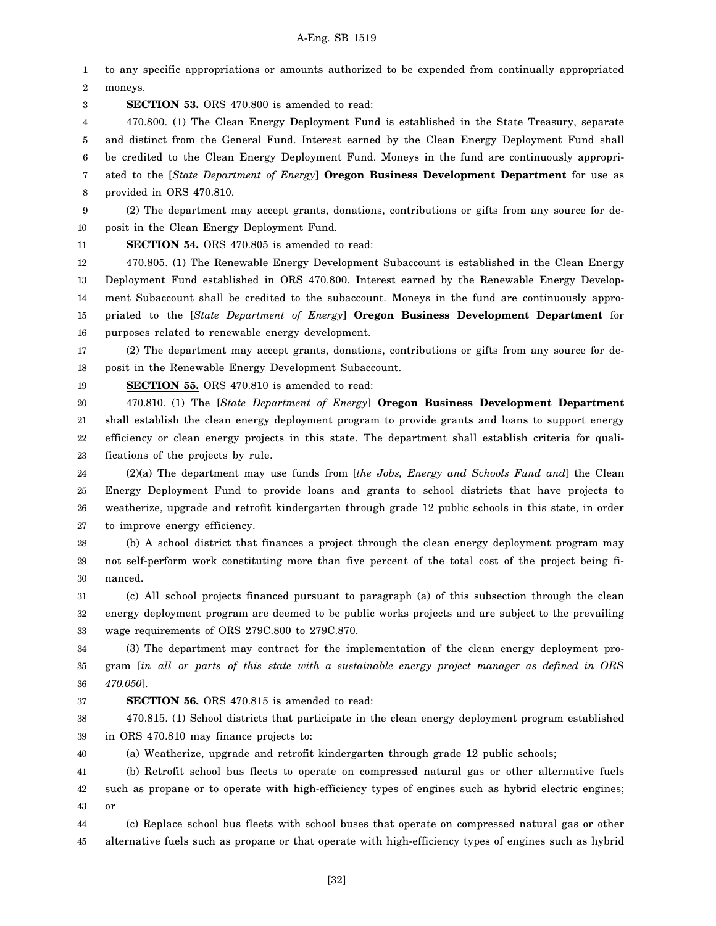1 2 to any specific appropriations or amounts authorized to be expended from continually appropriated moneys.

3 **SECTION 53.** ORS 470.800 is amended to read:

4 5 6 7 8 470.800. (1) The Clean Energy Deployment Fund is established in the State Treasury, separate and distinct from the General Fund. Interest earned by the Clean Energy Deployment Fund shall be credited to the Clean Energy Deployment Fund. Moneys in the fund are continuously appropriated to the [*State Department of Energy*] **Oregon Business Development Department** for use as provided in ORS 470.810.

9 10 (2) The department may accept grants, donations, contributions or gifts from any source for deposit in the Clean Energy Deployment Fund.

11

**SECTION 54.** ORS 470.805 is amended to read:

12 13 14 15 16 470.805. (1) The Renewable Energy Development Subaccount is established in the Clean Energy Deployment Fund established in ORS 470.800. Interest earned by the Renewable Energy Development Subaccount shall be credited to the subaccount. Moneys in the fund are continuously appropriated to the [*State Department of Energy*] **Oregon Business Development Department** for purposes related to renewable energy development.

17 18 (2) The department may accept grants, donations, contributions or gifts from any source for deposit in the Renewable Energy Development Subaccount.

19 **SECTION 55.** ORS 470.810 is amended to read:

20 21 22 23 470.810. (1) The [*State Department of Energy*] **Oregon Business Development Department** shall establish the clean energy deployment program to provide grants and loans to support energy efficiency or clean energy projects in this state. The department shall establish criteria for qualifications of the projects by rule.

24 25 26 27 (2)(a) The department may use funds from [*the Jobs, Energy and Schools Fund and*] the Clean Energy Deployment Fund to provide loans and grants to school districts that have projects to weatherize, upgrade and retrofit kindergarten through grade 12 public schools in this state, in order to improve energy efficiency.

28 29 30 (b) A school district that finances a project through the clean energy deployment program may not self-perform work constituting more than five percent of the total cost of the project being financed.

31 32 33 (c) All school projects financed pursuant to paragraph (a) of this subsection through the clean energy deployment program are deemed to be public works projects and are subject to the prevailing wage requirements of ORS 279C.800 to 279C.870.

34 35 36 (3) The department may contract for the implementation of the clean energy deployment program [*in all or parts of this state with a sustainable energy project manager as defined in ORS 470.050*].

37

### **SECTION 56.** ORS 470.815 is amended to read:

38 39 470.815. (1) School districts that participate in the clean energy deployment program established in ORS 470.810 may finance projects to:

40 (a) Weatherize, upgrade and retrofit kindergarten through grade 12 public schools;

41 42 43 (b) Retrofit school bus fleets to operate on compressed natural gas or other alternative fuels such as propane or to operate with high-efficiency types of engines such as hybrid electric engines; or

44 45 (c) Replace school bus fleets with school buses that operate on compressed natural gas or other alternative fuels such as propane or that operate with high-efficiency types of engines such as hybrid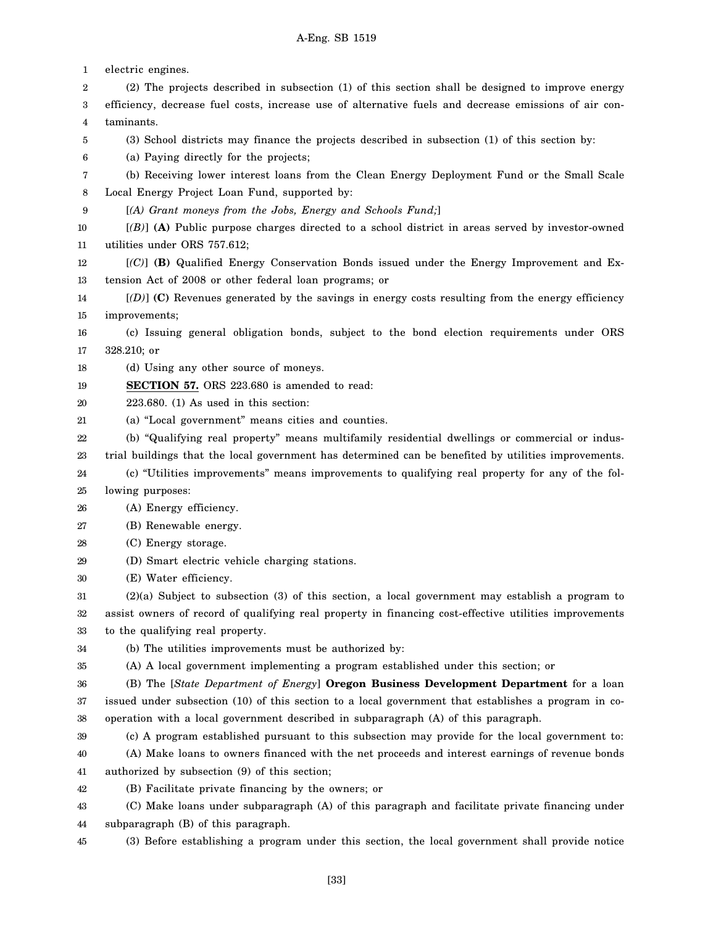1 2 3 4 5 6 7 8 9 10 11 12 13 14 15 16 17 18 19 20 21 22 23 24 25 26 27 28 29 30 31 32 33 34 35 36 37 38 39 40 41 42 43 44 45 electric engines. (2) The projects described in subsection (1) of this section shall be designed to improve energy efficiency, decrease fuel costs, increase use of alternative fuels and decrease emissions of air contaminants. (3) School districts may finance the projects described in subsection (1) of this section by: (a) Paying directly for the projects; (b) Receiving lower interest loans from the Clean Energy Deployment Fund or the Small Scale Local Energy Project Loan Fund, supported by: [*(A) Grant moneys from the Jobs, Energy and Schools Fund;*] [*(B)*] **(A)** Public purpose charges directed to a school district in areas served by investor-owned utilities under ORS 757.612; [*(C)*] **(B)** Qualified Energy Conservation Bonds issued under the Energy Improvement and Extension Act of 2008 or other federal loan programs; or [*(D)*] **(C)** Revenues generated by the savings in energy costs resulting from the energy efficiency improvements; (c) Issuing general obligation bonds, subject to the bond election requirements under ORS 328.210; or (d) Using any other source of moneys. **SECTION 57.** ORS 223.680 is amended to read: 223.680. (1) As used in this section: (a) "Local government" means cities and counties. (b) "Qualifying real property" means multifamily residential dwellings or commercial or industrial buildings that the local government has determined can be benefited by utilities improvements. (c) "Utilities improvements" means improvements to qualifying real property for any of the following purposes: (A) Energy efficiency. (B) Renewable energy. (C) Energy storage. (D) Smart electric vehicle charging stations. (E) Water efficiency. (2)(a) Subject to subsection (3) of this section, a local government may establish a program to assist owners of record of qualifying real property in financing cost-effective utilities improvements to the qualifying real property. (b) The utilities improvements must be authorized by: (A) A local government implementing a program established under this section; or (B) The [*State Department of Energy*] **Oregon Business Development Department** for a loan issued under subsection (10) of this section to a local government that establishes a program in cooperation with a local government described in subparagraph (A) of this paragraph. (c) A program established pursuant to this subsection may provide for the local government to: (A) Make loans to owners financed with the net proceeds and interest earnings of revenue bonds authorized by subsection (9) of this section; (B) Facilitate private financing by the owners; or (C) Make loans under subparagraph (A) of this paragraph and facilitate private financing under subparagraph (B) of this paragraph. (3) Before establishing a program under this section, the local government shall provide notice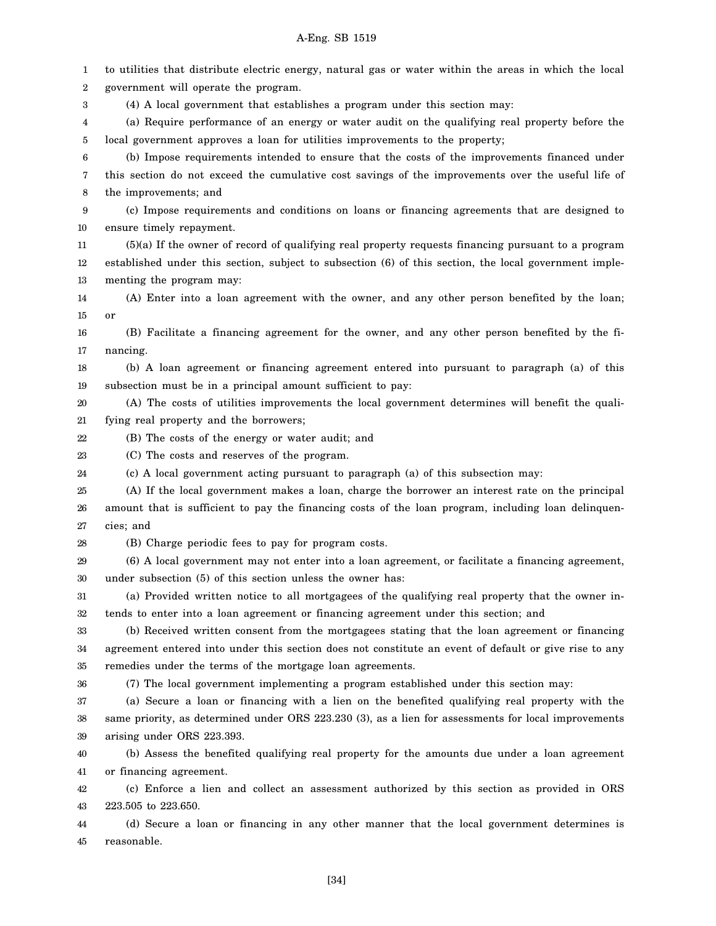1 2 3 4 5 6 7 8 9 10 11 12 13 14 15 16 17 18 19 20 21 22 23 24 25 26 27 28 29 30 31 32 33 34 35 36 37 38 39 40 41 42 43 44 45 to utilities that distribute electric energy, natural gas or water within the areas in which the local government will operate the program. (4) A local government that establishes a program under this section may: (a) Require performance of an energy or water audit on the qualifying real property before the local government approves a loan for utilities improvements to the property; (b) Impose requirements intended to ensure that the costs of the improvements financed under this section do not exceed the cumulative cost savings of the improvements over the useful life of the improvements; and (c) Impose requirements and conditions on loans or financing agreements that are designed to ensure timely repayment. (5)(a) If the owner of record of qualifying real property requests financing pursuant to a program established under this section, subject to subsection (6) of this section, the local government implementing the program may: (A) Enter into a loan agreement with the owner, and any other person benefited by the loan; or (B) Facilitate a financing agreement for the owner, and any other person benefited by the financing. (b) A loan agreement or financing agreement entered into pursuant to paragraph (a) of this subsection must be in a principal amount sufficient to pay: (A) The costs of utilities improvements the local government determines will benefit the qualifying real property and the borrowers; (B) The costs of the energy or water audit; and (C) The costs and reserves of the program. (c) A local government acting pursuant to paragraph (a) of this subsection may: (A) If the local government makes a loan, charge the borrower an interest rate on the principal amount that is sufficient to pay the financing costs of the loan program, including loan delinquencies; and (B) Charge periodic fees to pay for program costs. (6) A local government may not enter into a loan agreement, or facilitate a financing agreement, under subsection (5) of this section unless the owner has: (a) Provided written notice to all mortgagees of the qualifying real property that the owner intends to enter into a loan agreement or financing agreement under this section; and (b) Received written consent from the mortgagees stating that the loan agreement or financing agreement entered into under this section does not constitute an event of default or give rise to any remedies under the terms of the mortgage loan agreements. (7) The local government implementing a program established under this section may: (a) Secure a loan or financing with a lien on the benefited qualifying real property with the same priority, as determined under ORS 223.230 (3), as a lien for assessments for local improvements arising under ORS 223.393. (b) Assess the benefited qualifying real property for the amounts due under a loan agreement or financing agreement. (c) Enforce a lien and collect an assessment authorized by this section as provided in ORS 223.505 to 223.650. (d) Secure a loan or financing in any other manner that the local government determines is reasonable.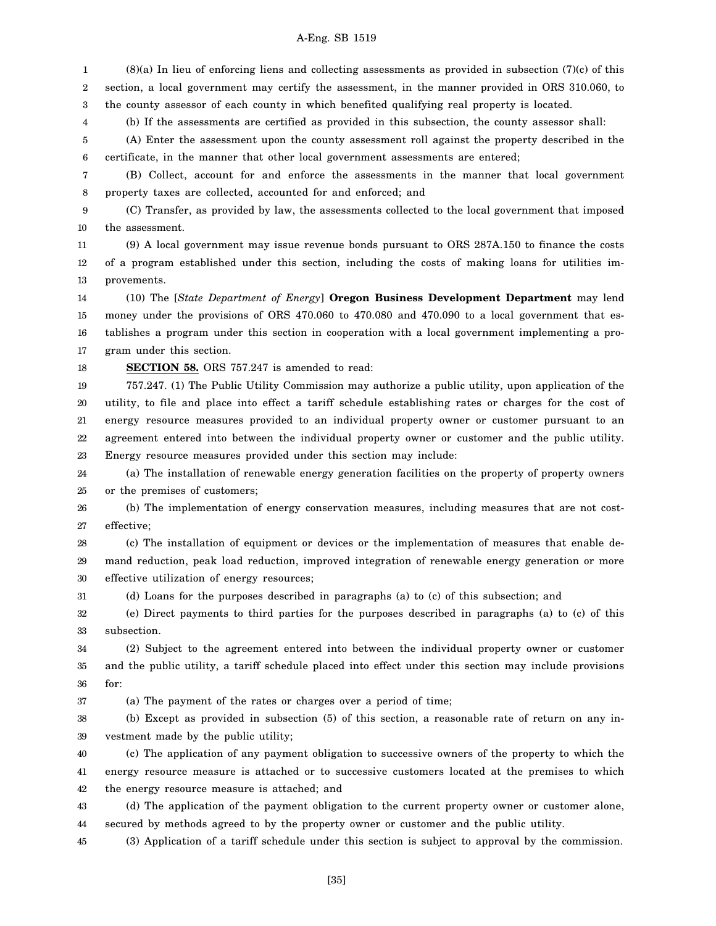1 2 3 (8)(a) In lieu of enforcing liens and collecting assessments as provided in subsection (7)(c) of this section, a local government may certify the assessment, in the manner provided in ORS 310.060, to the county assessor of each county in which benefited qualifying real property is located.

(b) If the assessments are certified as provided in this subsection, the county assessor shall:

5 6 (A) Enter the assessment upon the county assessment roll against the property described in the certificate, in the manner that other local government assessments are entered;

7 8 (B) Collect, account for and enforce the assessments in the manner that local government property taxes are collected, accounted for and enforced; and

9 10 (C) Transfer, as provided by law, the assessments collected to the local government that imposed the assessment.

11 12 13 (9) A local government may issue revenue bonds pursuant to ORS 287A.150 to finance the costs of a program established under this section, including the costs of making loans for utilities improvements.

14 15 16 17 (10) The [*State Department of Energy*] **Oregon Business Development Department** may lend money under the provisions of ORS 470.060 to 470.080 and 470.090 to a local government that establishes a program under this section in cooperation with a local government implementing a program under this section.

18

4

### **SECTION 58.** ORS 757.247 is amended to read:

19 20 21 22 23 757.247. (1) The Public Utility Commission may authorize a public utility, upon application of the utility, to file and place into effect a tariff schedule establishing rates or charges for the cost of energy resource measures provided to an individual property owner or customer pursuant to an agreement entered into between the individual property owner or customer and the public utility. Energy resource measures provided under this section may include:

24 25 (a) The installation of renewable energy generation facilities on the property of property owners or the premises of customers;

26 27 (b) The implementation of energy conservation measures, including measures that are not costeffective;

28 29 30 (c) The installation of equipment or devices or the implementation of measures that enable demand reduction, peak load reduction, improved integration of renewable energy generation or more effective utilization of energy resources;

31 (d) Loans for the purposes described in paragraphs (a) to (c) of this subsection; and

32 33 (e) Direct payments to third parties for the purposes described in paragraphs (a) to (c) of this subsection.

34 35 36 (2) Subject to the agreement entered into between the individual property owner or customer and the public utility, a tariff schedule placed into effect under this section may include provisions for:

37 (a) The payment of the rates or charges over a period of time;

38 39 (b) Except as provided in subsection (5) of this section, a reasonable rate of return on any investment made by the public utility;

40 41 42 (c) The application of any payment obligation to successive owners of the property to which the energy resource measure is attached or to successive customers located at the premises to which the energy resource measure is attached; and

43 44 (d) The application of the payment obligation to the current property owner or customer alone, secured by methods agreed to by the property owner or customer and the public utility.

45 (3) Application of a tariff schedule under this section is subject to approval by the commission.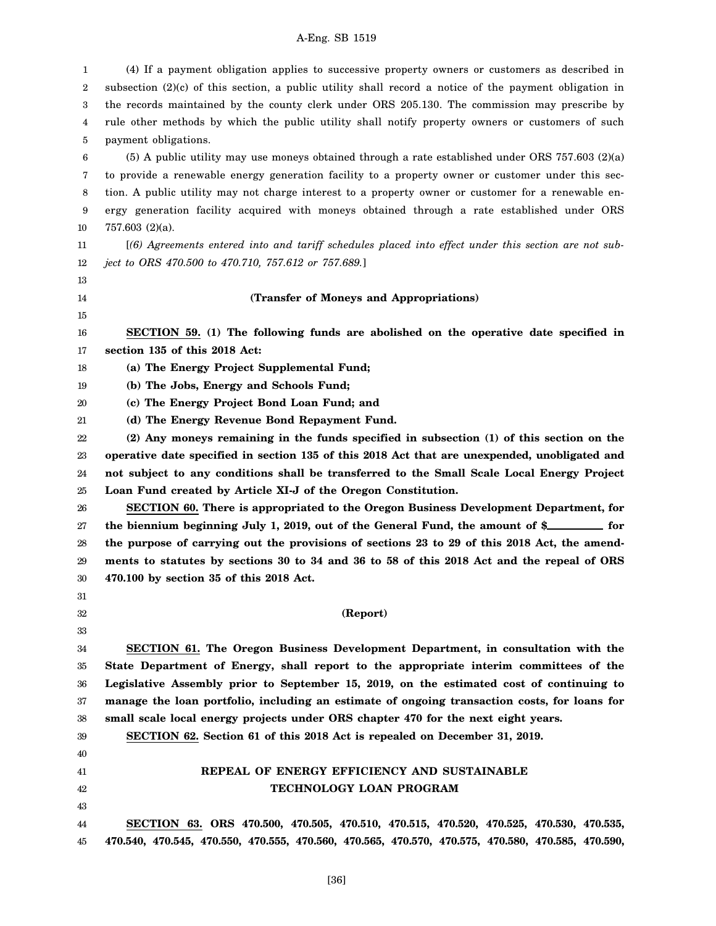1 2 3 4 5 6 7 8 9 10 11 12 13 14 15 16 17 18 19 20 21 22 23 24 25 26 27 28 29 30 31 32 33 34 35 36 37 38 39 40 41 42 43 44 45 (4) If a payment obligation applies to successive property owners or customers as described in subsection (2)(c) of this section, a public utility shall record a notice of the payment obligation in the records maintained by the county clerk under ORS 205.130. The commission may prescribe by rule other methods by which the public utility shall notify property owners or customers of such payment obligations. (5) A public utility may use moneys obtained through a rate established under ORS 757.603 (2)(a) to provide a renewable energy generation facility to a property owner or customer under this section. A public utility may not charge interest to a property owner or customer for a renewable energy generation facility acquired with moneys obtained through a rate established under ORS 757.603 (2)(a). [*(6) Agreements entered into and tariff schedules placed into effect under this section are not subject to ORS 470.500 to 470.710, 757.612 or 757.689.*] **(Transfer of Moneys and Appropriations) SECTION 59. (1) The following funds are abolished on the operative date specified in section 135 of this 2018 Act: (a) The Energy Project Supplemental Fund; (b) The Jobs, Energy and Schools Fund; (c) The Energy Project Bond Loan Fund; and (d) The Energy Revenue Bond Repayment Fund. (2) Any moneys remaining in the funds specified in subsection (1) of this section on the operative date specified in section 135 of this 2018 Act that are unexpended, unobligated and not subject to any conditions shall be transferred to the Small Scale Local Energy Project Loan Fund created by Article XI-J of the Oregon Constitution. SECTION 60. There is appropriated to the Oregon Business Development Department, for** the biennium beginning July 1, 2019, out of the General Fund, the amount of \$**Following** for **the purpose of carrying out the provisions of sections 23 to 29 of this 2018 Act, the amendments to statutes by sections 30 to 34 and 36 to 58 of this 2018 Act and the repeal of ORS 470.100 by section 35 of this 2018 Act. (Report) SECTION 61. The Oregon Business Development Department, in consultation with the State Department of Energy, shall report to the appropriate interim committees of the Legislative Assembly prior to September 15, 2019, on the estimated cost of continuing to manage the loan portfolio, including an estimate of ongoing transaction costs, for loans for small scale local energy projects under ORS chapter 470 for the next eight years. SECTION 62. Section 61 of this 2018 Act is repealed on December 31, 2019. REPEAL OF ENERGY EFFICIENCY AND SUSTAINABLE TECHNOLOGY LOAN PROGRAM SECTION 63. ORS 470.500, 470.505, 470.510, 470.515, 470.520, 470.525, 470.530, 470.535, 470.540, 470.545, 470.550, 470.555, 470.560, 470.565, 470.570, 470.575, 470.580, 470.585, 470.590,**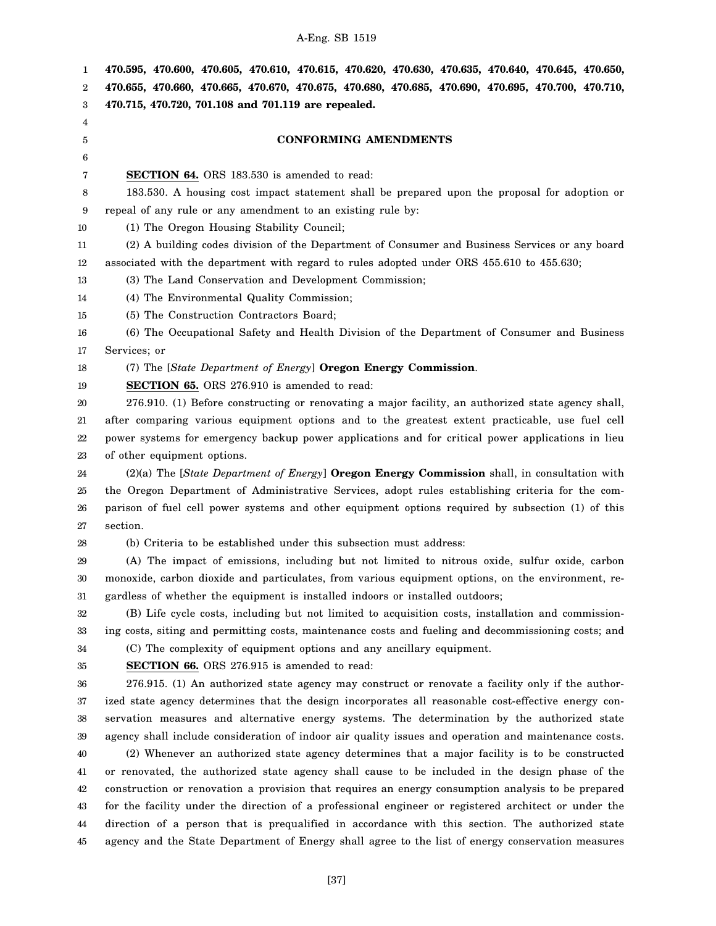1 2 3 4 5 6 7 8 9 10 11 12 13 14 15 16 17 18 19 20 21 22 23 24 25 26 27 28 29 30 31 32 33 34 35 36 37 38 39 40 41 42 43 44 45 **470.595, 470.600, 470.605, 470.610, 470.615, 470.620, 470.630, 470.635, 470.640, 470.645, 470.650, 470.655, 470.660, 470.665, 470.670, 470.675, 470.680, 470.685, 470.690, 470.695, 470.700, 470.710, 470.715, 470.720, 701.108 and 701.119 are repealed. CONFORMING AMENDMENTS SECTION 64.** ORS 183.530 is amended to read: 183.530. A housing cost impact statement shall be prepared upon the proposal for adoption or repeal of any rule or any amendment to an existing rule by: (1) The Oregon Housing Stability Council; (2) A building codes division of the Department of Consumer and Business Services or any board associated with the department with regard to rules adopted under ORS 455.610 to 455.630; (3) The Land Conservation and Development Commission; (4) The Environmental Quality Commission; (5) The Construction Contractors Board; (6) The Occupational Safety and Health Division of the Department of Consumer and Business Services; or (7) The [*State Department of Energy*] **Oregon Energy Commission**. **SECTION 65.** ORS 276.910 is amended to read: 276.910. (1) Before constructing or renovating a major facility, an authorized state agency shall, after comparing various equipment options and to the greatest extent practicable, use fuel cell power systems for emergency backup power applications and for critical power applications in lieu of other equipment options. (2)(a) The [*State Department of Energy*] **Oregon Energy Commission** shall, in consultation with the Oregon Department of Administrative Services, adopt rules establishing criteria for the comparison of fuel cell power systems and other equipment options required by subsection (1) of this section. (b) Criteria to be established under this subsection must address: (A) The impact of emissions, including but not limited to nitrous oxide, sulfur oxide, carbon monoxide, carbon dioxide and particulates, from various equipment options, on the environment, regardless of whether the equipment is installed indoors or installed outdoors; (B) Life cycle costs, including but not limited to acquisition costs, installation and commissioning costs, siting and permitting costs, maintenance costs and fueling and decommissioning costs; and (C) The complexity of equipment options and any ancillary equipment. **SECTION 66.** ORS 276.915 is amended to read: 276.915. (1) An authorized state agency may construct or renovate a facility only if the authorized state agency determines that the design incorporates all reasonable cost-effective energy conservation measures and alternative energy systems. The determination by the authorized state agency shall include consideration of indoor air quality issues and operation and maintenance costs. (2) Whenever an authorized state agency determines that a major facility is to be constructed or renovated, the authorized state agency shall cause to be included in the design phase of the construction or renovation a provision that requires an energy consumption analysis to be prepared for the facility under the direction of a professional engineer or registered architect or under the direction of a person that is prequalified in accordance with this section. The authorized state agency and the State Department of Energy shall agree to the list of energy conservation measures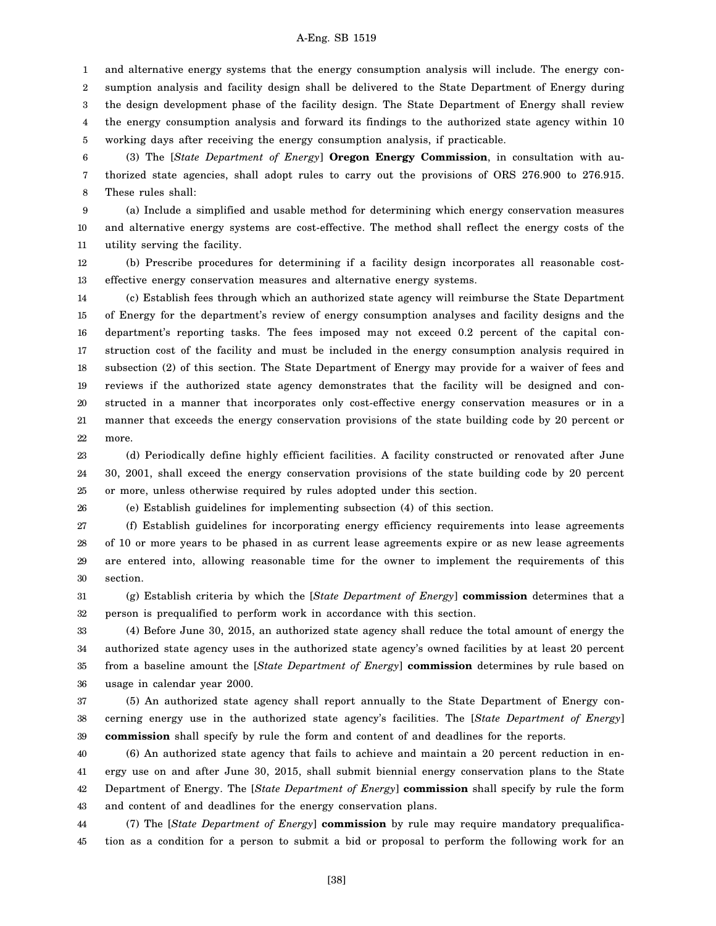1 2 3 4 5 and alternative energy systems that the energy consumption analysis will include. The energy consumption analysis and facility design shall be delivered to the State Department of Energy during the design development phase of the facility design. The State Department of Energy shall review the energy consumption analysis and forward its findings to the authorized state agency within 10 working days after receiving the energy consumption analysis, if practicable.

6 7 8 (3) The [*State Department of Energy*] **Oregon Energy Commission**, in consultation with authorized state agencies, shall adopt rules to carry out the provisions of ORS 276.900 to 276.915. These rules shall:

9 10 11 (a) Include a simplified and usable method for determining which energy conservation measures and alternative energy systems are cost-effective. The method shall reflect the energy costs of the utility serving the facility.

12 13 (b) Prescribe procedures for determining if a facility design incorporates all reasonable costeffective energy conservation measures and alternative energy systems.

14 15 16 17 18 19 20 21 22 (c) Establish fees through which an authorized state agency will reimburse the State Department of Energy for the department's review of energy consumption analyses and facility designs and the department's reporting tasks. The fees imposed may not exceed 0.2 percent of the capital construction cost of the facility and must be included in the energy consumption analysis required in subsection (2) of this section. The State Department of Energy may provide for a waiver of fees and reviews if the authorized state agency demonstrates that the facility will be designed and constructed in a manner that incorporates only cost-effective energy conservation measures or in a manner that exceeds the energy conservation provisions of the state building code by 20 percent or more.

23 24 25 (d) Periodically define highly efficient facilities. A facility constructed or renovated after June 30, 2001, shall exceed the energy conservation provisions of the state building code by 20 percent or more, unless otherwise required by rules adopted under this section.

26

(e) Establish guidelines for implementing subsection (4) of this section.

27 28 29 30 (f) Establish guidelines for incorporating energy efficiency requirements into lease agreements of 10 or more years to be phased in as current lease agreements expire or as new lease agreements are entered into, allowing reasonable time for the owner to implement the requirements of this section.

31 32 (g) Establish criteria by which the [*State Department of Energy*] **commission** determines that a person is prequalified to perform work in accordance with this section.

33 34 35 36 (4) Before June 30, 2015, an authorized state agency shall reduce the total amount of energy the authorized state agency uses in the authorized state agency's owned facilities by at least 20 percent from a baseline amount the [*State Department of Energy*] **commission** determines by rule based on usage in calendar year 2000.

37 38 39 (5) An authorized state agency shall report annually to the State Department of Energy concerning energy use in the authorized state agency's facilities. The [*State Department of Energy*] **commission** shall specify by rule the form and content of and deadlines for the reports.

40 41 42 43 (6) An authorized state agency that fails to achieve and maintain a 20 percent reduction in energy use on and after June 30, 2015, shall submit biennial energy conservation plans to the State Department of Energy. The [*State Department of Energy*] **commission** shall specify by rule the form and content of and deadlines for the energy conservation plans.

44 45 (7) The [*State Department of Energy*] **commission** by rule may require mandatory prequalification as a condition for a person to submit a bid or proposal to perform the following work for an

[38]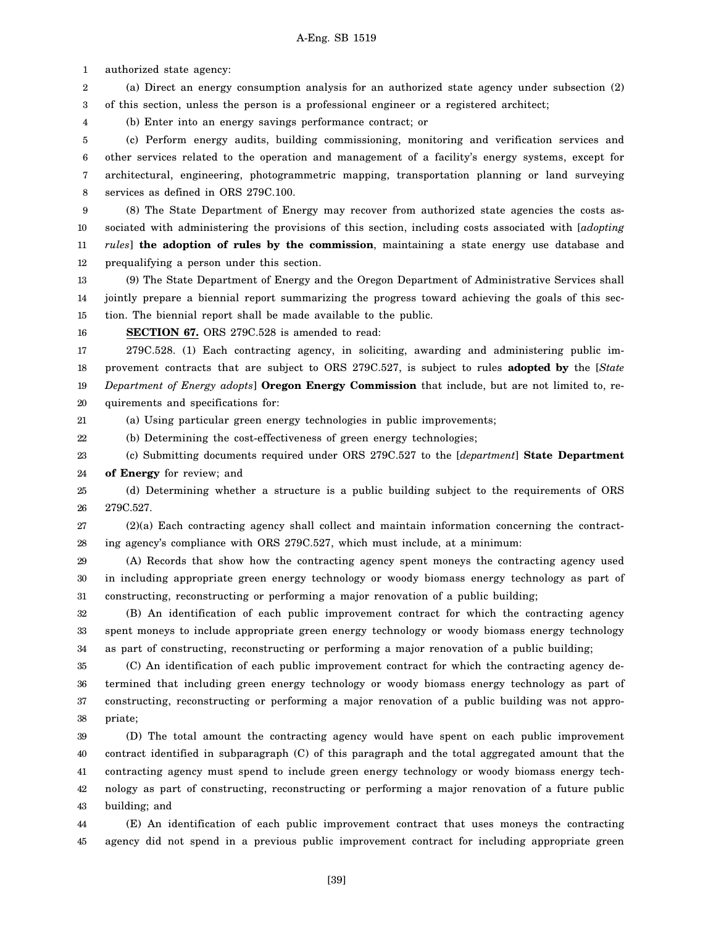1 authorized state agency:

2 3 (a) Direct an energy consumption analysis for an authorized state agency under subsection (2) of this section, unless the person is a professional engineer or a registered architect;

4 (b) Enter into an energy savings performance contract; or

5 6 7 8 (c) Perform energy audits, building commissioning, monitoring and verification services and other services related to the operation and management of a facility's energy systems, except for architectural, engineering, photogrammetric mapping, transportation planning or land surveying services as defined in ORS 279C.100.

9 10 11 12 (8) The State Department of Energy may recover from authorized state agencies the costs associated with administering the provisions of this section, including costs associated with [*adopting rules*] **the adoption of rules by the commission**, maintaining a state energy use database and prequalifying a person under this section.

13 14 15 (9) The State Department of Energy and the Oregon Department of Administrative Services shall jointly prepare a biennial report summarizing the progress toward achieving the goals of this section. The biennial report shall be made available to the public.

16 **SECTION 67.** ORS 279C.528 is amended to read:

17 18 19 20 279C.528. (1) Each contracting agency, in soliciting, awarding and administering public improvement contracts that are subject to ORS 279C.527, is subject to rules **adopted by** the [*State Department of Energy adopts*] **Oregon Energy Commission** that include, but are not limited to, requirements and specifications for:

21 (a) Using particular green energy technologies in public improvements;

22 (b) Determining the cost-effectiveness of green energy technologies;

23 24 (c) Submitting documents required under ORS 279C.527 to the [*department*] **State Department of Energy** for review; and

25 26 (d) Determining whether a structure is a public building subject to the requirements of ORS 279C.527.

27 28 (2)(a) Each contracting agency shall collect and maintain information concerning the contracting agency's compliance with ORS 279C.527, which must include, at a minimum:

29 30 31 (A) Records that show how the contracting agency spent moneys the contracting agency used in including appropriate green energy technology or woody biomass energy technology as part of constructing, reconstructing or performing a major renovation of a public building;

32 33 34 (B) An identification of each public improvement contract for which the contracting agency spent moneys to include appropriate green energy technology or woody biomass energy technology as part of constructing, reconstructing or performing a major renovation of a public building;

35 36 37 38 (C) An identification of each public improvement contract for which the contracting agency determined that including green energy technology or woody biomass energy technology as part of constructing, reconstructing or performing a major renovation of a public building was not appropriate;

39 40 41 42 43 (D) The total amount the contracting agency would have spent on each public improvement contract identified in subparagraph (C) of this paragraph and the total aggregated amount that the contracting agency must spend to include green energy technology or woody biomass energy technology as part of constructing, reconstructing or performing a major renovation of a future public building; and

44 45 (E) An identification of each public improvement contract that uses moneys the contracting agency did not spend in a previous public improvement contract for including appropriate green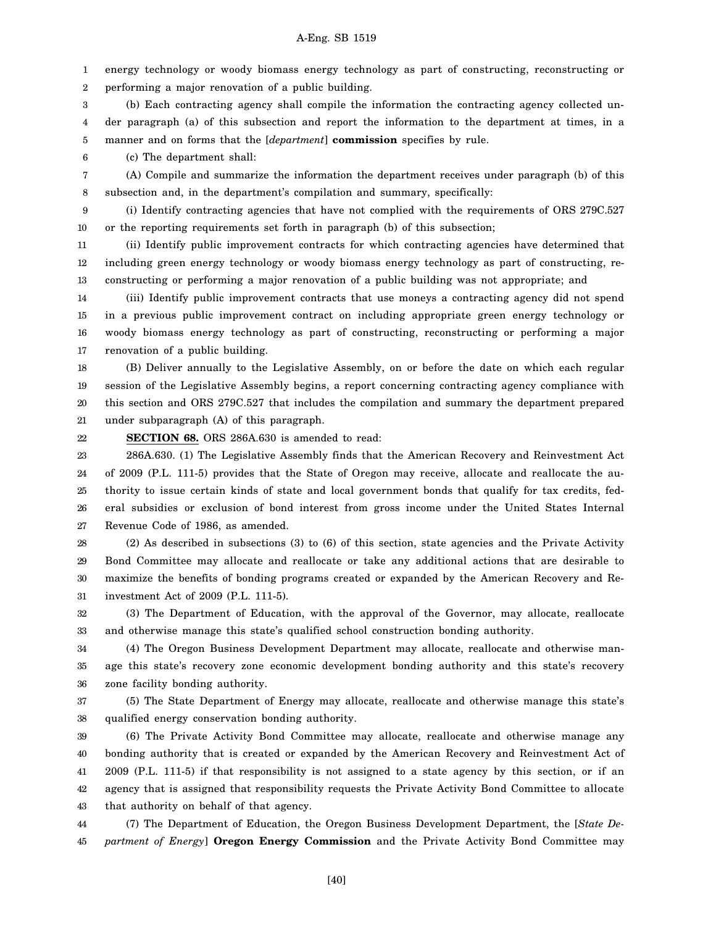1 2 energy technology or woody biomass energy technology as part of constructing, reconstructing or performing a major renovation of a public building.

3 4 (b) Each contracting agency shall compile the information the contracting agency collected under paragraph (a) of this subsection and report the information to the department at times, in a

5 manner and on forms that the [*department*] **commission** specifies by rule.

6 (c) The department shall:

7 8 (A) Compile and summarize the information the department receives under paragraph (b) of this subsection and, in the department's compilation and summary, specifically:

9 10 (i) Identify contracting agencies that have not complied with the requirements of ORS 279C.527 or the reporting requirements set forth in paragraph (b) of this subsection;

11 12 13 (ii) Identify public improvement contracts for which contracting agencies have determined that including green energy technology or woody biomass energy technology as part of constructing, reconstructing or performing a major renovation of a public building was not appropriate; and

14 15 16 17 (iii) Identify public improvement contracts that use moneys a contracting agency did not spend in a previous public improvement contract on including appropriate green energy technology or woody biomass energy technology as part of constructing, reconstructing or performing a major renovation of a public building.

18 19 20 21 (B) Deliver annually to the Legislative Assembly, on or before the date on which each regular session of the Legislative Assembly begins, a report concerning contracting agency compliance with this section and ORS 279C.527 that includes the compilation and summary the department prepared under subparagraph (A) of this paragraph.

22 **SECTION 68.** ORS 286A.630 is amended to read:

23 24 25 26 27 286A.630. (1) The Legislative Assembly finds that the American Recovery and Reinvestment Act of 2009 (P.L. 111-5) provides that the State of Oregon may receive, allocate and reallocate the authority to issue certain kinds of state and local government bonds that qualify for tax credits, federal subsidies or exclusion of bond interest from gross income under the United States Internal Revenue Code of 1986, as amended.

28 29 30 31 (2) As described in subsections (3) to (6) of this section, state agencies and the Private Activity Bond Committee may allocate and reallocate or take any additional actions that are desirable to maximize the benefits of bonding programs created or expanded by the American Recovery and Reinvestment Act of 2009 (P.L. 111-5).

32 33 (3) The Department of Education, with the approval of the Governor, may allocate, reallocate and otherwise manage this state's qualified school construction bonding authority.

34 35 36 (4) The Oregon Business Development Department may allocate, reallocate and otherwise manage this state's recovery zone economic development bonding authority and this state's recovery zone facility bonding authority.

37 38 (5) The State Department of Energy may allocate, reallocate and otherwise manage this state's qualified energy conservation bonding authority.

39 40 41 42 43 (6) The Private Activity Bond Committee may allocate, reallocate and otherwise manage any bonding authority that is created or expanded by the American Recovery and Reinvestment Act of 2009 (P.L. 111-5) if that responsibility is not assigned to a state agency by this section, or if an agency that is assigned that responsibility requests the Private Activity Bond Committee to allocate that authority on behalf of that agency.

44 45 (7) The Department of Education, the Oregon Business Development Department, the [*State Department of Energy*] **Oregon Energy Commission** and the Private Activity Bond Committee may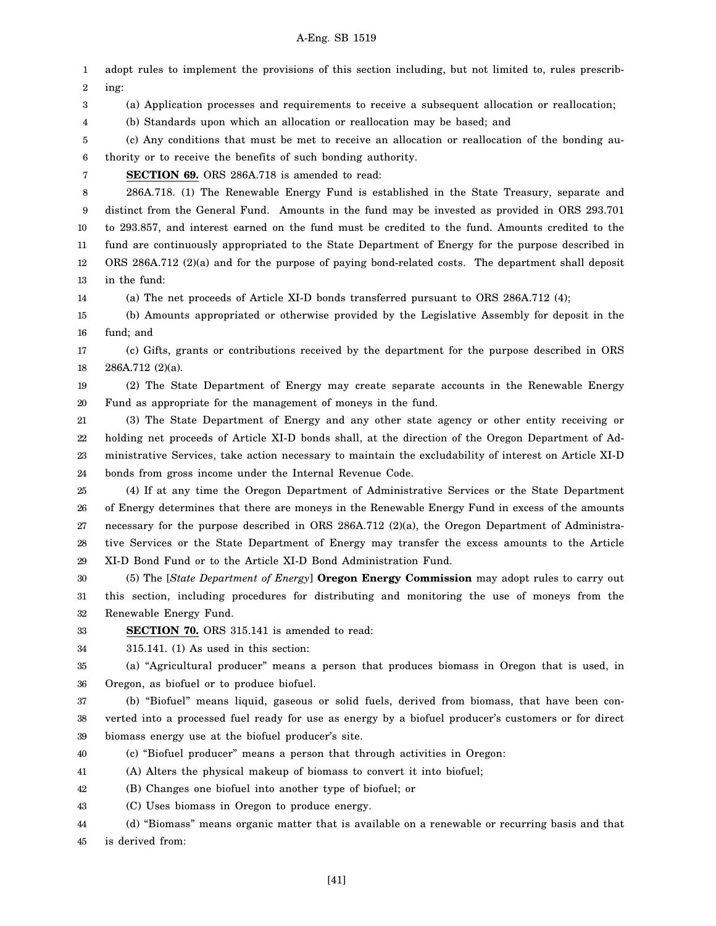1 2 3 4 5 6 7 8 9 10 11 12 13 14 15 16 17 18 19 20 21 22 23 24 25 26 27 28 29 30 31 32 33 34 35 36 37 38 39 40 41 adopt rules to implement the provisions of this section including, but not limited to, rules prescribing: (a) Application processes and requirements to receive a subsequent allocation or reallocation; (b) Standards upon which an allocation or reallocation may be based; and (c) Any conditions that must be met to receive an allocation or reallocation of the bonding authority or to receive the benefits of such bonding authority. **SECTION 69.** ORS 286A.718 is amended to read: 286A.718. (1) The Renewable Energy Fund is established in the State Treasury, separate and distinct from the General Fund. Amounts in the fund may be invested as provided in ORS 293.701 to 293.857, and interest earned on the fund must be credited to the fund. Amounts credited to the fund are continuously appropriated to the State Department of Energy for the purpose described in ORS 286A.712 (2)(a) and for the purpose of paying bond-related costs. The department shall deposit in the fund: (a) The net proceeds of Article XI-D bonds transferred pursuant to ORS 286A.712 (4); (b) Amounts appropriated or otherwise provided by the Legislative Assembly for deposit in the fund; and (c) Gifts, grants or contributions received by the department for the purpose described in ORS 286A.712 (2)(a). (2) The State Department of Energy may create separate accounts in the Renewable Energy Fund as appropriate for the management of moneys in the fund. (3) The State Department of Energy and any other state agency or other entity receiving or holding net proceeds of Article XI-D bonds shall, at the direction of the Oregon Department of Administrative Services, take action necessary to maintain the excludability of interest on Article XI-D bonds from gross income under the Internal Revenue Code. (4) If at any time the Oregon Department of Administrative Services or the State Department of Energy determines that there are moneys in the Renewable Energy Fund in excess of the amounts necessary for the purpose described in ORS 286A.712 (2)(a), the Oregon Department of Administrative Services or the State Department of Energy may transfer the excess amounts to the Article XI-D Bond Fund or to the Article XI-D Bond Administration Fund. (5) The [*State Department of Energy*] **Oregon Energy Commission** may adopt rules to carry out this section, including procedures for distributing and monitoring the use of moneys from the Renewable Energy Fund. **SECTION 70.** ORS 315.141 is amended to read: 315.141. (1) As used in this section: (a) "Agricultural producer" means a person that produces biomass in Oregon that is used, in Oregon, as biofuel or to produce biofuel. (b) "Biofuel" means liquid, gaseous or solid fuels, derived from biomass, that have been converted into a processed fuel ready for use as energy by a biofuel producer's customers or for direct biomass energy use at the biofuel producer's site. (c) "Biofuel producer" means a person that through activities in Oregon: (A) Alters the physical makeup of biomass to convert it into biofuel;

42 (B) Changes one biofuel into another type of biofuel; or

43 (C) Uses biomass in Oregon to produce energy.

44 45 (d) "Biomass" means organic matter that is available on a renewable or recurring basis and that is derived from:

[41]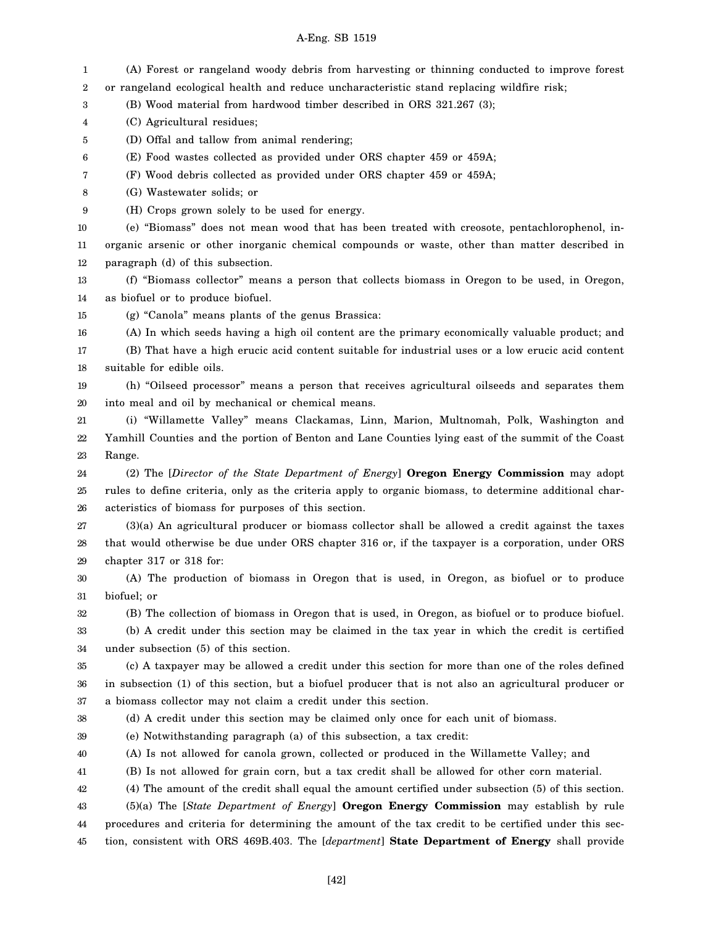| 1  | (A) Forest or rangeland woody debris from harvesting or thinning conducted to improve forest           |
|----|--------------------------------------------------------------------------------------------------------|
| 2  | or rangeland ecological health and reduce uncharacteristic stand replacing wildfire risk;              |
| 3  | (B) Wood material from hardwood timber described in ORS 321.267 (3);                                   |
| 4  | (C) Agricultural residues;                                                                             |
| 5  | (D) Offal and tallow from animal rendering;                                                            |
| 6  | (E) Food wastes collected as provided under ORS chapter 459 or 459A;                                   |
| 7  | (F) Wood debris collected as provided under ORS chapter 459 or 459A;                                   |
| 8  | (G) Wastewater solids; or                                                                              |
| 9  | (H) Crops grown solely to be used for energy.                                                          |
| 10 | (e) "Biomass" does not mean wood that has been treated with creosote, pentachlorophenol, in-           |
| 11 | organic arsenic or other inorganic chemical compounds or waste, other than matter described in         |
| 12 | paragraph (d) of this subsection.                                                                      |
| 13 | (f) "Biomass collector" means a person that collects biomass in Oregon to be used, in Oregon,          |
| 14 | as biofuel or to produce biofuel.                                                                      |
| 15 | (g) "Canola" means plants of the genus Brassica:                                                       |
| 16 | (A) In which seeds having a high oil content are the primary economically valuable product; and        |
| 17 | (B) That have a high erucic acid content suitable for industrial uses or a low erucic acid content     |
| 18 | suitable for edible oils.                                                                              |
| 19 | (h) "Oilseed processor" means a person that receives agricultural oilseeds and separates them          |
| 20 | into meal and oil by mechanical or chemical means.                                                     |
| 21 | (i) "Willamette Valley" means Clackamas, Linn, Marion, Multnomah, Polk, Washington and                 |
| 22 | Yamhill Counties and the portion of Benton and Lane Counties lying east of the summit of the Coast     |
|    | Range.                                                                                                 |
| 23 |                                                                                                        |
| 24 | (2) The [Director of the State Department of Energy] Oregon Energy Commission may adopt                |
| 25 | rules to define criteria, only as the criteria apply to organic biomass, to determine additional char- |
| 26 | acteristics of biomass for purposes of this section.                                                   |
| 27 | $(3)(a)$ An agricultural producer or biomass collector shall be allowed a credit against the taxes     |
| 28 | that would otherwise be due under ORS chapter 316 or, if the taxpayer is a corporation, under ORS      |
| 29 | chapter 317 or 318 for:                                                                                |
| 30 | (A) The production of biomass in Oregon that is used, in Oregon, as biofuel or to produce              |
| 31 | biofuel; or                                                                                            |
| 32 | (B) The collection of biomass in Oregon that is used, in Oregon, as biofuel or to produce biofuel.     |
| 33 | (b) A credit under this section may be claimed in the tax year in which the credit is certified        |
| 34 | under subsection (5) of this section.                                                                  |
| 35 | (c) A taxpayer may be allowed a credit under this section for more than one of the roles defined       |
| 36 | in subsection (1) of this section, but a biofuel producer that is not also an agricultural producer or |
| 37 | a biomass collector may not claim a credit under this section.                                         |
| 38 | (d) A credit under this section may be claimed only once for each unit of biomass.                     |
| 39 | (e) Notwithstanding paragraph (a) of this subsection, a tax credit:                                    |
| 40 | (A) Is not allowed for canola grown, collected or produced in the Willamette Valley; and               |
| 41 | (B) Is not allowed for grain corn, but a tax credit shall be allowed for other corn material.          |
| 42 | (4) The amount of the credit shall equal the amount certified under subsection (5) of this section.    |
| 43 | $(5)(a)$ The [State Department of Energy] <b>Oregon Energy Commission</b> may establish by rule        |
| 44 | procedures and criteria for determining the amount of the tax credit to be certified under this sec-   |
| 45 | tion, consistent with ORS 469B.403. The [department] State Department of Energy shall provide          |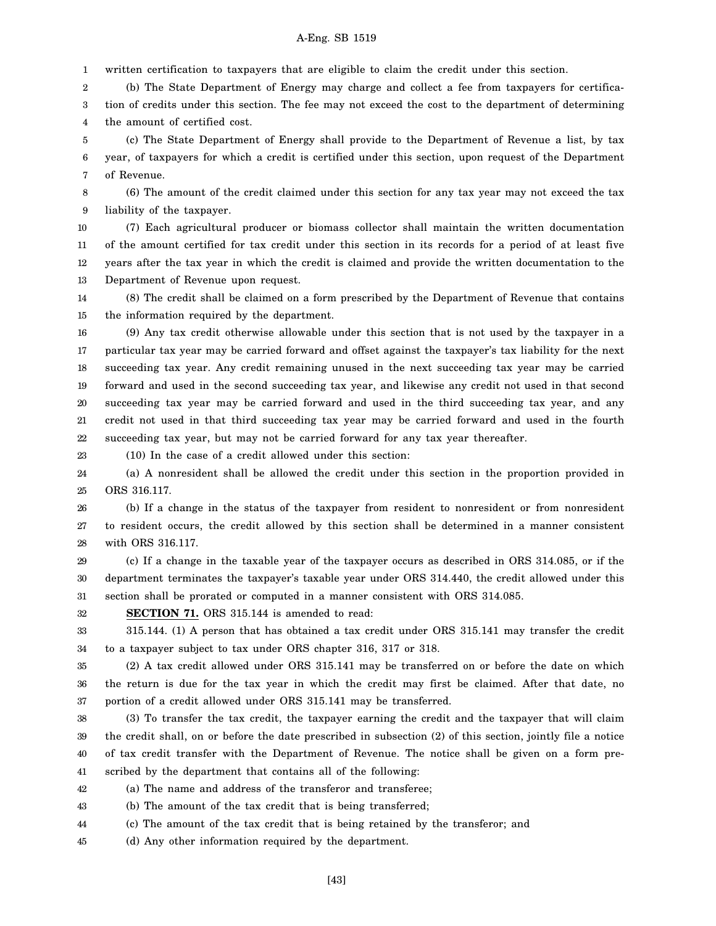1 written certification to taxpayers that are eligible to claim the credit under this section.

2 3 4 (b) The State Department of Energy may charge and collect a fee from taxpayers for certification of credits under this section. The fee may not exceed the cost to the department of determining the amount of certified cost.

5 6 7 (c) The State Department of Energy shall provide to the Department of Revenue a list, by tax year, of taxpayers for which a credit is certified under this section, upon request of the Department of Revenue.

8 9 (6) The amount of the credit claimed under this section for any tax year may not exceed the tax liability of the taxpayer.

10 11 12 13 (7) Each agricultural producer or biomass collector shall maintain the written documentation of the amount certified for tax credit under this section in its records for a period of at least five years after the tax year in which the credit is claimed and provide the written documentation to the Department of Revenue upon request.

14 15 (8) The credit shall be claimed on a form prescribed by the Department of Revenue that contains the information required by the department.

16 17 18 19 20 21 22 (9) Any tax credit otherwise allowable under this section that is not used by the taxpayer in a particular tax year may be carried forward and offset against the taxpayer's tax liability for the next succeeding tax year. Any credit remaining unused in the next succeeding tax year may be carried forward and used in the second succeeding tax year, and likewise any credit not used in that second succeeding tax year may be carried forward and used in the third succeeding tax year, and any credit not used in that third succeeding tax year may be carried forward and used in the fourth succeeding tax year, but may not be carried forward for any tax year thereafter.

23

(10) In the case of a credit allowed under this section:

24 25 (a) A nonresident shall be allowed the credit under this section in the proportion provided in ORS 316.117.

26 27 28 (b) If a change in the status of the taxpayer from resident to nonresident or from nonresident to resident occurs, the credit allowed by this section shall be determined in a manner consistent with ORS 316.117.

29 30 31 (c) If a change in the taxable year of the taxpayer occurs as described in ORS 314.085, or if the department terminates the taxpayer's taxable year under ORS 314.440, the credit allowed under this section shall be prorated or computed in a manner consistent with ORS 314.085.

32

**SECTION 71.** ORS 315.144 is amended to read:

33 34 315.144. (1) A person that has obtained a tax credit under ORS 315.141 may transfer the credit to a taxpayer subject to tax under ORS chapter 316, 317 or 318.

35 36 37 (2) A tax credit allowed under ORS 315.141 may be transferred on or before the date on which the return is due for the tax year in which the credit may first be claimed. After that date, no portion of a credit allowed under ORS 315.141 may be transferred.

38 39 40 41 (3) To transfer the tax credit, the taxpayer earning the credit and the taxpayer that will claim the credit shall, on or before the date prescribed in subsection (2) of this section, jointly file a notice of tax credit transfer with the Department of Revenue. The notice shall be given on a form prescribed by the department that contains all of the following:

42 (a) The name and address of the transferor and transferee;

43 (b) The amount of the tax credit that is being transferred;

44 (c) The amount of the tax credit that is being retained by the transferor; and

45 (d) Any other information required by the department.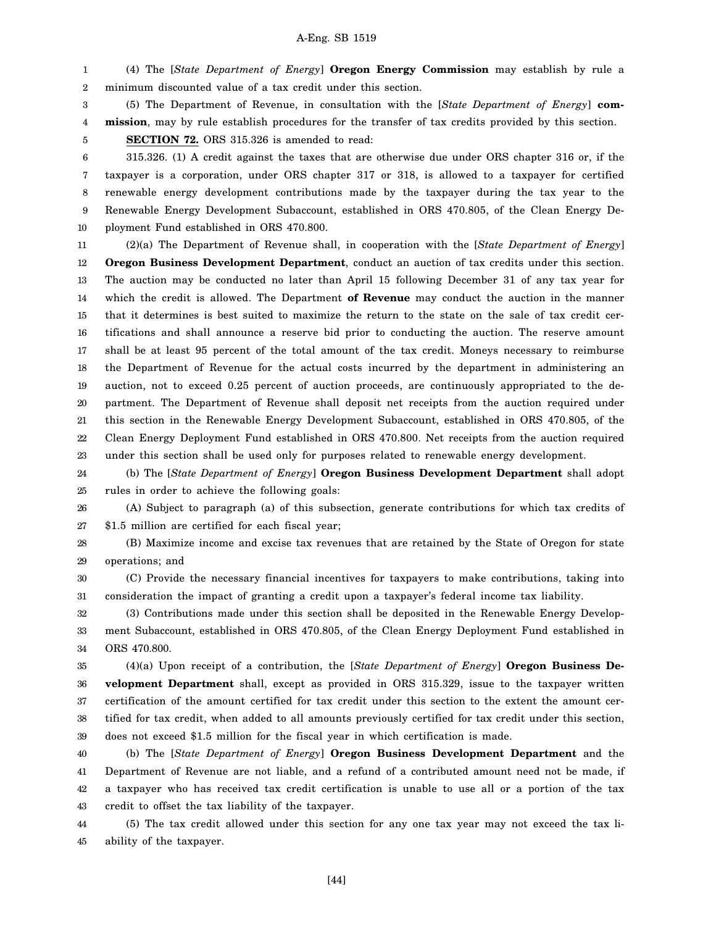1 2 (4) The [*State Department of Energy*] **Oregon Energy Commission** may establish by rule a minimum discounted value of a tax credit under this section.

3 4 (5) The Department of Revenue, in consultation with the [*State Department of Energy*] **commission**, may by rule establish procedures for the transfer of tax credits provided by this section.

**SECTION 72.** ORS 315.326 is amended to read:

5

6 7 8 9 10 315.326. (1) A credit against the taxes that are otherwise due under ORS chapter 316 or, if the taxpayer is a corporation, under ORS chapter 317 or 318, is allowed to a taxpayer for certified renewable energy development contributions made by the taxpayer during the tax year to the Renewable Energy Development Subaccount, established in ORS 470.805, of the Clean Energy Deployment Fund established in ORS 470.800.

11 12 13 14 15 16 17 18 19 20 21 22 23 (2)(a) The Department of Revenue shall, in cooperation with the [*State Department of Energy*] **Oregon Business Development Department**, conduct an auction of tax credits under this section. The auction may be conducted no later than April 15 following December 31 of any tax year for which the credit is allowed. The Department **of Revenue** may conduct the auction in the manner that it determines is best suited to maximize the return to the state on the sale of tax credit certifications and shall announce a reserve bid prior to conducting the auction. The reserve amount shall be at least 95 percent of the total amount of the tax credit. Moneys necessary to reimburse the Department of Revenue for the actual costs incurred by the department in administering an auction, not to exceed 0.25 percent of auction proceeds, are continuously appropriated to the department. The Department of Revenue shall deposit net receipts from the auction required under this section in the Renewable Energy Development Subaccount, established in ORS 470.805, of the Clean Energy Deployment Fund established in ORS 470.800. Net receipts from the auction required under this section shall be used only for purposes related to renewable energy development.

24 25 (b) The [*State Department of Energy*] **Oregon Business Development Department** shall adopt rules in order to achieve the following goals:

26 27 (A) Subject to paragraph (a) of this subsection, generate contributions for which tax credits of \$1.5 million are certified for each fiscal year;

28 29 (B) Maximize income and excise tax revenues that are retained by the State of Oregon for state operations; and

30 31 (C) Provide the necessary financial incentives for taxpayers to make contributions, taking into consideration the impact of granting a credit upon a taxpayer's federal income tax liability.

32 33 34 (3) Contributions made under this section shall be deposited in the Renewable Energy Development Subaccount, established in ORS 470.805, of the Clean Energy Deployment Fund established in ORS 470.800.

35 36 37 38 39 (4)(a) Upon receipt of a contribution, the [*State Department of Energy*] **Oregon Business Development Department** shall, except as provided in ORS 315.329, issue to the taxpayer written certification of the amount certified for tax credit under this section to the extent the amount certified for tax credit, when added to all amounts previously certified for tax credit under this section, does not exceed \$1.5 million for the fiscal year in which certification is made.

40 41 42 43 (b) The [*State Department of Energy*] **Oregon Business Development Department** and the Department of Revenue are not liable, and a refund of a contributed amount need not be made, if a taxpayer who has received tax credit certification is unable to use all or a portion of the tax credit to offset the tax liability of the taxpayer.

44 45 (5) The tax credit allowed under this section for any one tax year may not exceed the tax liability of the taxpayer.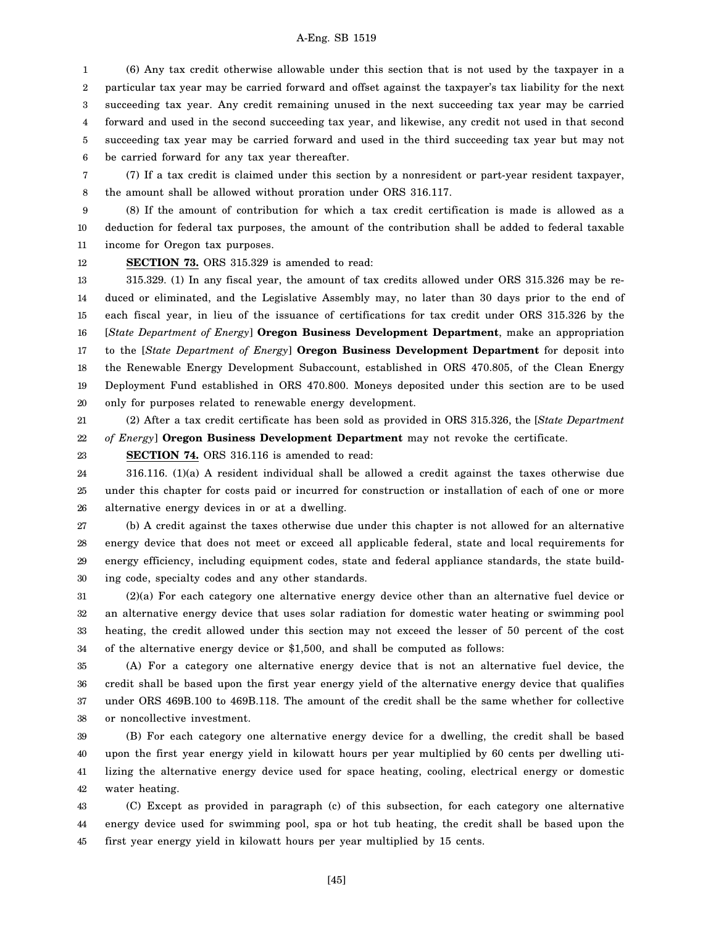1 2 3 4 5 6 (6) Any tax credit otherwise allowable under this section that is not used by the taxpayer in a particular tax year may be carried forward and offset against the taxpayer's tax liability for the next succeeding tax year. Any credit remaining unused in the next succeeding tax year may be carried forward and used in the second succeeding tax year, and likewise, any credit not used in that second succeeding tax year may be carried forward and used in the third succeeding tax year but may not be carried forward for any tax year thereafter.

7 8 (7) If a tax credit is claimed under this section by a nonresident or part-year resident taxpayer, the amount shall be allowed without proration under ORS 316.117.

9 10 11 (8) If the amount of contribution for which a tax credit certification is made is allowed as a deduction for federal tax purposes, the amount of the contribution shall be added to federal taxable income for Oregon tax purposes.

12

**SECTION 73.** ORS 315.329 is amended to read:

13 14 15 16 17 18 19 20 315.329. (1) In any fiscal year, the amount of tax credits allowed under ORS 315.326 may be reduced or eliminated, and the Legislative Assembly may, no later than 30 days prior to the end of each fiscal year, in lieu of the issuance of certifications for tax credit under ORS 315.326 by the [*State Department of Energy*] **Oregon Business Development Department**, make an appropriation to the [*State Department of Energy*] **Oregon Business Development Department** for deposit into the Renewable Energy Development Subaccount, established in ORS 470.805, of the Clean Energy Deployment Fund established in ORS 470.800. Moneys deposited under this section are to be used only for purposes related to renewable energy development.

21 22 (2) After a tax credit certificate has been sold as provided in ORS 315.326, the [*State Department of Energy*] **Oregon Business Development Department** may not revoke the certificate.

23

**SECTION 74.** ORS 316.116 is amended to read:

24 25 26 316.116. (1)(a) A resident individual shall be allowed a credit against the taxes otherwise due under this chapter for costs paid or incurred for construction or installation of each of one or more alternative energy devices in or at a dwelling.

27 28 29 30 (b) A credit against the taxes otherwise due under this chapter is not allowed for an alternative energy device that does not meet or exceed all applicable federal, state and local requirements for energy efficiency, including equipment codes, state and federal appliance standards, the state building code, specialty codes and any other standards.

31 32 33 34 (2)(a) For each category one alternative energy device other than an alternative fuel device or an alternative energy device that uses solar radiation for domestic water heating or swimming pool heating, the credit allowed under this section may not exceed the lesser of 50 percent of the cost of the alternative energy device or \$1,500, and shall be computed as follows:

35 36 37 38 (A) For a category one alternative energy device that is not an alternative fuel device, the credit shall be based upon the first year energy yield of the alternative energy device that qualifies under ORS 469B.100 to 469B.118. The amount of the credit shall be the same whether for collective or noncollective investment.

39 40 41 42 (B) For each category one alternative energy device for a dwelling, the credit shall be based upon the first year energy yield in kilowatt hours per year multiplied by 60 cents per dwelling utilizing the alternative energy device used for space heating, cooling, electrical energy or domestic water heating.

43 44 45 (C) Except as provided in paragraph (c) of this subsection, for each category one alternative energy device used for swimming pool, spa or hot tub heating, the credit shall be based upon the first year energy yield in kilowatt hours per year multiplied by 15 cents.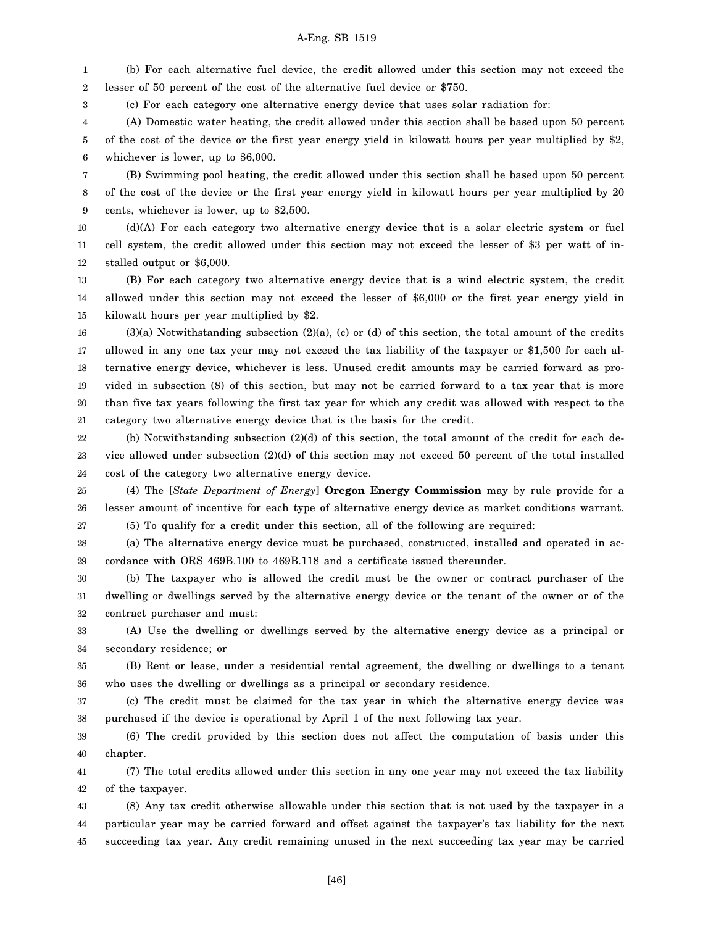1 2 (b) For each alternative fuel device, the credit allowed under this section may not exceed the lesser of 50 percent of the cost of the alternative fuel device or \$750.

3 (c) For each category one alternative energy device that uses solar radiation for:

4 5 6 (A) Domestic water heating, the credit allowed under this section shall be based upon 50 percent of the cost of the device or the first year energy yield in kilowatt hours per year multiplied by \$2, whichever is lower, up to \$6,000.

7 8 9 (B) Swimming pool heating, the credit allowed under this section shall be based upon 50 percent of the cost of the device or the first year energy yield in kilowatt hours per year multiplied by 20 cents, whichever is lower, up to \$2,500.

10 11 12 (d)(A) For each category two alternative energy device that is a solar electric system or fuel cell system, the credit allowed under this section may not exceed the lesser of \$3 per watt of installed output or \$6,000.

13 14 15 (B) For each category two alternative energy device that is a wind electric system, the credit allowed under this section may not exceed the lesser of \$6,000 or the first year energy yield in kilowatt hours per year multiplied by \$2.

16 17 18 19 20 21 (3)(a) Notwithstanding subsection (2)(a), (c) or (d) of this section, the total amount of the credits allowed in any one tax year may not exceed the tax liability of the taxpayer or \$1,500 for each alternative energy device, whichever is less. Unused credit amounts may be carried forward as provided in subsection (8) of this section, but may not be carried forward to a tax year that is more than five tax years following the first tax year for which any credit was allowed with respect to the category two alternative energy device that is the basis for the credit.

22 23 24 (b) Notwithstanding subsection (2)(d) of this section, the total amount of the credit for each device allowed under subsection (2)(d) of this section may not exceed 50 percent of the total installed cost of the category two alternative energy device.

25 26 27 (4) The [*State Department of Energy*] **Oregon Energy Commission** may by rule provide for a lesser amount of incentive for each type of alternative energy device as market conditions warrant. (5) To qualify for a credit under this section, all of the following are required:

28 29 (a) The alternative energy device must be purchased, constructed, installed and operated in accordance with ORS 469B.100 to 469B.118 and a certificate issued thereunder.

30 31 32 (b) The taxpayer who is allowed the credit must be the owner or contract purchaser of the dwelling or dwellings served by the alternative energy device or the tenant of the owner or of the contract purchaser and must:

33 34 (A) Use the dwelling or dwellings served by the alternative energy device as a principal or secondary residence; or

35 36 (B) Rent or lease, under a residential rental agreement, the dwelling or dwellings to a tenant who uses the dwelling or dwellings as a principal or secondary residence.

37 38 (c) The credit must be claimed for the tax year in which the alternative energy device was purchased if the device is operational by April 1 of the next following tax year.

39 40 (6) The credit provided by this section does not affect the computation of basis under this chapter.

41 42 (7) The total credits allowed under this section in any one year may not exceed the tax liability of the taxpayer.

43 44 45 (8) Any tax credit otherwise allowable under this section that is not used by the taxpayer in a particular year may be carried forward and offset against the taxpayer's tax liability for the next succeeding tax year. Any credit remaining unused in the next succeeding tax year may be carried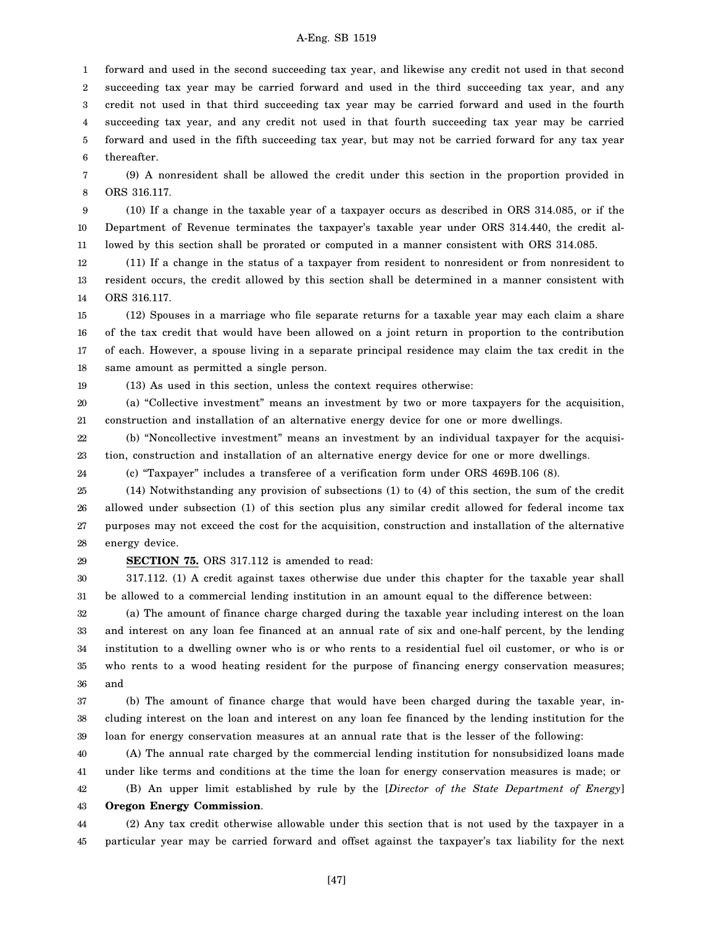1 2 3 4 5 6 forward and used in the second succeeding tax year, and likewise any credit not used in that second succeeding tax year may be carried forward and used in the third succeeding tax year, and any credit not used in that third succeeding tax year may be carried forward and used in the fourth succeeding tax year, and any credit not used in that fourth succeeding tax year may be carried forward and used in the fifth succeeding tax year, but may not be carried forward for any tax year thereafter.

7 8 (9) A nonresident shall be allowed the credit under this section in the proportion provided in ORS 316.117.

9 10 11 (10) If a change in the taxable year of a taxpayer occurs as described in ORS 314.085, or if the Department of Revenue terminates the taxpayer's taxable year under ORS 314.440, the credit allowed by this section shall be prorated or computed in a manner consistent with ORS 314.085.

12 13 14 (11) If a change in the status of a taxpayer from resident to nonresident or from nonresident to resident occurs, the credit allowed by this section shall be determined in a manner consistent with ORS 316.117.

15 16 17 18 (12) Spouses in a marriage who file separate returns for a taxable year may each claim a share of the tax credit that would have been allowed on a joint return in proportion to the contribution of each. However, a spouse living in a separate principal residence may claim the tax credit in the same amount as permitted a single person.

(13) As used in this section, unless the context requires otherwise:

20 21 (a) "Collective investment" means an investment by two or more taxpayers for the acquisition, construction and installation of an alternative energy device for one or more dwellings.

22 23 (b) "Noncollective investment" means an investment by an individual taxpayer for the acquisition, construction and installation of an alternative energy device for one or more dwellings.

(c) "Taxpayer" includes a transferee of a verification form under ORS 469B.106 (8).

25 26 27 28 (14) Notwithstanding any provision of subsections (1) to (4) of this section, the sum of the credit allowed under subsection (1) of this section plus any similar credit allowed for federal income tax purposes may not exceed the cost for the acquisition, construction and installation of the alternative energy device.

29

19

24

**SECTION 75.** ORS 317.112 is amended to read:

30 31 317.112. (1) A credit against taxes otherwise due under this chapter for the taxable year shall be allowed to a commercial lending institution in an amount equal to the difference between:

32 33 34 35 36 (a) The amount of finance charge charged during the taxable year including interest on the loan and interest on any loan fee financed at an annual rate of six and one-half percent, by the lending institution to a dwelling owner who is or who rents to a residential fuel oil customer, or who is or who rents to a wood heating resident for the purpose of financing energy conservation measures; and

37 38 39 (b) The amount of finance charge that would have been charged during the taxable year, including interest on the loan and interest on any loan fee financed by the lending institution for the loan for energy conservation measures at an annual rate that is the lesser of the following:

40 41 42 (A) The annual rate charged by the commercial lending institution for nonsubsidized loans made under like terms and conditions at the time the loan for energy conservation measures is made; or (B) An upper limit established by rule by the [*Director of the State Department of Energy*]

#### 43 **Oregon Energy Commission**.

44 45 (2) Any tax credit otherwise allowable under this section that is not used by the taxpayer in a particular year may be carried forward and offset against the taxpayer's tax liability for the next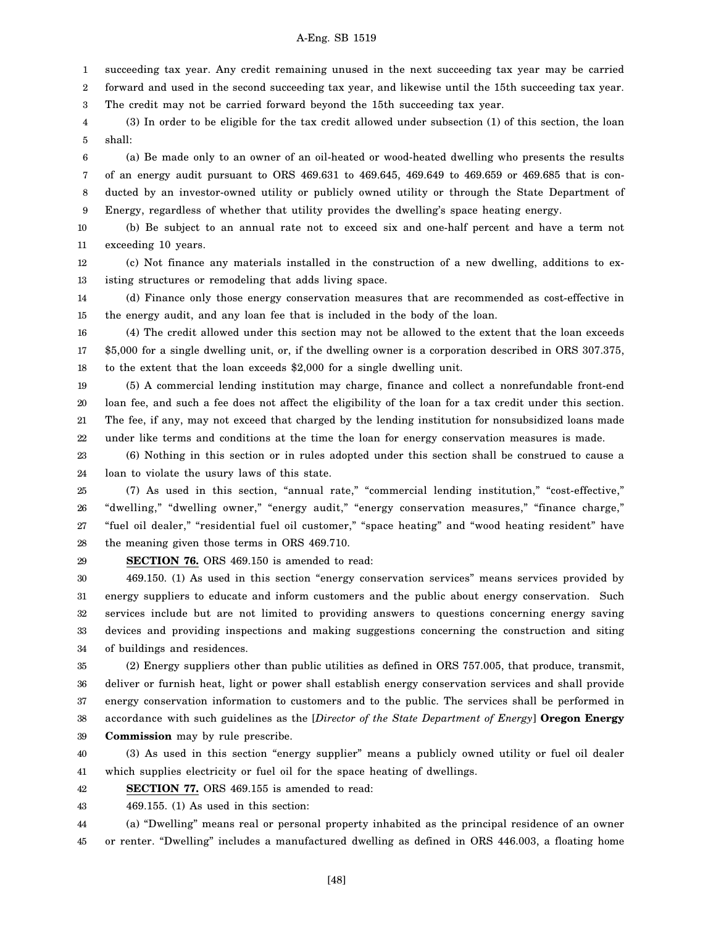1 succeeding tax year. Any credit remaining unused in the next succeeding tax year may be carried

2 forward and used in the second succeeding tax year, and likewise until the 15th succeeding tax year.

3 The credit may not be carried forward beyond the 15th succeeding tax year.

4 5 (3) In order to be eligible for the tax credit allowed under subsection (1) of this section, the loan shall:

6 7 8 9 (a) Be made only to an owner of an oil-heated or wood-heated dwelling who presents the results of an energy audit pursuant to ORS 469.631 to 469.645, 469.649 to 469.659 or 469.685 that is conducted by an investor-owned utility or publicly owned utility or through the State Department of Energy, regardless of whether that utility provides the dwelling's space heating energy.

10 11 (b) Be subject to an annual rate not to exceed six and one-half percent and have a term not exceeding 10 years.

12 13 (c) Not finance any materials installed in the construction of a new dwelling, additions to existing structures or remodeling that adds living space.

14 15 (d) Finance only those energy conservation measures that are recommended as cost-effective in the energy audit, and any loan fee that is included in the body of the loan.

16 17 18 (4) The credit allowed under this section may not be allowed to the extent that the loan exceeds \$5,000 for a single dwelling unit, or, if the dwelling owner is a corporation described in ORS 307.375, to the extent that the loan exceeds \$2,000 for a single dwelling unit.

19 20 21 22 (5) A commercial lending institution may charge, finance and collect a nonrefundable front-end loan fee, and such a fee does not affect the eligibility of the loan for a tax credit under this section. The fee, if any, may not exceed that charged by the lending institution for nonsubsidized loans made under like terms and conditions at the time the loan for energy conservation measures is made.

23 24 (6) Nothing in this section or in rules adopted under this section shall be construed to cause a loan to violate the usury laws of this state.

25 26 27 28 (7) As used in this section, "annual rate," "commercial lending institution," "cost-effective," "dwelling," "dwelling owner," "energy audit," "energy conservation measures," "finance charge," "fuel oil dealer," "residential fuel oil customer," "space heating" and "wood heating resident" have the meaning given those terms in ORS 469.710.

29

**SECTION 76.** ORS 469.150 is amended to read:

30 31 32 33 34 469.150. (1) As used in this section "energy conservation services" means services provided by energy suppliers to educate and inform customers and the public about energy conservation. Such services include but are not limited to providing answers to questions concerning energy saving devices and providing inspections and making suggestions concerning the construction and siting of buildings and residences.

35 36 37 38 39 (2) Energy suppliers other than public utilities as defined in ORS 757.005, that produce, transmit, deliver or furnish heat, light or power shall establish energy conservation services and shall provide energy conservation information to customers and to the public. The services shall be performed in accordance with such guidelines as the [*Director of the State Department of Energy*] **Oregon Energy Commission** may by rule prescribe.

40 41 (3) As used in this section "energy supplier" means a publicly owned utility or fuel oil dealer which supplies electricity or fuel oil for the space heating of dwellings.

42 **SECTION 77.** ORS 469.155 is amended to read:

43 469.155. (1) As used in this section:

44 45 (a) "Dwelling" means real or personal property inhabited as the principal residence of an owner or renter. "Dwelling" includes a manufactured dwelling as defined in ORS 446.003, a floating home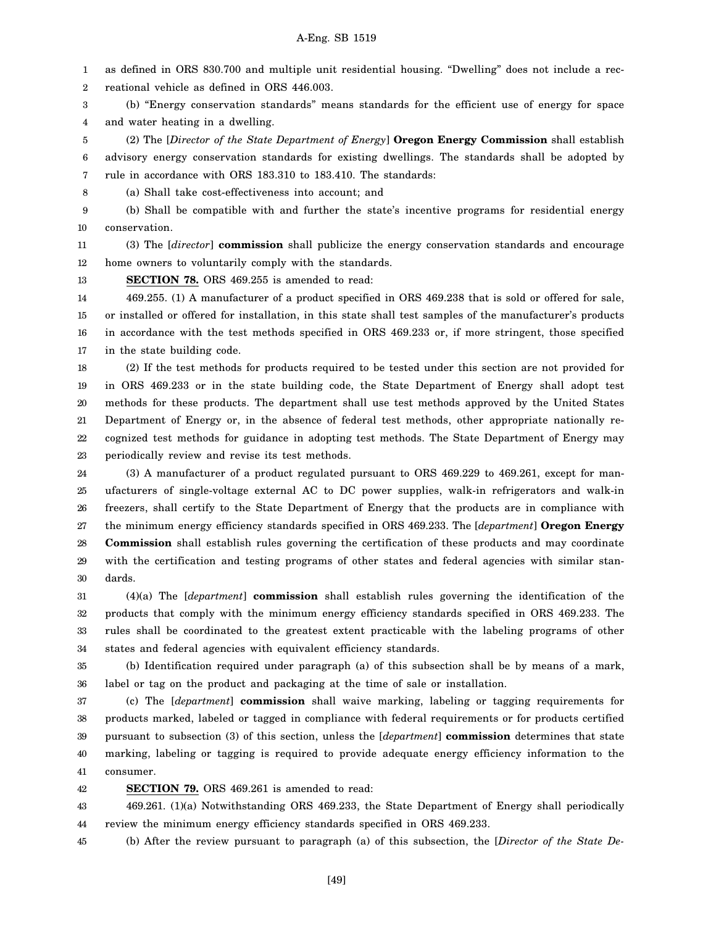1 as defined in ORS 830.700 and multiple unit residential housing. "Dwelling" does not include a rec-

2 reational vehicle as defined in ORS 446.003.

3 4 (b) "Energy conservation standards" means standards for the efficient use of energy for space and water heating in a dwelling.

5 6 7 (2) The [*Director of the State Department of Energy*] **Oregon Energy Commission** shall establish advisory energy conservation standards for existing dwellings. The standards shall be adopted by rule in accordance with ORS 183.310 to 183.410. The standards:

8 (a) Shall take cost-effectiveness into account; and

9 10 (b) Shall be compatible with and further the state's incentive programs for residential energy conservation.

11 12 (3) The [*director*] **commission** shall publicize the energy conservation standards and encourage home owners to voluntarily comply with the standards.

13 **SECTION 78.** ORS 469.255 is amended to read:

14 15 16 17 469.255. (1) A manufacturer of a product specified in ORS 469.238 that is sold or offered for sale, or installed or offered for installation, in this state shall test samples of the manufacturer's products in accordance with the test methods specified in ORS 469.233 or, if more stringent, those specified in the state building code.

18 19 20 21 22 23 (2) If the test methods for products required to be tested under this section are not provided for in ORS 469.233 or in the state building code, the State Department of Energy shall adopt test methods for these products. The department shall use test methods approved by the United States Department of Energy or, in the absence of federal test methods, other appropriate nationally recognized test methods for guidance in adopting test methods. The State Department of Energy may periodically review and revise its test methods.

24 25 26 27 28 29 30 (3) A manufacturer of a product regulated pursuant to ORS 469.229 to 469.261, except for manufacturers of single-voltage external AC to DC power supplies, walk-in refrigerators and walk-in freezers, shall certify to the State Department of Energy that the products are in compliance with the minimum energy efficiency standards specified in ORS 469.233. The [*department*] **Oregon Energy Commission** shall establish rules governing the certification of these products and may coordinate with the certification and testing programs of other states and federal agencies with similar standards.

31 32 33 34 (4)(a) The [*department*] **commission** shall establish rules governing the identification of the products that comply with the minimum energy efficiency standards specified in ORS 469.233. The rules shall be coordinated to the greatest extent practicable with the labeling programs of other states and federal agencies with equivalent efficiency standards.

35 36 (b) Identification required under paragraph (a) of this subsection shall be by means of a mark, label or tag on the product and packaging at the time of sale or installation.

37 38 39 40 41 (c) The [*department*] **commission** shall waive marking, labeling or tagging requirements for products marked, labeled or tagged in compliance with federal requirements or for products certified pursuant to subsection (3) of this section, unless the [*department*] **commission** determines that state marking, labeling or tagging is required to provide adequate energy efficiency information to the consumer.

42 **SECTION 79.** ORS 469.261 is amended to read:

43 44 469.261. (1)(a) Notwithstanding ORS 469.233, the State Department of Energy shall periodically review the minimum energy efficiency standards specified in ORS 469.233.

45 (b) After the review pursuant to paragraph (a) of this subsection, the [*Director of the State De-*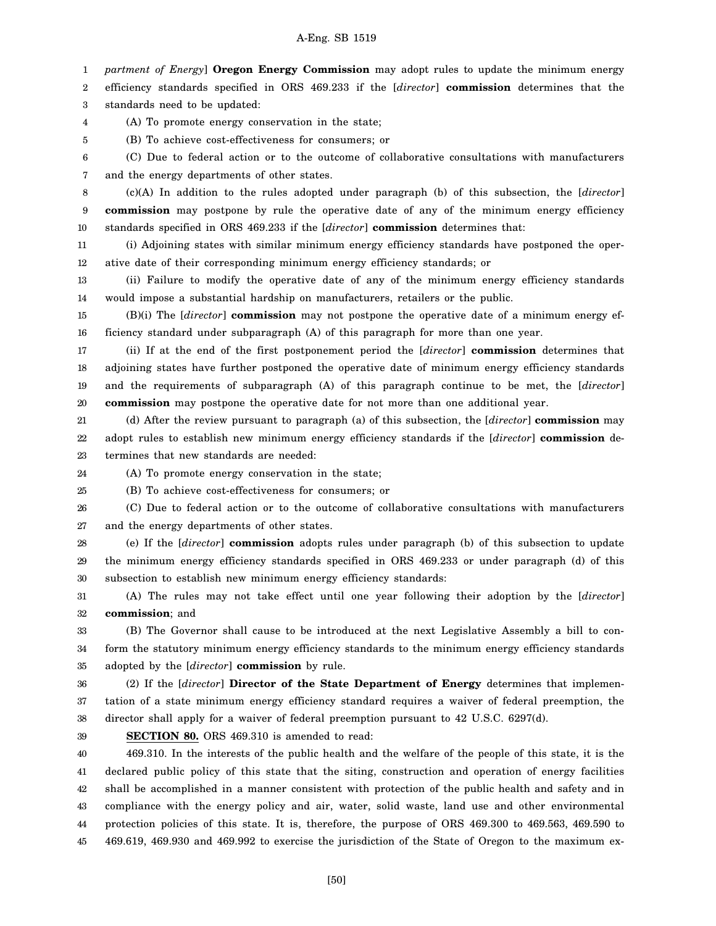1 *partment of Energy*] **Oregon Energy Commission** may adopt rules to update the minimum energy

2 3 efficiency standards specified in ORS 469.233 if the [*director*] **commission** determines that the standards need to be updated:

(A) To promote energy conservation in the state;

5 (B) To achieve cost-effectiveness for consumers; or

6 7 (C) Due to federal action or to the outcome of collaborative consultations with manufacturers and the energy departments of other states.

8 9 10 (c)(A) In addition to the rules adopted under paragraph (b) of this subsection, the [*director*] **commission** may postpone by rule the operative date of any of the minimum energy efficiency standards specified in ORS 469.233 if the [*director*] **commission** determines that:

11 12 (i) Adjoining states with similar minimum energy efficiency standards have postponed the operative date of their corresponding minimum energy efficiency standards; or

13 14 (ii) Failure to modify the operative date of any of the minimum energy efficiency standards would impose a substantial hardship on manufacturers, retailers or the public.

15 16 (B)(i) The [*director*] **commission** may not postpone the operative date of a minimum energy efficiency standard under subparagraph (A) of this paragraph for more than one year.

17 18 19 20 (ii) If at the end of the first postponement period the [*director*] **commission** determines that adjoining states have further postponed the operative date of minimum energy efficiency standards and the requirements of subparagraph (A) of this paragraph continue to be met, the [*director*] **commission** may postpone the operative date for not more than one additional year.

21 22 23 (d) After the review pursuant to paragraph (a) of this subsection, the [*director*] **commission** may adopt rules to establish new minimum energy efficiency standards if the [*director*] **commission** determines that new standards are needed:

24

4

(A) To promote energy conservation in the state;

25 (B) To achieve cost-effectiveness for consumers; or

26 27 (C) Due to federal action or to the outcome of collaborative consultations with manufacturers and the energy departments of other states.

28 29 30 (e) If the [*director*] **commission** adopts rules under paragraph (b) of this subsection to update the minimum energy efficiency standards specified in ORS 469.233 or under paragraph (d) of this subsection to establish new minimum energy efficiency standards:

31 32 (A) The rules may not take effect until one year following their adoption by the [*director*] **commission**; and

33 34 35 (B) The Governor shall cause to be introduced at the next Legislative Assembly a bill to conform the statutory minimum energy efficiency standards to the minimum energy efficiency standards adopted by the [*director*] **commission** by rule.

36 37 38 (2) If the [*director*] **Director of the State Department of Energy** determines that implementation of a state minimum energy efficiency standard requires a waiver of federal preemption, the director shall apply for a waiver of federal preemption pursuant to 42 U.S.C. 6297(d).

39

**SECTION 80.** ORS 469.310 is amended to read:

40 41 42 43 44 45 469.310. In the interests of the public health and the welfare of the people of this state, it is the declared public policy of this state that the siting, construction and operation of energy facilities shall be accomplished in a manner consistent with protection of the public health and safety and in compliance with the energy policy and air, water, solid waste, land use and other environmental protection policies of this state. It is, therefore, the purpose of ORS 469.300 to 469.563, 469.590 to 469.619, 469.930 and 469.992 to exercise the jurisdiction of the State of Oregon to the maximum ex-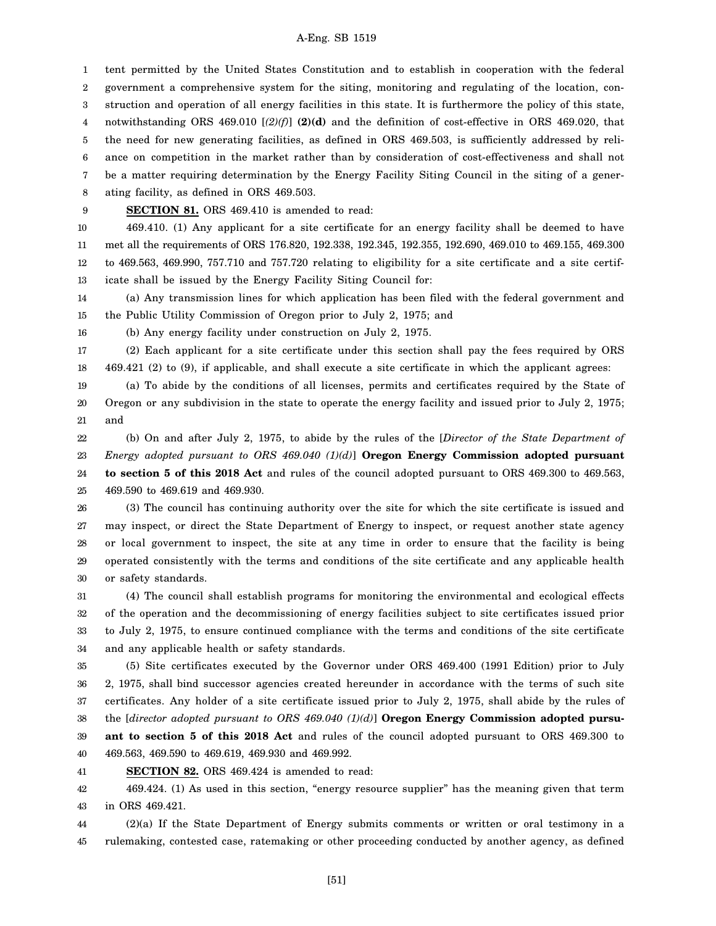1 2 3 4 5 6 7 8 tent permitted by the United States Constitution and to establish in cooperation with the federal government a comprehensive system for the siting, monitoring and regulating of the location, construction and operation of all energy facilities in this state. It is furthermore the policy of this state, notwithstanding ORS 469.010 [*(2)(f)*] **(2)(d)** and the definition of cost-effective in ORS 469.020, that the need for new generating facilities, as defined in ORS 469.503, is sufficiently addressed by reliance on competition in the market rather than by consideration of cost-effectiveness and shall not be a matter requiring determination by the Energy Facility Siting Council in the siting of a generating facility, as defined in ORS 469.503.

9

16

### **SECTION 81.** ORS 469.410 is amended to read:

10 11 12 13 469.410. (1) Any applicant for a site certificate for an energy facility shall be deemed to have met all the requirements of ORS 176.820, 192.338, 192.345, 192.355, 192.690, 469.010 to 469.155, 469.300 to 469.563, 469.990, 757.710 and 757.720 relating to eligibility for a site certificate and a site certificate shall be issued by the Energy Facility Siting Council for:

14 15 (a) Any transmission lines for which application has been filed with the federal government and the Public Utility Commission of Oregon prior to July 2, 1975; and

(b) Any energy facility under construction on July 2, 1975.

17 18 (2) Each applicant for a site certificate under this section shall pay the fees required by ORS 469.421 (2) to (9), if applicable, and shall execute a site certificate in which the applicant agrees:

19 20 21 (a) To abide by the conditions of all licenses, permits and certificates required by the State of Oregon or any subdivision in the state to operate the energy facility and issued prior to July 2, 1975; and

22 23 24 25 (b) On and after July 2, 1975, to abide by the rules of the [*Director of the State Department of Energy adopted pursuant to ORS 469.040 (1)(d)*] **Oregon Energy Commission adopted pursuant to section 5 of this 2018 Act** and rules of the council adopted pursuant to ORS 469.300 to 469.563, 469.590 to 469.619 and 469.930.

26 27 28 29 30 (3) The council has continuing authority over the site for which the site certificate is issued and may inspect, or direct the State Department of Energy to inspect, or request another state agency or local government to inspect, the site at any time in order to ensure that the facility is being operated consistently with the terms and conditions of the site certificate and any applicable health or safety standards.

31 32 33 34 (4) The council shall establish programs for monitoring the environmental and ecological effects of the operation and the decommissioning of energy facilities subject to site certificates issued prior to July 2, 1975, to ensure continued compliance with the terms and conditions of the site certificate and any applicable health or safety standards.

35 36 37 38 39 40 (5) Site certificates executed by the Governor under ORS 469.400 (1991 Edition) prior to July 2, 1975, shall bind successor agencies created hereunder in accordance with the terms of such site certificates. Any holder of a site certificate issued prior to July 2, 1975, shall abide by the rules of the [*director adopted pursuant to ORS 469.040 (1)(d)*] **Oregon Energy Commission adopted pursuant to section 5 of this 2018 Act** and rules of the council adopted pursuant to ORS 469.300 to 469.563, 469.590 to 469.619, 469.930 and 469.992.

41 **SECTION 82.** ORS 469.424 is amended to read:

42 43 469.424. (1) As used in this section, "energy resource supplier" has the meaning given that term in ORS 469.421.

44 45 (2)(a) If the State Department of Energy submits comments or written or oral testimony in a rulemaking, contested case, ratemaking or other proceeding conducted by another agency, as defined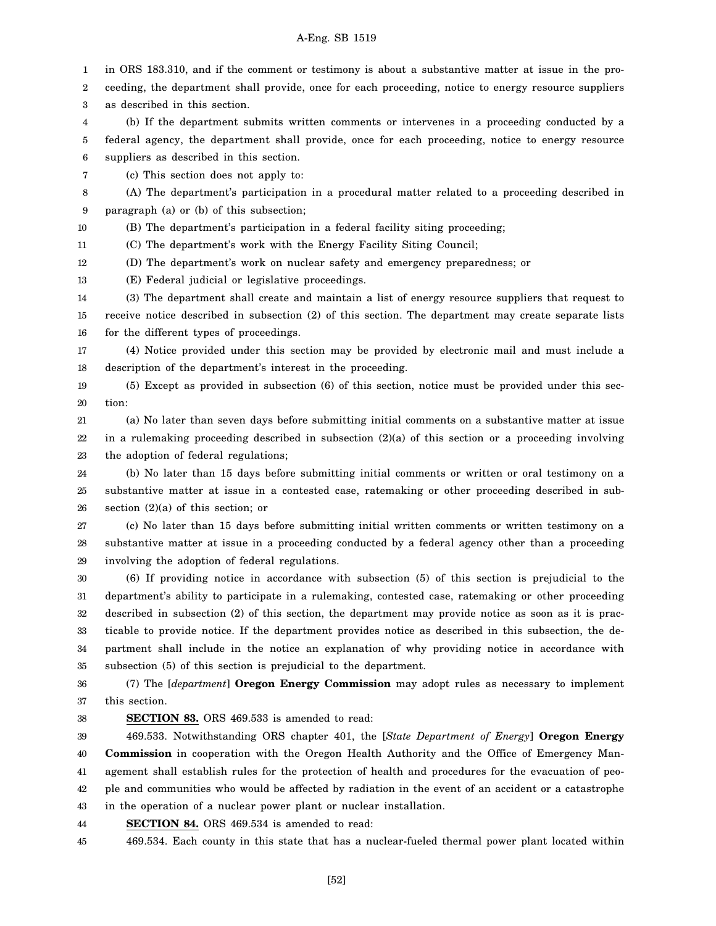1 in ORS 183.310, and if the comment or testimony is about a substantive matter at issue in the pro-

2 3 ceeding, the department shall provide, once for each proceeding, notice to energy resource suppliers as described in this section.

4 5 6 (b) If the department submits written comments or intervenes in a proceeding conducted by a federal agency, the department shall provide, once for each proceeding, notice to energy resource suppliers as described in this section.

7 (c) This section does not apply to:

8 9 (A) The department's participation in a procedural matter related to a proceeding described in paragraph (a) or (b) of this subsection;

10 (B) The department's participation in a federal facility siting proceeding;

11 (C) The department's work with the Energy Facility Siting Council;

12 (D) The department's work on nuclear safety and emergency preparedness; or

13 (E) Federal judicial or legislative proceedings.

14 15 16 (3) The department shall create and maintain a list of energy resource suppliers that request to receive notice described in subsection (2) of this section. The department may create separate lists for the different types of proceedings.

17 18 (4) Notice provided under this section may be provided by electronic mail and must include a description of the department's interest in the proceeding.

19 20 (5) Except as provided in subsection (6) of this section, notice must be provided under this section:

21 22 23 (a) No later than seven days before submitting initial comments on a substantive matter at issue in a rulemaking proceeding described in subsection (2)(a) of this section or a proceeding involving the adoption of federal regulations;

24 25 26 (b) No later than 15 days before submitting initial comments or written or oral testimony on a substantive matter at issue in a contested case, ratemaking or other proceeding described in subsection (2)(a) of this section; or

27 28 29 (c) No later than 15 days before submitting initial written comments or written testimony on a substantive matter at issue in a proceeding conducted by a federal agency other than a proceeding involving the adoption of federal regulations.

30 31 32 33 34 35 (6) If providing notice in accordance with subsection (5) of this section is prejudicial to the department's ability to participate in a rulemaking, contested case, ratemaking or other proceeding described in subsection (2) of this section, the department may provide notice as soon as it is practicable to provide notice. If the department provides notice as described in this subsection, the department shall include in the notice an explanation of why providing notice in accordance with subsection (5) of this section is prejudicial to the department.

36 37 (7) The [*department*] **Oregon Energy Commission** may adopt rules as necessary to implement this section.

### 38

**SECTION 83.** ORS 469.533 is amended to read:

39 40 41 42 43 469.533. Notwithstanding ORS chapter 401, the [*State Department of Energy*] **Oregon Energy Commission** in cooperation with the Oregon Health Authority and the Office of Emergency Management shall establish rules for the protection of health and procedures for the evacuation of people and communities who would be affected by radiation in the event of an accident or a catastrophe in the operation of a nuclear power plant or nuclear installation.

44 **SECTION 84.** ORS 469.534 is amended to read:

45 469.534. Each county in this state that has a nuclear-fueled thermal power plant located within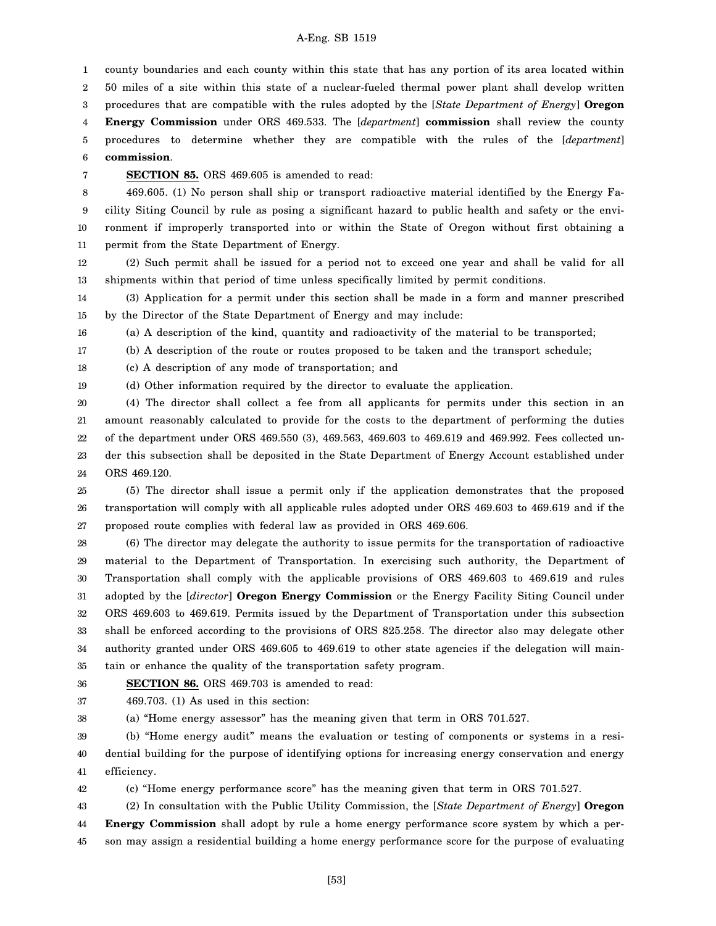1 2 3 4 5 6 county boundaries and each county within this state that has any portion of its area located within 50 miles of a site within this state of a nuclear-fueled thermal power plant shall develop written procedures that are compatible with the rules adopted by the [*State Department of Energy*] **Oregon Energy Commission** under ORS 469.533. The [*department*] **commission** shall review the county procedures to determine whether they are compatible with the rules of the [*department*] **commission**.

7

**SECTION 85.** ORS 469.605 is amended to read:

8 9 10 11 469.605. (1) No person shall ship or transport radioactive material identified by the Energy Facility Siting Council by rule as posing a significant hazard to public health and safety or the environment if improperly transported into or within the State of Oregon without first obtaining a permit from the State Department of Energy.

12 13 (2) Such permit shall be issued for a period not to exceed one year and shall be valid for all shipments within that period of time unless specifically limited by permit conditions.

14 15 (3) Application for a permit under this section shall be made in a form and manner prescribed by the Director of the State Department of Energy and may include:

16 (a) A description of the kind, quantity and radioactivity of the material to be transported;

17 (b) A description of the route or routes proposed to be taken and the transport schedule;

18 (c) A description of any mode of transportation; and

19 (d) Other information required by the director to evaluate the application.

20 21 22 23 24 (4) The director shall collect a fee from all applicants for permits under this section in an amount reasonably calculated to provide for the costs to the department of performing the duties of the department under ORS 469.550 (3), 469.563, 469.603 to 469.619 and 469.992. Fees collected under this subsection shall be deposited in the State Department of Energy Account established under ORS 469.120.

25 26 27 (5) The director shall issue a permit only if the application demonstrates that the proposed transportation will comply with all applicable rules adopted under ORS 469.603 to 469.619 and if the proposed route complies with federal law as provided in ORS 469.606.

28 29 30 31 32 33 34 35 (6) The director may delegate the authority to issue permits for the transportation of radioactive material to the Department of Transportation. In exercising such authority, the Department of Transportation shall comply with the applicable provisions of ORS 469.603 to 469.619 and rules adopted by the [*director*] **Oregon Energy Commission** or the Energy Facility Siting Council under ORS 469.603 to 469.619. Permits issued by the Department of Transportation under this subsection shall be enforced according to the provisions of ORS 825.258. The director also may delegate other authority granted under ORS 469.605 to 469.619 to other state agencies if the delegation will maintain or enhance the quality of the transportation safety program.

#### 36 **SECTION 86.** ORS 469.703 is amended to read:

37 469.703. (1) As used in this section:

38 (a) "Home energy assessor" has the meaning given that term in ORS 701.527.

39 40 41 (b) "Home energy audit" means the evaluation or testing of components or systems in a residential building for the purpose of identifying options for increasing energy conservation and energy efficiency.

42 (c) "Home energy performance score" has the meaning given that term in ORS 701.527.

43 (2) In consultation with the Public Utility Commission, the [*State Department of Energy*] **Oregon**

44 45 **Energy Commission** shall adopt by rule a home energy performance score system by which a person may assign a residential building a home energy performance score for the purpose of evaluating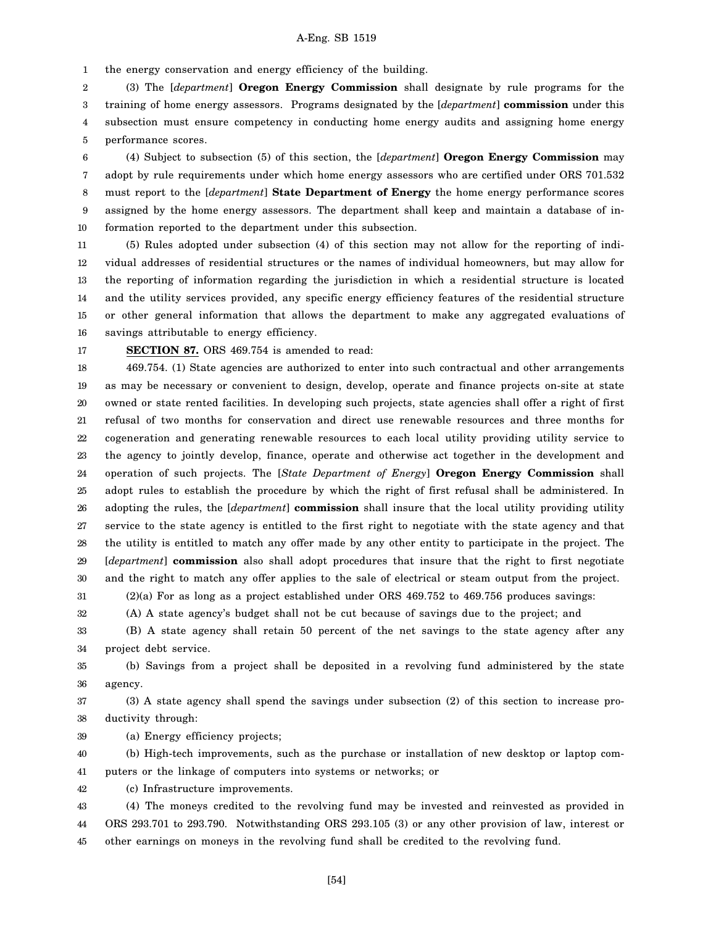1 the energy conservation and energy efficiency of the building.

2 3 4 5 (3) The [*department*] **Oregon Energy Commission** shall designate by rule programs for the training of home energy assessors. Programs designated by the [*department*] **commission** under this subsection must ensure competency in conducting home energy audits and assigning home energy performance scores.

6 7 8 9 10 (4) Subject to subsection (5) of this section, the [*department*] **Oregon Energy Commission** may adopt by rule requirements under which home energy assessors who are certified under ORS 701.532 must report to the [*department*] **State Department of Energy** the home energy performance scores assigned by the home energy assessors. The department shall keep and maintain a database of information reported to the department under this subsection.

11 12 13 14 15 16 (5) Rules adopted under subsection (4) of this section may not allow for the reporting of individual addresses of residential structures or the names of individual homeowners, but may allow for the reporting of information regarding the jurisdiction in which a residential structure is located and the utility services provided, any specific energy efficiency features of the residential structure or other general information that allows the department to make any aggregated evaluations of savings attributable to energy efficiency.

17

### **SECTION 87.** ORS 469.754 is amended to read:

18 19 20 21 22 23 24 25 26 27 28 29 30 31 469.754. (1) State agencies are authorized to enter into such contractual and other arrangements as may be necessary or convenient to design, develop, operate and finance projects on-site at state owned or state rented facilities. In developing such projects, state agencies shall offer a right of first refusal of two months for conservation and direct use renewable resources and three months for cogeneration and generating renewable resources to each local utility providing utility service to the agency to jointly develop, finance, operate and otherwise act together in the development and operation of such projects. The [*State Department of Energy*] **Oregon Energy Commission** shall adopt rules to establish the procedure by which the right of first refusal shall be administered. In adopting the rules, the [*department*] **commission** shall insure that the local utility providing utility service to the state agency is entitled to the first right to negotiate with the state agency and that the utility is entitled to match any offer made by any other entity to participate in the project. The [*department*] **commission** also shall adopt procedures that insure that the right to first negotiate and the right to match any offer applies to the sale of electrical or steam output from the project. (2)(a) For as long as a project established under ORS 469.752 to 469.756 produces savings:

32 (A) A state agency's budget shall not be cut because of savings due to the project; and

33 34 (B) A state agency shall retain 50 percent of the net savings to the state agency after any project debt service.

35 36 (b) Savings from a project shall be deposited in a revolving fund administered by the state agency.

37 38 (3) A state agency shall spend the savings under subsection (2) of this section to increase productivity through:

39 (a) Energy efficiency projects;

40 41 (b) High-tech improvements, such as the purchase or installation of new desktop or laptop computers or the linkage of computers into systems or networks; or

42 (c) Infrastructure improvements.

43 44 45 (4) The moneys credited to the revolving fund may be invested and reinvested as provided in ORS 293.701 to 293.790. Notwithstanding ORS 293.105 (3) or any other provision of law, interest or other earnings on moneys in the revolving fund shall be credited to the revolving fund.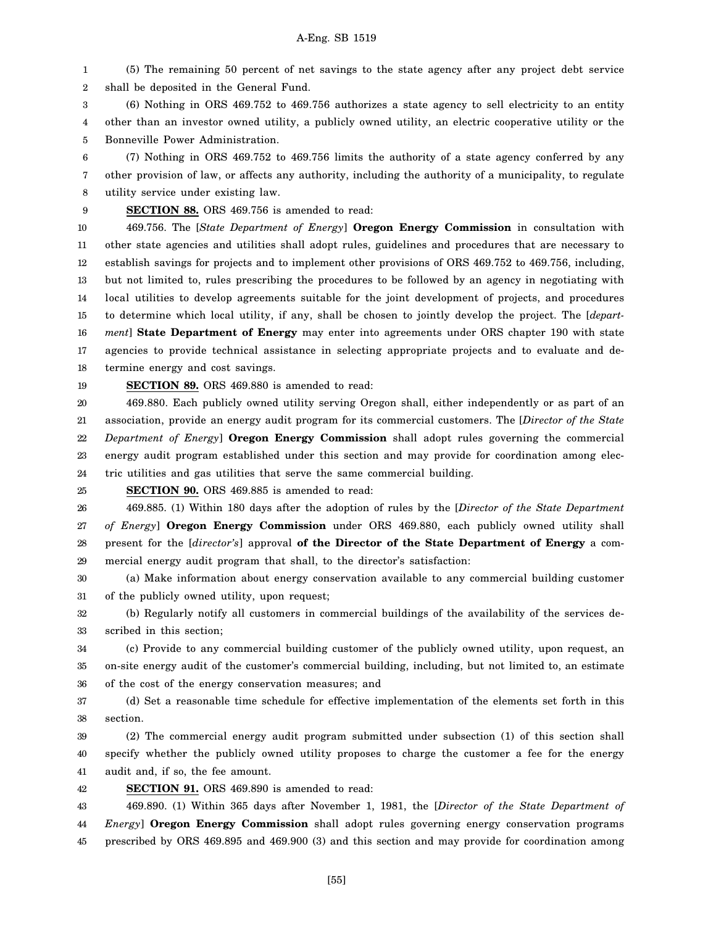1 2 (5) The remaining 50 percent of net savings to the state agency after any project debt service shall be deposited in the General Fund.

3 4 5 (6) Nothing in ORS 469.752 to 469.756 authorizes a state agency to sell electricity to an entity other than an investor owned utility, a publicly owned utility, an electric cooperative utility or the Bonneville Power Administration.

6 7 8 (7) Nothing in ORS 469.752 to 469.756 limits the authority of a state agency conferred by any other provision of law, or affects any authority, including the authority of a municipality, to regulate utility service under existing law.

9 **SECTION 88.** ORS 469.756 is amended to read:

10 11 12 13 14 15 16 17 18 469.756. The [*State Department of Energy*] **Oregon Energy Commission** in consultation with other state agencies and utilities shall adopt rules, guidelines and procedures that are necessary to establish savings for projects and to implement other provisions of ORS 469.752 to 469.756, including, but not limited to, rules prescribing the procedures to be followed by an agency in negotiating with local utilities to develop agreements suitable for the joint development of projects, and procedures to determine which local utility, if any, shall be chosen to jointly develop the project. The [*department*] **State Department of Energy** may enter into agreements under ORS chapter 190 with state agencies to provide technical assistance in selecting appropriate projects and to evaluate and determine energy and cost savings.

19 **SECTION 89.** ORS 469.880 is amended to read:

20 21 22 23 24 469.880. Each publicly owned utility serving Oregon shall, either independently or as part of an association, provide an energy audit program for its commercial customers. The [*Director of the State Department of Energy*] **Oregon Energy Commission** shall adopt rules governing the commercial energy audit program established under this section and may provide for coordination among electric utilities and gas utilities that serve the same commercial building.

25 **SECTION 90.** ORS 469.885 is amended to read:

26 27 28 29 469.885. (1) Within 180 days after the adoption of rules by the [*Director of the State Department of Energy*] **Oregon Energy Commission** under ORS 469.880, each publicly owned utility shall present for the [*director's*] approval **of the Director of the State Department of Energy** a commercial energy audit program that shall, to the director's satisfaction:

30 31 (a) Make information about energy conservation available to any commercial building customer of the publicly owned utility, upon request;

32 33 (b) Regularly notify all customers in commercial buildings of the availability of the services described in this section;

34 35 36 (c) Provide to any commercial building customer of the publicly owned utility, upon request, an on-site energy audit of the customer's commercial building, including, but not limited to, an estimate of the cost of the energy conservation measures; and

37 38 (d) Set a reasonable time schedule for effective implementation of the elements set forth in this section.

39 40 41 (2) The commercial energy audit program submitted under subsection (1) of this section shall specify whether the publicly owned utility proposes to charge the customer a fee for the energy audit and, if so, the fee amount.

42 **SECTION 91.** ORS 469.890 is amended to read:

43 44 45 469.890. (1) Within 365 days after November 1, 1981, the [*Director of the State Department of Energy*] **Oregon Energy Commission** shall adopt rules governing energy conservation programs prescribed by ORS 469.895 and 469.900 (3) and this section and may provide for coordination among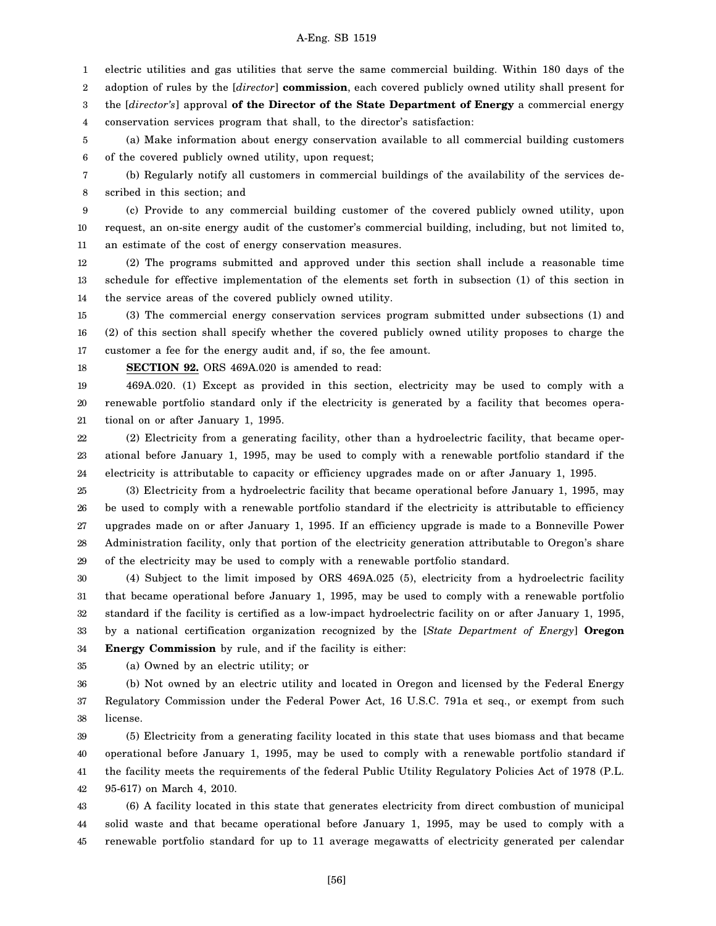1 electric utilities and gas utilities that serve the same commercial building. Within 180 days of the

2 adoption of rules by the [*director*] **commission**, each covered publicly owned utility shall present for

3 the [*director's*] approval **of the Director of the State Department of Energy** a commercial energy

4 conservation services program that shall, to the director's satisfaction:

5 6 (a) Make information about energy conservation available to all commercial building customers of the covered publicly owned utility, upon request;

7 8 (b) Regularly notify all customers in commercial buildings of the availability of the services described in this section; and

9 10 11 (c) Provide to any commercial building customer of the covered publicly owned utility, upon request, an on-site energy audit of the customer's commercial building, including, but not limited to, an estimate of the cost of energy conservation measures.

12 13 14 (2) The programs submitted and approved under this section shall include a reasonable time schedule for effective implementation of the elements set forth in subsection (1) of this section in the service areas of the covered publicly owned utility.

15 16 17 (3) The commercial energy conservation services program submitted under subsections (1) and (2) of this section shall specify whether the covered publicly owned utility proposes to charge the customer a fee for the energy audit and, if so, the fee amount.

18 **SECTION 92.** ORS 469A.020 is amended to read:

19 20 21 469A.020. (1) Except as provided in this section, electricity may be used to comply with a renewable portfolio standard only if the electricity is generated by a facility that becomes operational on or after January 1, 1995.

22 23 24 (2) Electricity from a generating facility, other than a hydroelectric facility, that became operational before January 1, 1995, may be used to comply with a renewable portfolio standard if the electricity is attributable to capacity or efficiency upgrades made on or after January 1, 1995.

25 26 27 28 29 (3) Electricity from a hydroelectric facility that became operational before January 1, 1995, may be used to comply with a renewable portfolio standard if the electricity is attributable to efficiency upgrades made on or after January 1, 1995. If an efficiency upgrade is made to a Bonneville Power Administration facility, only that portion of the electricity generation attributable to Oregon's share of the electricity may be used to comply with a renewable portfolio standard.

30 31 32 33 34 (4) Subject to the limit imposed by ORS 469A.025 (5), electricity from a hydroelectric facility that became operational before January 1, 1995, may be used to comply with a renewable portfolio standard if the facility is certified as a low-impact hydroelectric facility on or after January 1, 1995, by a national certification organization recognized by the [*State Department of Energy*] **Oregon Energy Commission** by rule, and if the facility is either:

35 (a) Owned by an electric utility; or

36 37 38 (b) Not owned by an electric utility and located in Oregon and licensed by the Federal Energy Regulatory Commission under the Federal Power Act, 16 U.S.C. 791a et seq., or exempt from such license.

39 40 41 42 (5) Electricity from a generating facility located in this state that uses biomass and that became operational before January 1, 1995, may be used to comply with a renewable portfolio standard if the facility meets the requirements of the federal Public Utility Regulatory Policies Act of 1978 (P.L. 95-617) on March 4, 2010.

43 44 45 (6) A facility located in this state that generates electricity from direct combustion of municipal solid waste and that became operational before January 1, 1995, may be used to comply with a renewable portfolio standard for up to 11 average megawatts of electricity generated per calendar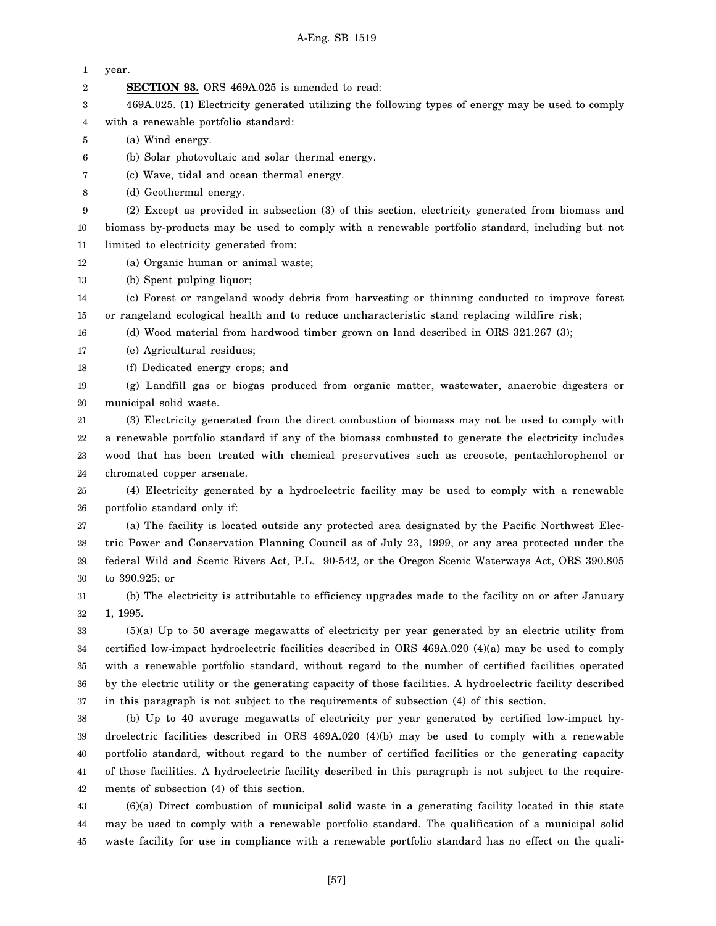| 1                | year.                                                                                                      |
|------------------|------------------------------------------------------------------------------------------------------------|
| $\boldsymbol{2}$ | <b>SECTION 93.</b> ORS 469A.025 is amended to read:                                                        |
| 3                | 469A.025. (1) Electricity generated utilizing the following types of energy may be used to comply          |
| 4                | with a renewable portfolio standard:                                                                       |
| 5                | (a) Wind energy.                                                                                           |
| 6                | (b) Solar photovoltaic and solar thermal energy.                                                           |
| 7                | (c) Wave, tidal and ocean thermal energy.                                                                  |
| 8                | (d) Geothermal energy.                                                                                     |
| 9                | (2) Except as provided in subsection (3) of this section, electricity generated from biomass and           |
| 10               | biomass by-products may be used to comply with a renewable portfolio standard, including but not           |
| 11               | limited to electricity generated from:                                                                     |
| 12               | (a) Organic human or animal waste;                                                                         |
| 13               | (b) Spent pulping liquor;                                                                                  |
| 14               | (c) Forest or rangeland woody debris from harvesting or thinning conducted to improve forest               |
| 15               | or rangeland ecological health and to reduce uncharacteristic stand replacing wildfire risk;               |
| 16               | (d) Wood material from hardwood timber grown on land described in ORS 321.267 (3);                         |
| 17               | (e) Agricultural residues;                                                                                 |
| 18               | (f) Dedicated energy crops; and                                                                            |
| 19               | (g) Landfill gas or biogas produced from organic matter, wastewater, anaerobic digesters or                |
| 20               | municipal solid waste.                                                                                     |
| 21               | (3) Electricity generated from the direct combustion of biomass may not be used to comply with             |
| 22               | a renewable portfolio standard if any of the biomass combusted to generate the electricity includes        |
| 23               | wood that has been treated with chemical preservatives such as creosote, pentachlorophenol or              |
| $2\!$            | chromated copper arsenate.                                                                                 |
| 25               | (4) Electricity generated by a hydroelectric facility may be used to comply with a renewable               |
| 26               | portfolio standard only if:                                                                                |
| 27               | (a) The facility is located outside any protected area designated by the Pacific Northwest Elec-           |
| 28               | tric Power and Conservation Planning Council as of July 23, 1999, or any area protected under the          |
| 29               | federal Wild and Scenic Rivers Act, P.L. 90-542, or the Oregon Scenic Waterways Act, ORS 390.805           |
| 30               | to $390.925$ ; or                                                                                          |
| 31               | (b) The electricity is attributable to efficiency upgrades made to the facility on or after January        |
| 32               | 1, 1995.                                                                                                   |
| 33               | $(5)(a)$ Up to 50 average megawatts of electricity per year generated by an electric utility from          |
| 34               | certified low-impact hydroelectric facilities described in ORS 469A.020 (4)(a) may be used to comply       |
| 35               | with a renewable portfolio standard, without regard to the number of certified facilities operated         |
| 36               | by the electric utility or the generating capacity of those facilities. A hydroelectric facility described |
| 37               | in this paragraph is not subject to the requirements of subsection (4) of this section.                    |
| 38               | (b) Up to 40 average megawatts of electricity per year generated by certified low-impact hy-               |
| 39               | droelectric facilities described in ORS $469A.020$ (4)(b) may be used to comply with a renewable           |
| 40               | portfolio standard, without regard to the number of certified facilities or the generating capacity        |
| 41               | of those facilities. A hydroelectric facility described in this paragraph is not subject to the require-   |
| 42               | ments of subsection (4) of this section.                                                                   |
| 43               | $(6)(a)$ Direct combustion of municipal solid waste in a generating facility located in this state         |
| 44               | may be used to comply with a renewable portfolio standard. The qualification of a municipal solid          |
| 45               | waste facility for use in compliance with a renewable portfolio standard has no effect on the quali-       |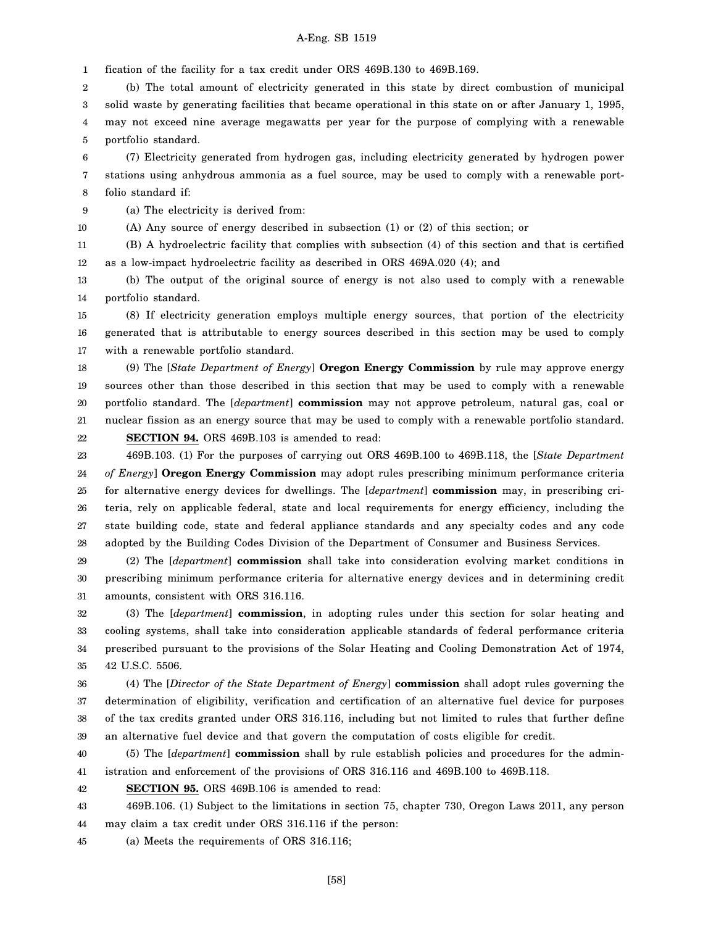1 fication of the facility for a tax credit under ORS 469B.130 to 469B.169.

2 3 4 5 (b) The total amount of electricity generated in this state by direct combustion of municipal solid waste by generating facilities that became operational in this state on or after January 1, 1995, may not exceed nine average megawatts per year for the purpose of complying with a renewable portfolio standard.

6 7 8 (7) Electricity generated from hydrogen gas, including electricity generated by hydrogen power stations using anhydrous ammonia as a fuel source, may be used to comply with a renewable portfolio standard if:

9 (a) The electricity is derived from:

10

(A) Any source of energy described in subsection (1) or (2) of this section; or

11 12 (B) A hydroelectric facility that complies with subsection (4) of this section and that is certified as a low-impact hydroelectric facility as described in ORS 469A.020 (4); and

13 14 (b) The output of the original source of energy is not also used to comply with a renewable portfolio standard.

15 16 17 (8) If electricity generation employs multiple energy sources, that portion of the electricity generated that is attributable to energy sources described in this section may be used to comply with a renewable portfolio standard.

18 19 20 21 (9) The [*State Department of Energy*] **Oregon Energy Commission** by rule may approve energy sources other than those described in this section that may be used to comply with a renewable portfolio standard. The [*department*] **commission** may not approve petroleum, natural gas, coal or nuclear fission as an energy source that may be used to comply with a renewable portfolio standard.

22 **SECTION 94.** ORS 469B.103 is amended to read:

23 24 25 26 27 28 469B.103. (1) For the purposes of carrying out ORS 469B.100 to 469B.118, the [*State Department of Energy*] **Oregon Energy Commission** may adopt rules prescribing minimum performance criteria for alternative energy devices for dwellings. The [*department*] **commission** may, in prescribing criteria, rely on applicable federal, state and local requirements for energy efficiency, including the state building code, state and federal appliance standards and any specialty codes and any code adopted by the Building Codes Division of the Department of Consumer and Business Services.

29 30 31 (2) The [*department*] **commission** shall take into consideration evolving market conditions in prescribing minimum performance criteria for alternative energy devices and in determining credit amounts, consistent with ORS 316.116.

32 33 34 35 (3) The [*department*] **commission**, in adopting rules under this section for solar heating and cooling systems, shall take into consideration applicable standards of federal performance criteria prescribed pursuant to the provisions of the Solar Heating and Cooling Demonstration Act of 1974, 42 U.S.C. 5506.

36 37 38 39 (4) The [*Director of the State Department of Energy*] **commission** shall adopt rules governing the determination of eligibility, verification and certification of an alternative fuel device for purposes of the tax credits granted under ORS 316.116, including but not limited to rules that further define an alternative fuel device and that govern the computation of costs eligible for credit.

40 41 (5) The [*department*] **commission** shall by rule establish policies and procedures for the administration and enforcement of the provisions of ORS 316.116 and 469B.100 to 469B.118.

42 **SECTION 95.** ORS 469B.106 is amended to read:

43 44 469B.106. (1) Subject to the limitations in section 75, chapter 730, Oregon Laws 2011, any person may claim a tax credit under ORS 316.116 if the person:

45 (a) Meets the requirements of ORS 316.116;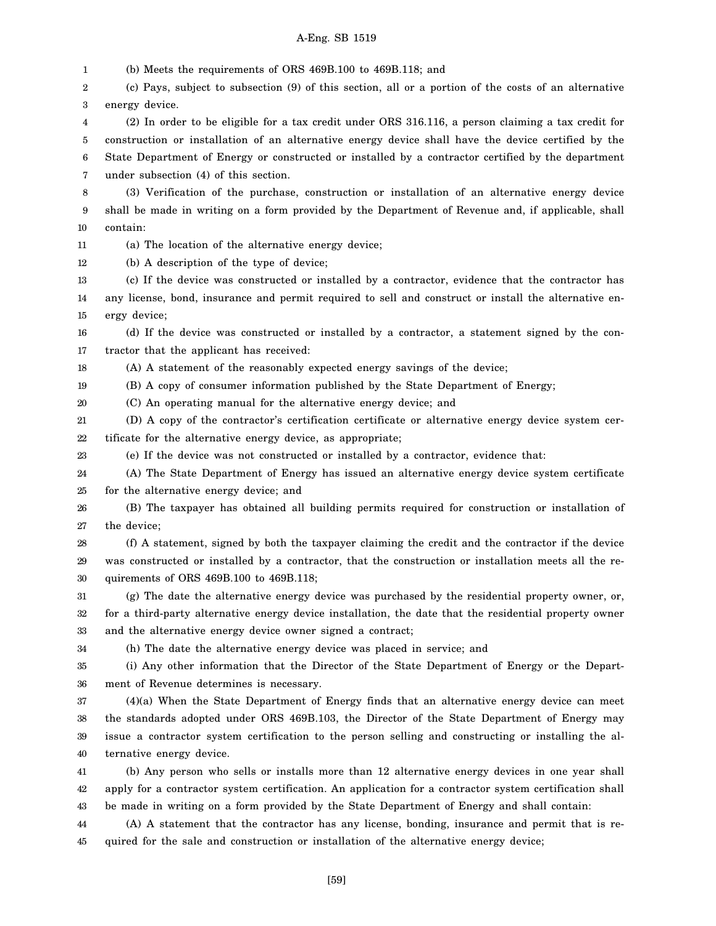1 2 3 4 5 6 7 8 9 10 11 12 13 14 15 16 17 18 19 20 21 22 23 24 25 26 27 28 29 30 31 32 33 34 35 36 37 38 39 40 41 42 43 44 45 (b) Meets the requirements of ORS 469B.100 to 469B.118; and (c) Pays, subject to subsection (9) of this section, all or a portion of the costs of an alternative energy device. (2) In order to be eligible for a tax credit under ORS 316.116, a person claiming a tax credit for construction or installation of an alternative energy device shall have the device certified by the State Department of Energy or constructed or installed by a contractor certified by the department under subsection (4) of this section. (3) Verification of the purchase, construction or installation of an alternative energy device shall be made in writing on a form provided by the Department of Revenue and, if applicable, shall contain: (a) The location of the alternative energy device; (b) A description of the type of device; (c) If the device was constructed or installed by a contractor, evidence that the contractor has any license, bond, insurance and permit required to sell and construct or install the alternative energy device; (d) If the device was constructed or installed by a contractor, a statement signed by the contractor that the applicant has received: (A) A statement of the reasonably expected energy savings of the device; (B) A copy of consumer information published by the State Department of Energy; (C) An operating manual for the alternative energy device; and (D) A copy of the contractor's certification certificate or alternative energy device system certificate for the alternative energy device, as appropriate; (e) If the device was not constructed or installed by a contractor, evidence that: (A) The State Department of Energy has issued an alternative energy device system certificate for the alternative energy device; and (B) The taxpayer has obtained all building permits required for construction or installation of the device; (f) A statement, signed by both the taxpayer claiming the credit and the contractor if the device was constructed or installed by a contractor, that the construction or installation meets all the requirements of ORS 469B.100 to 469B.118; (g) The date the alternative energy device was purchased by the residential property owner, or, for a third-party alternative energy device installation, the date that the residential property owner and the alternative energy device owner signed a contract; (h) The date the alternative energy device was placed in service; and (i) Any other information that the Director of the State Department of Energy or the Department of Revenue determines is necessary. (4)(a) When the State Department of Energy finds that an alternative energy device can meet the standards adopted under ORS 469B.103, the Director of the State Department of Energy may issue a contractor system certification to the person selling and constructing or installing the alternative energy device. (b) Any person who sells or installs more than 12 alternative energy devices in one year shall apply for a contractor system certification. An application for a contractor system certification shall be made in writing on a form provided by the State Department of Energy and shall contain: (A) A statement that the contractor has any license, bonding, insurance and permit that is required for the sale and construction or installation of the alternative energy device;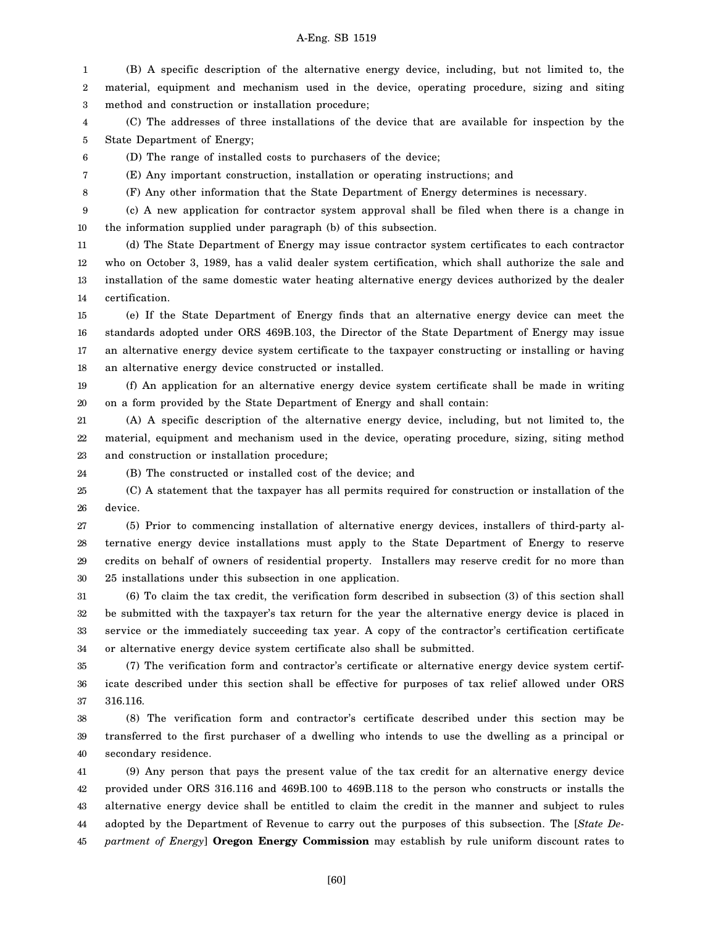1 2 3 (B) A specific description of the alternative energy device, including, but not limited to, the material, equipment and mechanism used in the device, operating procedure, sizing and siting method and construction or installation procedure;

4 5 (C) The addresses of three installations of the device that are available for inspection by the State Department of Energy;

6 (D) The range of installed costs to purchasers of the device;

(E) Any important construction, installation or operating instructions; and

7 8

24

(F) Any other information that the State Department of Energy determines is necessary.

9 10 (c) A new application for contractor system approval shall be filed when there is a change in the information supplied under paragraph (b) of this subsection.

11 12 13 14 (d) The State Department of Energy may issue contractor system certificates to each contractor who on October 3, 1989, has a valid dealer system certification, which shall authorize the sale and installation of the same domestic water heating alternative energy devices authorized by the dealer certification.

15 16 17 18 (e) If the State Department of Energy finds that an alternative energy device can meet the standards adopted under ORS 469B.103, the Director of the State Department of Energy may issue an alternative energy device system certificate to the taxpayer constructing or installing or having an alternative energy device constructed or installed.

19 20 (f) An application for an alternative energy device system certificate shall be made in writing on a form provided by the State Department of Energy and shall contain:

21 22 23 (A) A specific description of the alternative energy device, including, but not limited to, the material, equipment and mechanism used in the device, operating procedure, sizing, siting method and construction or installation procedure;

(B) The constructed or installed cost of the device; and

25 26 (C) A statement that the taxpayer has all permits required for construction or installation of the device.

27 28 29 30 (5) Prior to commencing installation of alternative energy devices, installers of third-party alternative energy device installations must apply to the State Department of Energy to reserve credits on behalf of owners of residential property. Installers may reserve credit for no more than 25 installations under this subsection in one application.

31 32 33 34 (6) To claim the tax credit, the verification form described in subsection (3) of this section shall be submitted with the taxpayer's tax return for the year the alternative energy device is placed in service or the immediately succeeding tax year. A copy of the contractor's certification certificate or alternative energy device system certificate also shall be submitted.

35 36 37 (7) The verification form and contractor's certificate or alternative energy device system certificate described under this section shall be effective for purposes of tax relief allowed under ORS 316.116.

38 39 40 (8) The verification form and contractor's certificate described under this section may be transferred to the first purchaser of a dwelling who intends to use the dwelling as a principal or secondary residence.

41 42 43 44 45 (9) Any person that pays the present value of the tax credit for an alternative energy device provided under ORS 316.116 and 469B.100 to 469B.118 to the person who constructs or installs the alternative energy device shall be entitled to claim the credit in the manner and subject to rules adopted by the Department of Revenue to carry out the purposes of this subsection. The [*State Department of Energy*] **Oregon Energy Commission** may establish by rule uniform discount rates to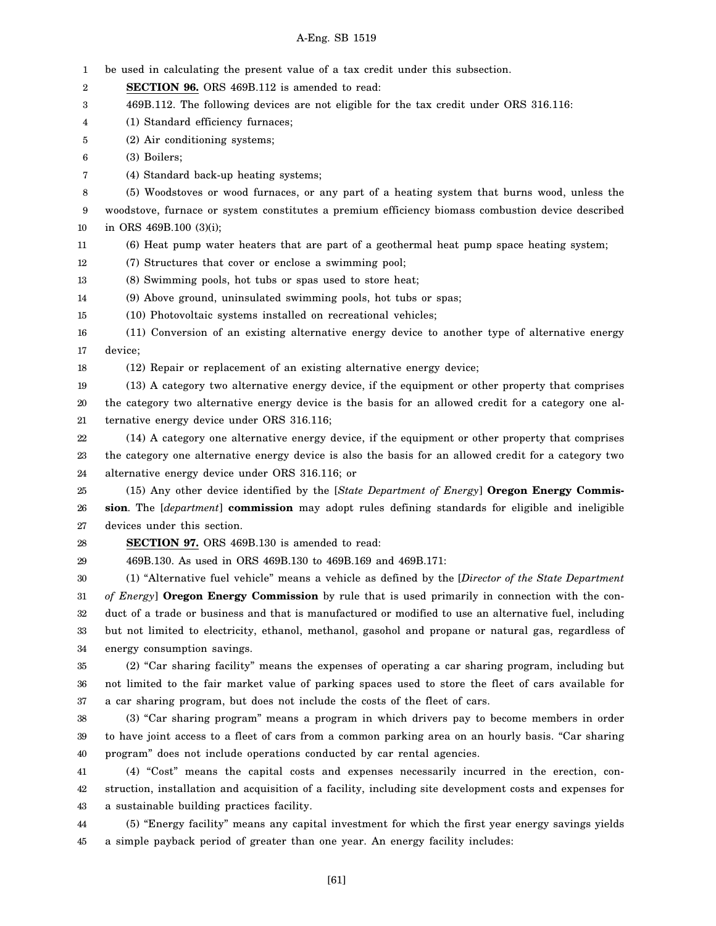1 2 3 4 5 6 7 8 9 10 11 12 13 14 15 16 17 18 19 20 21 22 23 24 25 26 27 28 29 30 31 32 33 34 35 36 37 38 39 40 41 42 43 44 45 be used in calculating the present value of a tax credit under this subsection. **SECTION 96.** ORS 469B.112 is amended to read: 469B.112. The following devices are not eligible for the tax credit under ORS 316.116: (1) Standard efficiency furnaces; (2) Air conditioning systems; (3) Boilers; (4) Standard back-up heating systems; (5) Woodstoves or wood furnaces, or any part of a heating system that burns wood, unless the woodstove, furnace or system constitutes a premium efficiency biomass combustion device described in ORS 469B.100 (3)(i); (6) Heat pump water heaters that are part of a geothermal heat pump space heating system; (7) Structures that cover or enclose a swimming pool; (8) Swimming pools, hot tubs or spas used to store heat; (9) Above ground, uninsulated swimming pools, hot tubs or spas; (10) Photovoltaic systems installed on recreational vehicles; (11) Conversion of an existing alternative energy device to another type of alternative energy device; (12) Repair or replacement of an existing alternative energy device; (13) A category two alternative energy device, if the equipment or other property that comprises the category two alternative energy device is the basis for an allowed credit for a category one alternative energy device under ORS 316.116; (14) A category one alternative energy device, if the equipment or other property that comprises the category one alternative energy device is also the basis for an allowed credit for a category two alternative energy device under ORS 316.116; or (15) Any other device identified by the [*State Department of Energy*] **Oregon Energy Commission**. The [*department*] **commission** may adopt rules defining standards for eligible and ineligible devices under this section. **SECTION 97.** ORS 469B.130 is amended to read: 469B.130. As used in ORS 469B.130 to 469B.169 and 469B.171: (1) "Alternative fuel vehicle" means a vehicle as defined by the [*Director of the State Department of Energy*] **Oregon Energy Commission** by rule that is used primarily in connection with the conduct of a trade or business and that is manufactured or modified to use an alternative fuel, including but not limited to electricity, ethanol, methanol, gasohol and propane or natural gas, regardless of energy consumption savings. (2) "Car sharing facility" means the expenses of operating a car sharing program, including but not limited to the fair market value of parking spaces used to store the fleet of cars available for a car sharing program, but does not include the costs of the fleet of cars. (3) "Car sharing program" means a program in which drivers pay to become members in order to have joint access to a fleet of cars from a common parking area on an hourly basis. "Car sharing program" does not include operations conducted by car rental agencies. (4) "Cost" means the capital costs and expenses necessarily incurred in the erection, construction, installation and acquisition of a facility, including site development costs and expenses for a sustainable building practices facility. (5) "Energy facility" means any capital investment for which the first year energy savings yields a simple payback period of greater than one year. An energy facility includes: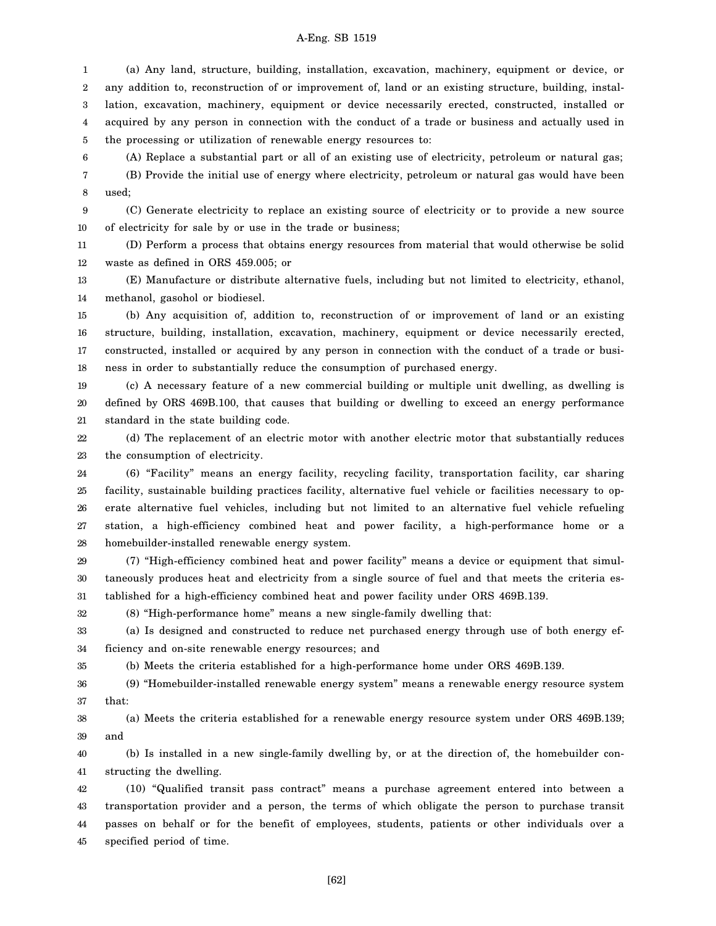1 2 3 4 5 (a) Any land, structure, building, installation, excavation, machinery, equipment or device, or any addition to, reconstruction of or improvement of, land or an existing structure, building, installation, excavation, machinery, equipment or device necessarily erected, constructed, installed or acquired by any person in connection with the conduct of a trade or business and actually used in the processing or utilization of renewable energy resources to:

6 7 (A) Replace a substantial part or all of an existing use of electricity, petroleum or natural gas; (B) Provide the initial use of energy where electricity, petroleum or natural gas would have been used;

8

35

9 10 (C) Generate electricity to replace an existing source of electricity or to provide a new source of electricity for sale by or use in the trade or business;

11 12 (D) Perform a process that obtains energy resources from material that would otherwise be solid waste as defined in ORS 459.005; or

13 14 (E) Manufacture or distribute alternative fuels, including but not limited to electricity, ethanol, methanol, gasohol or biodiesel.

15 16 17 18 (b) Any acquisition of, addition to, reconstruction of or improvement of land or an existing structure, building, installation, excavation, machinery, equipment or device necessarily erected, constructed, installed or acquired by any person in connection with the conduct of a trade or business in order to substantially reduce the consumption of purchased energy.

19 20 21 (c) A necessary feature of a new commercial building or multiple unit dwelling, as dwelling is defined by ORS 469B.100, that causes that building or dwelling to exceed an energy performance standard in the state building code.

22 23 (d) The replacement of an electric motor with another electric motor that substantially reduces the consumption of electricity.

24 25 26 27 28 (6) "Facility" means an energy facility, recycling facility, transportation facility, car sharing facility, sustainable building practices facility, alternative fuel vehicle or facilities necessary to operate alternative fuel vehicles, including but not limited to an alternative fuel vehicle refueling station, a high-efficiency combined heat and power facility, a high-performance home or a homebuilder-installed renewable energy system.

29 30 31 (7) "High-efficiency combined heat and power facility" means a device or equipment that simultaneously produces heat and electricity from a single source of fuel and that meets the criteria established for a high-efficiency combined heat and power facility under ORS 469B.139.

32 (8) "High-performance home" means a new single-family dwelling that:

33 34 (a) Is designed and constructed to reduce net purchased energy through use of both energy efficiency and on-site renewable energy resources; and

(b) Meets the criteria established for a high-performance home under ORS 469B.139.

36 37 (9) "Homebuilder-installed renewable energy system" means a renewable energy resource system that:

38 39 (a) Meets the criteria established for a renewable energy resource system under ORS 469B.139; and

40 41 (b) Is installed in a new single-family dwelling by, or at the direction of, the homebuilder constructing the dwelling.

42 43 44 45 (10) "Qualified transit pass contract" means a purchase agreement entered into between a transportation provider and a person, the terms of which obligate the person to purchase transit passes on behalf or for the benefit of employees, students, patients or other individuals over a specified period of time.

[62]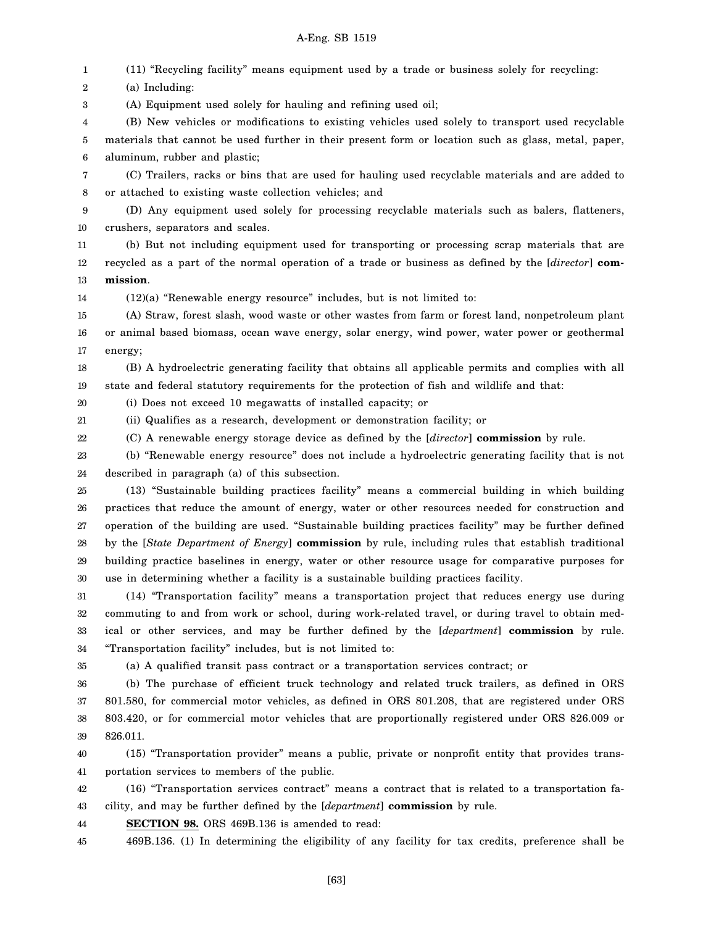1 (11) "Recycling facility" means equipment used by a trade or business solely for recycling:

2 (a) Including:

3 (A) Equipment used solely for hauling and refining used oil;

4 5 6 (B) New vehicles or modifications to existing vehicles used solely to transport used recyclable materials that cannot be used further in their present form or location such as glass, metal, paper, aluminum, rubber and plastic;

7 8 (C) Trailers, racks or bins that are used for hauling used recyclable materials and are added to or attached to existing waste collection vehicles; and

9 10 (D) Any equipment used solely for processing recyclable materials such as balers, flatteners, crushers, separators and scales.

11 12 13 (b) But not including equipment used for transporting or processing scrap materials that are recycled as a part of the normal operation of a trade or business as defined by the [*director*] **commission**.

14  $(12)(a)$  "Renewable energy resource" includes, but is not limited to:

15 16 17 (A) Straw, forest slash, wood waste or other wastes from farm or forest land, nonpetroleum plant or animal based biomass, ocean wave energy, solar energy, wind power, water power or geothermal energy;

18 19 (B) A hydroelectric generating facility that obtains all applicable permits and complies with all state and federal statutory requirements for the protection of fish and wildlife and that:

20 (i) Does not exceed 10 megawatts of installed capacity; or

21 (ii) Qualifies as a research, development or demonstration facility; or

22 (C) A renewable energy storage device as defined by the [*director*] **commission** by rule.

23 24 (b) "Renewable energy resource" does not include a hydroelectric generating facility that is not described in paragraph (a) of this subsection.

25 26 27 28 29 30 (13) "Sustainable building practices facility" means a commercial building in which building practices that reduce the amount of energy, water or other resources needed for construction and operation of the building are used. "Sustainable building practices facility" may be further defined by the [*State Department of Energy*] **commission** by rule, including rules that establish traditional building practice baselines in energy, water or other resource usage for comparative purposes for use in determining whether a facility is a sustainable building practices facility.

31 32 33 34 (14) "Transportation facility" means a transportation project that reduces energy use during commuting to and from work or school, during work-related travel, or during travel to obtain medical or other services, and may be further defined by the [*department*] **commission** by rule. "Transportation facility" includes, but is not limited to:

35

(a) A qualified transit pass contract or a transportation services contract; or

36 37 38 39 (b) The purchase of efficient truck technology and related truck trailers, as defined in ORS 801.580, for commercial motor vehicles, as defined in ORS 801.208, that are registered under ORS 803.420, or for commercial motor vehicles that are proportionally registered under ORS 826.009 or 826.011.

40 41 (15) "Transportation provider" means a public, private or nonprofit entity that provides transportation services to members of the public.

42 43 (16) "Transportation services contract" means a contract that is related to a transportation facility, and may be further defined by the [*department*] **commission** by rule.

44 **SECTION 98.** ORS 469B.136 is amended to read:

45 469B.136. (1) In determining the eligibility of any facility for tax credits, preference shall be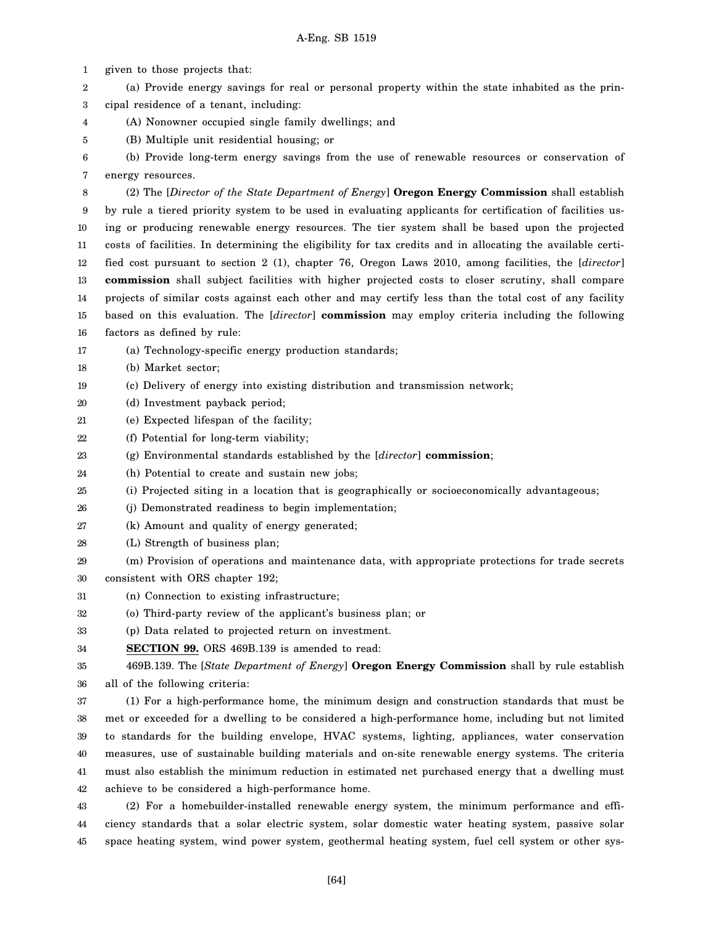1 2 3 4 5 6 7 8 9 10 11 12 13 14 15 16 17 18 19 20 21 22 23 24 25 26 27 28 29 30 31 32 33 34 35 36 37 38 39 40 41 42 43 44 45 given to those projects that: (a) Provide energy savings for real or personal property within the state inhabited as the principal residence of a tenant, including: (A) Nonowner occupied single family dwellings; and (B) Multiple unit residential housing; or (b) Provide long-term energy savings from the use of renewable resources or conservation of energy resources. (2) The [*Director of the State Department of Energy*] **Oregon Energy Commission** shall establish by rule a tiered priority system to be used in evaluating applicants for certification of facilities using or producing renewable energy resources. The tier system shall be based upon the projected costs of facilities. In determining the eligibility for tax credits and in allocating the available certified cost pursuant to section 2 (1), chapter 76, Oregon Laws 2010, among facilities, the [*director*] **commission** shall subject facilities with higher projected costs to closer scrutiny, shall compare projects of similar costs against each other and may certify less than the total cost of any facility based on this evaluation. The [*director*] **commission** may employ criteria including the following factors as defined by rule: (a) Technology-specific energy production standards; (b) Market sector; (c) Delivery of energy into existing distribution and transmission network; (d) Investment payback period; (e) Expected lifespan of the facility; (f) Potential for long-term viability; (g) Environmental standards established by the [*director*] **commission**; (h) Potential to create and sustain new jobs; (i) Projected siting in a location that is geographically or socioeconomically advantageous; (j) Demonstrated readiness to begin implementation; (k) Amount and quality of energy generated; (L) Strength of business plan; (m) Provision of operations and maintenance data, with appropriate protections for trade secrets consistent with ORS chapter 192; (n) Connection to existing infrastructure; (o) Third-party review of the applicant's business plan; or (p) Data related to projected return on investment. **SECTION 99.** ORS 469B.139 is amended to read: 469B.139. The [*State Department of Energy*] **Oregon Energy Commission** shall by rule establish all of the following criteria: (1) For a high-performance home, the minimum design and construction standards that must be met or exceeded for a dwelling to be considered a high-performance home, including but not limited to standards for the building envelope, HVAC systems, lighting, appliances, water conservation measures, use of sustainable building materials and on-site renewable energy systems. The criteria must also establish the minimum reduction in estimated net purchased energy that a dwelling must achieve to be considered a high-performance home. (2) For a homebuilder-installed renewable energy system, the minimum performance and efficiency standards that a solar electric system, solar domestic water heating system, passive solar space heating system, wind power system, geothermal heating system, fuel cell system or other sys-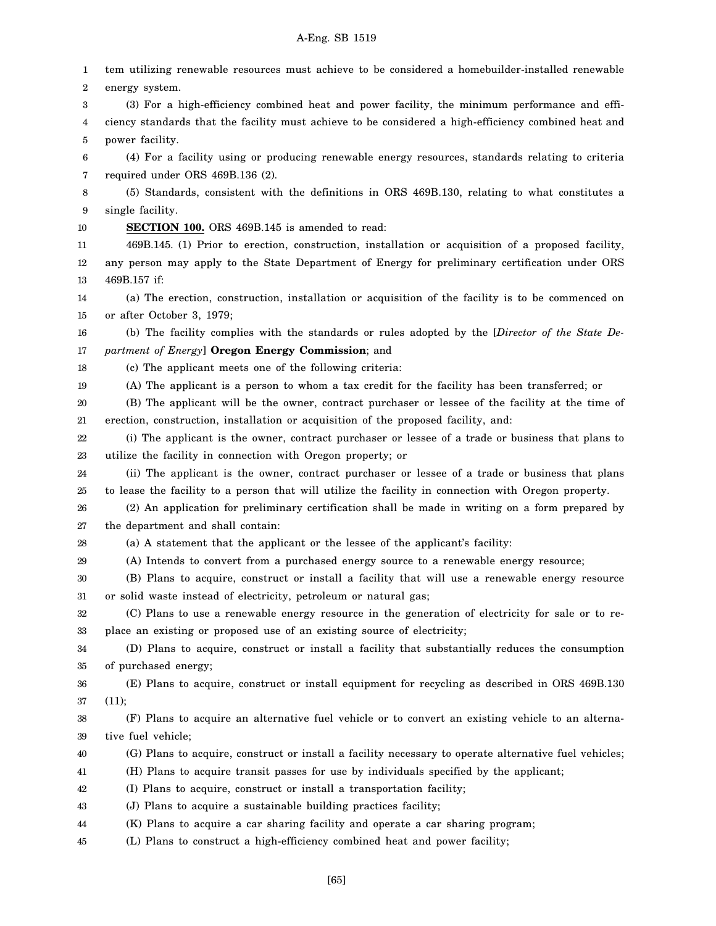1 2 3 4 5 6 7 8 9 10 11 12 13 14 15 16 17 18 19 20 21 22 23 24 25 26 27 28 29 30 31 32 33 34 35 36 37 38 39 40 41 42 43 44 45 tem utilizing renewable resources must achieve to be considered a homebuilder-installed renewable energy system. (3) For a high-efficiency combined heat and power facility, the minimum performance and efficiency standards that the facility must achieve to be considered a high-efficiency combined heat and power facility. (4) For a facility using or producing renewable energy resources, standards relating to criteria required under ORS 469B.136 (2). (5) Standards, consistent with the definitions in ORS 469B.130, relating to what constitutes a single facility. **SECTION 100.** ORS 469B.145 is amended to read: 469B.145. (1) Prior to erection, construction, installation or acquisition of a proposed facility, any person may apply to the State Department of Energy for preliminary certification under ORS 469B.157 if: (a) The erection, construction, installation or acquisition of the facility is to be commenced on or after October 3, 1979; (b) The facility complies with the standards or rules adopted by the [*Director of the State Department of Energy*] **Oregon Energy Commission**; and (c) The applicant meets one of the following criteria: (A) The applicant is a person to whom a tax credit for the facility has been transferred; or (B) The applicant will be the owner, contract purchaser or lessee of the facility at the time of erection, construction, installation or acquisition of the proposed facility, and: (i) The applicant is the owner, contract purchaser or lessee of a trade or business that plans to utilize the facility in connection with Oregon property; or (ii) The applicant is the owner, contract purchaser or lessee of a trade or business that plans to lease the facility to a person that will utilize the facility in connection with Oregon property. (2) An application for preliminary certification shall be made in writing on a form prepared by the department and shall contain: (a) A statement that the applicant or the lessee of the applicant's facility: (A) Intends to convert from a purchased energy source to a renewable energy resource; (B) Plans to acquire, construct or install a facility that will use a renewable energy resource or solid waste instead of electricity, petroleum or natural gas; (C) Plans to use a renewable energy resource in the generation of electricity for sale or to replace an existing or proposed use of an existing source of electricity; (D) Plans to acquire, construct or install a facility that substantially reduces the consumption of purchased energy; (E) Plans to acquire, construct or install equipment for recycling as described in ORS 469B.130 (11); (F) Plans to acquire an alternative fuel vehicle or to convert an existing vehicle to an alternative fuel vehicle; (G) Plans to acquire, construct or install a facility necessary to operate alternative fuel vehicles; (H) Plans to acquire transit passes for use by individuals specified by the applicant; (I) Plans to acquire, construct or install a transportation facility; (J) Plans to acquire a sustainable building practices facility; (K) Plans to acquire a car sharing facility and operate a car sharing program; (L) Plans to construct a high-efficiency combined heat and power facility;

[65]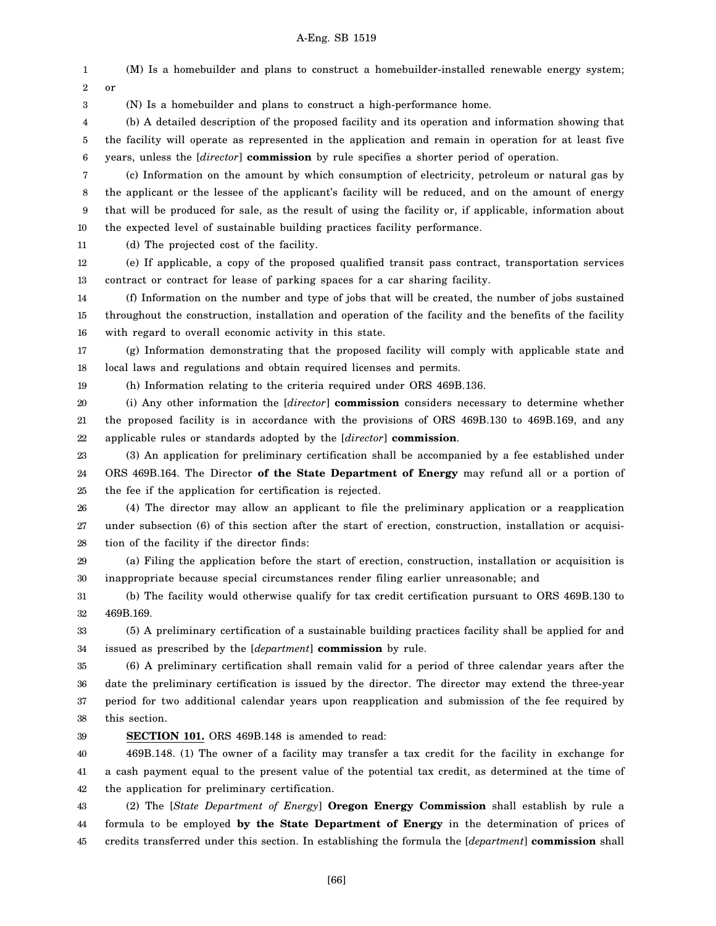1 2 3 4 5 6 7 8 9 10 11 12 13 14 15 16 17 18 19 20 21 22 23 24 25 26 27 28 29 30 31 32 33 34 35 36 37 38 39 40 (M) Is a homebuilder and plans to construct a homebuilder-installed renewable energy system; or (N) Is a homebuilder and plans to construct a high-performance home. (b) A detailed description of the proposed facility and its operation and information showing that the facility will operate as represented in the application and remain in operation for at least five years, unless the [*director*] **commission** by rule specifies a shorter period of operation. (c) Information on the amount by which consumption of electricity, petroleum or natural gas by the applicant or the lessee of the applicant's facility will be reduced, and on the amount of energy that will be produced for sale, as the result of using the facility or, if applicable, information about the expected level of sustainable building practices facility performance. (d) The projected cost of the facility. (e) If applicable, a copy of the proposed qualified transit pass contract, transportation services contract or contract for lease of parking spaces for a car sharing facility. (f) Information on the number and type of jobs that will be created, the number of jobs sustained throughout the construction, installation and operation of the facility and the benefits of the facility with regard to overall economic activity in this state. (g) Information demonstrating that the proposed facility will comply with applicable state and local laws and regulations and obtain required licenses and permits. (h) Information relating to the criteria required under ORS 469B.136. (i) Any other information the [*director*] **commission** considers necessary to determine whether the proposed facility is in accordance with the provisions of ORS 469B.130 to 469B.169, and any applicable rules or standards adopted by the [*director*] **commission**. (3) An application for preliminary certification shall be accompanied by a fee established under ORS 469B.164. The Director **of the State Department of Energy** may refund all or a portion of the fee if the application for certification is rejected. (4) The director may allow an applicant to file the preliminary application or a reapplication under subsection (6) of this section after the start of erection, construction, installation or acquisition of the facility if the director finds: (a) Filing the application before the start of erection, construction, installation or acquisition is inappropriate because special circumstances render filing earlier unreasonable; and (b) The facility would otherwise qualify for tax credit certification pursuant to ORS 469B.130 to 469B.169. (5) A preliminary certification of a sustainable building practices facility shall be applied for and issued as prescribed by the [*department*] **commission** by rule. (6) A preliminary certification shall remain valid for a period of three calendar years after the date the preliminary certification is issued by the director. The director may extend the three-year period for two additional calendar years upon reapplication and submission of the fee required by this section. **SECTION 101.** ORS 469B.148 is amended to read: 469B.148. (1) The owner of a facility may transfer a tax credit for the facility in exchange for

41 42 a cash payment equal to the present value of the potential tax credit, as determined at the time of the application for preliminary certification.

43 44 45 (2) The [*State Department of Energy*] **Oregon Energy Commission** shall establish by rule a formula to be employed **by the State Department of Energy** in the determination of prices of credits transferred under this section. In establishing the formula the [*department*] **commission** shall

[66]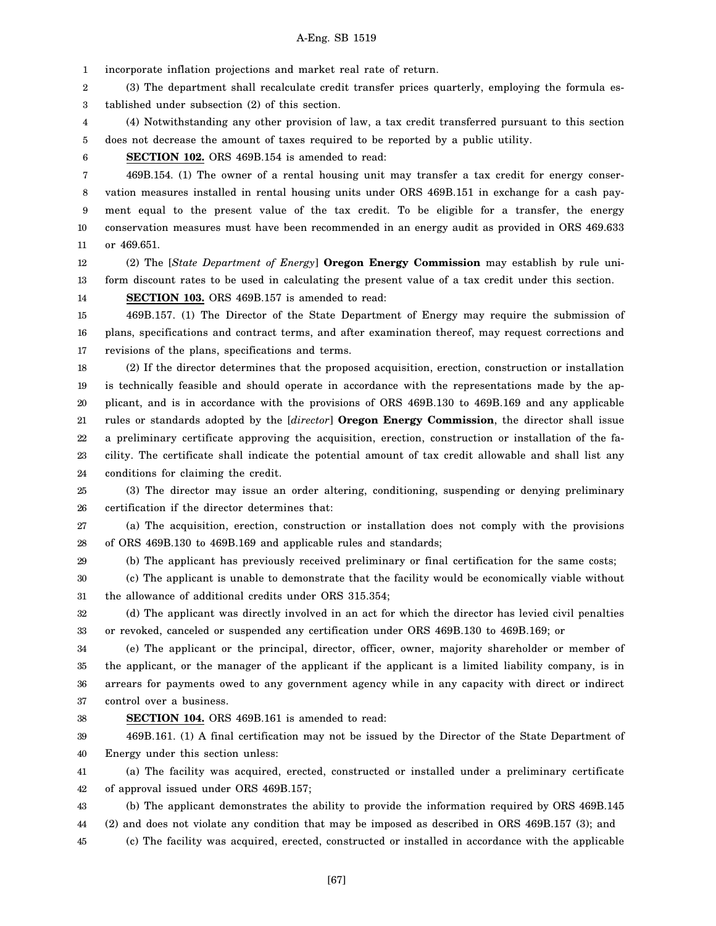1 incorporate inflation projections and market real rate of return.

2 3 (3) The department shall recalculate credit transfer prices quarterly, employing the formula established under subsection (2) of this section.

4 5 (4) Notwithstanding any other provision of law, a tax credit transferred pursuant to this section does not decrease the amount of taxes required to be reported by a public utility.

6 **SECTION 102.** ORS 469B.154 is amended to read:

7 8 9 10 11 469B.154. (1) The owner of a rental housing unit may transfer a tax credit for energy conservation measures installed in rental housing units under ORS 469B.151 in exchange for a cash payment equal to the present value of the tax credit. To be eligible for a transfer, the energy conservation measures must have been recommended in an energy audit as provided in ORS 469.633 or 469.651.

12 13 (2) The [*State Department of Energy*] **Oregon Energy Commission** may establish by rule uniform discount rates to be used in calculating the present value of a tax credit under this section.

14

**SECTION 103.** ORS 469B.157 is amended to read:

15 16 17 469B.157. (1) The Director of the State Department of Energy may require the submission of plans, specifications and contract terms, and after examination thereof, may request corrections and revisions of the plans, specifications and terms.

18 19 20 21 22 23 24 (2) If the director determines that the proposed acquisition, erection, construction or installation is technically feasible and should operate in accordance with the representations made by the applicant, and is in accordance with the provisions of ORS 469B.130 to 469B.169 and any applicable rules or standards adopted by the [*director*] **Oregon Energy Commission**, the director shall issue a preliminary certificate approving the acquisition, erection, construction or installation of the facility. The certificate shall indicate the potential amount of tax credit allowable and shall list any conditions for claiming the credit.

25 26 (3) The director may issue an order altering, conditioning, suspending or denying preliminary certification if the director determines that:

27 28 (a) The acquisition, erection, construction or installation does not comply with the provisions of ORS 469B.130 to 469B.169 and applicable rules and standards;

29

(b) The applicant has previously received preliminary or final certification for the same costs;

30 31 (c) The applicant is unable to demonstrate that the facility would be economically viable without the allowance of additional credits under ORS 315.354;

32 33 (d) The applicant was directly involved in an act for which the director has levied civil penalties or revoked, canceled or suspended any certification under ORS 469B.130 to 469B.169; or

34 35 36 37 (e) The applicant or the principal, director, officer, owner, majority shareholder or member of the applicant, or the manager of the applicant if the applicant is a limited liability company, is in arrears for payments owed to any government agency while in any capacity with direct or indirect control over a business.

38

## **SECTION 104.** ORS 469B.161 is amended to read:

39 40 469B.161. (1) A final certification may not be issued by the Director of the State Department of Energy under this section unless:

41 42 (a) The facility was acquired, erected, constructed or installed under a preliminary certificate of approval issued under ORS 469B.157;

43 44 (b) The applicant demonstrates the ability to provide the information required by ORS 469B.145 (2) and does not violate any condition that may be imposed as described in ORS 469B.157 (3); and

45 (c) The facility was acquired, erected, constructed or installed in accordance with the applicable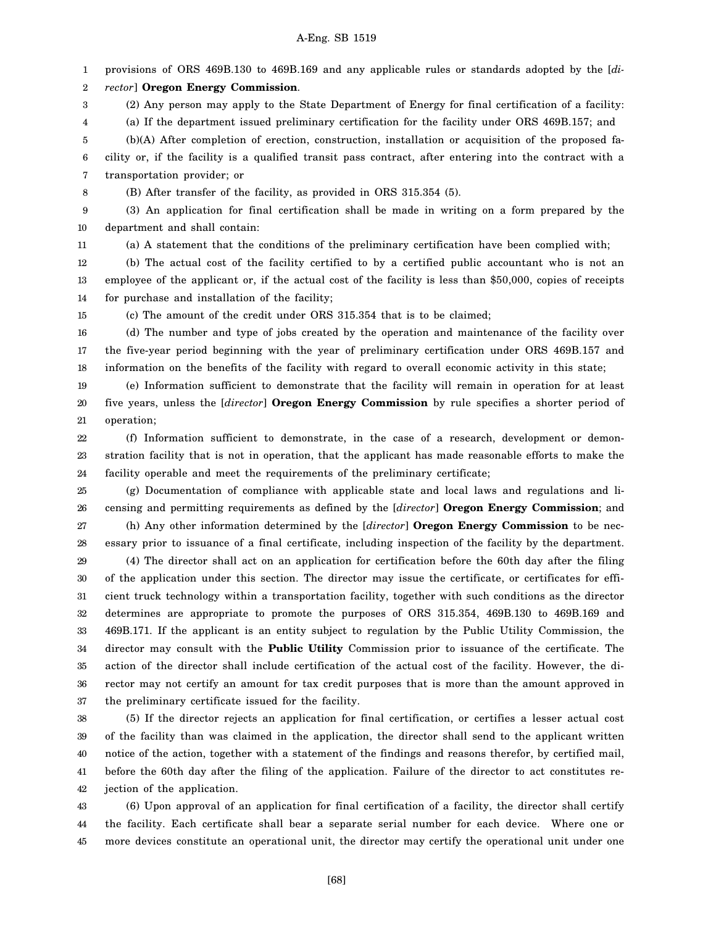1 2 3 4 5 6 7 8 9 10 11 12 13 14 15 16 17 18 19 20 21 22 23 24 25 26 provisions of ORS 469B.130 to 469B.169 and any applicable rules or standards adopted by the [*director*] **Oregon Energy Commission**. (2) Any person may apply to the State Department of Energy for final certification of a facility: (a) If the department issued preliminary certification for the facility under ORS 469B.157; and (b)(A) After completion of erection, construction, installation or acquisition of the proposed facility or, if the facility is a qualified transit pass contract, after entering into the contract with a transportation provider; or (B) After transfer of the facility, as provided in ORS 315.354 (5). (3) An application for final certification shall be made in writing on a form prepared by the department and shall contain: (a) A statement that the conditions of the preliminary certification have been complied with; (b) The actual cost of the facility certified to by a certified public accountant who is not an employee of the applicant or, if the actual cost of the facility is less than \$50,000, copies of receipts for purchase and installation of the facility; (c) The amount of the credit under ORS 315.354 that is to be claimed; (d) The number and type of jobs created by the operation and maintenance of the facility over the five-year period beginning with the year of preliminary certification under ORS 469B.157 and information on the benefits of the facility with regard to overall economic activity in this state; (e) Information sufficient to demonstrate that the facility will remain in operation for at least five years, unless the [*director*] **Oregon Energy Commission** by rule specifies a shorter period of operation; (f) Information sufficient to demonstrate, in the case of a research, development or demonstration facility that is not in operation, that the applicant has made reasonable efforts to make the facility operable and meet the requirements of the preliminary certificate; (g) Documentation of compliance with applicable state and local laws and regulations and licensing and permitting requirements as defined by the [*director*] **Oregon Energy Commission**; and

27 28 29 30 31 32 33 34 35 36 37 (h) Any other information determined by the [*director*] **Oregon Energy Commission** to be necessary prior to issuance of a final certificate, including inspection of the facility by the department. (4) The director shall act on an application for certification before the 60th day after the filing of the application under this section. The director may issue the certificate, or certificates for efficient truck technology within a transportation facility, together with such conditions as the director determines are appropriate to promote the purposes of ORS 315.354, 469B.130 to 469B.169 and 469B.171. If the applicant is an entity subject to regulation by the Public Utility Commission, the director may consult with the **Public Utility** Commission prior to issuance of the certificate. The action of the director shall include certification of the actual cost of the facility. However, the director may not certify an amount for tax credit purposes that is more than the amount approved in the preliminary certificate issued for the facility.

38 39 40 41 42 (5) If the director rejects an application for final certification, or certifies a lesser actual cost of the facility than was claimed in the application, the director shall send to the applicant written notice of the action, together with a statement of the findings and reasons therefor, by certified mail, before the 60th day after the filing of the application. Failure of the director to act constitutes rejection of the application.

43 44 45 (6) Upon approval of an application for final certification of a facility, the director shall certify the facility. Each certificate shall bear a separate serial number for each device. Where one or more devices constitute an operational unit, the director may certify the operational unit under one

[68]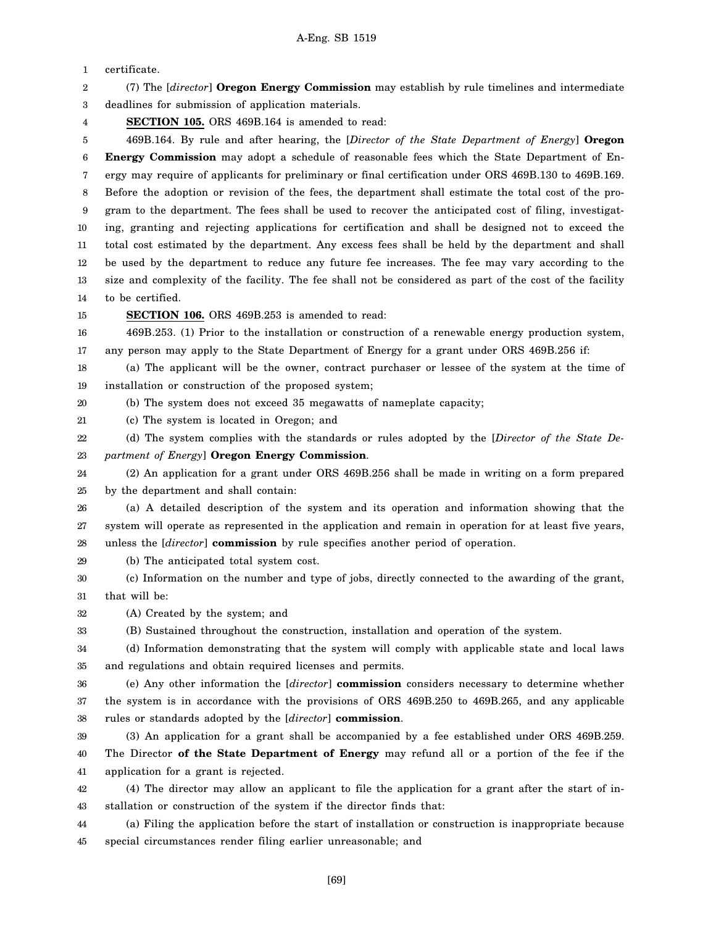1 2 3 4 5 6 7 8 9 10 11 12 13 14 15 16 17 18 19 20 21 22 23 24 25 26 27 28 29 30 31 32 33 34 35 36 37 38 39 40 41 42 43 44 45 certificate. (7) The [*director*] **Oregon Energy Commission** may establish by rule timelines and intermediate deadlines for submission of application materials. **SECTION 105.** ORS 469B.164 is amended to read: 469B.164. By rule and after hearing, the [*Director of the State Department of Energy*] **Oregon Energy Commission** may adopt a schedule of reasonable fees which the State Department of Energy may require of applicants for preliminary or final certification under ORS 469B.130 to 469B.169. Before the adoption or revision of the fees, the department shall estimate the total cost of the program to the department. The fees shall be used to recover the anticipated cost of filing, investigating, granting and rejecting applications for certification and shall be designed not to exceed the total cost estimated by the department. Any excess fees shall be held by the department and shall be used by the department to reduce any future fee increases. The fee may vary according to the size and complexity of the facility. The fee shall not be considered as part of the cost of the facility to be certified. **SECTION 106.** ORS 469B.253 is amended to read: 469B.253. (1) Prior to the installation or construction of a renewable energy production system, any person may apply to the State Department of Energy for a grant under ORS 469B.256 if: (a) The applicant will be the owner, contract purchaser or lessee of the system at the time of installation or construction of the proposed system; (b) The system does not exceed 35 megawatts of nameplate capacity; (c) The system is located in Oregon; and (d) The system complies with the standards or rules adopted by the [*Director of the State Department of Energy*] **Oregon Energy Commission**. (2) An application for a grant under ORS 469B.256 shall be made in writing on a form prepared by the department and shall contain: (a) A detailed description of the system and its operation and information showing that the system will operate as represented in the application and remain in operation for at least five years, unless the [*director*] **commission** by rule specifies another period of operation. (b) The anticipated total system cost. (c) Information on the number and type of jobs, directly connected to the awarding of the grant, that will be: (A) Created by the system; and (B) Sustained throughout the construction, installation and operation of the system. (d) Information demonstrating that the system will comply with applicable state and local laws and regulations and obtain required licenses and permits. (e) Any other information the [*director*] **commission** considers necessary to determine whether the system is in accordance with the provisions of ORS 469B.250 to 469B.265, and any applicable rules or standards adopted by the [*director*] **commission**. (3) An application for a grant shall be accompanied by a fee established under ORS 469B.259. The Director **of the State Department of Energy** may refund all or a portion of the fee if the application for a grant is rejected. (4) The director may allow an applicant to file the application for a grant after the start of installation or construction of the system if the director finds that: (a) Filing the application before the start of installation or construction is inappropriate because special circumstances render filing earlier unreasonable; and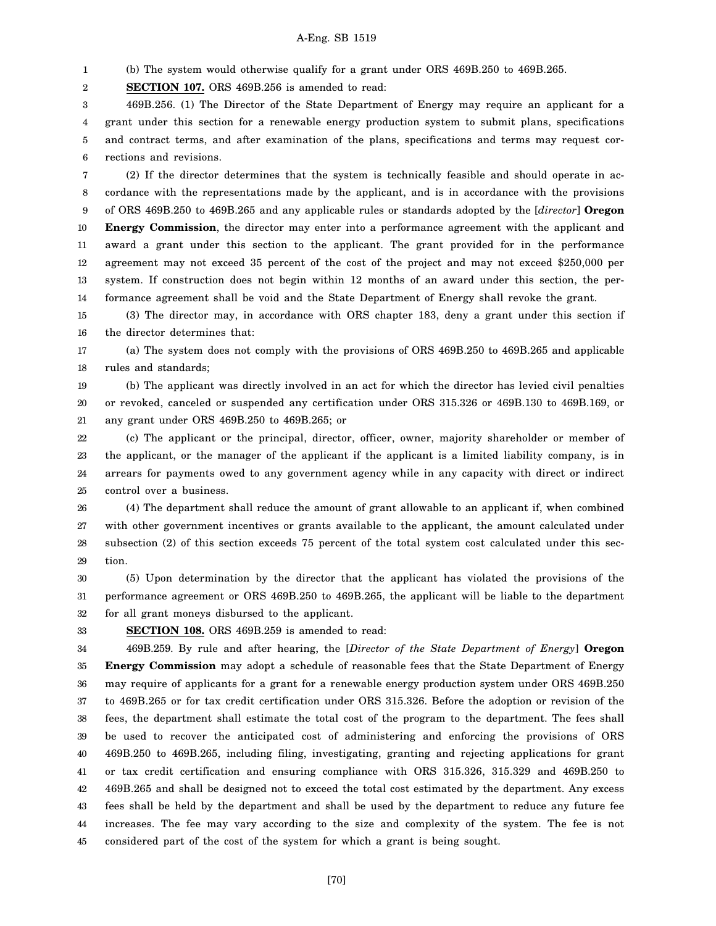1 (b) The system would otherwise qualify for a grant under ORS 469B.250 to 469B.265.

2 **SECTION 107.** ORS 469B.256 is amended to read:

3 4 5 6 469B.256. (1) The Director of the State Department of Energy may require an applicant for a grant under this section for a renewable energy production system to submit plans, specifications and contract terms, and after examination of the plans, specifications and terms may request corrections and revisions.

7 8 9 10 11 12 13 14 (2) If the director determines that the system is technically feasible and should operate in accordance with the representations made by the applicant, and is in accordance with the provisions of ORS 469B.250 to 469B.265 and any applicable rules or standards adopted by the [*director*] **Oregon Energy Commission**, the director may enter into a performance agreement with the applicant and award a grant under this section to the applicant. The grant provided for in the performance agreement may not exceed 35 percent of the cost of the project and may not exceed \$250,000 per system. If construction does not begin within 12 months of an award under this section, the performance agreement shall be void and the State Department of Energy shall revoke the grant.

15 16 (3) The director may, in accordance with ORS chapter 183, deny a grant under this section if the director determines that:

17 18 (a) The system does not comply with the provisions of ORS 469B.250 to 469B.265 and applicable rules and standards;

19 20 21 (b) The applicant was directly involved in an act for which the director has levied civil penalties or revoked, canceled or suspended any certification under ORS 315.326 or 469B.130 to 469B.169, or any grant under ORS 469B.250 to 469B.265; or

22 23 24 25 (c) The applicant or the principal, director, officer, owner, majority shareholder or member of the applicant, or the manager of the applicant if the applicant is a limited liability company, is in arrears for payments owed to any government agency while in any capacity with direct or indirect control over a business.

26 27 28 29 (4) The department shall reduce the amount of grant allowable to an applicant if, when combined with other government incentives or grants available to the applicant, the amount calculated under subsection (2) of this section exceeds 75 percent of the total system cost calculated under this section.

30 31 32 (5) Upon determination by the director that the applicant has violated the provisions of the performance agreement or ORS 469B.250 to 469B.265, the applicant will be liable to the department for all grant moneys disbursed to the applicant.

33

**SECTION 108.** ORS 469B.259 is amended to read:

34 35 36 37 38 39 40 41 42 43 44 45 469B.259. By rule and after hearing, the [*Director of the State Department of Energy*] **Oregon Energy Commission** may adopt a schedule of reasonable fees that the State Department of Energy may require of applicants for a grant for a renewable energy production system under ORS 469B.250 to 469B.265 or for tax credit certification under ORS 315.326. Before the adoption or revision of the fees, the department shall estimate the total cost of the program to the department. The fees shall be used to recover the anticipated cost of administering and enforcing the provisions of ORS 469B.250 to 469B.265, including filing, investigating, granting and rejecting applications for grant or tax credit certification and ensuring compliance with ORS 315.326, 315.329 and 469B.250 to 469B.265 and shall be designed not to exceed the total cost estimated by the department. Any excess fees shall be held by the department and shall be used by the department to reduce any future fee increases. The fee may vary according to the size and complexity of the system. The fee is not considered part of the cost of the system for which a grant is being sought.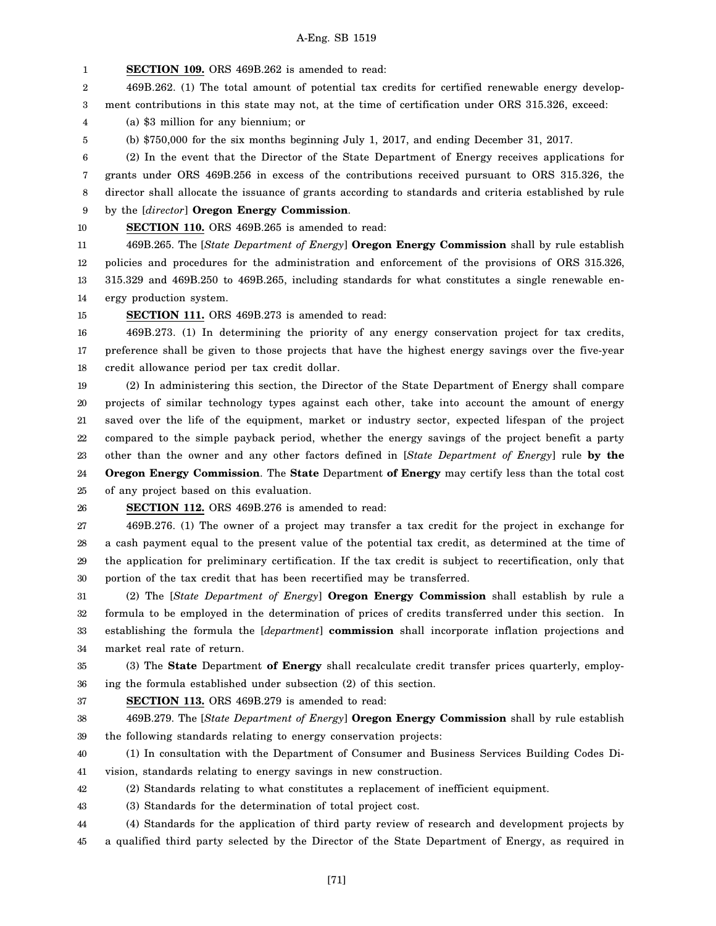1 **SECTION 109.** ORS 469B.262 is amended to read:

2 3 469B.262. (1) The total amount of potential tax credits for certified renewable energy development contributions in this state may not, at the time of certification under ORS 315.326, exceed:

4 (a) \$3 million for any biennium; or

5 (b) \$750,000 for the six months beginning July 1, 2017, and ending December 31, 2017.

6 7 8 (2) In the event that the Director of the State Department of Energy receives applications for grants under ORS 469B.256 in excess of the contributions received pursuant to ORS 315.326, the director shall allocate the issuance of grants according to standards and criteria established by rule

- 9 by the [*director*] **Oregon Energy Commission**.
- 10

**SECTION 110.** ORS 469B.265 is amended to read:

11 12 13 14 469B.265. The [*State Department of Energy*] **Oregon Energy Commission** shall by rule establish policies and procedures for the administration and enforcement of the provisions of ORS 315.326, 315.329 and 469B.250 to 469B.265, including standards for what constitutes a single renewable energy production system.

15 **SECTION 111.** ORS 469B.273 is amended to read:

16 17 18 469B.273. (1) In determining the priority of any energy conservation project for tax credits, preference shall be given to those projects that have the highest energy savings over the five-year credit allowance period per tax credit dollar.

19 20 21 22 23 24 25 (2) In administering this section, the Director of the State Department of Energy shall compare projects of similar technology types against each other, take into account the amount of energy saved over the life of the equipment, market or industry sector, expected lifespan of the project compared to the simple payback period, whether the energy savings of the project benefit a party other than the owner and any other factors defined in [*State Department of Energy*] rule **by the Oregon Energy Commission**. The **State** Department **of Energy** may certify less than the total cost of any project based on this evaluation.

26

## **SECTION 112.** ORS 469B.276 is amended to read:

27 28 29 30 469B.276. (1) The owner of a project may transfer a tax credit for the project in exchange for a cash payment equal to the present value of the potential tax credit, as determined at the time of the application for preliminary certification. If the tax credit is subject to recertification, only that portion of the tax credit that has been recertified may be transferred.

31 32 33 34 (2) The [*State Department of Energy*] **Oregon Energy Commission** shall establish by rule a formula to be employed in the determination of prices of credits transferred under this section. In establishing the formula the [*department*] **commission** shall incorporate inflation projections and market real rate of return.

35 36 (3) The **State** Department **of Energy** shall recalculate credit transfer prices quarterly, employing the formula established under subsection (2) of this section.

37 **SECTION 113.** ORS 469B.279 is amended to read:

38 39 469B.279. The [*State Department of Energy*] **Oregon Energy Commission** shall by rule establish the following standards relating to energy conservation projects:

40 41 (1) In consultation with the Department of Consumer and Business Services Building Codes Division, standards relating to energy savings in new construction.

- 42 (2) Standards relating to what constitutes a replacement of inefficient equipment.
- 43 (3) Standards for the determination of total project cost.

44 45 (4) Standards for the application of third party review of research and development projects by a qualified third party selected by the Director of the State Department of Energy, as required in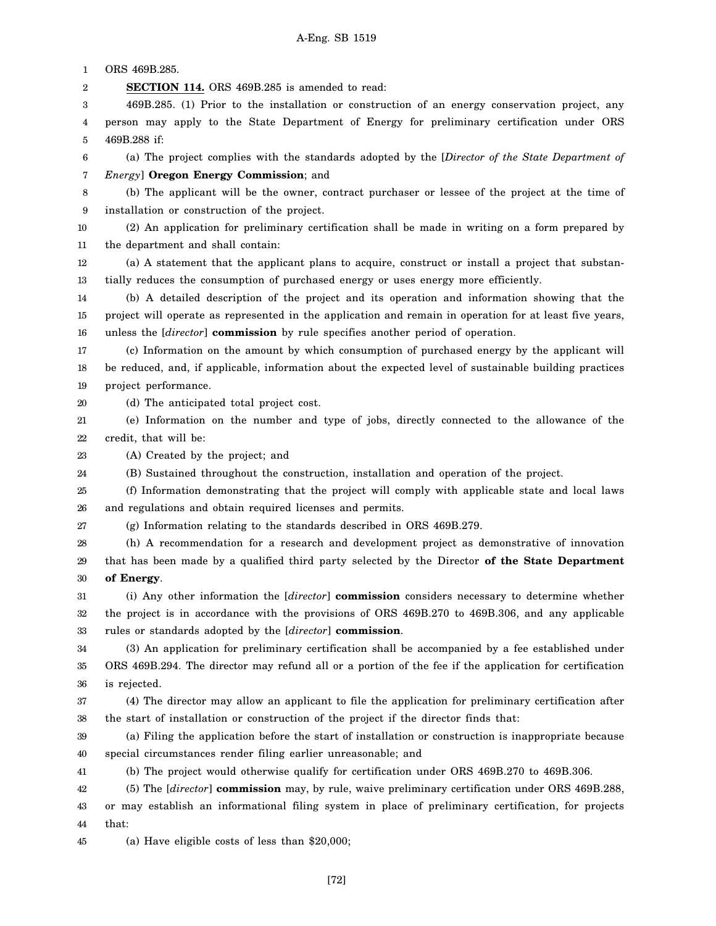1 2 3 4 5 6 7 8 9 10 11 12 13 14 15 16 17 18 19 20 21 22 23 24 25 26 27 28 29 30 31 32 33 34 35 36 37 38 39 40 41 42 43 44 ORS 469B.285. **SECTION 114.** ORS 469B.285 is amended to read: 469B.285. (1) Prior to the installation or construction of an energy conservation project, any person may apply to the State Department of Energy for preliminary certification under ORS 469B.288 if: (a) The project complies with the standards adopted by the [*Director of the State Department of Energy*] **Oregon Energy Commission**; and (b) The applicant will be the owner, contract purchaser or lessee of the project at the time of installation or construction of the project. (2) An application for preliminary certification shall be made in writing on a form prepared by the department and shall contain: (a) A statement that the applicant plans to acquire, construct or install a project that substantially reduces the consumption of purchased energy or uses energy more efficiently. (b) A detailed description of the project and its operation and information showing that the project will operate as represented in the application and remain in operation for at least five years, unless the [*director*] **commission** by rule specifies another period of operation. (c) Information on the amount by which consumption of purchased energy by the applicant will be reduced, and, if applicable, information about the expected level of sustainable building practices project performance. (d) The anticipated total project cost. (e) Information on the number and type of jobs, directly connected to the allowance of the credit, that will be: (A) Created by the project; and (B) Sustained throughout the construction, installation and operation of the project. (f) Information demonstrating that the project will comply with applicable state and local laws and regulations and obtain required licenses and permits. (g) Information relating to the standards described in ORS 469B.279. (h) A recommendation for a research and development project as demonstrative of innovation that has been made by a qualified third party selected by the Director **of the State Department of Energy**. (i) Any other information the [*director*] **commission** considers necessary to determine whether the project is in accordance with the provisions of ORS 469B.270 to 469B.306, and any applicable rules or standards adopted by the [*director*] **commission**. (3) An application for preliminary certification shall be accompanied by a fee established under ORS 469B.294. The director may refund all or a portion of the fee if the application for certification is rejected. (4) The director may allow an applicant to file the application for preliminary certification after the start of installation or construction of the project if the director finds that: (a) Filing the application before the start of installation or construction is inappropriate because special circumstances render filing earlier unreasonable; and (b) The project would otherwise qualify for certification under ORS 469B.270 to 469B.306. (5) The [*director*] **commission** may, by rule, waive preliminary certification under ORS 469B.288, or may establish an informational filing system in place of preliminary certification, for projects that:

45 (a) Have eligible costs of less than \$20,000;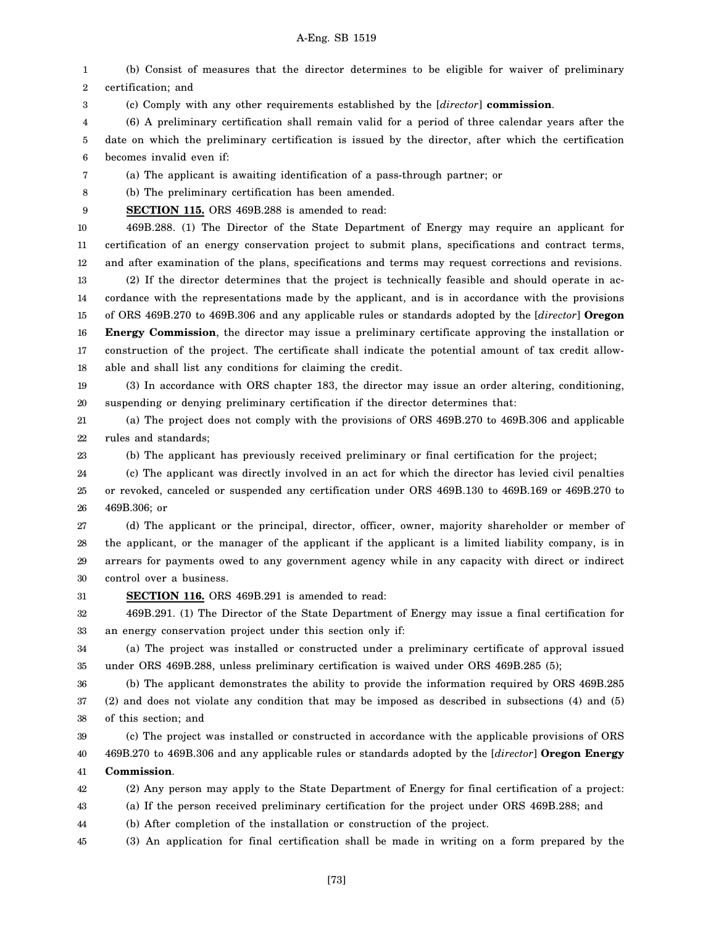1 2 (b) Consist of measures that the director determines to be eligible for waiver of preliminary certification; and

3 (c) Comply with any other requirements established by the [*director*] **commission**.

4 5 6 (6) A preliminary certification shall remain valid for a period of three calendar years after the date on which the preliminary certification is issued by the director, after which the certification becomes invalid even if:

7 (a) The applicant is awaiting identification of a pass-through partner; or

8 (b) The preliminary certification has been amended.

9 **SECTION 115.** ORS 469B.288 is amended to read:

10

23

11 12 469B.288. (1) The Director of the State Department of Energy may require an applicant for certification of an energy conservation project to submit plans, specifications and contract terms, and after examination of the plans, specifications and terms may request corrections and revisions.

13 14 15 16 17 18 (2) If the director determines that the project is technically feasible and should operate in accordance with the representations made by the applicant, and is in accordance with the provisions of ORS 469B.270 to 469B.306 and any applicable rules or standards adopted by the [*director*] **Oregon Energy Commission**, the director may issue a preliminary certificate approving the installation or construction of the project. The certificate shall indicate the potential amount of tax credit allowable and shall list any conditions for claiming the credit.

19 20 (3) In accordance with ORS chapter 183, the director may issue an order altering, conditioning, suspending or denying preliminary certification if the director determines that:

21 22 (a) The project does not comply with the provisions of ORS 469B.270 to 469B.306 and applicable rules and standards;

(b) The applicant has previously received preliminary or final certification for the project;

24 25 26 (c) The applicant was directly involved in an act for which the director has levied civil penalties or revoked, canceled or suspended any certification under ORS 469B.130 to 469B.169 or 469B.270 to 469B.306; or

27 28 29 30 (d) The applicant or the principal, director, officer, owner, majority shareholder or member of the applicant, or the manager of the applicant if the applicant is a limited liability company, is in arrears for payments owed to any government agency while in any capacity with direct or indirect control over a business.

31 **SECTION 116.** ORS 469B.291 is amended to read:

32 33 469B.291. (1) The Director of the State Department of Energy may issue a final certification for an energy conservation project under this section only if:

34 35 (a) The project was installed or constructed under a preliminary certificate of approval issued under ORS 469B.288, unless preliminary certification is waived under ORS 469B.285 (5);

36 37 38 (b) The applicant demonstrates the ability to provide the information required by ORS 469B.285 (2) and does not violate any condition that may be imposed as described in subsections (4) and (5) of this section; and

39 40 41 (c) The project was installed or constructed in accordance with the applicable provisions of ORS 469B.270 to 469B.306 and any applicable rules or standards adopted by the [*director*] **Oregon Energy Commission**.

42 (2) Any person may apply to the State Department of Energy for final certification of a project:

43 (a) If the person received preliminary certification for the project under ORS 469B.288; and

44 (b) After completion of the installation or construction of the project.

45 (3) An application for final certification shall be made in writing on a form prepared by the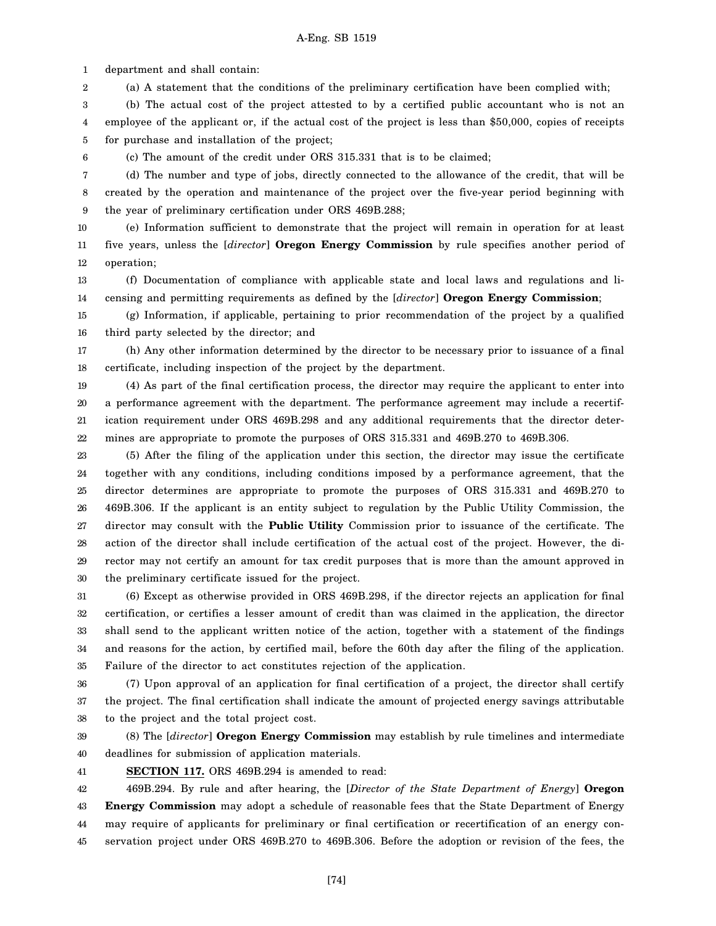1 department and shall contain:

2 (a) A statement that the conditions of the preliminary certification have been complied with;

3 4 5 (b) The actual cost of the project attested to by a certified public accountant who is not an employee of the applicant or, if the actual cost of the project is less than \$50,000, copies of receipts for purchase and installation of the project;

6

(c) The amount of the credit under ORS 315.331 that is to be claimed;

7 8 9 (d) The number and type of jobs, directly connected to the allowance of the credit, that will be created by the operation and maintenance of the project over the five-year period beginning with the year of preliminary certification under ORS 469B.288;

10 11 12 (e) Information sufficient to demonstrate that the project will remain in operation for at least five years, unless the [*director*] **Oregon Energy Commission** by rule specifies another period of operation;

13 14 (f) Documentation of compliance with applicable state and local laws and regulations and licensing and permitting requirements as defined by the [*director*] **Oregon Energy Commission**;

15 16 (g) Information, if applicable, pertaining to prior recommendation of the project by a qualified third party selected by the director; and

17 18 (h) Any other information determined by the director to be necessary prior to issuance of a final certificate, including inspection of the project by the department.

19 20 21 22 (4) As part of the final certification process, the director may require the applicant to enter into a performance agreement with the department. The performance agreement may include a recertification requirement under ORS 469B.298 and any additional requirements that the director determines are appropriate to promote the purposes of ORS 315.331 and 469B.270 to 469B.306.

23 24 25 26 27 28 29 30 (5) After the filing of the application under this section, the director may issue the certificate together with any conditions, including conditions imposed by a performance agreement, that the director determines are appropriate to promote the purposes of ORS 315.331 and 469B.270 to 469B.306. If the applicant is an entity subject to regulation by the Public Utility Commission, the director may consult with the **Public Utility** Commission prior to issuance of the certificate. The action of the director shall include certification of the actual cost of the project. However, the director may not certify an amount for tax credit purposes that is more than the amount approved in the preliminary certificate issued for the project.

31 32 33 34 35 (6) Except as otherwise provided in ORS 469B.298, if the director rejects an application for final certification, or certifies a lesser amount of credit than was claimed in the application, the director shall send to the applicant written notice of the action, together with a statement of the findings and reasons for the action, by certified mail, before the 60th day after the filing of the application. Failure of the director to act constitutes rejection of the application.

36 37 38 (7) Upon approval of an application for final certification of a project, the director shall certify the project. The final certification shall indicate the amount of projected energy savings attributable to the project and the total project cost.

39 40 (8) The [*director*] **Oregon Energy Commission** may establish by rule timelines and intermediate deadlines for submission of application materials.

41

**SECTION 117.** ORS 469B.294 is amended to read:

42 43 44 45 469B.294. By rule and after hearing, the [*Director of the State Department of Energy*] **Oregon Energy Commission** may adopt a schedule of reasonable fees that the State Department of Energy may require of applicants for preliminary or final certification or recertification of an energy conservation project under ORS 469B.270 to 469B.306. Before the adoption or revision of the fees, the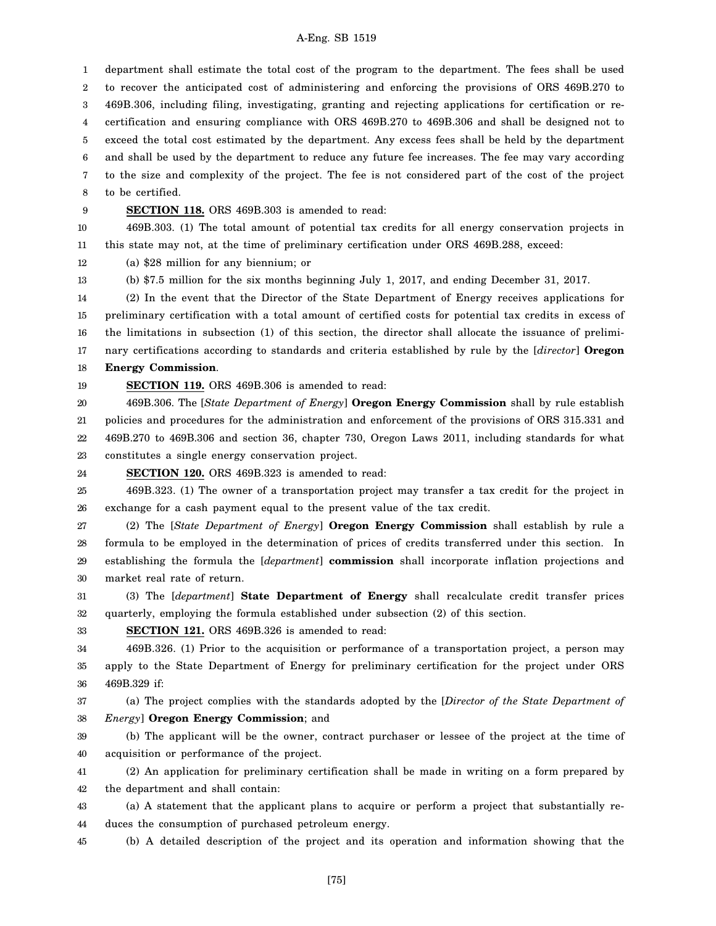1 2 3 4 5 6 7 8 department shall estimate the total cost of the program to the department. The fees shall be used to recover the anticipated cost of administering and enforcing the provisions of ORS 469B.270 to 469B.306, including filing, investigating, granting and rejecting applications for certification or recertification and ensuring compliance with ORS 469B.270 to 469B.306 and shall be designed not to exceed the total cost estimated by the department. Any excess fees shall be held by the department and shall be used by the department to reduce any future fee increases. The fee may vary according to the size and complexity of the project. The fee is not considered part of the cost of the project to be certified.

9 **SECTION 118.** ORS 469B.303 is amended to read:

10 11 469B.303. (1) The total amount of potential tax credits for all energy conservation projects in this state may not, at the time of preliminary certification under ORS 469B.288, exceed:

12 (a) \$28 million for any biennium; or

13 (b) \$7.5 million for the six months beginning July 1, 2017, and ending December 31, 2017.

14 15 16 17 18 (2) In the event that the Director of the State Department of Energy receives applications for preliminary certification with a total amount of certified costs for potential tax credits in excess of the limitations in subsection (1) of this section, the director shall allocate the issuance of preliminary certifications according to standards and criteria established by rule by the [*director*] **Oregon Energy Commission**.

19

**SECTION 119.** ORS 469B.306 is amended to read:

20 21 22 23 469B.306. The [*State Department of Energy*] **Oregon Energy Commission** shall by rule establish policies and procedures for the administration and enforcement of the provisions of ORS 315.331 and 469B.270 to 469B.306 and section 36, chapter 730, Oregon Laws 2011, including standards for what constitutes a single energy conservation project.

24 **SECTION 120.** ORS 469B.323 is amended to read:

25 26 469B.323. (1) The owner of a transportation project may transfer a tax credit for the project in exchange for a cash payment equal to the present value of the tax credit.

27 28 29 30 (2) The [*State Department of Energy*] **Oregon Energy Commission** shall establish by rule a formula to be employed in the determination of prices of credits transferred under this section. In establishing the formula the [*department*] **commission** shall incorporate inflation projections and market real rate of return.

31 32 (3) The [*department*] **State Department of Energy** shall recalculate credit transfer prices quarterly, employing the formula established under subsection (2) of this section.

33 **SECTION 121.** ORS 469B.326 is amended to read:

34 35 36 469B.326. (1) Prior to the acquisition or performance of a transportation project, a person may apply to the State Department of Energy for preliminary certification for the project under ORS 469B.329 if:

37 38 (a) The project complies with the standards adopted by the [*Director of the State Department of Energy*] **Oregon Energy Commission**; and

39 40 (b) The applicant will be the owner, contract purchaser or lessee of the project at the time of acquisition or performance of the project.

41 42 (2) An application for preliminary certification shall be made in writing on a form prepared by the department and shall contain:

43 44 (a) A statement that the applicant plans to acquire or perform a project that substantially reduces the consumption of purchased petroleum energy.

45 (b) A detailed description of the project and its operation and information showing that the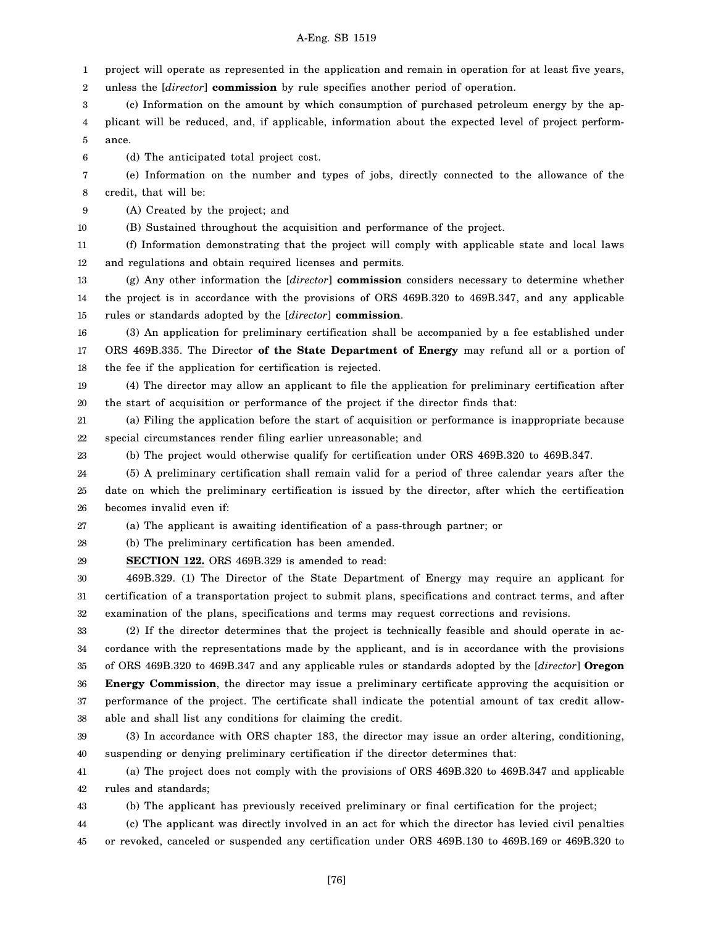1 project will operate as represented in the application and remain in operation for at least five years,

2 unless the [*director*] **commission** by rule specifies another period of operation.

3 4 5 (c) Information on the amount by which consumption of purchased petroleum energy by the applicant will be reduced, and, if applicable, information about the expected level of project performance.

6 (d) The anticipated total project cost.

7 8 (e) Information on the number and types of jobs, directly connected to the allowance of the credit, that will be:

9 (A) Created by the project; and

10 (B) Sustained throughout the acquisition and performance of the project.

11 12 (f) Information demonstrating that the project will comply with applicable state and local laws and regulations and obtain required licenses and permits.

13 14 15 (g) Any other information the [*director*] **commission** considers necessary to determine whether the project is in accordance with the provisions of ORS 469B.320 to 469B.347, and any applicable rules or standards adopted by the [*director*] **commission**.

16 17 18 (3) An application for preliminary certification shall be accompanied by a fee established under ORS 469B.335. The Director **of the State Department of Energy** may refund all or a portion of the fee if the application for certification is rejected.

19 20 (4) The director may allow an applicant to file the application for preliminary certification after the start of acquisition or performance of the project if the director finds that:

21 22 (a) Filing the application before the start of acquisition or performance is inappropriate because special circumstances render filing earlier unreasonable; and

23 (b) The project would otherwise qualify for certification under ORS 469B.320 to 469B.347.

24 25 26 (5) A preliminary certification shall remain valid for a period of three calendar years after the date on which the preliminary certification is issued by the director, after which the certification becomes invalid even if:

27 (a) The applicant is awaiting identification of a pass-through partner; or

28 (b) The preliminary certification has been amended.

29 **SECTION 122.** ORS 469B.329 is amended to read:

30 31 32 469B.329. (1) The Director of the State Department of Energy may require an applicant for certification of a transportation project to submit plans, specifications and contract terms, and after examination of the plans, specifications and terms may request corrections and revisions.

33 34 35 36 37 38 (2) If the director determines that the project is technically feasible and should operate in accordance with the representations made by the applicant, and is in accordance with the provisions of ORS 469B.320 to 469B.347 and any applicable rules or standards adopted by the [*director*] **Oregon Energy Commission**, the director may issue a preliminary certificate approving the acquisition or performance of the project. The certificate shall indicate the potential amount of tax credit allowable and shall list any conditions for claiming the credit.

39 40 (3) In accordance with ORS chapter 183, the director may issue an order altering, conditioning, suspending or denying preliminary certification if the director determines that:

41 42 (a) The project does not comply with the provisions of ORS 469B.320 to 469B.347 and applicable rules and standards;

43 (b) The applicant has previously received preliminary or final certification for the project;

44 45 (c) The applicant was directly involved in an act for which the director has levied civil penalties or revoked, canceled or suspended any certification under ORS 469B.130 to 469B.169 or 469B.320 to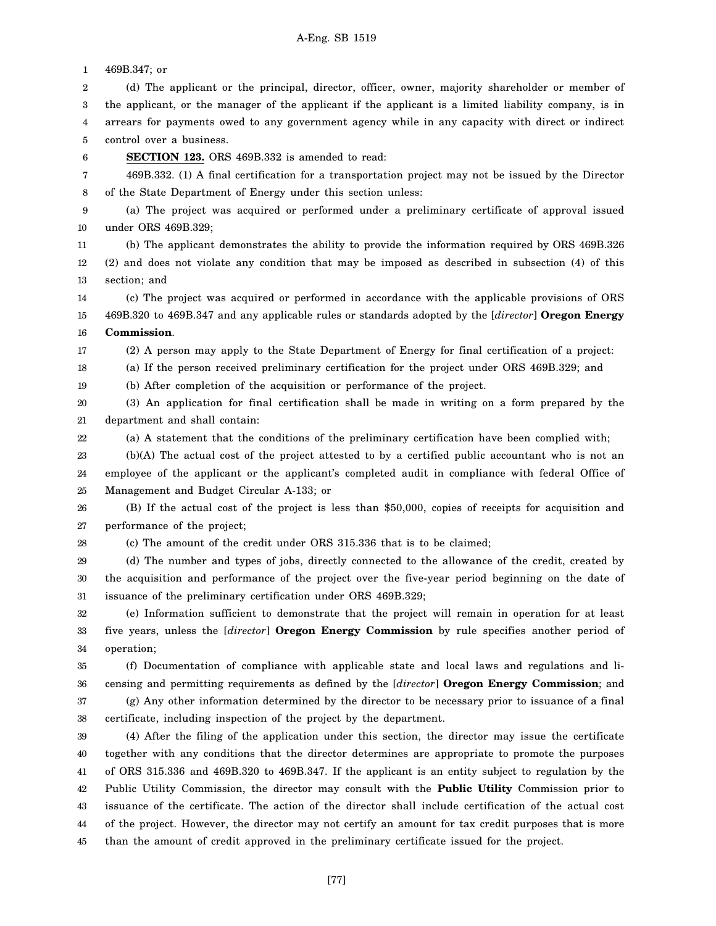1 2 3 4 5 6 7 8 9 10 11 12 13 14 15 16 17 18 19 20 21 22 23 24 25 26 27 28 29 30 31 32 33 34 35 36 37 38 39 40 41 42 43 44 45 469B.347; or (d) The applicant or the principal, director, officer, owner, majority shareholder or member of the applicant, or the manager of the applicant if the applicant is a limited liability company, is in arrears for payments owed to any government agency while in any capacity with direct or indirect control over a business. **SECTION 123.** ORS 469B.332 is amended to read: 469B.332. (1) A final certification for a transportation project may not be issued by the Director of the State Department of Energy under this section unless: (a) The project was acquired or performed under a preliminary certificate of approval issued under ORS 469B.329; (b) The applicant demonstrates the ability to provide the information required by ORS 469B.326 (2) and does not violate any condition that may be imposed as described in subsection (4) of this section; and (c) The project was acquired or performed in accordance with the applicable provisions of ORS 469B.320 to 469B.347 and any applicable rules or standards adopted by the [*director*] **Oregon Energy Commission**. (2) A person may apply to the State Department of Energy for final certification of a project: (a) If the person received preliminary certification for the project under ORS 469B.329; and (b) After completion of the acquisition or performance of the project. (3) An application for final certification shall be made in writing on a form prepared by the department and shall contain: (a) A statement that the conditions of the preliminary certification have been complied with; (b)(A) The actual cost of the project attested to by a certified public accountant who is not an employee of the applicant or the applicant's completed audit in compliance with federal Office of Management and Budget Circular A-133; or (B) If the actual cost of the project is less than \$50,000, copies of receipts for acquisition and performance of the project; (c) The amount of the credit under ORS 315.336 that is to be claimed; (d) The number and types of jobs, directly connected to the allowance of the credit, created by the acquisition and performance of the project over the five-year period beginning on the date of issuance of the preliminary certification under ORS 469B.329; (e) Information sufficient to demonstrate that the project will remain in operation for at least five years, unless the [*director*] **Oregon Energy Commission** by rule specifies another period of operation; (f) Documentation of compliance with applicable state and local laws and regulations and licensing and permitting requirements as defined by the [*director*] **Oregon Energy Commission**; and (g) Any other information determined by the director to be necessary prior to issuance of a final certificate, including inspection of the project by the department. (4) After the filing of the application under this section, the director may issue the certificate together with any conditions that the director determines are appropriate to promote the purposes of ORS 315.336 and 469B.320 to 469B.347. If the applicant is an entity subject to regulation by the Public Utility Commission, the director may consult with the **Public Utility** Commission prior to issuance of the certificate. The action of the director shall include certification of the actual cost of the project. However, the director may not certify an amount for tax credit purposes that is more than the amount of credit approved in the preliminary certificate issued for the project.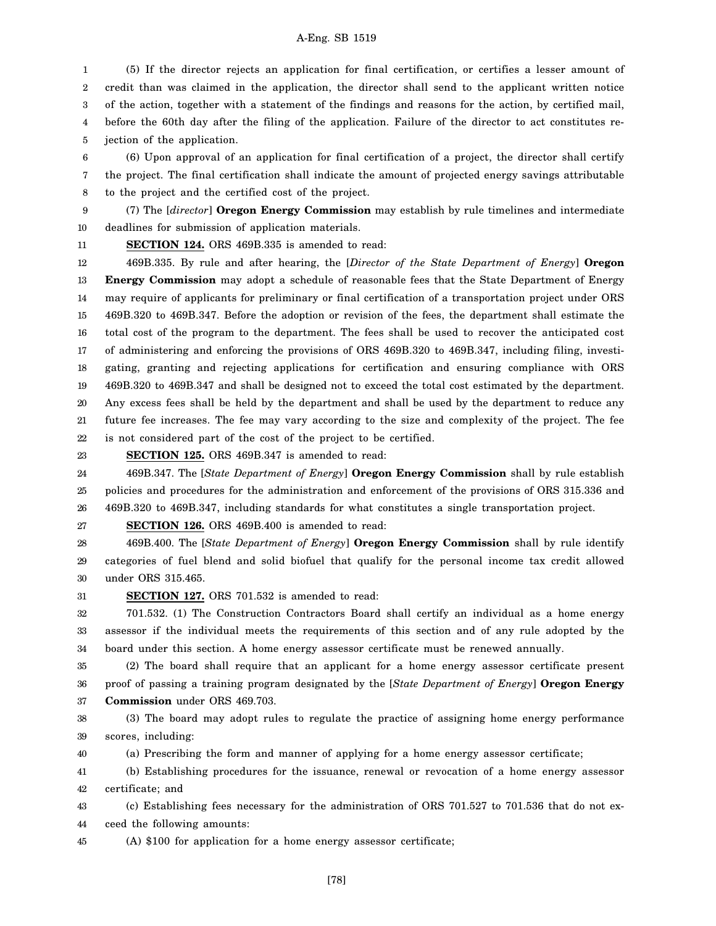1 2 3 4 5 (5) If the director rejects an application for final certification, or certifies a lesser amount of credit than was claimed in the application, the director shall send to the applicant written notice of the action, together with a statement of the findings and reasons for the action, by certified mail, before the 60th day after the filing of the application. Failure of the director to act constitutes rejection of the application.

6 7 8 (6) Upon approval of an application for final certification of a project, the director shall certify the project. The final certification shall indicate the amount of projected energy savings attributable to the project and the certified cost of the project.

9 10 (7) The [*director*] **Oregon Energy Commission** may establish by rule timelines and intermediate deadlines for submission of application materials.

11

**SECTION 124.** ORS 469B.335 is amended to read:

12 13 14 15 16 17 18 19 20 21 22 469B.335. By rule and after hearing, the [*Director of the State Department of Energy*] **Oregon Energy Commission** may adopt a schedule of reasonable fees that the State Department of Energy may require of applicants for preliminary or final certification of a transportation project under ORS 469B.320 to 469B.347. Before the adoption or revision of the fees, the department shall estimate the total cost of the program to the department. The fees shall be used to recover the anticipated cost of administering and enforcing the provisions of ORS 469B.320 to 469B.347, including filing, investigating, granting and rejecting applications for certification and ensuring compliance with ORS 469B.320 to 469B.347 and shall be designed not to exceed the total cost estimated by the department. Any excess fees shall be held by the department and shall be used by the department to reduce any future fee increases. The fee may vary according to the size and complexity of the project. The fee is not considered part of the cost of the project to be certified.

23

# **SECTION 125.** ORS 469B.347 is amended to read:

24 25 26 469B.347. The [*State Department of Energy*] **Oregon Energy Commission** shall by rule establish policies and procedures for the administration and enforcement of the provisions of ORS 315.336 and 469B.320 to 469B.347, including standards for what constitutes a single transportation project.

27 **SECTION 126.** ORS 469B.400 is amended to read:

28 29 30 469B.400. The [*State Department of Energy*] **Oregon Energy Commission** shall by rule identify categories of fuel blend and solid biofuel that qualify for the personal income tax credit allowed under ORS 315.465.

31 **SECTION 127.** ORS 701.532 is amended to read:

32 33 34 701.532. (1) The Construction Contractors Board shall certify an individual as a home energy assessor if the individual meets the requirements of this section and of any rule adopted by the board under this section. A home energy assessor certificate must be renewed annually.

35 36 37 (2) The board shall require that an applicant for a home energy assessor certificate present proof of passing a training program designated by the [*State Department of Energy*] **Oregon Energy Commission** under ORS 469.703.

38 39 (3) The board may adopt rules to regulate the practice of assigning home energy performance scores, including:

40 (a) Prescribing the form and manner of applying for a home energy assessor certificate;

41 42 (b) Establishing procedures for the issuance, renewal or revocation of a home energy assessor certificate; and

43 44 (c) Establishing fees necessary for the administration of ORS 701.527 to 701.536 that do not exceed the following amounts:

45 (A) \$100 for application for a home energy assessor certificate;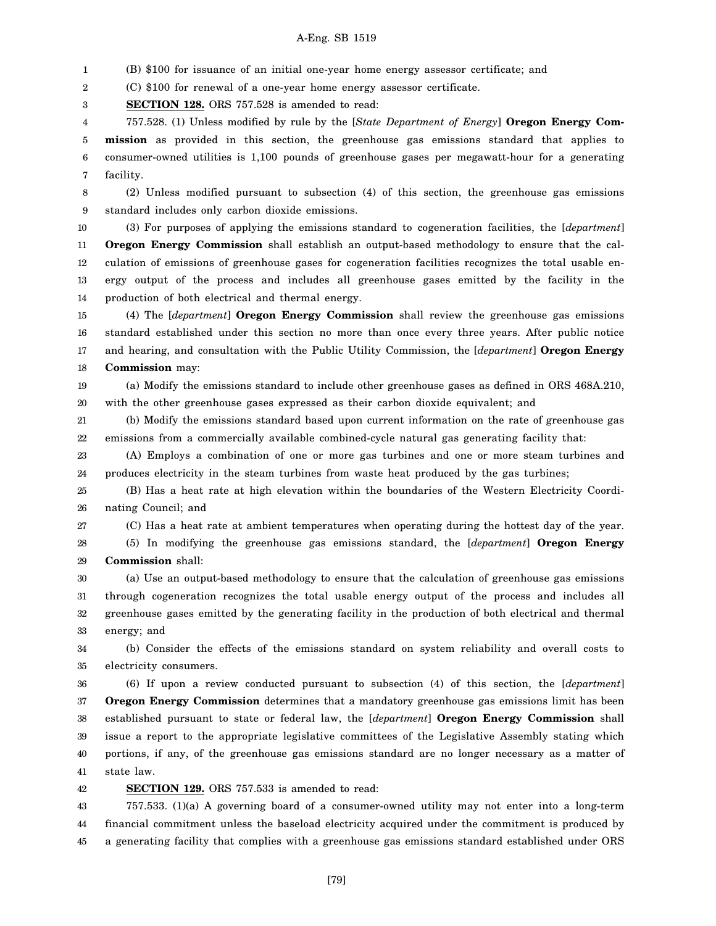1 (B) \$100 for issuance of an initial one-year home energy assessor certificate; and

2 (C) \$100 for renewal of a one-year home energy assessor certificate.

3 **SECTION 128.** ORS 757.528 is amended to read:

4 5 6 7 757.528. (1) Unless modified by rule by the [*State Department of Energy*] **Oregon Energy Commission** as provided in this section, the greenhouse gas emissions standard that applies to consumer-owned utilities is 1,100 pounds of greenhouse gases per megawatt-hour for a generating facility.

8 9 (2) Unless modified pursuant to subsection (4) of this section, the greenhouse gas emissions standard includes only carbon dioxide emissions.

10 11 12 13 14 (3) For purposes of applying the emissions standard to cogeneration facilities, the [*department*] **Oregon Energy Commission** shall establish an output-based methodology to ensure that the calculation of emissions of greenhouse gases for cogeneration facilities recognizes the total usable energy output of the process and includes all greenhouse gases emitted by the facility in the production of both electrical and thermal energy.

15 16 17 18 (4) The [*department*] **Oregon Energy Commission** shall review the greenhouse gas emissions standard established under this section no more than once every three years. After public notice and hearing, and consultation with the Public Utility Commission, the [*department*] **Oregon Energy Commission** may:

19 20 (a) Modify the emissions standard to include other greenhouse gases as defined in ORS 468A.210, with the other greenhouse gases expressed as their carbon dioxide equivalent; and

21 22 (b) Modify the emissions standard based upon current information on the rate of greenhouse gas emissions from a commercially available combined-cycle natural gas generating facility that:

23 24 (A) Employs a combination of one or more gas turbines and one or more steam turbines and produces electricity in the steam turbines from waste heat produced by the gas turbines;

25 26 (B) Has a heat rate at high elevation within the boundaries of the Western Electricity Coordinating Council; and

27

(C) Has a heat rate at ambient temperatures when operating during the hottest day of the year.

28 29 (5) In modifying the greenhouse gas emissions standard, the [*department*] **Oregon Energy Commission** shall:

30 31 32 33 (a) Use an output-based methodology to ensure that the calculation of greenhouse gas emissions through cogeneration recognizes the total usable energy output of the process and includes all greenhouse gases emitted by the generating facility in the production of both electrical and thermal energy; and

34 35 (b) Consider the effects of the emissions standard on system reliability and overall costs to electricity consumers.

36 37 38 39 40 41 (6) If upon a review conducted pursuant to subsection (4) of this section, the [*department*] **Oregon Energy Commission** determines that a mandatory greenhouse gas emissions limit has been established pursuant to state or federal law, the [*department*] **Oregon Energy Commission** shall issue a report to the appropriate legislative committees of the Legislative Assembly stating which portions, if any, of the greenhouse gas emissions standard are no longer necessary as a matter of state law.

42 **SECTION 129.** ORS 757.533 is amended to read:

43 44 45 757.533. (1)(a) A governing board of a consumer-owned utility may not enter into a long-term financial commitment unless the baseload electricity acquired under the commitment is produced by a generating facility that complies with a greenhouse gas emissions standard established under ORS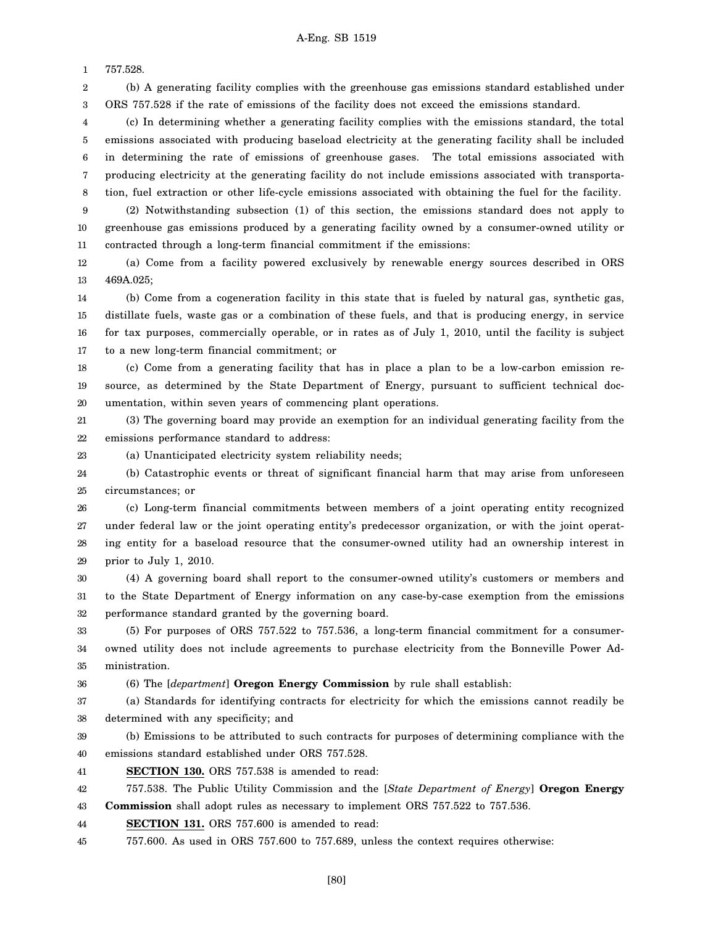1 757.528.

23

36

2 3 (b) A generating facility complies with the greenhouse gas emissions standard established under ORS 757.528 if the rate of emissions of the facility does not exceed the emissions standard.

4 5 6 7 8 (c) In determining whether a generating facility complies with the emissions standard, the total emissions associated with producing baseload electricity at the generating facility shall be included in determining the rate of emissions of greenhouse gases. The total emissions associated with producing electricity at the generating facility do not include emissions associated with transportation, fuel extraction or other life-cycle emissions associated with obtaining the fuel for the facility.

9 10 11 (2) Notwithstanding subsection (1) of this section, the emissions standard does not apply to greenhouse gas emissions produced by a generating facility owned by a consumer-owned utility or contracted through a long-term financial commitment if the emissions:

12 13 (a) Come from a facility powered exclusively by renewable energy sources described in ORS 469A.025;

14 15 16 17 (b) Come from a cogeneration facility in this state that is fueled by natural gas, synthetic gas, distillate fuels, waste gas or a combination of these fuels, and that is producing energy, in service for tax purposes, commercially operable, or in rates as of July 1, 2010, until the facility is subject to a new long-term financial commitment; or

18 19 20 (c) Come from a generating facility that has in place a plan to be a low-carbon emission resource, as determined by the State Department of Energy, pursuant to sufficient technical documentation, within seven years of commencing plant operations.

21 22 (3) The governing board may provide an exemption for an individual generating facility from the emissions performance standard to address:

(a) Unanticipated electricity system reliability needs;

24 25 (b) Catastrophic events or threat of significant financial harm that may arise from unforeseen circumstances; or

26 27 28 29 (c) Long-term financial commitments between members of a joint operating entity recognized under federal law or the joint operating entity's predecessor organization, or with the joint operating entity for a baseload resource that the consumer-owned utility had an ownership interest in prior to July 1, 2010.

30 31 32 (4) A governing board shall report to the consumer-owned utility's customers or members and to the State Department of Energy information on any case-by-case exemption from the emissions performance standard granted by the governing board.

33 34 35 (5) For purposes of ORS 757.522 to 757.536, a long-term financial commitment for a consumerowned utility does not include agreements to purchase electricity from the Bonneville Power Administration.

(6) The [*department*] **Oregon Energy Commission** by rule shall establish:

37 38 (a) Standards for identifying contracts for electricity for which the emissions cannot readily be determined with any specificity; and

39 40 (b) Emissions to be attributed to such contracts for purposes of determining compliance with the emissions standard established under ORS 757.528.

41 **SECTION 130.** ORS 757.538 is amended to read:

42 757.538. The Public Utility Commission and the [*State Department of Energy*] **Oregon Energy**

43 **Commission** shall adopt rules as necessary to implement ORS 757.522 to 757.536.

44 **SECTION 131.** ORS 757.600 is amended to read:

45 757.600. As used in ORS 757.600 to 757.689, unless the context requires otherwise: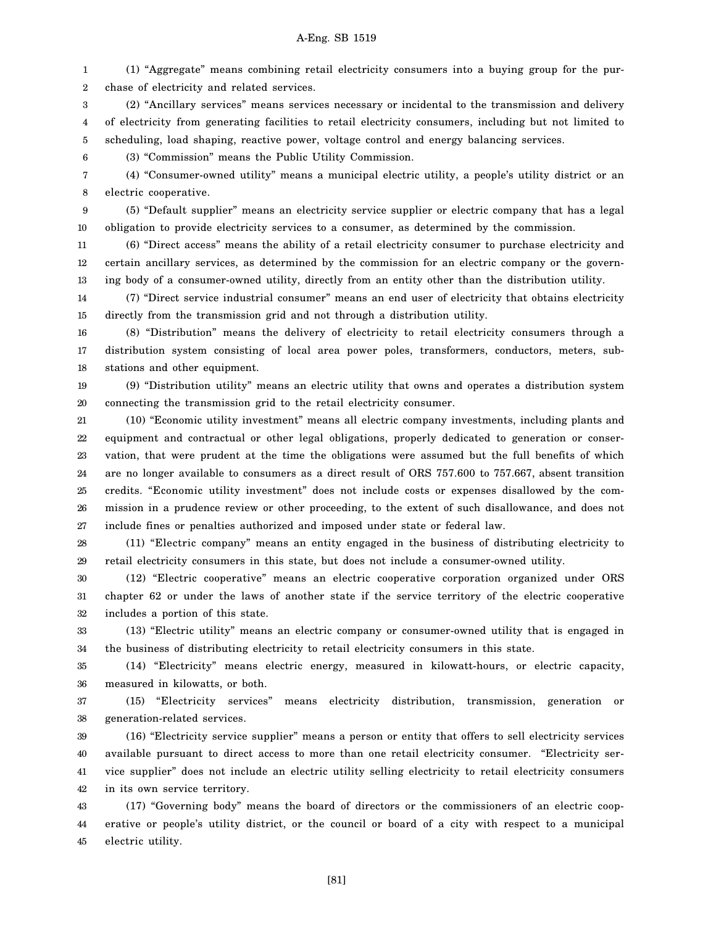1 2 (1) "Aggregate" means combining retail electricity consumers into a buying group for the purchase of electricity and related services.

3 4 5 (2) "Ancillary services" means services necessary or incidental to the transmission and delivery of electricity from generating facilities to retail electricity consumers, including but not limited to scheduling, load shaping, reactive power, voltage control and energy balancing services.

(3) "Commission" means the Public Utility Commission.

7 8 (4) "Consumer-owned utility" means a municipal electric utility, a people's utility district or an electric cooperative.

9

10

6

(5) "Default supplier" means an electricity service supplier or electric company that has a legal obligation to provide electricity services to a consumer, as determined by the commission.

11 12 13 (6) "Direct access" means the ability of a retail electricity consumer to purchase electricity and certain ancillary services, as determined by the commission for an electric company or the governing body of a consumer-owned utility, directly from an entity other than the distribution utility.

14 15 (7) "Direct service industrial consumer" means an end user of electricity that obtains electricity directly from the transmission grid and not through a distribution utility.

16 17 18 (8) "Distribution" means the delivery of electricity to retail electricity consumers through a distribution system consisting of local area power poles, transformers, conductors, meters, substations and other equipment.

19 20 (9) "Distribution utility" means an electric utility that owns and operates a distribution system connecting the transmission grid to the retail electricity consumer.

21 22 23 24 25 26 27 (10) "Economic utility investment" means all electric company investments, including plants and equipment and contractual or other legal obligations, properly dedicated to generation or conservation, that were prudent at the time the obligations were assumed but the full benefits of which are no longer available to consumers as a direct result of ORS 757.600 to 757.667, absent transition credits. "Economic utility investment" does not include costs or expenses disallowed by the commission in a prudence review or other proceeding, to the extent of such disallowance, and does not include fines or penalties authorized and imposed under state or federal law.

28 29 (11) "Electric company" means an entity engaged in the business of distributing electricity to retail electricity consumers in this state, but does not include a consumer-owned utility.

30 31 32 (12) "Electric cooperative" means an electric cooperative corporation organized under ORS chapter 62 or under the laws of another state if the service territory of the electric cooperative includes a portion of this state.

33 34 (13) "Electric utility" means an electric company or consumer-owned utility that is engaged in the business of distributing electricity to retail electricity consumers in this state.

35 36 (14) "Electricity" means electric energy, measured in kilowatt-hours, or electric capacity, measured in kilowatts, or both.

37 38 (15) "Electricity services" means electricity distribution, transmission, generation or generation-related services.

39 40 41 42 (16) "Electricity service supplier" means a person or entity that offers to sell electricity services available pursuant to direct access to more than one retail electricity consumer. "Electricity service supplier" does not include an electric utility selling electricity to retail electricity consumers in its own service territory.

43 44 45 (17) "Governing body" means the board of directors or the commissioners of an electric cooperative or people's utility district, or the council or board of a city with respect to a municipal electric utility.

[81]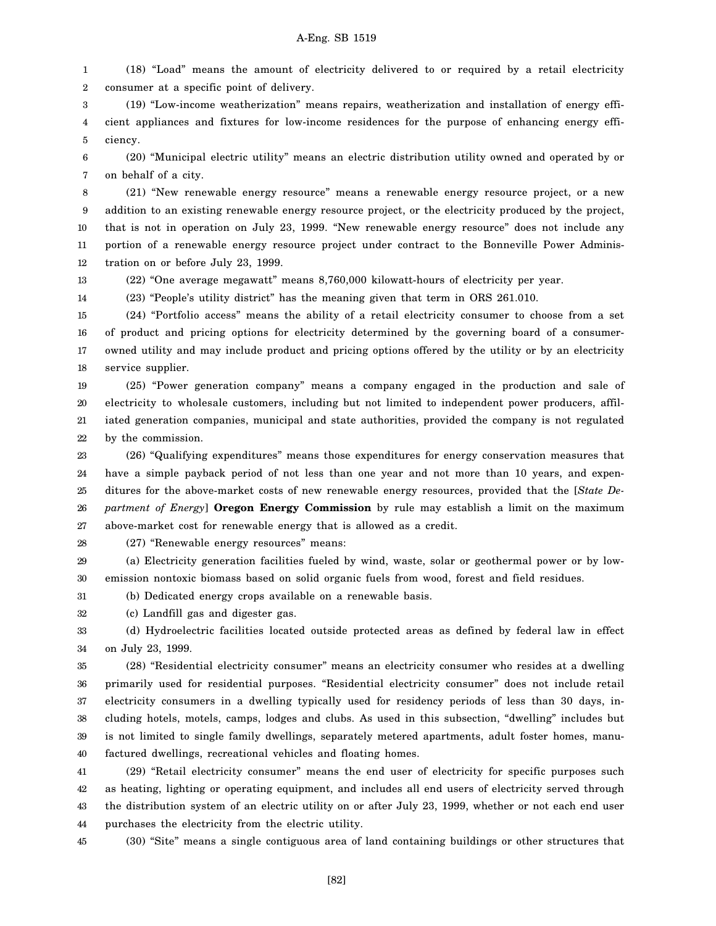1 2 (18) "Load" means the amount of electricity delivered to or required by a retail electricity consumer at a specific point of delivery.

3 4 5 (19) "Low-income weatherization" means repairs, weatherization and installation of energy efficient appliances and fixtures for low-income residences for the purpose of enhancing energy efficiency.

6 7 (20) "Municipal electric utility" means an electric distribution utility owned and operated by or on behalf of a city.

8 9 10 11 12 (21) "New renewable energy resource" means a renewable energy resource project, or a new addition to an existing renewable energy resource project, or the electricity produced by the project, that is not in operation on July 23, 1999. "New renewable energy resource" does not include any portion of a renewable energy resource project under contract to the Bonneville Power Administration on or before July 23, 1999.

13

14

(22) "One average megawatt" means 8,760,000 kilowatt-hours of electricity per year.

(23) "People's utility district" has the meaning given that term in ORS 261.010.

15 16 17 18 (24) "Portfolio access" means the ability of a retail electricity consumer to choose from a set of product and pricing options for electricity determined by the governing board of a consumerowned utility and may include product and pricing options offered by the utility or by an electricity service supplier.

19 20 21 22 (25) "Power generation company" means a company engaged in the production and sale of electricity to wholesale customers, including but not limited to independent power producers, affiliated generation companies, municipal and state authorities, provided the company is not regulated by the commission.

23 24 25 26 27 (26) "Qualifying expenditures" means those expenditures for energy conservation measures that have a simple payback period of not less than one year and not more than 10 years, and expenditures for the above-market costs of new renewable energy resources, provided that the [*State Department of Energy*] **Oregon Energy Commission** by rule may establish a limit on the maximum above-market cost for renewable energy that is allowed as a credit.

28 (27) "Renewable energy resources" means:

29 30 (a) Electricity generation facilities fueled by wind, waste, solar or geothermal power or by lowemission nontoxic biomass based on solid organic fuels from wood, forest and field residues.

31 (b) Dedicated energy crops available on a renewable basis.

32 (c) Landfill gas and digester gas.

33 34 (d) Hydroelectric facilities located outside protected areas as defined by federal law in effect on July 23, 1999.

35 36 37 38 39 40 (28) "Residential electricity consumer" means an electricity consumer who resides at a dwelling primarily used for residential purposes. "Residential electricity consumer" does not include retail electricity consumers in a dwelling typically used for residency periods of less than 30 days, including hotels, motels, camps, lodges and clubs. As used in this subsection, "dwelling" includes but is not limited to single family dwellings, separately metered apartments, adult foster homes, manufactured dwellings, recreational vehicles and floating homes.

41 42 43 44 (29) "Retail electricity consumer" means the end user of electricity for specific purposes such as heating, lighting or operating equipment, and includes all end users of electricity served through the distribution system of an electric utility on or after July 23, 1999, whether or not each end user purchases the electricity from the electric utility.

45 (30) "Site" means a single contiguous area of land containing buildings or other structures that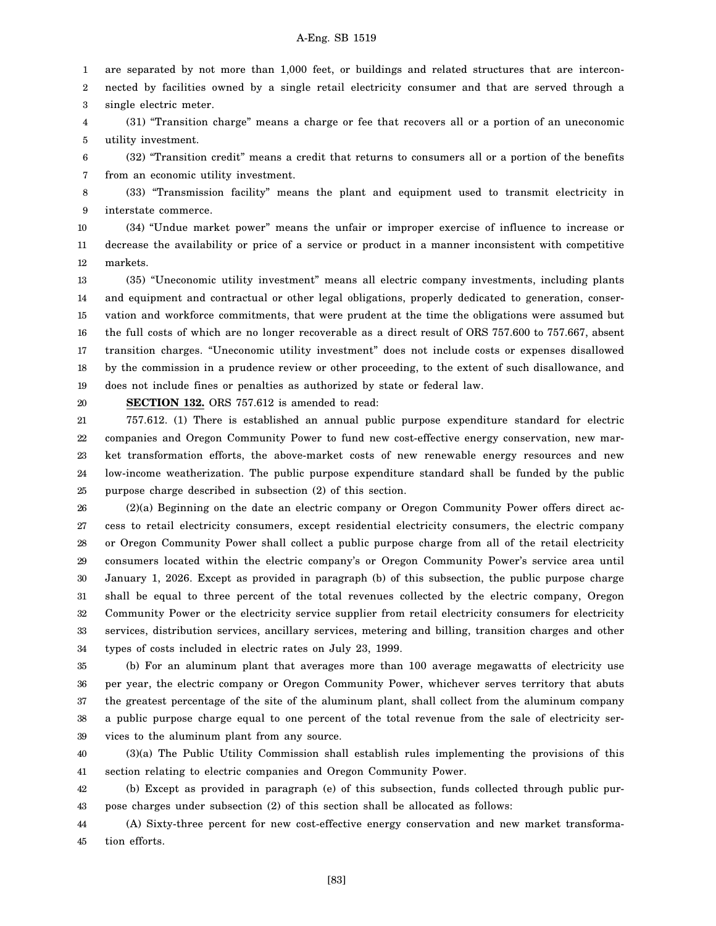1 2 3 are separated by not more than 1,000 feet, or buildings and related structures that are interconnected by facilities owned by a single retail electricity consumer and that are served through a single electric meter.

4 5 (31) "Transition charge" means a charge or fee that recovers all or a portion of an uneconomic utility investment.

6 7 (32) "Transition credit" means a credit that returns to consumers all or a portion of the benefits from an economic utility investment.

8 9 (33) "Transmission facility" means the plant and equipment used to transmit electricity in interstate commerce.

10 11 12 (34) "Undue market power" means the unfair or improper exercise of influence to increase or decrease the availability or price of a service or product in a manner inconsistent with competitive markets.

13 14 15 16 17 18 19 (35) "Uneconomic utility investment" means all electric company investments, including plants and equipment and contractual or other legal obligations, properly dedicated to generation, conservation and workforce commitments, that were prudent at the time the obligations were assumed but the full costs of which are no longer recoverable as a direct result of ORS 757.600 to 757.667, absent transition charges. "Uneconomic utility investment" does not include costs or expenses disallowed by the commission in a prudence review or other proceeding, to the extent of such disallowance, and does not include fines or penalties as authorized by state or federal law.

**SECTION 132.** ORS 757.612 is amended to read:

20

21 22 23 24 25 757.612. (1) There is established an annual public purpose expenditure standard for electric companies and Oregon Community Power to fund new cost-effective energy conservation, new market transformation efforts, the above-market costs of new renewable energy resources and new low-income weatherization. The public purpose expenditure standard shall be funded by the public purpose charge described in subsection (2) of this section.

26 27 28 29 30 31 32 33 34 (2)(a) Beginning on the date an electric company or Oregon Community Power offers direct access to retail electricity consumers, except residential electricity consumers, the electric company or Oregon Community Power shall collect a public purpose charge from all of the retail electricity consumers located within the electric company's or Oregon Community Power's service area until January 1, 2026. Except as provided in paragraph (b) of this subsection, the public purpose charge shall be equal to three percent of the total revenues collected by the electric company, Oregon Community Power or the electricity service supplier from retail electricity consumers for electricity services, distribution services, ancillary services, metering and billing, transition charges and other types of costs included in electric rates on July 23, 1999.

35 36 37 38 39 (b) For an aluminum plant that averages more than 100 average megawatts of electricity use per year, the electric company or Oregon Community Power, whichever serves territory that abuts the greatest percentage of the site of the aluminum plant, shall collect from the aluminum company a public purpose charge equal to one percent of the total revenue from the sale of electricity services to the aluminum plant from any source.

40 41 (3)(a) The Public Utility Commission shall establish rules implementing the provisions of this section relating to electric companies and Oregon Community Power.

42 43 (b) Except as provided in paragraph (e) of this subsection, funds collected through public purpose charges under subsection (2) of this section shall be allocated as follows:

44 45 (A) Sixty-three percent for new cost-effective energy conservation and new market transformation efforts.

[83]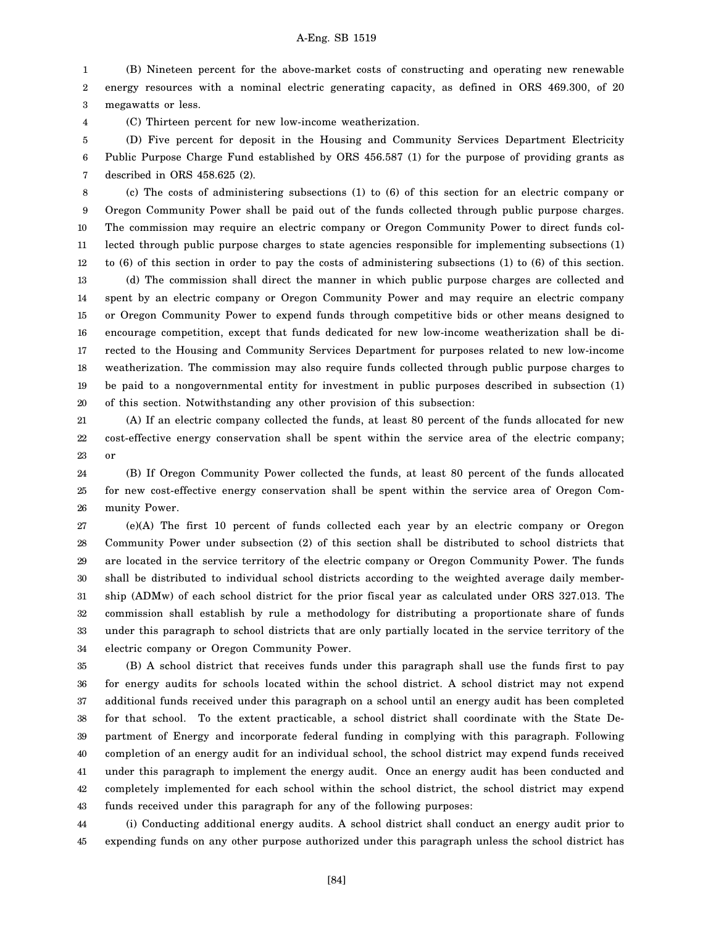1 2 3 (B) Nineteen percent for the above-market costs of constructing and operating new renewable energy resources with a nominal electric generating capacity, as defined in ORS 469.300, of 20 megawatts or less.

(C) Thirteen percent for new low-income weatherization.

4

5 6 7 (D) Five percent for deposit in the Housing and Community Services Department Electricity Public Purpose Charge Fund established by ORS 456.587 (1) for the purpose of providing grants as described in ORS 458.625 (2).

8 9 10 11 12 13 14 15 16 17 18 19 20 (c) The costs of administering subsections (1) to (6) of this section for an electric company or Oregon Community Power shall be paid out of the funds collected through public purpose charges. The commission may require an electric company or Oregon Community Power to direct funds collected through public purpose charges to state agencies responsible for implementing subsections (1) to (6) of this section in order to pay the costs of administering subsections (1) to (6) of this section. (d) The commission shall direct the manner in which public purpose charges are collected and spent by an electric company or Oregon Community Power and may require an electric company or Oregon Community Power to expend funds through competitive bids or other means designed to encourage competition, except that funds dedicated for new low-income weatherization shall be directed to the Housing and Community Services Department for purposes related to new low-income weatherization. The commission may also require funds collected through public purpose charges to be paid to a nongovernmental entity for investment in public purposes described in subsection (1) of this section. Notwithstanding any other provision of this subsection:

21 22 23 (A) If an electric company collected the funds, at least 80 percent of the funds allocated for new cost-effective energy conservation shall be spent within the service area of the electric company; or

24 25 26 (B) If Oregon Community Power collected the funds, at least 80 percent of the funds allocated for new cost-effective energy conservation shall be spent within the service area of Oregon Community Power.

27 28 29 30 31 32 33 34 (e)(A) The first 10 percent of funds collected each year by an electric company or Oregon Community Power under subsection (2) of this section shall be distributed to school districts that are located in the service territory of the electric company or Oregon Community Power. The funds shall be distributed to individual school districts according to the weighted average daily membership (ADMw) of each school district for the prior fiscal year as calculated under ORS 327.013. The commission shall establish by rule a methodology for distributing a proportionate share of funds under this paragraph to school districts that are only partially located in the service territory of the electric company or Oregon Community Power.

35 36 37 38 39 40 41 42 43 (B) A school district that receives funds under this paragraph shall use the funds first to pay for energy audits for schools located within the school district. A school district may not expend additional funds received under this paragraph on a school until an energy audit has been completed for that school. To the extent practicable, a school district shall coordinate with the State Department of Energy and incorporate federal funding in complying with this paragraph. Following completion of an energy audit for an individual school, the school district may expend funds received under this paragraph to implement the energy audit. Once an energy audit has been conducted and completely implemented for each school within the school district, the school district may expend funds received under this paragraph for any of the following purposes:

44 45 (i) Conducting additional energy audits. A school district shall conduct an energy audit prior to expending funds on any other purpose authorized under this paragraph unless the school district has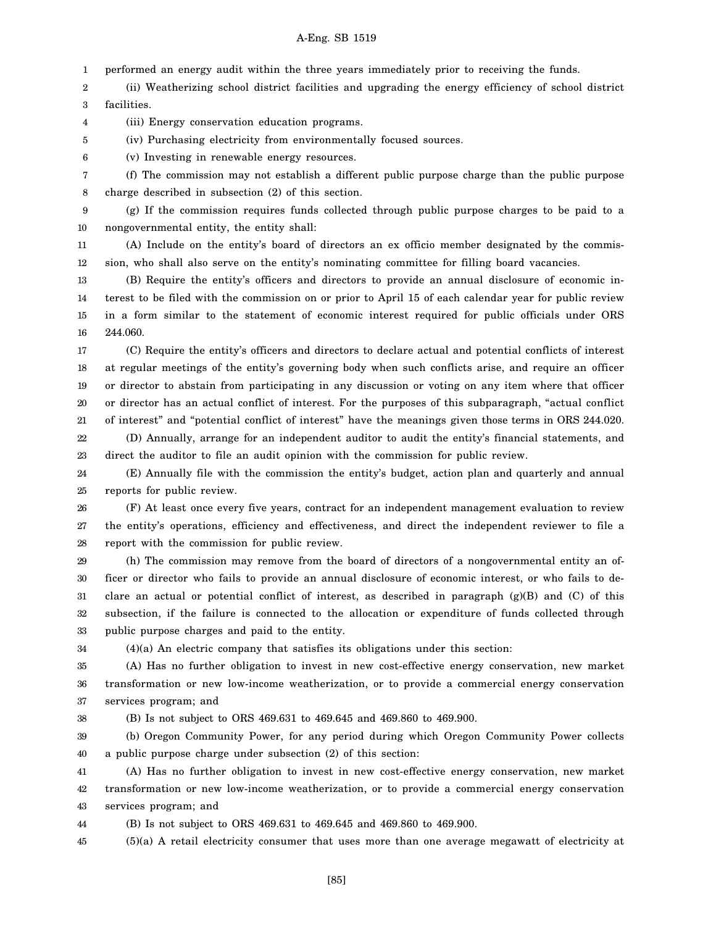1 performed an energy audit within the three years immediately prior to receiving the funds.

2 3 (ii) Weatherizing school district facilities and upgrading the energy efficiency of school district facilities.

4 (iii) Energy conservation education programs.

(iv) Purchasing electricity from environmentally focused sources.

6 (v) Investing in renewable energy resources.

7 8 (f) The commission may not establish a different public purpose charge than the public purpose charge described in subsection (2) of this section.

9 10 (g) If the commission requires funds collected through public purpose charges to be paid to a nongovernmental entity, the entity shall:

11 12 (A) Include on the entity's board of directors an ex officio member designated by the commission, who shall also serve on the entity's nominating committee for filling board vacancies.

13 14 15 16 (B) Require the entity's officers and directors to provide an annual disclosure of economic interest to be filed with the commission on or prior to April 15 of each calendar year for public review in a form similar to the statement of economic interest required for public officials under ORS 244.060.

17 18 19 20 21 (C) Require the entity's officers and directors to declare actual and potential conflicts of interest at regular meetings of the entity's governing body when such conflicts arise, and require an officer or director to abstain from participating in any discussion or voting on any item where that officer or director has an actual conflict of interest. For the purposes of this subparagraph, "actual conflict of interest" and "potential conflict of interest" have the meanings given those terms in ORS 244.020.

22 23 (D) Annually, arrange for an independent auditor to audit the entity's financial statements, and direct the auditor to file an audit opinion with the commission for public review.

24 25 (E) Annually file with the commission the entity's budget, action plan and quarterly and annual reports for public review.

26 27 28 (F) At least once every five years, contract for an independent management evaluation to review the entity's operations, efficiency and effectiveness, and direct the independent reviewer to file a report with the commission for public review.

29 30 31 32 33 (h) The commission may remove from the board of directors of a nongovernmental entity an officer or director who fails to provide an annual disclosure of economic interest, or who fails to declare an actual or potential conflict of interest, as described in paragraph (g)(B) and (C) of this subsection, if the failure is connected to the allocation or expenditure of funds collected through public purpose charges and paid to the entity.

34

5

(4)(a) An electric company that satisfies its obligations under this section:

35 36 37 (A) Has no further obligation to invest in new cost-effective energy conservation, new market transformation or new low-income weatherization, or to provide a commercial energy conservation services program; and

38 (B) Is not subject to ORS 469.631 to 469.645 and 469.860 to 469.900.

39 40 (b) Oregon Community Power, for any period during which Oregon Community Power collects a public purpose charge under subsection (2) of this section:

41 42 43 (A) Has no further obligation to invest in new cost-effective energy conservation, new market transformation or new low-income weatherization, or to provide a commercial energy conservation services program; and

44 (B) Is not subject to ORS 469.631 to 469.645 and 469.860 to 469.900.

45 (5)(a) A retail electricity consumer that uses more than one average megawatt of electricity at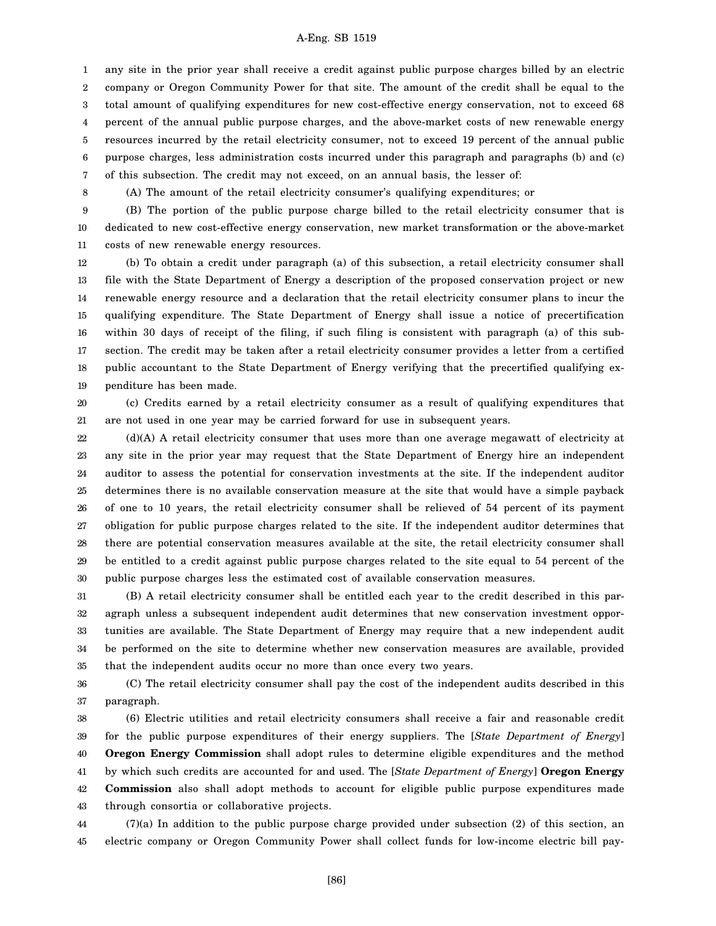1 2 3 4 5 6 7 any site in the prior year shall receive a credit against public purpose charges billed by an electric company or Oregon Community Power for that site. The amount of the credit shall be equal to the total amount of qualifying expenditures for new cost-effective energy conservation, not to exceed 68 percent of the annual public purpose charges, and the above-market costs of new renewable energy resources incurred by the retail electricity consumer, not to exceed 19 percent of the annual public purpose charges, less administration costs incurred under this paragraph and paragraphs (b) and (c) of this subsection. The credit may not exceed, on an annual basis, the lesser of:

8

(A) The amount of the retail electricity consumer's qualifying expenditures; or

9 10 11 (B) The portion of the public purpose charge billed to the retail electricity consumer that is dedicated to new cost-effective energy conservation, new market transformation or the above-market costs of new renewable energy resources.

12 13 14 15 16 17 18 19 (b) To obtain a credit under paragraph (a) of this subsection, a retail electricity consumer shall file with the State Department of Energy a description of the proposed conservation project or new renewable energy resource and a declaration that the retail electricity consumer plans to incur the qualifying expenditure. The State Department of Energy shall issue a notice of precertification within 30 days of receipt of the filing, if such filing is consistent with paragraph (a) of this subsection. The credit may be taken after a retail electricity consumer provides a letter from a certified public accountant to the State Department of Energy verifying that the precertified qualifying expenditure has been made.

20 21 (c) Credits earned by a retail electricity consumer as a result of qualifying expenditures that are not used in one year may be carried forward for use in subsequent years.

22 23 24 25 26 27 28 29 30 (d)(A) A retail electricity consumer that uses more than one average megawatt of electricity at any site in the prior year may request that the State Department of Energy hire an independent auditor to assess the potential for conservation investments at the site. If the independent auditor determines there is no available conservation measure at the site that would have a simple payback of one to 10 years, the retail electricity consumer shall be relieved of 54 percent of its payment obligation for public purpose charges related to the site. If the independent auditor determines that there are potential conservation measures available at the site, the retail electricity consumer shall be entitled to a credit against public purpose charges related to the site equal to 54 percent of the public purpose charges less the estimated cost of available conservation measures.

31 32 33 34 35 (B) A retail electricity consumer shall be entitled each year to the credit described in this paragraph unless a subsequent independent audit determines that new conservation investment opportunities are available. The State Department of Energy may require that a new independent audit be performed on the site to determine whether new conservation measures are available, provided that the independent audits occur no more than once every two years.

36 37 (C) The retail electricity consumer shall pay the cost of the independent audits described in this paragraph.

38 39 40 41 42 43 (6) Electric utilities and retail electricity consumers shall receive a fair and reasonable credit for the public purpose expenditures of their energy suppliers. The [*State Department of Energy*] **Oregon Energy Commission** shall adopt rules to determine eligible expenditures and the method by which such credits are accounted for and used. The [*State Department of Energy*] **Oregon Energy Commission** also shall adopt methods to account for eligible public purpose expenditures made through consortia or collaborative projects.

44 45 (7)(a) In addition to the public purpose charge provided under subsection (2) of this section, an electric company or Oregon Community Power shall collect funds for low-income electric bill pay-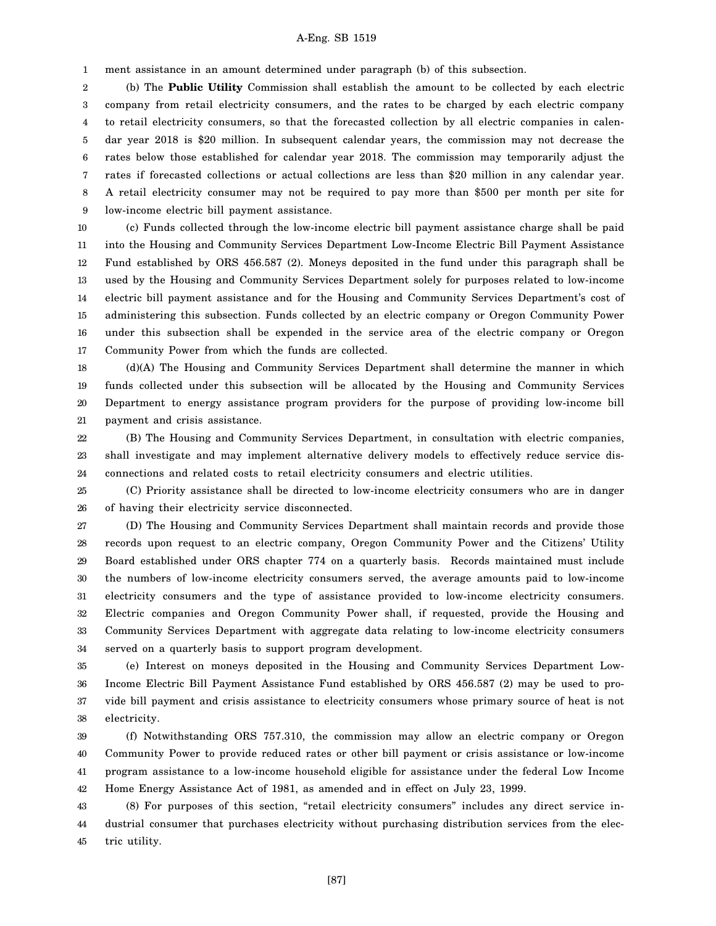1 ment assistance in an amount determined under paragraph (b) of this subsection.

2 3 4 5 6 7 8 9 (b) The **Public Utility** Commission shall establish the amount to be collected by each electric company from retail electricity consumers, and the rates to be charged by each electric company to retail electricity consumers, so that the forecasted collection by all electric companies in calendar year 2018 is \$20 million. In subsequent calendar years, the commission may not decrease the rates below those established for calendar year 2018. The commission may temporarily adjust the rates if forecasted collections or actual collections are less than \$20 million in any calendar year. A retail electricity consumer may not be required to pay more than \$500 per month per site for low-income electric bill payment assistance.

10 11 12 13 14 15 16 17 (c) Funds collected through the low-income electric bill payment assistance charge shall be paid into the Housing and Community Services Department Low-Income Electric Bill Payment Assistance Fund established by ORS 456.587 (2). Moneys deposited in the fund under this paragraph shall be used by the Housing and Community Services Department solely for purposes related to low-income electric bill payment assistance and for the Housing and Community Services Department's cost of administering this subsection. Funds collected by an electric company or Oregon Community Power under this subsection shall be expended in the service area of the electric company or Oregon Community Power from which the funds are collected.

18 19 20 21 (d)(A) The Housing and Community Services Department shall determine the manner in which funds collected under this subsection will be allocated by the Housing and Community Services Department to energy assistance program providers for the purpose of providing low-income bill payment and crisis assistance.

22 23 24 (B) The Housing and Community Services Department, in consultation with electric companies, shall investigate and may implement alternative delivery models to effectively reduce service disconnections and related costs to retail electricity consumers and electric utilities.

25 26 (C) Priority assistance shall be directed to low-income electricity consumers who are in danger of having their electricity service disconnected.

27 28 29 30 31 32 33 34 (D) The Housing and Community Services Department shall maintain records and provide those records upon request to an electric company, Oregon Community Power and the Citizens' Utility Board established under ORS chapter 774 on a quarterly basis. Records maintained must include the numbers of low-income electricity consumers served, the average amounts paid to low-income electricity consumers and the type of assistance provided to low-income electricity consumers. Electric companies and Oregon Community Power shall, if requested, provide the Housing and Community Services Department with aggregate data relating to low-income electricity consumers served on a quarterly basis to support program development.

35 36 37 38 (e) Interest on moneys deposited in the Housing and Community Services Department Low-Income Electric Bill Payment Assistance Fund established by ORS 456.587 (2) may be used to provide bill payment and crisis assistance to electricity consumers whose primary source of heat is not electricity.

39 40 41 42 (f) Notwithstanding ORS 757.310, the commission may allow an electric company or Oregon Community Power to provide reduced rates or other bill payment or crisis assistance or low-income program assistance to a low-income household eligible for assistance under the federal Low Income Home Energy Assistance Act of 1981, as amended and in effect on July 23, 1999.

43 44 45 (8) For purposes of this section, "retail electricity consumers" includes any direct service industrial consumer that purchases electricity without purchasing distribution services from the electric utility.

[87]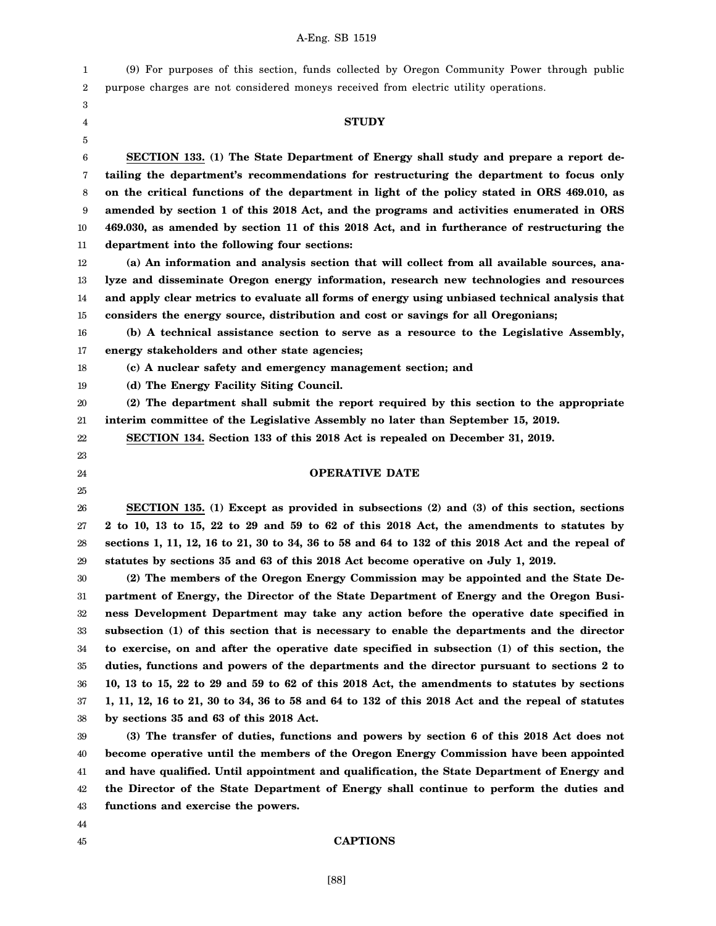1 2 (9) For purposes of this section, funds collected by Oregon Community Power through public purpose charges are not considered moneys received from electric utility operations.

3 4 5

# **STUDY**

6 7 8 9 10 11 **SECTION 133. (1) The State Department of Energy shall study and prepare a report detailing the department's recommendations for restructuring the department to focus only on the critical functions of the department in light of the policy stated in ORS 469.010, as amended by section 1 of this 2018 Act, and the programs and activities enumerated in ORS 469.030, as amended by section 11 of this 2018 Act, and in furtherance of restructuring the department into the following four sections:**

12 13 14 15 **(a) An information and analysis section that will collect from all available sources, analyze and disseminate Oregon energy information, research new technologies and resources and apply clear metrics to evaluate all forms of energy using unbiased technical analysis that considers the energy source, distribution and cost or savings for all Oregonians;**

16 17 **(b) A technical assistance section to serve as a resource to the Legislative Assembly, energy stakeholders and other state agencies;**

18 **(c) A nuclear safety and emergency management section; and**

19 **(d) The Energy Facility Siting Council.**

20 21 **(2) The department shall submit the report required by this section to the appropriate interim committee of the Legislative Assembly no later than September 15, 2019.**

**SECTION 134. Section 133 of this 2018 Act is repealed on December 31, 2019.**

# 22 23

24 25

## **OPERATIVE DATE**

26 27 28 29 **SECTION 135. (1) Except as provided in subsections (2) and (3) of this section, sections 2 to 10, 13 to 15, 22 to 29 and 59 to 62 of this 2018 Act, the amendments to statutes by sections 1, 11, 12, 16 to 21, 30 to 34, 36 to 58 and 64 to 132 of this 2018 Act and the repeal of statutes by sections 35 and 63 of this 2018 Act become operative on July 1, 2019.**

30 31 32 33 34 35 36 37 38 **(2) The members of the Oregon Energy Commission may be appointed and the State Department of Energy, the Director of the State Department of Energy and the Oregon Business Development Department may take any action before the operative date specified in subsection (1) of this section that is necessary to enable the departments and the director to exercise, on and after the operative date specified in subsection (1) of this section, the duties, functions and powers of the departments and the director pursuant to sections 2 to 10, 13 to 15, 22 to 29 and 59 to 62 of this 2018 Act, the amendments to statutes by sections 1, 11, 12, 16 to 21, 30 to 34, 36 to 58 and 64 to 132 of this 2018 Act and the repeal of statutes by sections 35 and 63 of this 2018 Act.**

39 40 41 42 43 **(3) The transfer of duties, functions and powers by section 6 of this 2018 Act does not become operative until the members of the Oregon Energy Commission have been appointed and have qualified. Until appointment and qualification, the State Department of Energy and the Director of the State Department of Energy shall continue to perform the duties and functions and exercise the powers.**

44 45

# **CAPTIONS**